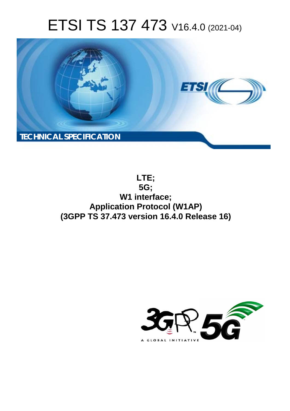# ETSI TS 137 473 V16.4.0 (2021-04)



**LTE; 5G; W1 interface; Application Protocol (W1AP) (3GPP TS 37.473 version 16.4.0 Release 16)** 

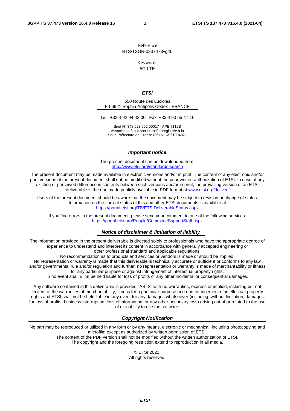Reference RTS/TSGR-0337473vg40

Keywords

5G,LTE

#### *ETSI*

650 Route des Lucioles F-06921 Sophia Antipolis Cedex - FRANCE

Tel.: +33 4 92 94 42 00 Fax: +33 4 93 65 47 16

Siret N° 348 623 562 00017 - APE 7112B Association à but non lucratif enregistrée à la Sous-Préfecture de Grasse (06) N° w061004871

#### *Important notice*

The present document can be downloaded from: <http://www.etsi.org/standards-search>

The present document may be made available in electronic versions and/or in print. The content of any electronic and/or print versions of the present document shall not be modified without the prior written authorization of ETSI. In case of any existing or perceived difference in contents between such versions and/or in print, the prevailing version of an ETSI deliverable is the one made publicly available in PDF format at [www.etsi.org/deliver](http://www.etsi.org/deliver).

Users of the present document should be aware that the document may be subject to revision or change of status. Information on the current status of this and other ETSI documents is available at <https://portal.etsi.org/TB/ETSIDeliverableStatus.aspx>

If you find errors in the present document, please send your comment to one of the following services: <https://portal.etsi.org/People/CommiteeSupportStaff.aspx>

#### *Notice of disclaimer & limitation of liability*

The information provided in the present deliverable is directed solely to professionals who have the appropriate degree of experience to understand and interpret its content in accordance with generally accepted engineering or other professional standard and applicable regulations.

No recommendation as to products and services or vendors is made or should be implied.

No representation or warranty is made that this deliverable is technically accurate or sufficient or conforms to any law and/or governmental rule and/or regulation and further, no representation or warranty is made of merchantability or fitness for any particular purpose or against infringement of intellectual property rights.

In no event shall ETSI be held liable for loss of profits or any other incidental or consequential damages.

Any software contained in this deliverable is provided "AS IS" with no warranties, express or implied, including but not limited to, the warranties of merchantability, fitness for a particular purpose and non-infringement of intellectual property rights and ETSI shall not be held liable in any event for any damages whatsoever (including, without limitation, damages for loss of profits, business interruption, loss of information, or any other pecuniary loss) arising out of or related to the use of or inability to use the software.

#### *Copyright Notification*

No part may be reproduced or utilized in any form or by any means, electronic or mechanical, including photocopying and microfilm except as authorized by written permission of ETSI. The content of the PDF version shall not be modified without the written authorization of ETSI.

The copyright and the foregoing restriction extend to reproduction in all media.

© ETSI 2021. All rights reserved.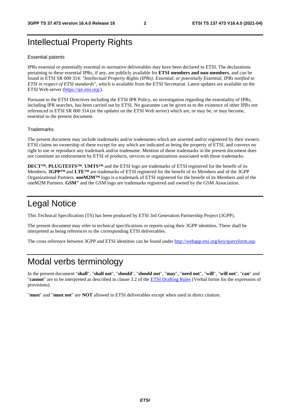## Intellectual Property Rights

#### Essential patents

IPRs essential or potentially essential to normative deliverables may have been declared to ETSI. The declarations pertaining to these essential IPRs, if any, are publicly available for **ETSI members and non-members**, and can be found in ETSI SR 000 314: *"Intellectual Property Rights (IPRs); Essential, or potentially Essential, IPRs notified to ETSI in respect of ETSI standards"*, which is available from the ETSI Secretariat. Latest updates are available on the ETSI Web server (<https://ipr.etsi.org/>).

Pursuant to the ETSI Directives including the ETSI IPR Policy, no investigation regarding the essentiality of IPRs, including IPR searches, has been carried out by ETSI. No guarantee can be given as to the existence of other IPRs not referenced in ETSI SR 000 314 (or the updates on the ETSI Web server) which are, or may be, or may become, essential to the present document.

#### **Trademarks**

The present document may include trademarks and/or tradenames which are asserted and/or registered by their owners. ETSI claims no ownership of these except for any which are indicated as being the property of ETSI, and conveys no right to use or reproduce any trademark and/or tradename. Mention of those trademarks in the present document does not constitute an endorsement by ETSI of products, services or organizations associated with those trademarks.

**DECT™**, **PLUGTESTS™**, **UMTS™** and the ETSI logo are trademarks of ETSI registered for the benefit of its Members. **3GPP™** and **LTE™** are trademarks of ETSI registered for the benefit of its Members and of the 3GPP Organizational Partners. **oneM2M™** logo is a trademark of ETSI registered for the benefit of its Members and of the oneM2M Partners. **GSM**® and the GSM logo are trademarks registered and owned by the GSM Association.

## Legal Notice

This Technical Specification (TS) has been produced by ETSI 3rd Generation Partnership Project (3GPP).

The present document may refer to technical specifications or reports using their 3GPP identities. These shall be interpreted as being references to the corresponding ETSI deliverables.

The cross reference between 3GPP and ETSI identities can be found under<http://webapp.etsi.org/key/queryform.asp>.

## Modal verbs terminology

In the present document "**shall**", "**shall not**", "**should**", "**should not**", "**may**", "**need not**", "**will**", "**will not**", "**can**" and "**cannot**" are to be interpreted as described in clause 3.2 of the [ETSI Drafting Rules](https://portal.etsi.org/Services/editHelp!/Howtostart/ETSIDraftingRules.aspx) (Verbal forms for the expression of provisions).

"**must**" and "**must not**" are **NOT** allowed in ETSI deliverables except when used in direct citation.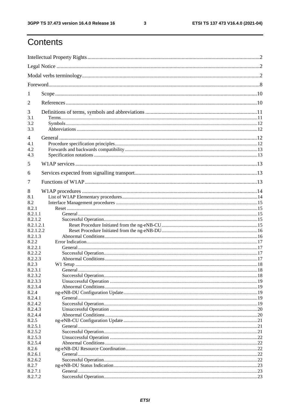$\mathbf{3}$ 

## Contents

| 1                      |  |  |  |
|------------------------|--|--|--|
| 2                      |  |  |  |
| 3                      |  |  |  |
| 3.1<br>3.2             |  |  |  |
| 3.3                    |  |  |  |
| $\overline{4}$         |  |  |  |
| 4.1                    |  |  |  |
| 4.2                    |  |  |  |
| 4.3                    |  |  |  |
| 5                      |  |  |  |
| 6                      |  |  |  |
| 7                      |  |  |  |
| 8                      |  |  |  |
| 8.1                    |  |  |  |
| 8.2                    |  |  |  |
| 8.2.1                  |  |  |  |
| 8.2.1.1                |  |  |  |
| 8.2.1.2                |  |  |  |
| 8.2.1.2.1<br>8.2.1.2.2 |  |  |  |
| 8.2.1.3                |  |  |  |
| 8.2.2                  |  |  |  |
| 8.2.2.1                |  |  |  |
| 8.2.2.2                |  |  |  |
| 8.2.2.3                |  |  |  |
| 8.2.3                  |  |  |  |
| 8.2.3.1                |  |  |  |
| 8.2.3.2                |  |  |  |
| 8.2.3.3<br>8.2.3.4     |  |  |  |
| 8.2.4                  |  |  |  |
| 8.2.4.1                |  |  |  |
| 8.2.4.2                |  |  |  |
| 8.2.4.3                |  |  |  |
| 8.2.4.4                |  |  |  |
| 8.2.5                  |  |  |  |
| 8.2.5.1                |  |  |  |
| 8.2.5.2                |  |  |  |
| 8.2.5.3<br>8.2.5.4     |  |  |  |
| 8.2.6                  |  |  |  |
| 8.2.6.1                |  |  |  |
| 8.2.6.2                |  |  |  |
| 8.2.7                  |  |  |  |
| 8.2.7.1                |  |  |  |
| 8.2.7.2                |  |  |  |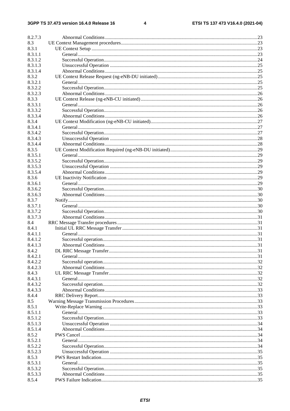$\overline{\mathbf{4}}$ 

| 8.2.7.3 |  |
|---------|--|
| 8.3     |  |
| 8.3.1   |  |
| 8.3.1.1 |  |
| 8.3.1.2 |  |
| 8.3.1.3 |  |
| 8.3.1.4 |  |
| 8.3.2   |  |
| 8.3.2.1 |  |
| 8.3.2.2 |  |
| 8.3.2.3 |  |
| 8.3.3   |  |
| 8.3.3.1 |  |
| 8.3.3.2 |  |
| 8.3.3.4 |  |
| 8.3.4   |  |
| 8.3.4.1 |  |
| 8.3.4.2 |  |
| 8.3.4.3 |  |
| 8.3.4.4 |  |
| 8.3.5   |  |
| 8.3.5.1 |  |
| 8.3.5.2 |  |
| 8.3.5.3 |  |
| 8.3.5.4 |  |
| 8.3.6   |  |
| 8.3.6.1 |  |
| 8.3.6.2 |  |
| 8.3.6.3 |  |
| 8.3.7   |  |
| 8.3.7.1 |  |
| 8.3.7.2 |  |
| 8.3.7.3 |  |
| 8.4     |  |
| 8.4.1   |  |
| 8.4.1.1 |  |
| 8.4.1.2 |  |
| 8.4.1.3 |  |
| 8.4.2   |  |
| 8.4.2.1 |  |
| 8.4.2.2 |  |
| 8.4.2.3 |  |
| 8.4.3   |  |
| 8.4.3.1 |  |
| 8.4.3.2 |  |
| 8.4.3.3 |  |
| 8.4.4   |  |
| 8.5     |  |
| 8.5.1   |  |
| 8.5.1.1 |  |
| 8.5.1.2 |  |
| 8.5.1.3 |  |
| 8.5.1.4 |  |
| 8.5.2   |  |
| 8.5.2.1 |  |
| 8.5.2.2 |  |
| 8.5.2.3 |  |
| 8.5.3   |  |
| 8.5.3.1 |  |
| 8.5.3.2 |  |
| 8.5.3.3 |  |
| 8.5.4   |  |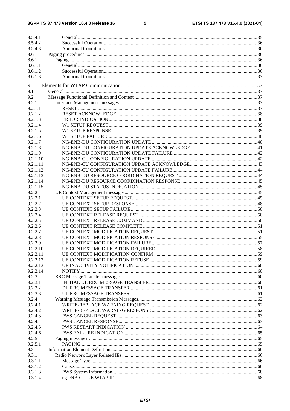#### $5\phantom{a}$

| 8.5.4.1            |  |
|--------------------|--|
| 8.5.4.2            |  |
| 8.5.4.3            |  |
| 8.6                |  |
| 8.6.1              |  |
| 8.6.1.1            |  |
| 8.6.1.2            |  |
| 8.6.1.3            |  |
|                    |  |
| 9                  |  |
| 9.1                |  |
| 9.2                |  |
| 9.2.1              |  |
| 9.2.1.1            |  |
| 9.2.1.2            |  |
| 9.2.1.3            |  |
| 9.2.1.4            |  |
| 9.2.1.5            |  |
| 9.2.1.6            |  |
| 9.2.1.7            |  |
| 9.2.1.8            |  |
| 9.2.1.9            |  |
| 9.2.1.10           |  |
| 9.2.1.11           |  |
| 9.2.1.12           |  |
| 9.2.1.13           |  |
| 9.2.1.14           |  |
| 9.2.1.15           |  |
| 9.2.2              |  |
| 9.2.2.1            |  |
| 9.2.2.2            |  |
|                    |  |
| 9.2.2.3            |  |
| 9.2.2.4<br>9.2.2.5 |  |
|                    |  |
| 9.2.2.6            |  |
| 9.2.2.7            |  |
| 9.2.2.8            |  |
| 9.2.2.9            |  |
| 9.2.2.10           |  |
| 9.2.2.11           |  |
| 9.2.2.12           |  |
| 9.2.2.13           |  |
| 9.2.2.14           |  |
| 9.2.3              |  |
| 9.2.3.1            |  |
| 9.2.3.2            |  |
| 9.2.3.3            |  |
| 9.2.4              |  |
| 9.2.4.1            |  |
| 9.2.4.2            |  |
| 9.2.4.3            |  |
| 9.2.4.4            |  |
| 9.2.4.5            |  |
| 9.2.4.6            |  |
| 9.2.5              |  |
| 9.2.5.1            |  |
| 9.3                |  |
| 9.3.1              |  |
| 9.3.1.1            |  |
| 9.3.1.2            |  |
| 9.3.1.3            |  |
| 9.3.1.4            |  |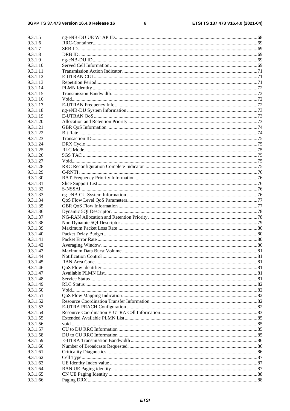$\bf 6$ 

| 9.3.1.5              |  |
|----------------------|--|
| 9.3.1.6              |  |
| 9.3.1.7              |  |
| 9.3.1.8              |  |
| 9.3.1.9              |  |
| 9.3.1.10             |  |
| 9.3.1.11             |  |
| 9.3.1.12             |  |
| 9.3.1.13             |  |
| 9.3.1.14             |  |
| 9.3.1.15             |  |
| 9.3.1.16             |  |
| 9.3.1.17             |  |
| 9.3.1.18             |  |
| 9.3.1.19             |  |
| 9.3.1.20<br>9.3.1.21 |  |
| 9.3.1.22             |  |
| 9.3.1.23             |  |
| 9.3.1.24             |  |
| 9.3.1.25             |  |
| 9.3.1.26             |  |
| 9.3.1.27             |  |
| 9.3.1.28             |  |
| 9.3.1.29             |  |
| 9.3.1.30             |  |
| 9.3.1.31             |  |
| 9.3.1.32             |  |
| 9.3.1.33             |  |
| 9.3.1.34             |  |
| 9.3.1.35             |  |
| 9.3.1.36             |  |
| 9.3.1.37<br>9.3.1.38 |  |
| 9.3.1.39             |  |
| 9.3.1.40             |  |
| 9.3.1.41             |  |
| 9.3.1.42             |  |
| 9.3.1.43             |  |
| 9.3.1.44             |  |
| 9.3.1.45             |  |
| 9.3.1.46             |  |
| 9.3.1.47             |  |
| 9.3.1.48             |  |
| 9.3.1.49             |  |
| 9.3.1.50             |  |
| 9.3.1.51             |  |
| 9.3.1.52             |  |
| 9.3.1.53<br>9.3.1.54 |  |
| 9.3.1.55             |  |
| 9.3.1.56             |  |
| 9.3.1.57             |  |
| 9.3.1.58             |  |
| 9.3.1.59             |  |
| 9.3.1.60             |  |
| 9.3.1.61             |  |
| 9.3.1.62             |  |
| 9.3.1.63             |  |
| 9.3.1.64             |  |
| 9.3.1.65             |  |
| 9.3.1.66             |  |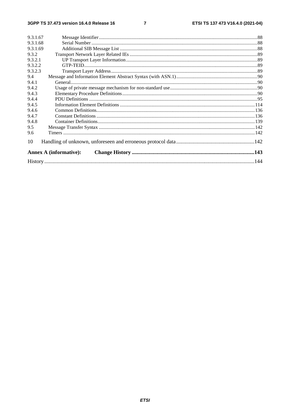$\overline{7}$ 

| 9.3.1.67 |                               |  |
|----------|-------------------------------|--|
| 9.3.1.68 |                               |  |
| 9.3.1.69 |                               |  |
| 9.3.2    |                               |  |
| 9.3.2.1  |                               |  |
| 9.3.2.2  |                               |  |
| 9.3.2.3  |                               |  |
| 9.4      |                               |  |
| 9.4.1    |                               |  |
| 9.4.2    |                               |  |
| 9.4.3    |                               |  |
| 9.4.4    |                               |  |
| 9.4.5    |                               |  |
| 9.4.6    |                               |  |
| 9.4.7    |                               |  |
| 9.4.8    |                               |  |
| 9.5      |                               |  |
| 9.6      |                               |  |
| 10       |                               |  |
|          | <b>Annex A (informative):</b> |  |
|          |                               |  |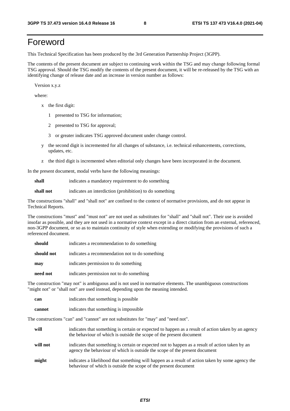## Foreword

This Technical Specification has been produced by the 3rd Generation Partnership Project (3GPP).

The contents of the present document are subject to continuing work within the TSG and may change following formal TSG approval. Should the TSG modify the contents of the present document, it will be re-released by the TSG with an identifying change of release date and an increase in version number as follows:

Version x.y.z

where:

- x the first digit:
	- 1 presented to TSG for information;
	- 2 presented to TSG for approval;
	- 3 or greater indicates TSG approved document under change control.
- y the second digit is incremented for all changes of substance, i.e. technical enhancements, corrections, updates, etc.
- z the third digit is incremented when editorial only changes have been incorporated in the document.

In the present document, modal verbs have the following meanings:

**shall** indicates a mandatory requirement to do something

**shall not** indicates an interdiction (prohibition) to do something

The constructions "shall" and "shall not" are confined to the context of normative provisions, and do not appear in Technical Reports.

The constructions "must" and "must not" are not used as substitutes for "shall" and "shall not". Their use is avoided insofar as possible, and they are not used in a normative context except in a direct citation from an external, referenced, non-3GPP document, or so as to maintain continuity of style when extending or modifying the provisions of such a referenced document.

| should     | indicates a recommendation to do something     |
|------------|------------------------------------------------|
| should not | indicates a recommendation not to do something |
| may        | indicates permission to do something           |
| need not   | indicates permission not to do something       |

The construction "may not" is ambiguous and is not used in normative elements. The unambiguous constructions "might not" or "shall not" are used instead, depending upon the meaning intended.

| can    | indicates that something is possible   |
|--------|----------------------------------------|
| cannot | indicates that something is impossible |

The constructions "can" and "cannot" are not substitutes for "may" and "need not".

| will     | indicates that something is certain or expected to happen as a result of action taken by an agency<br>the behaviour of which is outside the scope of the present document     |
|----------|-------------------------------------------------------------------------------------------------------------------------------------------------------------------------------|
| will not | indicates that something is certain or expected not to happen as a result of action taken by an<br>agency the behaviour of which is outside the scope of the present document |
| might    | indicates a likelihood that something will happen as a result of action taken by some agency the<br>behaviour of which is outside the scope of the present document           |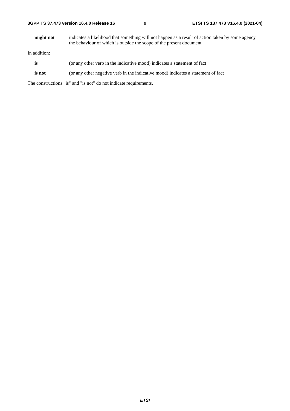| 3GPP TS 37.473 version 16.4.0 Release 16 |  |
|------------------------------------------|--|
|------------------------------------------|--|

**might not** indicates a likelihood that something will not happen as a result of action taken by some agency the behaviour of which is outside the scope of the present document

In addition:

- is (or any other verb in the indicative mood) indicates a statement of fact
- **is not** (or any other negative verb in the indicative mood) indicates a statement of fact

The constructions "is" and "is not" do not indicate requirements.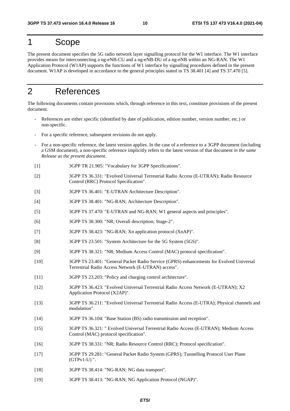## 1 Scope

The present document specifies the 5G radio network layer signalling protocol for the W1 interface. The W1 interface provides means for interconnecting a ng-eNB-CU and a ng-eNB-DU of a ng-eNB within an NG-RAN. The W1 Application Protocol (W1AP) supports the functions of W1 interface by signalling procedures defined in the present document. W1AP is developed in accordance to the general principles stated in TS 38.401 [4] and TS 37.470 [5].

## 2 References

The following documents contain provisions which, through reference in this text, constitute provisions of the present document.

- References are either specific (identified by date of publication, edition number, version number, etc.) or non-specific.
- For a specific reference, subsequent revisions do not apply.
- For a non-specific reference, the latest version applies. In the case of a reference to a 3GPP document (including a GSM document), a non-specific reference implicitly refers to the latest version of that document *in the same Release as the present document*.
- [1] 3GPP TR 21.905: "Vocabulary for 3GPP Specifications".
- [2] 3GPP TS 36.331: "Evolved Universal Terrestrial Radio Access (E-UTRAN); Radio Resource Control (RRC) Protocol Specification".
- [3] 3GPP TS 36.401: "E-UTRAN Architecture Description".
- [4] 3GPP TS 38.401: "NG-RAN; Architecture Description".
- [5] 3GPP TS 37.470: "E-UTRAN and NG-RAN; W1 general aspects and principles".
- [6] 3GPP TS 38.300: "NR; Overall description; Stage-2".
- [7] 3GPP TS 38.423: "NG-RAN; Xn application protocol (XnAP)".
- [8] 3GPP TS 23.501: "System Architecture for the 5G System (5GS)".
- [9] 3GPP TS 38.321: "NR; Medium Access Control (MAC) protocol specification".
- [10] 3GPP TS 23.401: "General Packet Radio Service (GPRS) enhancements for Evolved Universal Terrestrial Radio Access Network (E-UTRAN) access".
- [11] 3GPP TS 23.203: "Policy and charging control architecture".
- [12] 3GPP TS 36.423: "Evolved Universal Terrestrial Radio Access Network (E-UTRAN); X2 Application Protocol (X2AP)".
- [13] 3GPP TS 36.211: "Evolved Universal Terrestrial Radio Access (E-UTRA); Physical channels and modulation".
- [14] 3GPP TS 36.104: "Base Station (BS) radio transmission and reception".
- [15] 3GPP TS 36.321: " Evolved Universal Terrestrial Radio Access (E-UTRAN); Medium Access Control (MAC) protocol specification".
- [16] 3GPP TS 38.331: "NR; Radio Resource Control (RRC); Protocol specification".
- [17] 3GPP TS 29.281: "General Packet Radio System (GPRS); Tunnelling Protocol User Plane (GTPv1-U) ".
- [18] 3GPP TS 38.414: "NG-RAN; NG data transport".
- [19] 3GPP TS 38.413: "NG-RAN; NG Application Protocol (NGAP)".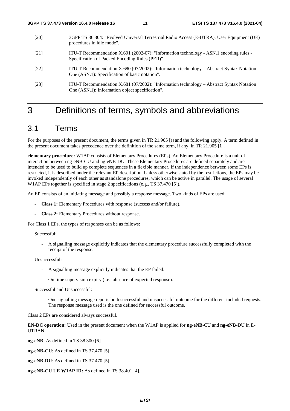- [20] 3GPP TS 36.304: "Evolved Universal Terrestrial Radio Access (E-UTRA), User Equipment (UE) procedures in idle mode".
- [21] ITU-T Recommendation X.691 (2002-07): "Information technology ASN.1 encoding rules Specification of Packed Encoding Rules (PER)".
- [22] ITU-T Recommendation X.680 (07/2002): "Information technology Abstract Syntax Notation One (ASN.1): Specification of basic notation".
- [23] ITU-T Recommendation X.681 (07/2002): "Information technology Abstract Syntax Notation One (ASN.1): Information object specification".

## 3 Definitions of terms, symbols and abbreviations

## 3.1 Terms

For the purposes of the present document, the terms given in TR 21.905 [1] and the following apply. A term defined in the present document takes precedence over the definition of the same term, if any, in TR 21.905 [1].

**elementary procedure:** W1AP consists of Elementary Procedures (EPs). An Elementary Procedure is a unit of interaction between ng-eNB-CU and ng-eNB-DU. These Elementary Procedures are defined separately and are intended to be used to build up complete sequences in a flexible manner. If the independence between some EPs is restricted, it is described under the relevant EP description. Unless otherwise stated by the restrictions, the EPs may be invoked independently of each other as standalone procedures, which can be active in parallel. The usage of several W1AP EPs together is specified in stage 2 specifications (e.g., TS 37.470 [5]).

An EP consists of an initiating message and possibly a response message. Two kinds of EPs are used:

- **Class 1:** Elementary Procedures with response (success and/or failure).
- **Class 2:** Elementary Procedures without response.

For Class 1 EPs, the types of responses can be as follows:

#### Successful:

- A signalling message explicitly indicates that the elementary procedure successfully completed with the receipt of the response.

Unsuccessful:

- A signalling message explicitly indicates that the EP failed.
- On time supervision expiry (i.e., absence of expected response).

Successful and Unsuccessful:

- One signalling message reports both successful and unsuccessful outcome for the different included requests. The response message used is the one defined for successful outcome.

Class 2 EPs are considered always successful.

**EN-DC operation:** Used in the present document when the W1AP is applied for **ng-eNB**-CU and **ng-eNB**-DU in E-UTRAN.

**ng-eNB**: As defined in TS 38.300 [6].

**ng-eNB-CU**: As defined in TS 37.470 [5].

**ng-eNB-DU**: As defined in TS 37.470 [5].

**ng-eNB-CU UE W1AP ID:** As defined in TS 38.401 [4].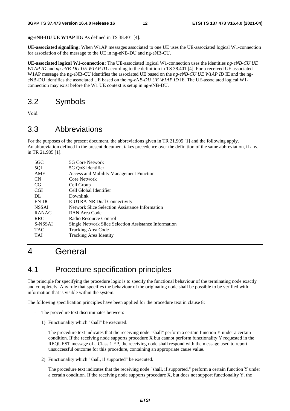**ng-eNB-DU UE W1AP ID:** As defined in TS 38.401 [4].

**UE-associated signalling:** When W1AP messages associated to one UE uses the UE-associated logical W1-connection for association of the message to the UE in ng-eNB-DU and ng-eNB-CU.

**UE-associated logical W1-connection:** The UE-associated logical W1-connection uses the identities *ng-eNB-CU UE W1AP ID* and *ng-eNB-DU UE W1AP ID* according to the definition in TS 38.401 [4]. For a received UE associated W1AP message the ng-eNB-CU identifies the associated UE based on the *ng-eNB-CU UE W1AP ID* IE and the ngeNB-DU identifies the associated UE based on the *ng-eNB-DU UE W1AP ID* IE*.* The UE-associated logical W1 connection may exist before the W1 UE context is setup in ng-eNB-DU.

## 3.2 Symbols

Void.

## 3.3 Abbreviations

For the purposes of the present document, the abbreviations given in TR 21.905 [1] and the following apply. An abbreviation defined in the present document takes precedence over the definition of the same abbreviation, if any, in TR 21.905 [1].

| $5 \text{G} \text{C}$ | 5G Core Network                                       |
|-----------------------|-------------------------------------------------------|
| 5QI                   | 5G OoS Identifier                                     |
| AMF                   | <b>Access and Mobility Management Function</b>        |
| <b>CN</b>             | Core Network                                          |
| CG                    | Cell Group                                            |
| <b>CGI</b>            | Cell Global Identifier                                |
| DL                    | Downlink                                              |
| EN-DC                 | E-UTRA-NR Dual Connectivity                           |
| <b>NSSAI</b>          | Network Slice Selection Assistance Information        |
| <b>RANAC</b>          | RAN Area Code                                         |
| <b>RRC</b>            | Radio Resource Control                                |
| S-NSSAI               | Single Network Slice Selection Assistance Information |
| <b>TAC</b>            | Tracking Area Code                                    |
| <b>TAI</b>            | <b>Tracking Area Identity</b>                         |
|                       |                                                       |

## 4 General

## 4.1 Procedure specification principles

The principle for specifying the procedure logic is to specify the functional behaviour of the terminating node exactly and completely. Any rule that specifies the behaviour of the originating node shall be possible to be verified with information that is visible within the system.

The following specification principles have been applied for the procedure text in clause 8:

- The procedure text discriminates between:
	- 1) Functionality which "shall" be executed.

 The procedure text indicates that the receiving node "shall" perform a certain function Y under a certain condition. If the receiving node supports procedure X but cannot perform functionality Y requested in the REQUEST message of a Class 1 EP, the receiving node shall respond with the message used to report unsuccessful outcome for this procedure, containing an appropriate cause value.

2) Functionality which "shall, if supported" be executed.

 The procedure text indicates that the receiving node "shall, if supported," perform a certain function Y under a certain condition. If the receiving node supports procedure X, but does not support functionality Y, the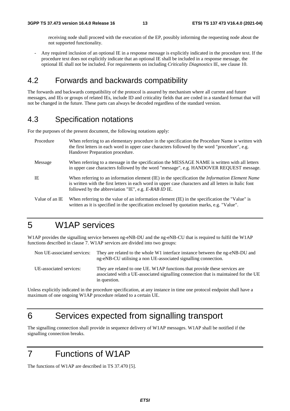receiving node shall proceed with the execution of the EP, possibly informing the requesting node about the not supported functionality.

- Any required inclusion of an optional IE in a response message is explicitly indicated in the procedure text. If the procedure text does not explicitly indicate that an optional IE shall be included in a response message, the optional IE shall not be included. For requirements on including *Criticality Diagnostics* IE, see clause 10.

## 4.2 Forwards and backwards compatibility

The forwards and backwards compatibility of the protocol is assured by mechanism where all current and future messages, and IEs or groups of related IEs, include ID and criticality fields that are coded in a standard format that will not be changed in the future. These parts can always be decoded regardless of the standard version.

## 4.3 Specification notations

For the purposes of the present document, the following notations apply:

| Procedure      | When referring to an elementary procedure in the specification the Procedure Name is written with<br>the first letters in each word in upper case characters followed by the word "procedure", e.g.<br>Handover Preparation procedure.                                   |
|----------------|--------------------------------------------------------------------------------------------------------------------------------------------------------------------------------------------------------------------------------------------------------------------------|
| Message        | When referring to a message in the specification the MESSAGE NAME is written with all letters<br>in upper case characters followed by the word "message", e.g. HANDOVER REQUEST message.                                                                                 |
| IE             | When referring to an information element (IE) in the specification the <i>Information Element Name</i><br>is written with the first letters in each word in upper case characters and all letters in Italic font<br>followed by the abbreviation "IE", e.g. E-RAB ID IE. |
| Value of an IE | When referring to the value of an information element (IE) in the specification the "Value" is<br>written as it is specified in the specification enclosed by quotation marks, e.g. "Value".                                                                             |

## 5 W1AP services

W1AP provides the signalling service between ng-eNB-DU and the ng-eNB-CU that is required to fulfil the W1AP functions described in clause 7. W1AP services are divided into two groups:

| Non UE-associated services: | They are related to the whole W1 interface instance between the ng-eNB-DU and<br>ng-eNB-CU utilising a non UE-associated signalling connection.                                   |
|-----------------------------|-----------------------------------------------------------------------------------------------------------------------------------------------------------------------------------|
| UE-associated services:     | They are related to one UE. W1AP functions that provide these services are<br>associated with a UE-associated signalling connection that is maintained for the UE<br>in question. |

Unless explicitly indicated in the procedure specification, at any instance in time one protocol endpoint shall have a maximum of one ongoing W1AP procedure related to a certain UE.

## 6 Services expected from signalling transport

The signalling connection shall provide in sequence delivery of W1AP messages. W1AP shall be notified if the signalling connection breaks.

## 7 Functions of W1AP

The functions of W1AP are described in TS 37.470 [5].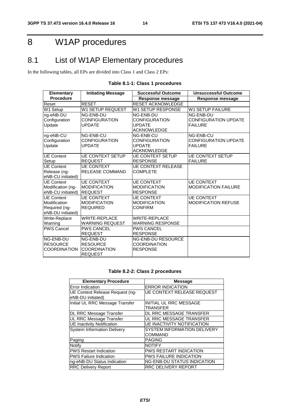## 8 W1AP procedures

## 8.1 List of W1AP Elementary procedures

In the following tables, all EPs are divided into Class 1 and Class 2 EPs:

| <b>Elementary</b>    | <b>Initiating Message</b> | <b>Successful Outcome</b> | <b>Unsuccessful Outcome</b> |
|----------------------|---------------------------|---------------------------|-----------------------------|
| <b>Procedure</b>     |                           | <b>Response message</b>   | Response message            |
| Reset                | <b>RESET</b>              | <b>RESET ACKNOWLEDGE</b>  |                             |
| W1 Setup             | <b>W1 SETUP REQUEST</b>   | W1 SETUP RESPONSE         | <b>W1 SETUP FAILURE</b>     |
| ng-eNB-DU            | NG-ENB-DU                 | NG-ENB-DU                 | NG-ENB-DU                   |
| Configuration        | <b>CONFIGURATION</b>      | CONFIGURATION             | <b>CONFIGURATION UPDATE</b> |
| Update               | <b>UPDATE</b>             | <b>UPDATE</b>             | <b>FAILURE</b>              |
|                      |                           | <b>ACKNOWLEDGE</b>        |                             |
| ng-eNB-CU            | NG-ENB-CU                 | NG-ENB-CU                 | NG-ENB-CU                   |
| Configuration        | <b>CONFIGURATION</b>      | <b>CONFIGURATION</b>      | <b>CONFIGURATION UPDATE</b> |
| Update               | <b>UPDATE</b>             | <b>UPDATE</b>             | <b>FAILURE</b>              |
|                      |                           | <b>ACKNOWLEDGE</b>        |                             |
| <b>UE Context</b>    | <b>UE CONTEXT SETUP</b>   | <b>UE CONTEXT SETUP</b>   | <b>UE CONTEXT SETUP</b>     |
| Setup                | <b>REQUEST</b>            | <b>RESPONSE</b>           | <b>FAILURE</b>              |
| UE Context           | <b>UE CONTEXT</b>         | <b>UE CONTEXT RELEASE</b> |                             |
| Release (ng-         | <b>RELEASE COMMAND</b>    | <b>COMPLETE</b>           |                             |
| eNB-CU initiated)    |                           |                           |                             |
| UE Context           | <b>UE CONTEXT</b>         | <b>UE CONTEXT</b>         | <b>UE CONTEXT</b>           |
| Modification (ng-    | <b>MODIFICATION</b>       | <b>MODIFICATION</b>       | MODIFICATION FAILURE        |
| eNB-CU initiated)    | <b>REQUEST</b>            | <b>RESPONSE</b>           |                             |
| <b>UE Context</b>    | <b>UE CONTEXT</b>         | <b>UE CONTEXT</b>         | <b>UE CONTEXT</b>           |
| Modification         | <b>MODIFICATION</b>       | <b>MODIFICATION</b>       | <b>MODIFICATION REFUSE</b>  |
| Required (ng-        | <b>REQUIRED</b>           | <b>CONFIRM</b>            |                             |
| eNB-DU initiated)    |                           |                           |                             |
| Write-Replace        | <b>WRITE-REPLACE</b>      | <b>WRITE-REPLACE</b>      |                             |
| Warning              | <b>WARNING REQUEST</b>    | <b>WARNING RESPONSE</b>   |                             |
| <b>IPWS Cancel</b>   | <b>PWS CANCEL</b>         | <b>PWS CANCEL</b>         |                             |
|                      | <b>REQUEST</b>            | <b>RESPONSE</b>           |                             |
| NG-ENB-DU            | NG-ENB-DU                 | <b>NG-ENB-DU RESOURCE</b> |                             |
| <b>RESOURCE</b>      | <b>RESOURCE</b>           | <b>COORDINATION</b>       |                             |
| <b>ICOORDINATION</b> | <b>COORDINATION</b>       | <b>RESPONSE</b>           |                             |
|                      | <b>REQUEST</b>            |                           |                             |

## **Table 8.1-1: Class 1 procedures**

#### **Table 8.2-2: Class 2 procedures**

| <b>Elementary Procedure</b>                          | <b>Message</b>                                |  |
|------------------------------------------------------|-----------------------------------------------|--|
| Error Indication                                     | <b>ERROR INDICATION</b>                       |  |
| UE Context Release Request (ng-<br>eNB-DU initiated) | <b>UE CONTEXT RELEASE REQUEST</b>             |  |
| Initial UL RRC Message Transfer                      | <b>INITIAL UL RRC MESSAGE</b><br>TRANSFER     |  |
| DL RRC Message Transfer                              | DL RRC MESSAGE TRANSFER                       |  |
| UL RRC Message Transfer                              | UL RRC MESSAGE TRANSFER                       |  |
| <b>UE Inactivity Notification</b>                    | <b>UE INACTIVITY NOTIFICATION</b>             |  |
| <b>System Information Delivery</b>                   | <b>SYSTEM INFORMATION DELIVERY</b><br>COMMAND |  |
| Paging                                               | <b>PAGING</b>                                 |  |
| Notify                                               | <b>NOTIFY</b>                                 |  |
| <b>PWS Restart Indication</b>                        | <b>PWS RESTART INDICATION</b>                 |  |
| <b>PWS Failure Indication</b>                        | <b>PWS FAILURE INDICATION</b>                 |  |
| ng-eNB-DU Status Indication                          | <b>NG-ENB-DU STATUS INDICATION</b>            |  |
| <b>RRC Delivery Report</b>                           | <b>RRC DELIVERY REPORT</b>                    |  |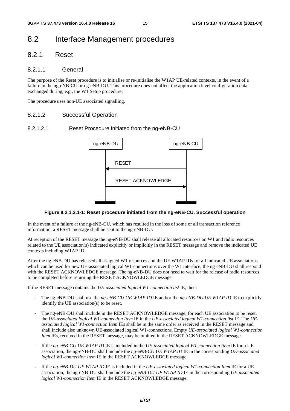## 8.2 Interface Management procedures

## 8.2.1 Reset

#### 8.2.1.1 General

The purpose of the Reset procedure is to initialise or re-initialise the W1AP UE-related contexts, in the event of a failure in the ng-eNB-CU or ng-eNB-DU. This procedure does not affect the application level configuration data exchanged during, e.g., the W1 Setup procedure.

The procedure uses non-UE associated signalling.

#### 8.2.1.2 Successful Operation

#### 8.2.1.2.1 Reset Procedure Initiated from the ng-eNB-CU



#### **Figure 8.2.1.2.1-1: Reset procedure initiated from the ng-eNB-CU. Successful operation**

In the event of a failure at the ng-eNB-CU, which has resulted in the loss of some or all transaction reference information, a RESET message shall be sent to the ng-eNB-DU.

At reception of the RESET message the ng-eNB-DU shall release all allocated resources on W1 and radio resources related to the UE association(s) indicated explicitly or implicitly in the RESET message and remove the indicated UE contexts including W1AP ID.

After the ng-eNB-DU has released all assigned W1 resources and the UE W1AP IDs for all indicated UE associations which can be used for new UE-associated logical W1-connections over the W1 interface, the ng-eNB-DU shall respond with the RESET ACKNOWLEDGE message. The ng-eNB-DU does not need to wait for the release of radio resources to be completed before returning the RESET ACKNOWLEDGE message.

If the RESET message contains the *UE-associated logical W1-connection list* IE, then:

- The ng-eNB-DU shall use the *ng-eNB-CU UE W1AP ID* IE and/or the *ng-eNB-DU UE W1AP ID* IE to explicitly identify the UE association(s) to be reset.
- The ng-eNB-DU shall include in the RESET ACKNOWLEDGE message, for each UE association to be reset. the *UE-associated logical W1-connection Item* IE in the *UE-associated logical W1-connection list* IE. The *UEassociated logical W1-connection Item* IEs shall be in the same order as received in the RESET message and shall include also unknown UE-associated logical W1-connections. Empty *UE-associated logical W1-connection Item* IEs, received in the RESET message, may be omitted in the RESET ACKNOWLEDGE message.
- If the *ng-eNB-CU UE W1AP ID* IE is included in the *UE-associated logical W1-connection Item* IE for a UE association, the ng-eNB-DU shall include the *ng-eNB-CU UE W1AP ID* IE in the corresponding *UE-associated logical W1-connection Item* IE in the RESET ACKNOWLEDGE message.
- If the *ng-eNB-DU UE W1AP ID* IE is included in the *UE-associated logical W1-connection Item* IE for a UE association, the ng-eNB-DU shall include the *ng-eNB-DU UE W1AP ID* IE in the corresponding *UE-associated logical W1-connection Item* IE in the RESET ACKNOWLEDGE message.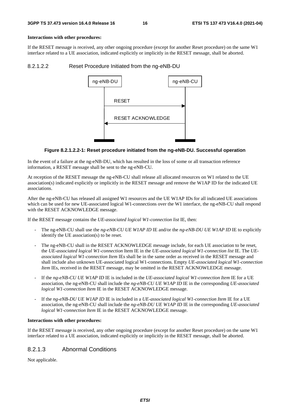#### **Interactions with other procedures:**

If the RESET message is received, any other ongoing procedure (except for another Reset procedure) on the same W1 interface related to a UE association, indicated explicitly or implicitly in the RESET message, shall be aborted.

#### 8.2.1.2.2 Reset Procedure Initiated from the ng-eNB-DU



#### **Figure 8.2.1.2.2-1: Reset procedure initiated from the ng-eNB-DU. Successful operation**

In the event of a failure at the ng-eNB-DU, which has resulted in the loss of some or all transaction reference information, a RESET message shall be sent to the ng-eNB-CU.

At reception of the RESET message the ng-eNB-CU shall release all allocated resources on W1 related to the UE association(s) indicated explicitly or implicitly in the RESET message and remove the W1AP ID for the indicated UE associations.

After the ng-eNB-CU has released all assigned W1 resources and the UE W1AP IDs for all indicated UE associations which can be used for new UE-associated logical W1-connections over the W1 interface, the ng-eNB-CU shall respond with the RESET ACKNOWLEDGE message.

If the RESET message contains the *UE-associated logical W1-connection list* IE, then:

- The ng-eNB-CU shall use the *ng-eNB-CU UE W1AP ID* IE and/or the *ng-eNB-DU UE W1AP ID* IE to explicitly identify the UE association(s) to be reset.
- The ng-eNB-CU shall in the RESET ACKNOWLEDGE message include, for each UE association to be reset, the *UE-associated logical W1-connection* Item IE in the *UE-associated logical W1-connection list* IE. The *UEassociated logical W1-connection Item* IEs shall be in the same order as received in the RESET message and shall include also unknown UE-associated logical W1-connections. Empty *UE-associated logical W1-connection Item* IEs, received in the RESET message, may be omitted in the RESET ACKNOWLEDGE message.
- If the *ng-eNB-CU UE W1AP ID* IE is included in the *UE-associated logical W1-connection Item* IE for a UE association, the ng-eNB-CU shall include the *ng-eNB-CU UE W1AP ID* IE in the corresponding *UE-associated logical W1-connection Item* IE in the RESET ACKNOWLEDGE message.
- If the *ng-eNB-DU UE W1AP ID* IE is included in a *UE-associated logical W1-connection Item* IE for a UE association, the ng-eNB-CU shall include the *ng-eNB-DU UE W1AP ID* IE in the corresponding *UE-associated logical W1-connection Item* IE in the RESET ACKNOWLEDGE message.

#### **Interactions with other procedures:**

If the RESET message is received, any other ongoing procedure (except for another Reset procedure) on the same W1 interface related to a UE association, indicated explicitly or implicitly in the RESET message, shall be aborted.

### 8.2.1.3 Abnormal Conditions

Not applicable.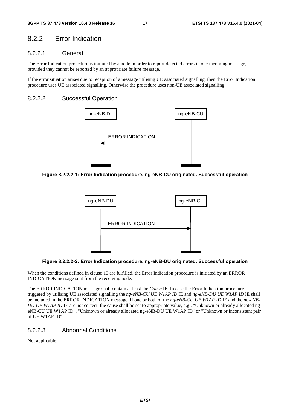## 8.2.2 Error Indication

## 8.2.2.1 General

The Error Indication procedure is initiated by a node in order to report detected errors in one incoming message, provided they cannot be reported by an appropriate failure message.

If the error situation arises due to reception of a message utilising UE associated signalling, then the Error Indication procedure uses UE associated signalling. Otherwise the procedure uses non-UE associated signalling.

#### 8.2.2.2 Successful Operation



**Figure 8.2.2.2-1: Error Indication procedure, ng-eNB-CU originated. Successful operation** 



**Figure 8.2.2.2-2: Error Indication procedure, ng-eNB-DU originated. Successful operation** 

When the conditions defined in clause 10 are fulfilled, the Error Indication procedure is initiated by an ERROR INDICATION message sent from the receiving node.

The ERROR INDICATION message shall contain at least the *Cause* IE. In case the Error Indication procedure is triggered by utilising UE associated signalling the *ng-eNB-CU UE W1AP ID* IE and *ng-eNB-DU UE W1AP ID* IE shall be included in the ERROR INDICATION message. If one or both of the *ng-eNB-CU UE W1AP ID* IE and the *ng-eNB-DU UE WIAP ID* IE are not correct, the cause shall be set to appropriate value, e.g., "Unknown or already allocated ngeNB-CU UE W1AP ID", "Unknown or already allocated ng-eNB-DU UE W1AP ID" or "Unknown or inconsistent pair of UE W1AP ID".

#### 8.2.2.3 Abnormal Conditions

Not applicable.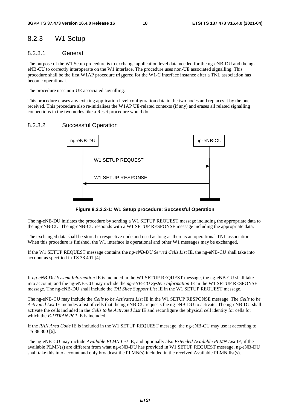## 8.2.3 W1 Setup

### 8.2.3.1 General

The purpose of the W1 Setup procedure is to exchange application level data needed for the ng-eNB-DU and the ngeNB-CU to correctly interoperate on the W1 interface. The procedure uses non-UE associated signalling. This procedure shall be the first W1AP procedure triggered for the W1-C interface instance after a TNL association has become operational.

The procedure uses non-UE associated signalling.

This procedure erases any existing application level configuration data in the two nodes and replaces it by the one received. This procedure also re-initialises the W1AP UE-related contexts (if any) and erases all related signalling connections in the two nodes like a Reset procedure would do.

## 8.2.3.2 Successful Operation



**Figure 8.2.3.2-1: W1 Setup procedure: Successful Operation** 

The ng-eNB-DU initiates the procedure by sending a W1 SETUP REQUEST message including the appropriate data to the ng-eNB-CU. The ng-eNB-CU responds with a W1 SETUP RESPONSE message including the appropriate data.

The exchanged data shall be stored in respective node and used as long as there is an operational TNL association. When this procedure is finished, the W1 interface is operational and other W1 messages may be exchanged.

If the W1 SETUP REQUEST message contains the *ng-eNB-DU Served Cells List* IE, the ng-eNB-CU shall take into account as specified in TS 38.401 [4].

If *ng-eNB-DU System Information* IE is included in the W1 SETUP REQUEST message, the ng-eNB-CU shall take into account, and the ng-eNB-CU may include the *ng-eNB-CU System Information* IE in the W1 SETUP RESPONSE message. The ng-eNB-DU shall include the *TAI Slice Support List* IE in the W1 SETUP REQUEST message.

The ng-eNB-CU may include the *Cells to be Activated List* IE in the W1 SETUP RESPONSE message. The *Cells to be Activated List* IE includes a list of cells that the ng-eNB-CU requests the ng-eNB-DU to activate. The ng-eNB-DU shall activate the cells included in the *Cells to be Activated List* IE and reconfigure the physical cell identity for cells for which the *E-UTRAN PCI* IE is included.

If the *RAN Area Code* IE is included in the W1 SETUP REQUEST message, the ng-eNB-CU may use it according to TS 38.300 [6].

The ng-eNB-CU may include *Available PLMN List* IE, and optionally also *Extended Available PLMN List* IE, if the available PLMN(s) are different from what ng-eNB-DU has provided in W1 SETUP REQUEST message, ng-eNB-DU shall take this into account and only broadcast the PLMN(s) included in the received Available PLMN list(s).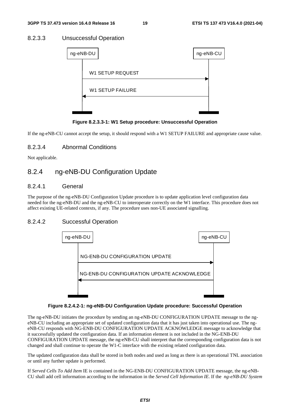## 8.2.3.3 Unsuccessful Operation

| ng-eNB-DU               | ng-eNB-CU |  |
|-------------------------|-----------|--|
| <b>W1 SETUP REQUEST</b> |           |  |
| <b>W1 SETUP FAILURE</b> |           |  |
|                         |           |  |

**Figure 8.2.3.3-1: W1 Setup procedure: Unsuccessful Operation** 

If the ng-eNB-CU cannot accept the setup, it should respond with a W1 SETUP FAILURE and appropriate cause value.

## 8.2.3.4 Abnormal Conditions

Not applicable.

## 8.2.4 ng-eNB-DU Configuration Update

### 8.2.4.1 General

The purpose of the ng-eNB-DU Configuration Update procedure is to update application level configuration data needed for the ng-eNB-DU and the ng-eNB-CU to interoperate correctly on the W1 interface. This procedure does not affect existing UE-related contexts, if any. The procedure uses non-UE associated signalling.

## 8.2.4.2 Successful Operation



#### **Figure 8.2.4.2-1: ng-eNB-DU Configuration Update procedure: Successful Operation**

The ng-eNB-DU initiates the procedure by sending an ng-eNB-DU CONFIGURATION UPDATE message to the ngeNB-CU including an appropriate set of updated configuration data that it has just taken into operational use. The ngeNB-CU responds with NG-ENB-DU CONFIGURATION UPDATE ACKNOWLEDGE message to acknowledge that it successfully updated the configuration data. If an information element is not included in the NG-ENB-DU CONFIGURATION UPDATE message, the ng-eNB-CU shall interpret that the corresponding configuration data is not changed and shall continue to operate the W1-C interface with the existing related configuration data.

The updated configuration data shall be stored in both nodes and used as long as there is an operational TNL association or until any further update is performed.

If *Served Cells To Add Item* IE is contained in the NG-ENB-DU CONFIGURATION UPDATE message, the ng-eNB-CU shall add cell information according to the information in the *Served Cell Information IE*. If the *ng-eNB-DU System*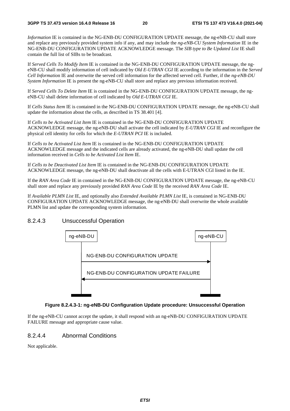*Information* IE is contained in the NG-ENB-DU CONFIGURATION UPDATE message, the ng-eNB-CU shall store and replace any previously provided system info if any, and may include the *ng-eNB-CU System Information* IE in the NG-ENB-DU CONFIGURATION UPDATE ACKNOWLEDGE message. The *SIB type to Be Updated List* IE shall contain the full list of SIBs to be broadcast*.*

If *Served Cells To Modify Item* IE is contained in the NG-ENB-DU CONFIGURATION UPDATE message, the ngeNB-CU shall modify information of cell indicated by *Old E-UTRAN CGI* IE according to the information in the *Served Cell Informatio*n IE and overwrite the served cell information for the affected served cell. Further, if the *ng-eNB-DU System Information* IE is present the ng-eNB-CU shall store and replace any previous information received.

If *Served Cells To Delete Item* IE is contained in the NG-ENB-DU CONFIGURATION UPDATE message, the ngeNB-CU shall delete information of cell indicated by *Old E-UTRAN CGI* IE.

If *Cells Status Item* IE is contained in the NG-ENB-DU CONFIGURATION UPDATE message, the ng-eNB-CU shall update the information about the cells, as described in TS 38.401 [4].

If *Cells to be Activated List Item* IE is contained in the NG-ENB-DU CONFIGURATION UPDATE ACKNOWLEDGE message, the ng-eNB-DU shall activate the cell indicated by *E-UTRAN CGI* IE and reconfigure the physical cell identity for cells for which the *E-UTRAN PCI* IE is included.

If *Cells to be Activated List Item* IE is contained in the NG-ENB-DU CONFIGURATION UPDATE ACKNOWLEDGE message and the indicated cells are already activated, the ng-eNB-DU shall update the cell information received in *Cells to be Activated List Item* IE.

If *Cells to be Deactivated List Item* IE is contained in the NG-ENB-DU CONFIGURATION UPDATE ACKNOWLEDGE message, the ng-eNB-DU shall deactivate all the cells with E-UTRAN CGI listed in the IE.

If the *RAN Area Code* IE in contained in the NG-ENB-DU CONFIGURATION UPDATE message, the ng-eNB-CU shall store and replace any previously provided *RAN Area Code* IE by the received *RAN Area Code* IE.

If *Available PLMN List* IE, and optionally also *Extended Available PLMN List* IE, is contained in NG-ENB-DU CONFIGURATION UPDATE ACKNOWLEDGE message, the ng-eNB-DU shall overwrite the whole available PLMN list and update the corresponding system information.

## 8.2.4.3 Unsuccessful Operation



#### **Figure 8.2.4.3-1: ng-eNB-DU Configuration Update procedure: Unsuccessful Operation**

If the ng-eNB-CU cannot accept the update, it shall respond with an ng-eNB-DU CONFIGURATION UPDATE FAILURE message and appropriate cause value.

## 8.2.4.4 Abnormal Conditions

Not applicable.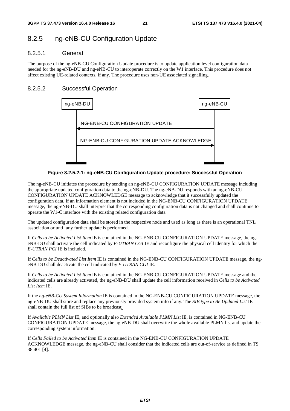## 8.2.5 ng-eNB-CU Configuration Update

## 8.2.5.1 General

The purpose of the ng-eNB-CU Configuration Update procedure is to update application level configuration data needed for the ng-eNB-DU and ng-eNB-CU to interoperate correctly on the W1 interface. This procedure does not affect existing UE-related contexts, if any. The procedure uses non-UE associated signalling.

## 8.2.5.2 Successful Operation



**Figure 8.2.5.2-1: ng-eNB-CU Configuration Update procedure: Successful Operation** 

The ng-eNB-CU initiates the procedure by sending an ng-eNB-CU CONFIGURATION UPDATE message including the appropriate updated configuration data to the ng-eNB-DU. The ng-eNB-DU responds with an ng-eNB-CU CONFIGURATION UPDATE ACKNOWLEDGE message to acknowledge that it successfully updated the configuration data. If an information element is not included in the NG-ENB-CU CONFIGURATION UPDATE message, the ng-eNB-DU shall interpret that the corresponding configuration data is not changed and shall continue to operate the W1-C interface with the existing related configuration data.

The updated configuration data shall be stored in the respective node and used as long as there is an operational TNL association or until any further update is performed.

If *Cells to be Activated List Item* IE is contained in the NG-ENB-CU CONFIGURATION UPDATE message, the ngeNB-DU shall activate the cell indicated by *E-UTRAN CGI* IE and reconfigure the physical cell identity for which the *E-UTRAN PCI* IE is included.

If *Cells to be Deactivated List Item* IE is contained in the NG-ENB-CU CONFIGURATION UPDATE message, the ngeNB-DU shall deactivate the cell indicated by *E-UTRAN CGI* IE.

If *Cells to be Activated List Item* IE is contained in the NG-ENB-CU CONFIGURATION UPDATE message and the indicated cells are already activated, the ng-eNB-DU shall update the cell information received in *Cells to be Activated List Item* IE.

If the *ng-eNB-CU System Information* IE is contained in the NG-ENB-CU CONFIGURATION UPDATE message, the ng-eNB-DU shall store and replace any previously provided system info if any. The *SIB type to Be Updated List* IE shall contain the full list of SIBs to be broadcast*.*

If *Available PLMN List* IE, and optionally also *Extended Available PLMN List* IE, is contained in NG-ENB-CU CONFIGURATION UPDATE message, the ng-eNB-DU shall overwrite the whole available PLMN list and update the corresponding system information.

If *Cells Failed to be Activated Item* IE is contained in the NG-ENB-CU CONFIGURATION UPDATE ACKNOWLEDGE message, the ng-eNB-CU shall consider that the indicated cells are out-of-service as defined in TS 38.401 [4].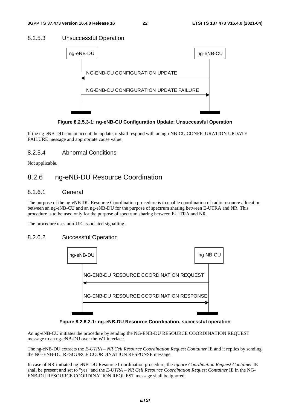## 8.2.5.3 Unsuccessful Operation



**Figure 8.2.5.3-1: ng-eNB-CU Configuration Update: Unsuccessful Operation** 

If the ng-eNB-DU cannot accept the update, it shall respond with an ng-eNB-CU CONFIGURATION UPDATE FAILURE message and appropriate cause value.

## 8.2.5.4 Abnormal Conditions

Not applicable.

## 8.2.6 ng-eNB-DU Resource Coordination

### 8.2.6.1 General

The purpose of the ng-eNB-DU Resource Coordination procedure is to enable coordination of radio resource allocation between an ng-eNB-CU and an ng-eNB-DU for the purpose of spectrum sharing between E-UTRA and NR. This procedure is to be used only for the purpose of spectrum sharing between E-UTRA and NR.

The procedure uses non-UE-associated signalling.

## 8.2.6.2 Successful Operation



**Figure 8.2.6.2-1: ng-eNB-DU Resource Coordination, successful operation** 

An ng-eNB-CU initiates the procedure by sending the NG-ENB-DU RESOURCE COORDINATION REQUEST message to an ng-eNB-DU over the W1 interface.

The ng-eNB-DU extracts the *E-UTRA – NR Cell Resource Coordination Request Container* IE and it replies by sending the NG-ENB-DU RESOURCE COORDINATION RESPONSE message.

In case of NR-initiated ng-eNB-DU Resource Coordination procedure, the *Ignore Coordination Request Container* IE shall be present and set to "yes" and the *E-UTRA – NR Cell Resource Coordination Request Container* IE in the NG-ENB-DU RESOURCE COORDINATION REQUEST message shall be ignored.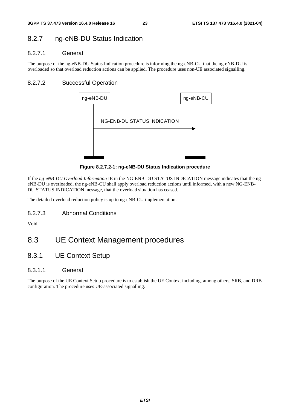## 8.2.7 ng-eNB-DU Status Indication

## 8.2.7.1 General

The purpose of the ng-eNB-DU Status Indication procedure is informing the ng-eNB-CU that the ng-eNB-DU is overloaded so that overload reduction actions can be applied. The procedure uses non-UE associated signalling.

## 8.2.7.2 Successful Operation



**Figure 8.2.7.2-1: ng-eNB-DU Status Indication procedure** 

If the *ng-eNB-DU Overload Information* IE in the NG-ENB-DU STATUS INDICATION message indicates that the ngeNB-DU is overloaded, the ng-eNB-CU shall apply overload reduction actions until informed, with a new NG-ENB-DU STATUS INDICATION message, that the overload situation has ceased.

The detailed overload reduction policy is up to ng-eNB-CU implementation.

8.2.7.3 Abnormal Conditions

Void.

## 8.3 UE Context Management procedures

8.3.1 UE Context Setup

## 8.3.1.1 General

The purpose of the UE Context Setup procedure is to establish the UE Context including, among others, SRB, and DRB configuration. The procedure uses UE-associated signalling.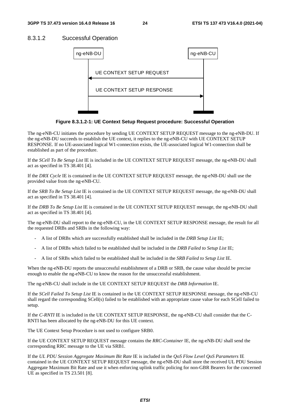#### 8.3.1.2 Successful Operation



**Figure 8.3.1.2-1: UE Context Setup Request procedure: Successful Operation** 

The ng-eNB-CU initiates the procedure by sending UE CONTEXT SETUP REQUEST message to the ng-eNB-DU. If the ng-eNB-DU succeeds to establish the UE context, it replies to the ng-eNB-CU with UE CONTEXT SETUP RESPONSE. If no UE-associated logical W1-connection exists, the UE-associated logical W1-connection shall be established as part of the procedure.

If the *SCell To Be Setup List* IE is included in the UE CONTEXT SETUP REQUEST message, the ng-eNB-DU shall act as specified in TS 38.401 [4].

If the *DRX Cycle* IE is contained in the UE CONTEXT SETUP REQUEST message, the ng-eNB-DU shall use the provided value from the ng-eNB-CU.

If the *SRB To Be Setup List* IE is contained in the UE CONTEXT SETUP REQUEST message, the ng-eNB-DU shall act as specified in TS 38.401 [4].

If the *DRB To Be Setup List* IE is contained in the UE CONTEXT SETUP REQUEST message, the ng-eNB-DU shall act as specified in TS 38.401 [4].

The ng-eNB-DU shall report to the ng-eNB-CU, in the UE CONTEXT SETUP RESPONSE message, the result for all the requested DRBs and SRBs in the following way:

- A list of DRBs which are successfully established shall be included in the *DRB Setup List* IE;
- A list of DRBs which failed to be established shall be included in the *DRB Failed to Setup List* IE;
- A list of SRBs which failed to be established shall be included in the *SRB Failed to Setup List* IE.

When the ng-eNB-DU reports the unsuccessful establishment of a DRB or SRB, the cause value should be precise enough to enable the ng-eNB-CU to know the reason for the unsuccessful establishment.

The ng-eNB-CU shall include in the UE CONTEXT SETUP REQUEST the *DRB Information* IE.

If the *SCell Failed To Setup List* IE is contained in the UE CONTEXT SETUP RESPONSE message, the ng-eNB-CU shall regard the corresponding SCell(s) failed to be established with an appropriate cause value for each SCell failed to setup.

If the *C-RNTI* IE is included in the UE CONTEXT SETUP RESPONSE, the ng-eNB-CU shall consider that the C-RNTI has been allocated by the ng-eNB-DU for this UE context.

The UE Context Setup Procedure is not used to configure SRB0.

If the UE CONTEXT SETUP REQUEST message contains the *RRC-Container* IE, the ng-eNB-DU shall send the corresponding RRC message to the UE via SRB1.

If the *UL PDU Session Aggregate Maximum Bit Rate* IE is included in the *QoS Flow Level QoS Parameters* IE contained in the UE CONTEXT SETUP REQUEST message, the ng-eNB-DU shall store the received UL PDU Session Aggregate Maximum Bit Rate and use it when enforcing uplink traffic policing for non-GBR Bearers for the concerned UE as specified in TS 23.501 [8].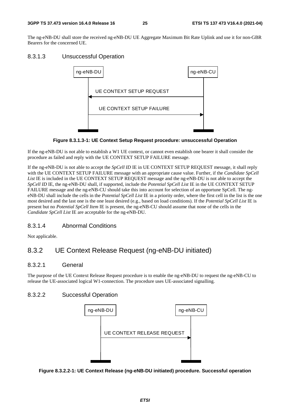The ng-eNB-DU shall store the received ng-eNB-DU UE Aggregate Maximum Bit Rate Uplink and use it for non-GBR Bearers for the concerned UE.

## 8.3.1.3 Unsuccessful Operation



### **Figure 8.3.1.3-1: UE Context Setup Request procedure: unsuccessful Operation**

If the ng-eNB-DU is not able to establish a W1 UE context, or cannot even establish one bearer it shall consider the procedure as failed and reply with the UE CONTEXT SETUP FAILURE message.

If the ng-eNB-DU is not able to accept the *SpCell ID* IE in UE CONTEXT SETUP REQUEST message, it shall reply with the UE CONTEXT SETUP FAILURE message with an appropriate cause value. Further, if the *Candidate SpCell*  List IE is included in the UE CONTEXT SETUP REQUEST message and the ng-eNB-DU is not able to accept the *SpCell ID* IE, the ng-eNB-DU shall, if supported, include the *Potential SpCell List* IE in the UE CONTEXT SETUP FAILURE message and the ng-eNB-CU should take this into account for selection of an opportune SpCell. The ngeNB-DU shall include the cells in the *Potential SpCell List* IE in a priority order, where the first cell in the list is the one most desired and the last one is the one least desired (e.g., based on load conditions). If the *Potential SpCell List* IE is present but no *Potential SpCell Item* IE is present, the ng-eNB-CU should assume that none of the cells in the *Candidate SpCell List* IE are acceptable for the ng-eNB-DU.

## 8.3.1.4 Abnormal Conditions

Not applicable.

## 8.3.2 UE Context Release Request (ng-eNB-DU initiated)

## 8.3.2.1 General

The purpose of the UE Context Release Request procedure is to enable the ng-eNB-DU to request the ng-eNB-CU to release the UE-associated logical W1-connection. The procedure uses UE-associated signalling.

## 8.3.2.2 Successful Operation



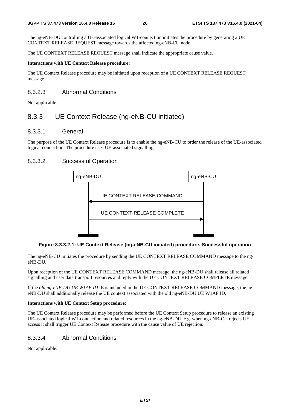The ng-eNB-DU controlling a UE-associated logical W1-connection initiates the procedure by generating a UE CONTEXT RELEASE REQUEST message towards the affected ng-eNB-CU node.

The UE CONTEXT RELEASE REQUEST message shall indicate the appropriate cause value.

#### **Interactions with UE Context Release procedure:**

The UE Context Release procedure may be initiated upon reception of a UE CONTEXT RELEASE REQUEST message.

### 8.3.2.3 Abnormal Conditions

Not applicable.

## 8.3.3 UE Context Release (ng-eNB-CU initiated)

#### 8.3.3.1 General

The purpose of the UE Context Release procedure is to enable the ng-eNB-CU to order the release of the UE-associated logical connection. The procedure uses UE-associated signalling.

## 8.3.3.2 Successful Operation



#### **Figure 8.3.3.2-1: UE Context Release (ng-eNB-CU initiated) procedure. Successful operation**

The ng-eNB-CU initiates the procedure by sending the UE CONTEXT RELEASE COMMAND message to the ngeNB-DU.

Upon reception of the UE CONTEXT RELEASE COMMAND message, the ng-eNB-DU shall release all related signalling and user data transport resources and reply with the UE CONTEXT RELEASE COMPLETE message.

If the *old ng-eNB-DU UE W1AP ID* IE is included in the UE CONTEXT RELEASE COMMAND message, the ngeNB-DU shall additionally release the UE context associated with the old ng-eNB-DU UE W1AP ID.

#### **Interactions with UE Context Setup procedure:**

The UE Context Release procedure may be performed before the UE Context Setup procedure to release an existing UE-associated logical W1-connection and related resources in the ng-eNB-DU, e.g. when ng-eNB-CU rejects UE access it shall trigger UE Context Release procedure with the cause value of UE rejection.

## 8.3.3.4 Abnormal Conditions

Not applicable.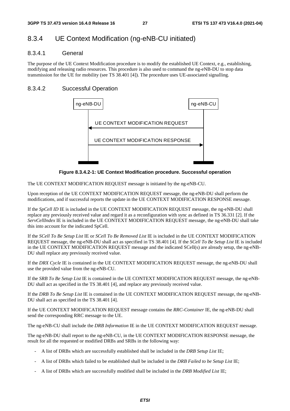## 8.3.4 UE Context Modification (ng-eNB-CU initiated)

### 8.3.4.1 General

The purpose of the UE Context Modification procedure is to modify the established UE Context, e.g., establishing, modifying and releasing radio resources. This procedure is also used to command the ng-eNB-DU to stop data transmission for the UE for mobility (see TS 38.401 [4]). The procedure uses UE-associated signalling.

## 8.3.4.2 Successful Operation



**Figure 8.3.4.2-1: UE Context Modification procedure. Successful operation** 

The UE CONTEXT MODIFICATION REQUEST message is initiated by the ng-eNB-CU.

Upon reception of the UE CONTEXT MODIFICATION REQUEST message, the ng-eNB-DU shall perform the modifications, and if successful reports the update in the UE CONTEXT MODIFICATION RESPONSE message.

If the *SpCell ID* IE is included in the UE CONTEXT MODIFICATION REQUEST message, the ng-eNB-DU shall replace any previously received value and regard it as a reconfiguration with sync as defined in TS 36.331 [2]. If the *ServCellIndex* IE is included in the UE CONTEXT MODIFICATION REQUEST message, the ng-eNB-DU shall take this into account for the indicated SpCell.

If the *SCell To Be Setup List* IE or *SCell To Be Removed List* IE is included in the UE CONTEXT MODIFICATION REQUEST message, the ng-eNB-DU shall act as specified in TS 38.401 [4]. If the *SCell To Be Setup List* IE is included in the UE CONTEXT MODIFICATION REQUEST message and the indicated SCell(s) are already setup, the ng-eNB-DU shall replace any previously received value.

If the *DRX Cycle* IE is contained in the UE CONTEXT MODIFICATION REQUEST message, the ng-eNB-DU shall use the provided value from the ng-eNB-CU.

If the *SRB To Be Setup List* IE is contained in the UE CONTEXT MODIFICATION REQUEST message, the ng-eNB-DU shall act as specified in the TS 38.401 [4], and replace any previously received value.

If the *DRB To Be Setup List* IE is contained in the UE CONTEXT MODIFICATION REQUEST message, the ng-eNB-DU shall act as specified in the TS 38.401 [4].

If the UE CONTEXT MODIFICATION REQUEST message contains the *RRC-Container* IE, the ng-eNB-DU shall send the corresponding RRC message to the UE.

The ng-eNB-CU shall include the *DRB Information* IE in the UE CONTEXT MODIFICATION REQUEST message.

The ng-eNB-DU shall report to the ng-eNB-CU, in the UE CONTEXT MODIFICATION RESPONSE message, the result for all the requested or modified DRBs and SRBs in the following way:

- A list of DRBs which are successfully established shall be included in the *DRB Setup List* IE;
- A list of DRBs which failed to be established shall be included in the *DRB Failed to be Setup List* IE;
- A list of DRBs which are successfully modified shall be included in the *DRB Modified List* IE;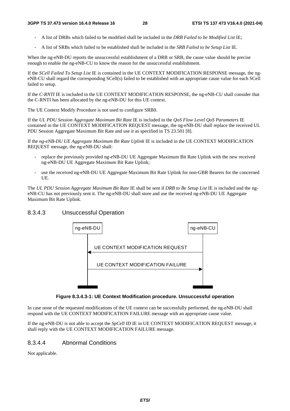- A list of DRBs which failed to be modified shall be included in the *DRB Failed to be Modified List* IE;
- A list of SRBs which failed to be established shall be included in the *SRB Failed to be Setup List* IE.

When the ng-eNB-DU reports the unsuccessful establishment of a DRB or SRB, the cause value should be precise enough to enable the ng-eNB-CU to know the reason for the unsuccessful establishment.

If the *SCell Failed To Setup List* IE is contained in the UE CONTEXT MODIFICATION RESPONSE message, the ngeNB-CU shall regard the corresponding SCell(s) failed to be established with an appropriate cause value for each SCell failed to setup.

If the *C-RNTI* IE is included in the UE CONTEXT MODIFICATION RESPONSE, the ng-eNB-CU shall consider that the C-RNTI has been allocated by the ng-eNB-DU for this UE context.

The UE Context Modify Procedure is not used to configure SRB0.

If the *UL PDU Session Aggregate Maximum Bit Rate* IE is included in the *QoS Flow Level QoS Parameters* IE contained in the UE CONTEXT MODIFICATION REQUEST message, the ng-eNB-DU shall replace the received UL PDU Session Aggregate Maximum Bit Rate and use it as specified in TS 23.501 [8].

If the *ng-eNB-DU UE Aggregate Maximum Bit Rate Uplink* IE is included in the UE CONTEXT MODIFICATION REQUEST message, the ng-eNB-DU shall:

- replace the previously provided ng-eNB-DU UE Aggregate Maximum Bit Rate Uplink with the new received ng-eNB-DU UE Aggregate Maximum Bit Rate Uplink;
- use the received ng-eNB-DU UE Aggregate Maximum Bit Rate Uplink for non-GBR Bearers for the concerned UE.

The *UL PDU Session Aggregate Maximum Bit Rate* IE shall be sent if *DRB to Be Setup List* IE is included and the ngeNB-CU has not previously sent it. The ng-eNB-DU shall store and use the received ng-eNB-DU UE Aggregate Maximum Bit Rate Uplink.

## 8.3.4.3 Unsuccessful Operation



**Figure 8.3.4.3-1: UE Context Modification procedure. Unsuccessful operation** 

In case none of the requested modifications of the UE context can be successfully performed, the ng-eNB-DU shall respond with the UE CONTEXT MODIFICATION FAILURE message with an appropriate cause value.

If the ng-eNB-DU is not able to accept the *SpCell ID* IE in UE CONTEXT MODIFICATION REQUEST message, it shall reply with the UE CONTEXT MODIFICATION FAILURE message.

## 8.3.4.4 Abnormal Conditions

Not applicable.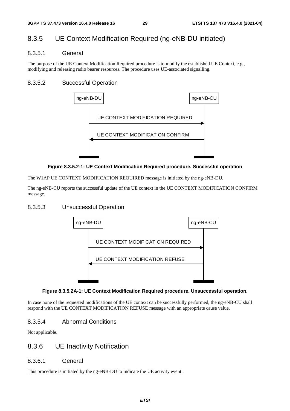## 8.3.5 UE Context Modification Required (ng-eNB-DU initiated)

### 8.3.5.1 General

The purpose of the UE Context Modification Required procedure is to modify the established UE Context, e.g., modifying and releasing radio bearer resources. The procedure uses UE-associated signalling.

## 8.3.5.2 Successful Operation



#### **Figure 8.3.5.2-1: UE Context Modification Required procedure. Successful operation**

The W1AP UE CONTEXT MODIFICATION REQUIRED message is initiated by the ng-eNB-DU.

The ng-eNB-CU reports the successful update of the UE context in the UE CONTEXT MODIFICATION CONFIRM message.

### 8.3.5.3 Unsuccessful Operation



#### **Figure 8.3.5.2A-1: UE Context Modification Required procedure. Unsuccessful operation.**

In case none of the requested modifications of the UE context can be successfully performed, the ng-eNB-CU shall respond with the UE CONTEXT MODIFICATION REFUSE message with an appropriate cause value.

## 8.3.5.4 Abnormal Conditions

Not applicable.

## 8.3.6 UE Inactivity Notification

## 8.3.6.1 General

This procedure is initiated by the ng-eNB-DU to indicate the UE activity event.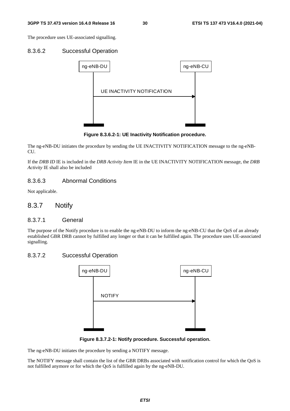The procedure uses UE-associated signalling.

#### 8.3.6.2 Successful Operation



**Figure 8.3.6.2-1: UE Inactivity Notification procedure.** 

The ng-eNB-DU initiates the procedure by sending the UE INACTIVITY NOTIFICATION message to the ng-eNB-CU.

If the *DRB ID* IE is included in the *DRB Activity Item* IE in the UE INACTIVITY NOTIFICATION message, the *DRB Activity* IE shall also be included

### 8.3.6.3 Abnormal Conditions

Not applicable.

### 8.3.7 Notify

#### 8.3.7.1 General

The purpose of the Notify procedure is to enable the ng-eNB-DU to inform the ng-eNB-CU that the QoS of an already established GBR DRB cannot by fulfilled any longer or that it can be fulfilled again. The procedure uses UE-associated signalling.

### 8.3.7.2 Successful Operation



**Figure 8.3.7.2-1: Notify procedure. Successful operation.** 

The ng-eNB-DU initiates the procedure by sending a NOTIFY message.

The NOTIFY message shall contain the list of the GBR DRBs associated with notification control for which the QoS is not fulfilled anymore or for which the QoS is fulfilled again by the ng-eNB-DU.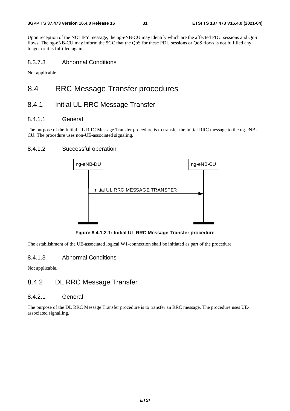Upon reception of the NOTIFY message, the ng-eNB-CU may identify which are the affected PDU sessions and QoS flows. The ng-eNB-CU may inform the 5GC that the QoS for these PDU sessions or QoS flows is not fulfilled any longer or it is fulfilled again.

## 8.3.7.3 Abnormal Conditions

Not applicable.

## 8.4 RRC Message Transfer procedures

## 8.4.1 Initial UL RRC Message Transfer

### 8.4.1.1 General

The purpose of the Initial UL RRC Message Transfer procedure is to transfer the initial RRC message to the ng-eNB-CU. The procedure uses non-UE-associated signaling.

## 8.4.1.2 Successful operation



**Figure 8.4.1.2-1: Initial UL RRC Message Transfer procedure** 

The establishment of the UE-associated logical W1-connection shall be initiated as part of the procedure.

## 8.4.1.3 Abnormal Conditions

Not applicable.

## 8.4.2 DL RRC Message Transfer

#### 8.4.2.1 General

The purpose of the DL RRC Message Transfer procedure is to transfer an RRC message. The procedure uses UEassociated signalling.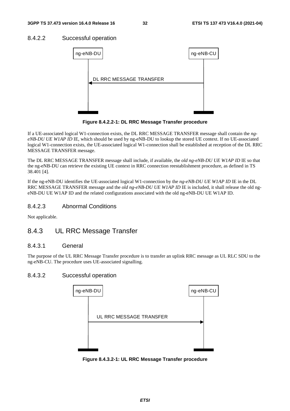## 8.4.2.2 Successful operation



**Figure 8.4.2.2-1: DL RRC Message Transfer procedure** 

If a UE-associated logical W1-connection exists, the DL RRC MESSAGE TRANSFER message shall contain the *ngeNB-DU UE W1AP ID* IE, which should be used by ng-eNB-DU to lookup the stored UE context. If no UE-associated logical W1-connection exists, the UE-associated logical W1-connection shall be established at reception of the DL RRC MESSAGE TRANSFER message.

The DL RRC MESSAGE TRANSFER message shall include, if available, the *old ng-eNB-DU UE W1AP ID* IE so that the ng-eNB-DU can retrieve the existing UE context in RRC connection reestablishment procedure, as defined in TS 38.401 [4].

If the ng-eNB-DU identifies the UE-associated logical W1-connection by the *ng-eNB-DU UE W1AP ID* IE in the DL RRC MESSAGE TRANSFER message and the *old ng-eNB-DU UE W1AP ID* IE is included, it shall release the old ngeNB-DU UE W1AP ID and the related configurations associated with the old ng-eNB-DU UE W1AP ID.

## 8.4.2.3 Abnormal Conditions

Not applicable.

## 8.4.3 UL RRC Message Transfer

## 8.4.3.1 General

The purpose of the UL RRC Message Transfer procedure is to transfer an uplink RRC message as UL RLC SDU to the ng-eNB-CU. The procedure uses UE-associated signalling.

## 8.4.3.2 Successful operation



**Figure 8.4.3.2-1: UL RRC Message Transfer procedure**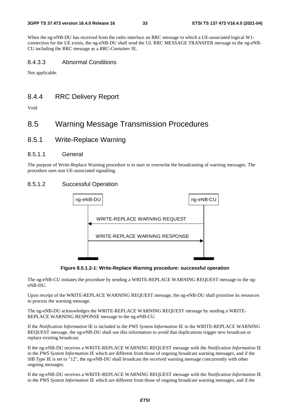When the ng-eNB-DU has received from the radio interface an RRC message to which a UE-associated logical W1 connection for the UE exists, the ng-eNB-DU shall send the UL RRC MESSAGE TRANSFER message to the ng-eNB-CU including the RRC message as a *RRC-Container* IE.

### 8.4.3.3 Abnormal Conditions

Not applicable.

## 8.4.4 RRC Delivery Report

Void

## 8.5 Warning Message Transmission Procedures

8.5.1 Write-Replace Warning

#### 8.5.1.1 General

The purpose of Write-Replace Warning procedure is to start or overwrite the broadcasting of warning messages. The procedure uses non UE-associated signalling.

## 8.5.1.2 Successful Operation



**Figure 8.5.1.2-1: Write-Replace Warning procedure: successful operation** 

The ng-eNB-CU initiates the procedure by sending a WRITE-REPLACE WARNING REQUEST message to the ngeNB-DU.

Upon receipt of the WRITE-REPLACE WARNING REQUEST message, the ng-eNB-DU shall prioritise its resources to process the warning message.

The ng-eNB-DU acknowledges the WRITE-REPLACE WARNING REQUEST message by sending a WRITE-REPLACE WARNING RESPONSE message to the ng-eNB-CU.

If the *Notification Information* IE is included in the *PWS System Information* IE in the WRITE-REPLACE WARNING REQUEST message, the ng-eNB-DU shall use this information to avoid that duplications trigger new broadcast or replace existing broadcast.

If the ng-eNB-DU receives a WRITE-REPLACE WARNING REQUEST message with the *Notification Information* IE in the *PWS System Information* IE which are different from those of ongoing broadcast warning messages, and if the *SIB Type* IE is set to "12", the ng-eNB-DU shall broadcast the received warning message concurrently with other ongoing messages.

If the ng-eNB-DU receives a WRITE-REPLACE WARNING REQUEST message with the *Notification Information* IE in the *PWS System Information* IE which are different from those of ongoing broadcast warning messages, and if the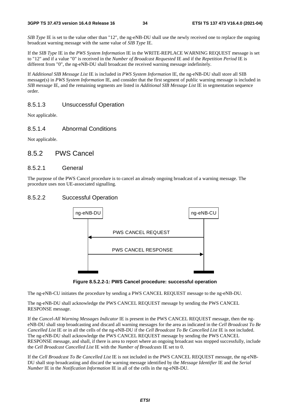*SIB Type* IE is set to the value other than "12", the ng-eNB-DU shall use the newly received one to replace the ongoing broadcast warning message with the same value of *SIB Type* IE.

If the *SIB Type* IE in the *PWS System Information* IE in the WRITE-REPLACE WARNING REQUEST message is set to "12" and if a value "0" is received in the *Number of Broadcast Requested* IE and if the *Repetition Period* IE is different from "0", the ng-eNB-DU shall broadcast the received warning message indefinitely.

If *Additional SIB Message List* IE is included in *PWS System Information* IE, the ng-eNB-DU shall store all SIB message(s) in *PWS System Information* IE, and consider that the first segment of public warning message is included in *SIB message* IE, and the remaining segments are listed in *Additional SIB Message List* IE in segmentation sequence order.

## 8.5.1.3 Unsuccessful Operation

Not applicable.

### 8.5.1.4 Abnormal Conditions

Not applicable.

## 8.5.2 PWS Cancel

#### 8.5.2.1 General

The purpose of the PWS Cancel procedure is to cancel an already ongoing broadcast of a warning message. The procedure uses non UE-associated signalling.

### 8.5.2.2 Successful Operation





The ng-eNB-CU initiates the procedure by sending a PWS CANCEL REQUEST message to the ng-eNB-DU.

The ng-eNB-DU shall acknowledge the PWS CANCEL REQUEST message by sending the PWS CANCEL RESPONSE message.

If the *Cancel-All Warning Messages Indicator* IE is present in the PWS CANCEL REQUEST message, then the ngeNB-DU shall stop broadcasting and discard all warning messages for the area as indicated in the *Cell Broadcast To Be Cancelled List* IE or in all the cells of the ng-eNB-DU if the *Cell Broadcast To Be Cancelled List* IE is not included. The ng-eNB-DU shall acknowledge the PWS CANCEL REQUEST message by sending the PWS CANCEL RESPONSE message, and shall, if there is area to report where an ongoing broadcast was stopped successfully, include the *Cell Broadcast Cancelled List* IE with the *Number of Broadcasts* IE set to 0.

If the *Cell Broadcast To Be Cancelled List* IE is not included in the PWS CANCEL REQUEST message, the ng-eNB-DU shall stop broadcasting and discard the warning message identified by the *Message Identifier* IE and the *Serial Number* IE in the *Notification Information* IE in all of the cells in the ng-eNB-DU.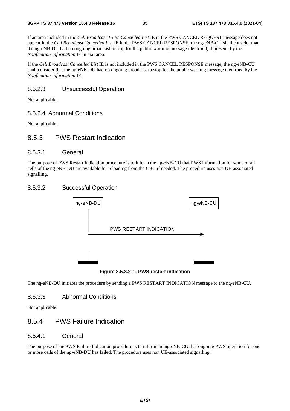If an area included in the *Cell Broadcast To Be Cancelled List* IE in the PWS CANCEL REQUEST message does not appear in the *Cell Broadcast Cancelled List* IE in the PWS CANCEL RESPONSE, the ng-eNB-CU shall consider that the ng-eNB-DU had no ongoing broadcast to stop for the public warning message identified, if present, by the *Notification Information* IE in that area.

If the *Cell Broadcast Cancelled List* IE is not included in the PWS CANCEL RESPONSE message, the ng-eNB-CU shall consider that the ng-eNB-DU had no ongoing broadcast to stop for the public warning message identified by the *Notification Information* IE.

### 8.5.2.3 Unsuccessful Operation

Not applicable.

#### 8.5.2.4 Abnormal Conditions

Not applicable.

## 8.5.3 PWS Restart Indication

### 8.5.3.1 General

The purpose of PWS Restart Indication procedure is to inform the ng-eNB-CU that PWS information for some or all cells of the ng-eNB-DU are available for reloading from the CBC if needed. The procedure uses non UE-associated signalling.

## 8.5.3.2 Successful Operation



**Figure 8.5.3.2-1: PWS restart indication** 

The ng-eNB-DU initiates the procedure by sending a PWS RESTART INDICATION message to the ng-eNB-CU.

### 8.5.3.3 Abnormal Conditions

Not applicable.

## 8.5.4 PWS Failure Indication

### 8.5.4.1 General

The purpose of the PWS Failure Indication procedure is to inform the ng-eNB-CU that ongoing PWS operation for one or more cells of the ng-eNB-DU has failed. The procedure uses non UE-associated signalling.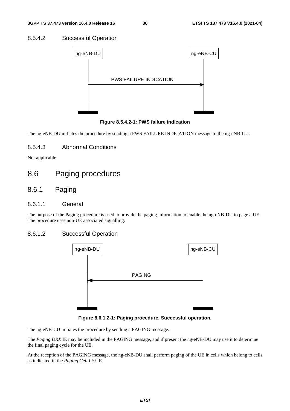#### 8.5.4.2 Successful Operation



**Figure 8.5.4.2-1: PWS failure indication** 

The ng-eNB-DU initiates the procedure by sending a PWS FAILURE INDICATION message to the ng-eNB-CU.

#### 8.5.4.3 Abnormal Conditions

Not applicable.

## 8.6 Paging procedures

### 8.6.1 Paging

#### 8.6.1.1 General

The purpose of the Paging procedure is used to provide the paging information to enable the ng-eNB-DU to page a UE. The procedure uses non-UE associated signalling.

#### 8.6.1.2 Successful Operation



**Figure 8.6.1.2-1: Paging procedure. Successful operation.** 

The ng-eNB-CU initiates the procedure by sending a PAGING message.

The *Paging DRX* IE may be included in the PAGING message, and if present the ng-eNB-DU may use it to determine the final paging cycle for the UE.

At the reception of the PAGING message, the ng-eNB-DU shall perform paging of the UE in cells which belong to cells as indicated in the *Paging Cell List* IE.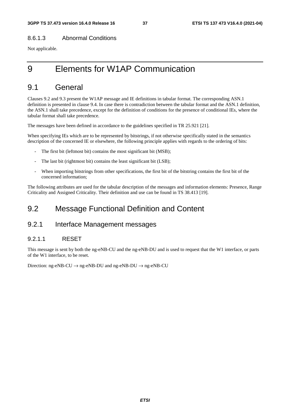#### 8.6.1.3 Abnormal Conditions

Not applicable.

# 9 Elements for W1AP Communication

## 9.1 General

Clauses 9.2 and 9.3 present the W1AP message and IE definitions in tabular format. The corresponding ASN.1 definition is presented in clause 9.4. In case there is contradiction between the tabular format and the ASN.1 definition, the ASN.1 shall take precedence, except for the definition of conditions for the presence of conditional IEs, where the tabular format shall take precedence.

The messages have been defined in accordance to the guidelines specified in TR 25.921 [21].

When specifying IEs which are to be represented by bitstrings, if not otherwise specifically stated in the semantics description of the concerned IE or elsewhere, the following principle applies with regards to the ordering of bits:

- The first bit (leftmost bit) contains the most significant bit (MSB);
- The last bit (rightmost bit) contains the least significant bit (LSB);
- When importing bitstrings from other specifications, the first bit of the bitstring contains the first bit of the concerned information;

The following attributes are used for the tabular description of the messages and information elements: Presence, Range Criticality and Assigned Criticality. Their definition and use can be found in TS 38.413 [19].

## 9.2 Message Functional Definition and Content

### 9.2.1 Interface Management messages

#### 9.2.1.1 RESET

This message is sent by both the ng-eNB-CU and the ng-eNB-DU and is used to request that the W1 interface, or parts of the W1 interface, to be reset.

Direction: ng-eNB-CU  $\rightarrow$  ng-eNB-DU and ng-eNB-DU  $\rightarrow$  ng-eNB-CU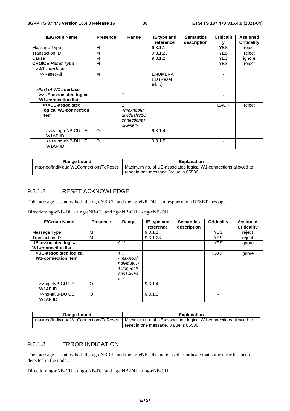| <b>IE/Group Name</b>                                     | <b>Presence</b> | Range                                                                                                            | IE type and                           | <b>Semantics</b> | <b>Criticalit</b> | <b>Assigned</b>    |
|----------------------------------------------------------|-----------------|------------------------------------------------------------------------------------------------------------------|---------------------------------------|------------------|-------------------|--------------------|
|                                                          |                 |                                                                                                                  | reference                             | description      |                   | <b>Criticality</b> |
| Message Type                                             | м               |                                                                                                                  | 9.3.1.1                               |                  | <b>YES</b>        | reject             |
| Transaction ID                                           | м               |                                                                                                                  | 9.3.1.23                              |                  | <b>YES</b>        | reject             |
| Cause                                                    | м               |                                                                                                                  | 9.3.1.2                               |                  | YES.              | ignore             |
| <b>CHOICE Reset Type</b>                                 | м               |                                                                                                                  |                                       |                  | <b>YES</b>        | reject             |
| >W1 interface                                            |                 |                                                                                                                  |                                       |                  |                   |                    |
| >>Reset All                                              | M               |                                                                                                                  | <b>ENUMERAT</b><br>ED (Reset<br>all,) |                  |                   |                    |
| >Part of W1 interface                                    |                 |                                                                                                                  |                                       |                  |                   |                    |
| >>UE-associated logical<br><b>W1-connection list</b>     |                 | $\mathbf{1}$                                                                                                     |                                       |                  |                   |                    |
| >>>UE-associated<br>logical W1-connection<br><b>Item</b> |                 | $1 \ldots$<br><maxnoofin<br>dividualW1C<br/><math>onnections <math>T</math></math><br/>oReset&gt;</maxnoofin<br> |                                       |                  | <b>EACH</b>       | reject             |
| >>>> ng-eNB-CU UE<br>W1AP ID                             | $\circ$         |                                                                                                                  | 9.3.1.4                               |                  |                   |                    |
| >>>> ng-eNB-DU UE<br>W1AP ID                             | $\circ$         |                                                                                                                  | 9.3.1.5                               |                  |                   |                    |

| Range bound                           | <b>Explanation</b>                                             |  |  |  |  |
|---------------------------------------|----------------------------------------------------------------|--|--|--|--|
| maxnoofIndividualW1ConnectionsToReset | Maximum no. of UE-associated logical W1-connections allowed to |  |  |  |  |
|                                       | reset in one message. Value is 65536.                          |  |  |  |  |

#### 9.2.1.2 RESET ACKNOWLEDGE

This message is sent by both the ng-eNB-CU and the ng-eNB-DU as a response to a RESET message.

Direction: ng-eNB-DU  $\rightarrow$  ng-eNB-CU and ng-eNB-CU  $\rightarrow$  ng-eNB-DU.

| <b>IE/Group Name</b>                                | <b>Presence</b> | Range                                                                              | IE type and<br>reference | <b>Semantics</b><br>description | <b>Criticality</b> | <b>Assigned</b><br><b>Criticality</b> |
|-----------------------------------------------------|-----------------|------------------------------------------------------------------------------------|--------------------------|---------------------------------|--------------------|---------------------------------------|
| Message Type                                        | М               |                                                                                    | 9.3.1.1                  |                                 | <b>YES</b>         | reject                                |
| Transaction ID                                      | M               |                                                                                    | 9.3.1.23                 |                                 | <b>YES</b>         | reject                                |
| UE-associated logical<br><b>W1-connection list</b>  |                 | 0.1                                                                                |                          |                                 | <b>YES</b>         | ignore                                |
| >UE-associated logical<br><b>W1-connection Item</b> |                 | 1.1<br><maxnoofl<br>ndividualW<br/>1Connecti<br/>onsToRes<br/>et&gt;</maxnoofl<br> |                          |                                 | <b>EACH</b>        | ignore                                |
| >>ng-eNB-CU UE<br>W1AP ID                           | $\circ$         |                                                                                    | 9.3.1.4                  |                                 |                    |                                       |
| >>ng-eNB-DU UE<br>W1AP ID                           | $\circ$         |                                                                                    | 9.3.1.5                  |                                 |                    |                                       |

| Range bound                           | <b>Explanation</b>                                             |
|---------------------------------------|----------------------------------------------------------------|
| maxnoofIndividualW1ConnectionsToReset | Maximum no. of UE-associated logical W1-connections allowed to |
|                                       | reset in one message. Value is 65536.                          |

#### 9.2.1.3 ERROR INDICATION

This message is sent by both the ng-eNB-CU and the ng-eNB-DU and is used to indicate that some error has been detected in the node.

Direction: ng-eNB-CU  $\rightarrow$  ng-eNB-DU and ng-eNB-DU  $\rightarrow$  ng-eNB-CU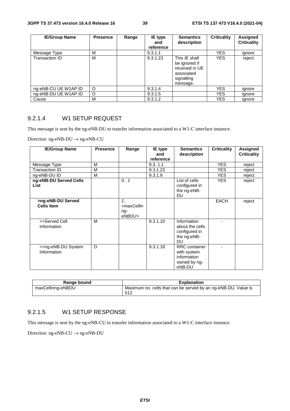| <b>IE/Group Name</b> | <b>Presence</b> | Range | IE type<br>and<br>reference | <b>Semantics</b><br>description                                                          | <b>Criticality</b> | Assigned<br><b>Criticality</b> |
|----------------------|-----------------|-------|-----------------------------|------------------------------------------------------------------------------------------|--------------------|--------------------------------|
| Message Type         | М               |       | 9.3.1.1                     |                                                                                          | <b>YES</b>         | ignore                         |
| Transaction ID       | M               |       | 9.3.1.23                    | This IE shall<br>be ignored if<br>received in UE<br>associated<br>signalling<br>message. | <b>YES</b>         | reject                         |
| ng-eNB-CU UE W1AP ID | $\circ$         |       | 9.3.1.4                     |                                                                                          | <b>YES</b>         | ignore                         |
| ng-eNB-DU UE W1AP ID | O               |       | 9.3.1.5                     |                                                                                          | <b>YES</b>         | ignore                         |
| Cause                | м               |       | 9.3.1.2                     |                                                                                          | YES                | ignore                         |

#### 9.2.1.4 W1 SETUP REQUEST

This message is sent by the ng-eNB-DU to transfer information associated to a W1-C interface instance.

Direction: ng-eNB-DU → ng-eNB-CU

| <b>IE/Group Name</b>                   | <b>Presence</b> | Range                                                     | IE type<br>and<br>reference | <b>Semantics</b><br>description                                              | <b>Criticality</b> | <b>Assigned</b><br><b>Criticality</b> |
|----------------------------------------|-----------------|-----------------------------------------------------------|-----------------------------|------------------------------------------------------------------------------|--------------------|---------------------------------------|
| Message Type                           | M               |                                                           | 9.3.11                      |                                                                              | <b>YES</b>         | reject                                |
| Transaction ID                         | M               |                                                           | 9.3.1.23                    |                                                                              | <b>YES</b>         | reject                                |
| ng-eNB-DU ID                           | M               |                                                           | 9.3.1.9                     |                                                                              | <b>YES</b>         | reject                                |
| ng-eNB-DU Served Cells<br><b>List</b>  |                 | 0.1                                                       |                             | List of cells<br>configured in<br>the ng-eNB-<br><b>DU</b>                   | <b>YES</b>         | reject                                |
| >ng-eNB-DU Served<br><b>Cells Item</b> |                 | $1_{1}$<br><maxcellin<br>ng-<br/>eNBDU&gt;</maxcellin<br> |                             |                                                                              | <b>EACH</b>        | reject                                |
| >>Served Cell<br>Information           | M               |                                                           | 9.3.1.10                    | Information<br>about the cells<br>configured in<br>the ng-eNB-<br><b>DU</b>  |                    |                                       |
| >>ng-eNB-DU System<br>Information      | $\circ$         |                                                           | 9.3.1.18                    | <b>RRC</b> container<br>with system<br>information<br>owned by ng-<br>eNB-DU |                    |                                       |

| Range bound       | <b>Explanation</b>                                                              |
|-------------------|---------------------------------------------------------------------------------|
| maxCellinng-eNBDU | Maximum no. cells that can be served by an ng-eNB-DU. Value is<br>512<br>◡ । ∠. |

#### 9.2.1.5 W1 SETUP RESPONSE

This message is sent by the ng-eNB-CU to transfer information associated to a W1-C interface instance.

Direction: ng-eNB-CU  $\rightarrow$  ng-eNB-DU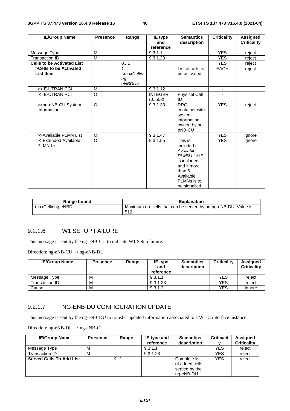| <b>IE/Group Name</b>                     | <b>Presence</b> | Range                                                                           | IE type<br>and            | <b>Semantics</b><br>description                                                                                                                 | <b>Criticality</b> | <b>Assigned</b><br><b>Criticality</b> |
|------------------------------------------|-----------------|---------------------------------------------------------------------------------|---------------------------|-------------------------------------------------------------------------------------------------------------------------------------------------|--------------------|---------------------------------------|
|                                          |                 |                                                                                 | reference                 |                                                                                                                                                 |                    |                                       |
| Message Type                             | M               |                                                                                 | 9.3.1.1                   |                                                                                                                                                 | <b>YES</b>         | reject                                |
| <b>Transaction ID</b>                    | M               |                                                                                 | 9.3.1.23                  |                                                                                                                                                 | <b>YES</b>         | reject                                |
| <b>Cells to be Activated List</b>        |                 | 0.1                                                                             |                           |                                                                                                                                                 | <b>YES</b>         | reject                                |
| >Cells to be Activated                   |                 | 1.1                                                                             |                           | List of cells to                                                                                                                                | <b>EACH</b>        | reject                                |
| List Item                                |                 | <maxcellin< td=""><td></td><td>be activated</td><td></td><td></td></maxcellin<> |                           | be activated                                                                                                                                    |                    |                                       |
|                                          |                 | $ng-$<br>eNBDU>                                                                 |                           |                                                                                                                                                 |                    |                                       |
| >> E-UTRAN CGI                           | M               |                                                                                 | 9.3.1.12                  |                                                                                                                                                 |                    |                                       |
| >> E-UTRAN PCI                           | $\Omega$        |                                                                                 | <b>INTEGER</b><br>(0.503) | <b>Physical Cell</b><br>ID                                                                                                                      |                    |                                       |
| >>ng-eNB-CU System<br>Information        | $\Omega$        |                                                                                 | 9.3.1.33                  | <b>RRC</b><br>container with<br>system<br>information<br>owned by ng-<br>eNB-CU                                                                 | <b>YES</b>         | reject                                |
| >>Available PLMN List                    | O               |                                                                                 | 9.3.1.47                  |                                                                                                                                                 | <b>YES</b>         | ignore                                |
| >>Extended Available<br><b>PLMN List</b> | $\Omega$        |                                                                                 | 9.3.1.55                  | This is<br>included if<br>Available<br><b>PLMN List IE</b><br>is included<br>and if more<br>than 6<br>Available<br>PLMNs is to<br>be signalled. | <b>YES</b>         | ignore                                |

| Range bound       | <b>Explanation</b>                                                      |
|-------------------|-------------------------------------------------------------------------|
| maxCellinng-eNBDU | Maximum no. cells that can be served by an ng-eNB-DU. Value is<br>-512. |

#### 9.2.1.6 W1 SETUP FAILURE

This message is sent by the ng-eNB-CU to indicate W1 Setup failure.

Direction: ng-eNB-CU  $\rightarrow$  ng-eNB-DU

| <b>IE/Group Name</b> | <b>Presence</b> | Range | IE type<br>and<br>reference | <b>Semantics</b><br>description | <b>Criticality</b> | <b>Assigned</b><br><b>Criticality</b> |
|----------------------|-----------------|-------|-----------------------------|---------------------------------|--------------------|---------------------------------------|
| Message Type         | M               |       | 9.3.1.1                     |                                 | YES                | reiect                                |
| Transaction ID       | M               |       | 9.3.1.23                    |                                 | YES                | reiect                                |
| Cause                | M               |       | 9.3.1.2                     |                                 | YES                | ignore                                |

#### 9.2.1.7 NG-ENB-DU CONFIGURATION UPDATE

This message is sent by the ng-eNB-DU to transfer updated information associated to a W1-C interface instance.

| <b>IE/Group Name</b>            | <b>Presence</b> | Range | IE type and<br>reference | <b>Semantics</b><br>description                               | <b>Criticalit</b> | Assigned<br><b>Criticality</b> |
|---------------------------------|-----------------|-------|--------------------------|---------------------------------------------------------------|-------------------|--------------------------------|
| Message Type                    | М               |       | 9.3.1.1                  |                                                               | YES               | reject                         |
| Transaction ID                  | M               |       | 9.3.1.23                 |                                                               | YES               | reject                         |
| <b>Served Cells To Add List</b> |                 | 0.1   |                          | Complete list<br>of added cells<br>served by the<br>ng-eNB-DU | <b>YES</b>        | reject                         |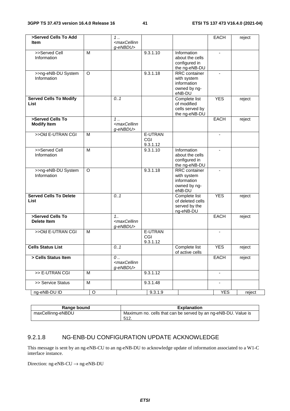| >Served Cells To Add<br><b>Item</b>          |         | 1.<br><maxcellinn< th=""><th></th><th></th><th>EACH</th><th>reject</th></maxcellinn<> |                            |                                                                              | EACH                     | reject |
|----------------------------------------------|---------|---------------------------------------------------------------------------------------|----------------------------|------------------------------------------------------------------------------|--------------------------|--------|
| >>Served Cell<br>Information                 | M       | g-eNBDU>                                                                              | 9.3.1.10                   | Information<br>about the cells<br>configured in                              | $\blacksquare$           |        |
| >>ng-eNB-DU System<br>Information            | O       |                                                                                       | 9.3.1.18                   | the ng-eNB-DU<br>RRC container<br>with system                                | $\overline{\phantom{a}}$ |        |
|                                              |         |                                                                                       |                            | information<br>owned by ng-<br>eNB-DU                                        |                          |        |
| <b>Served Cells To Modify</b><br><b>List</b> |         | 0.1                                                                                   |                            | Complete list<br>of modified<br>cells served by<br>the ng-eNB-DU             | <b>YES</b>               | reject |
| >Served Cells To<br><b>Modify Item</b>       |         | 1<br><maxcellinn<br>g-eNBDU&gt;</maxcellinn<br>                                       |                            |                                                                              | EACH                     | reject |
| >>Old E-UTRAN CGI                            | M       |                                                                                       | E-UTRAN<br>CGI<br>9.3.1.12 |                                                                              | $\blacksquare$           |        |
| >>Served Cell<br>Information                 | M       |                                                                                       | 9.3.1.10                   | Information<br>about the cells<br>configured in<br>the ng-eNB-DU             |                          |        |
| >>ng-eNB-DU System<br>Information            | O       |                                                                                       | 9.3.1.18                   | <b>RRC</b> container<br>with system<br>information<br>owned by ng-<br>eNB-DU |                          |        |
| <b>Served Cells To Delete</b><br>List        |         | 0.1                                                                                   |                            | Complete list<br>of deleted cells<br>served by the<br>ng-eNB-DU              | <b>YES</b>               | reject |
| >Served Cells To<br><b>Delete Item</b>       |         | 1.1<br><maxcellinn<br>g-eNBDU&gt;</maxcellinn<br>                                     |                            |                                                                              | <b>EACH</b>              | reject |
| >>Old E-UTRAN CGI                            | M       |                                                                                       | E-UTRAN<br>CGI<br>9.3.1.12 |                                                                              |                          |        |
| <b>Cells Status List</b>                     |         | 0.1                                                                                   |                            | Complete list<br>of active cells                                             | <b>YES</b>               | reject |
| > Cells Status Item                          |         | 0<br><maxcellinn<br>g-eNBDU&gt;</maxcellinn<br>                                       |                            |                                                                              | EACH                     | reject |
| >> E-UTRAN CGI                               | м       |                                                                                       | 9.3.1.12                   |                                                                              |                          |        |
| >> Service Status                            | M       |                                                                                       | 9.3.1.48                   |                                                                              | $\overline{\phantom{a}}$ |        |
| ng-eNB-DU ID                                 | $\circ$ |                                                                                       | 9.3.1.9                    |                                                                              | <b>YES</b>               | reject |

| Range bound       | <b>Explanation</b>                                             |
|-------------------|----------------------------------------------------------------|
| maxCellinng-eNBDU | Maximum no. cells that can be served by an ng-eNB-DU. Value is |
|                   | 512                                                            |

### 9.2.1.8 NG-ENB-DU CONFIGURATION UPDATE ACKNOWLEDGE

This message is sent by an ng-eNB-CU to an ng-eNB-DU to acknowledge update of information associated to a W1-C interface instance.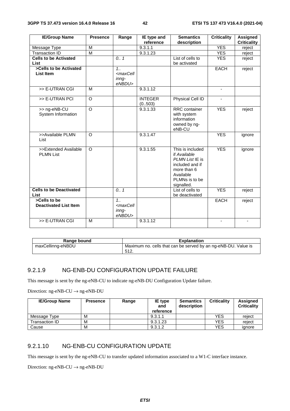| <b>IE/Group Name</b>           | <b>Presence</b> | Range                                                           | IE type and    | <b>Semantics</b>           | <b>Criticality</b>       | <b>Assigned</b>    |
|--------------------------------|-----------------|-----------------------------------------------------------------|----------------|----------------------------|--------------------------|--------------------|
|                                |                 |                                                                 | reference      | description                |                          | <b>Criticality</b> |
| Message Type                   | M               |                                                                 | 9.3.1.1        |                            | <b>YES</b>               | reject             |
| <b>Transaction ID</b>          | $\overline{M}$  |                                                                 | 9.3.1.23       |                            | <b>YES</b>               | reject             |
| <b>Cells to be Activated</b>   |                 | 0.1                                                             |                | List of cells to           | <b>YES</b>               | reject             |
| List                           |                 |                                                                 |                | be activated               |                          |                    |
| >Cells to be Activated         |                 | 1.1                                                             |                |                            | EACH                     | reject             |
| List Item                      |                 | <maxcell< td=""><td></td><td></td><td></td><td></td></maxcell<> |                |                            |                          |                    |
|                                |                 | inng-                                                           |                |                            |                          |                    |
|                                |                 | eNBDU>                                                          |                |                            |                          |                    |
| >> E-UTRAN CGI                 | M               |                                                                 | 9.3.1.12       |                            | $\overline{\phantom{a}}$ |                    |
|                                |                 |                                                                 |                |                            |                          |                    |
| >> E-UTRAN PCI                 | $\overline{O}$  |                                                                 | <b>INTEGER</b> | Physical Cell ID           |                          |                    |
|                                |                 |                                                                 | (0.503)        |                            |                          |                    |
| >> ng-eNB-CU                   | $\circ$         |                                                                 | 9.3.1.33       | RRC container              | <b>YES</b>               | reject             |
| System Information             |                 |                                                                 |                | with system<br>information |                          |                    |
|                                |                 |                                                                 |                | owned by ng-               |                          |                    |
|                                |                 |                                                                 |                | eNB-CU                     |                          |                    |
| >>Available PLMN               | $\circ$         |                                                                 | 9.3.1.47       |                            | <b>YES</b>               | ignore             |
| List                           |                 |                                                                 |                |                            |                          |                    |
|                                |                 |                                                                 |                |                            |                          |                    |
| >>Extended Available           | $\Omega$        |                                                                 | 9.3.1.55       | This is included           | <b>YES</b>               | ignore             |
| <b>PLMN List</b>               |                 |                                                                 |                | if Available               |                          |                    |
|                                |                 |                                                                 |                | PLMN List IE is            |                          |                    |
|                                |                 |                                                                 |                | included and if            |                          |                    |
|                                |                 |                                                                 |                | more than 6                |                          |                    |
|                                |                 |                                                                 |                | Available                  |                          |                    |
|                                |                 |                                                                 |                | PLMNs is to be             |                          |                    |
|                                |                 |                                                                 |                | signalled.                 |                          |                    |
| <b>Cells to be Deactivated</b> |                 | 0.7                                                             |                | List of cells to           | <b>YES</b>               | reject             |
| List                           |                 |                                                                 |                | be deactivated             |                          |                    |
| >Cells to be                   |                 | 1.1                                                             |                |                            | <b>EACH</b>              | reject             |
| <b>Deactivated List Item</b>   |                 | <maxcell< td=""><td></td><td></td><td></td><td></td></maxcell<> |                |                            |                          |                    |
|                                |                 | inng-                                                           |                |                            |                          |                    |
|                                |                 | eNBDU>                                                          |                |                            |                          |                    |
| >> E-UTRAN CGI                 | M               |                                                                 | 9.3.1.12       |                            |                          | ٠                  |
|                                |                 |                                                                 |                |                            |                          |                    |

| Range bound       | <b>Explanation</b>                                                      |
|-------------------|-------------------------------------------------------------------------|
| maxCellinng-eNBDU | Maximum no. cells that can be served by an ng-eNB-DU. Value is<br>-512. |

#### 9.2.1.9 NG-ENB-DU CONFIGURATION UPDATE FAILURE

This message is sent by the ng-eNB-CU to indicate ng-eNB-DU Configuration Update failure.

Direction: ng-eNB-CU  $\rightarrow$  ng-eNB-DU

| <b>IE/Group Name</b> | <b>Presence</b> | Range | IE type<br>and<br>reference | <b>Semantics</b><br>description | <b>Criticality</b> | Assigned<br><b>Criticality</b> |
|----------------------|-----------------|-------|-----------------------------|---------------------------------|--------------------|--------------------------------|
| Message Type         | м               |       | 9.3.1.1                     |                                 | <b>YES</b>         | reject                         |
| Transaction ID       | м               |       | 9.3.1.23                    |                                 | <b>YES</b>         | reject                         |
| Cause                | M               |       | 9.3.1.2                     |                                 | <b>YES</b>         | ignore                         |

#### 9.2.1.10 NG-ENB-CU CONFIGURATION UPDATE

This message is sent by the ng-eNB-CU to transfer updated information associated to a W1-C interface instance.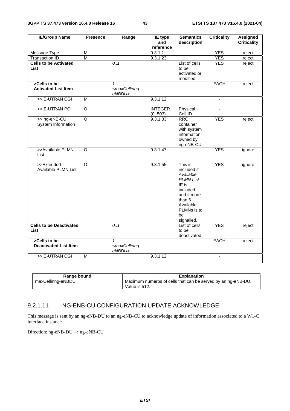| <b>IE/Group Name</b>                          | <b>Presence</b>         | Range                                                          | <b>IE</b> type<br>and     | <b>Semantics</b><br>description                                                                                                                       | <b>Criticality</b> | <b>Assigned</b><br><b>Criticality</b> |
|-----------------------------------------------|-------------------------|----------------------------------------------------------------|---------------------------|-------------------------------------------------------------------------------------------------------------------------------------------------------|--------------------|---------------------------------------|
|                                               |                         |                                                                | reference                 |                                                                                                                                                       |                    |                                       |
| Message Type                                  | M                       |                                                                | 9.3.1.1                   |                                                                                                                                                       | <b>YES</b>         | reject                                |
| <b>Transaction ID</b>                         | $\overline{\mathsf{M}}$ |                                                                | 9.3.1.23                  |                                                                                                                                                       | <b>YES</b>         | reject                                |
| <b>Cells to be Activated</b><br><b>List</b>   |                         | 0.1                                                            |                           | List of cells<br>to be<br>activated or<br>modified                                                                                                    | <b>YES</b>         | reject                                |
| >Cells to be<br><b>Activated List Item</b>    |                         | $1_{1}$<br><maxcellinng-<br>eNBDU&gt;</maxcellinng-<br>        |                           |                                                                                                                                                       | <b>EACH</b>        | reject                                |
| >> E-UTRAN CGI                                | $\overline{M}$          |                                                                | 9.3.1.12                  |                                                                                                                                                       | $\blacksquare$     |                                       |
| >> E-UTRAN PCI                                | $\overline{\circ}$      |                                                                | <b>INTEGER</b><br>(0.503) | Physical<br>Cell ID                                                                                                                                   | $\blacksquare$     |                                       |
| >> ng-eNB-CU<br>System Information            | $\overline{\circ}$      |                                                                | 9.3.1.33                  | <b>RRC</b><br>container<br>with system<br>information<br>owned by<br>ng-eNB-CU                                                                        | <b>YES</b>         | reject                                |
| >>Available PLMN<br>List                      | $\circ$                 |                                                                | 9.3.1.47                  |                                                                                                                                                       | <b>YES</b>         | ignore                                |
| >>Extended<br>Available PLMN List             | $\overline{O}$          |                                                                | 9.3.1.55                  | This is<br>included if<br>Available<br><b>PLMN List</b><br>IE is<br>included<br>and if more<br>than 6<br>Available<br>PLMNs is to<br>be<br>signalled. | <b>YES</b>         | ignore                                |
| <b>Cells to be Deactivated</b><br><b>List</b> |                         | 0.1                                                            |                           | List of cells<br>to be<br>deactivated                                                                                                                 | <b>YES</b>         | reject                                |
| >Cells to be<br><b>Deactivated List Item</b>  |                         | 1 <sub>1</sub><br><maxcellinng-<br>eNBDU&gt;</maxcellinng-<br> |                           |                                                                                                                                                       | <b>EACH</b>        | reject                                |
| >> E-UTRAN CGI                                | $\overline{M}$          |                                                                | 9.3.1.12                  |                                                                                                                                                       | $\blacksquare$     |                                       |

| Range bound       | Explanation                                                  |
|-------------------|--------------------------------------------------------------|
| maxCellinng-eNBDU | Maximum numerbs of cells that can be served by an ng-eNB-DU. |
|                   | Value is 512.                                                |

#### 9.2.1.11 NG-ENB-CU CONFIGURATION UPDATE ACKNOWLEDGE

This message is sent by an ng-eNB-DU to an ng-eNB-CU to acknowledge update of information associated to a W1-C interface instance.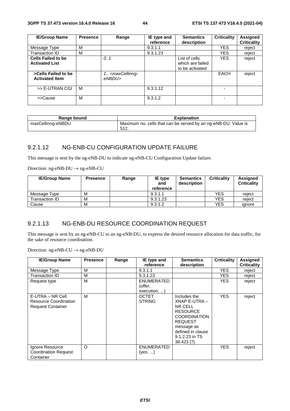| <b>IE/Group Name</b>                               | <b>Presence</b> | Range                                           | IE type and<br>reference | <b>Semantics</b><br>description                      | <b>Criticality</b> | <b>Assigned</b><br><b>Criticality</b> |
|----------------------------------------------------|-----------------|-------------------------------------------------|--------------------------|------------------------------------------------------|--------------------|---------------------------------------|
| Message Type                                       | M               |                                                 | 9.3.1.1                  |                                                      | <b>YES</b>         | reiect                                |
| Transaction ID                                     | M               |                                                 | 9.3.1.23                 |                                                      | <b>YES</b>         | reject                                |
| <b>Cells Failed to be</b><br><b>Activated List</b> |                 | 0.1                                             |                          | List of cells<br>which are failed<br>to be activated | <b>YES</b>         | reject                                |
| >Cells Failed to be<br><b>Activated Item</b>       |                 | 1. <maxcellinng-<br>eNBDU&gt;</maxcellinng-<br> |                          |                                                      | <b>EACH</b>        | reject                                |
| >> E-UTRAN CGI                                     | M               |                                                 | 9.3.1.12                 |                                                      |                    |                                       |
| >>Cause                                            | M               |                                                 | 9.3.1.2                  |                                                      |                    |                                       |

| Range bound       | <b>Explanation</b>                                                     |
|-------------------|------------------------------------------------------------------------|
| maxCellinng-eNBDU | Maximum no. cells that can be served by an ng-eNB-DU. Value is<br>512. |

#### 9.2.1.12 NG-ENB-CU CONFIGURATION UPDATE FAILURE

This message is sent by the ng-eNB-DU to indicate ng-eNB-CU Configuration Update failure.

Direction: ng-eNB-DU → ng-eNB-CU

| <b>IE/Group Name</b> | <b>Presence</b> | Range | IE type<br>and<br>reference | <b>Semantics</b><br>description | <b>Criticality</b> | <b>Assigned</b><br><b>Criticality</b> |
|----------------------|-----------------|-------|-----------------------------|---------------------------------|--------------------|---------------------------------------|
| Message Type         | M               |       | 9.3.1.1                     |                                 | <b>YES</b>         | reiect                                |
| Transaction ID       | M               |       | 9.3.1.23                    |                                 | YES                | reiect                                |
| Cause                | M               |       | 9.3.1.2                     |                                 | YES                | ianore                                |

#### 9.2.1.13 NG-ENB-DU RESOURCE COORDINATION REQUEST

This message is sent by an ng-eNB-CU to an ng-eNB-DU, to express the desired resource allocation for data traffic, for the sake of resource coordination.

| <b>IE/Group Name</b>                                                         | <b>Presence</b> | Range | IE type and<br>reference                     | <b>Semantics</b><br>description                                                                                                                                          | <b>Criticality</b> | <b>Assigned</b><br><b>Criticality</b> |
|------------------------------------------------------------------------------|-----------------|-------|----------------------------------------------|--------------------------------------------------------------------------------------------------------------------------------------------------------------------------|--------------------|---------------------------------------|
| Message Type                                                                 | M               |       | 9.3.1.1                                      |                                                                                                                                                                          | <b>YES</b>         | reject                                |
| Transaction ID                                                               | M               |       | 9.3.1.23                                     |                                                                                                                                                                          | YES.               | reject                                |
| Request type                                                                 | M               |       | <b>ENUMERATED</b><br>(offer,<br>execution, ) |                                                                                                                                                                          | <b>YES</b>         | reject                                |
| E-UTRA – NR Cell<br><b>Resource Coordination</b><br><b>Request Container</b> | M               |       | <b>OCTET</b><br><b>STRING</b>                | Includes the<br>XNAP E-UTRA -<br>NR CELL<br><b>RESOURCE</b><br><b>COORDINATION</b><br><b>REQUEST</b><br>message as<br>defined in clause<br>9.1.2.23 in TS<br>38.423 [7]. | <b>YES</b>         | reject                                |
| Ignore Resource<br><b>Coordination Request</b><br>Container                  | $\circ$         |       | <b>ENUMERATED</b><br>(yes, )                 |                                                                                                                                                                          | <b>YES</b>         | reject                                |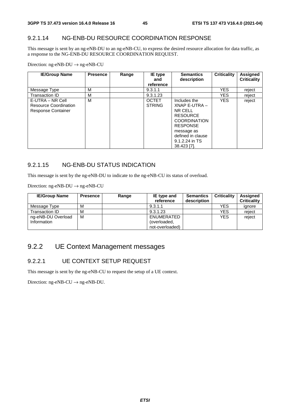#### 9.2.1.14 NG-ENB-DU RESOURCE COORDINATION RESPONSE

This message is sent by an ng-eNB-DU to an ng-eNB-CU, to express the desired resource allocation for data traffic, as a response to the NG-ENB-DU RESOURCE COORDINATION REQUEST.

Direction: ng-eNB-DU → ng-eNB-CU

| <b>IE/Group Name</b>                                                   | <b>Presence</b> | Range | IE type<br>and<br>reference   | <b>Semantics</b><br>description                                                                                                                                           | Criticality | Assigned<br><b>Criticality</b> |
|------------------------------------------------------------------------|-----------------|-------|-------------------------------|---------------------------------------------------------------------------------------------------------------------------------------------------------------------------|-------------|--------------------------------|
| Message Type                                                           | М               |       | 9.3.1.1                       |                                                                                                                                                                           | <b>YES</b>  | reject                         |
| Transaction ID                                                         | M               |       | 9.3.1.23                      |                                                                                                                                                                           | <b>YES</b>  | reject                         |
| E-UTRA – NR Cell<br>Resource Coordination<br><b>Response Container</b> | M               |       | <b>OCTET</b><br><b>STRING</b> | Includes the<br>XNAP E-UTRA -<br>NR CELL<br><b>RESOURCE</b><br><b>COORDINATION</b><br><b>RESPONSE</b><br>message as<br>defined in clause<br>9.1.2.24 in TS<br>38.423 [7]. | <b>YES</b>  | reject                         |

#### 9.2.1.15 NG-ENB-DU STATUS INDICATION

This message is sent by the ng-eNB-DU to indicate to the ng-eNB-CU its status of overload.

Direction: ng-eNB-DU → ng-eNB-CU

| <b>IE/Group Name</b> | <b>Presence</b> | Range | <b>IE</b> type and<br>reference | <b>Semantics</b><br>description | <b>Criticality</b> | <b>Assigned</b><br><b>Criticality</b> |
|----------------------|-----------------|-------|---------------------------------|---------------------------------|--------------------|---------------------------------------|
| Message Type         | М               |       | 9.3.1.1                         |                                 | <b>YES</b>         | ignore                                |
| Transaction ID       | М               |       | 9.3.1.23                        |                                 | YES                | reject                                |
| ng-eNB-DU Overload   | M               |       | ENUMERATED                      |                                 | <b>YES</b>         | reject                                |
| Information          |                 |       | (overloaded,                    |                                 |                    |                                       |
|                      |                 |       | not-overloaded)                 |                                 |                    |                                       |

## 9.2.2 UE Context Management messages

#### 9.2.2.1 UE CONTEXT SETUP REQUEST

This message is sent by the ng-eNB-CU to request the setup of a UE context.

Direction:  $ng-eNB-CU \rightarrow ng-eNB-DU$ .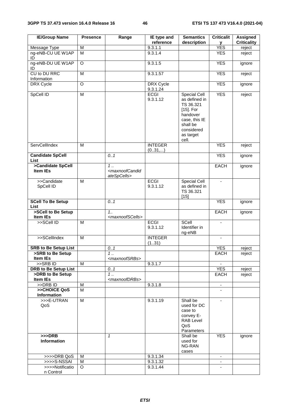| <b>IE/Group Name</b>                            | <b>Presence</b> | Range                                                        | IE type and<br>reference     | <b>Semantics</b><br>description                                                                                                         | <b>Criticalit</b><br>У   | <b>Assigned</b><br><b>Criticality</b> |
|-------------------------------------------------|-----------------|--------------------------------------------------------------|------------------------------|-----------------------------------------------------------------------------------------------------------------------------------------|--------------------------|---------------------------------------|
| <b>Message Type</b>                             | M               |                                                              | 9.3.1.1                      |                                                                                                                                         | <b>YES</b>               | reject                                |
| ng-eNB-CU UE W1AP<br>ID                         | M               |                                                              | 9.3.1.4                      |                                                                                                                                         | <b>YES</b>               | reject                                |
| ng-eNB-DU UE W1AP<br>ID                         | O               |                                                              | 9.3.1.5                      |                                                                                                                                         | <b>YES</b>               | ignore                                |
| CU to DU RRC<br>Information                     | M               |                                                              | 9.3.1.57                     |                                                                                                                                         | <b>YES</b>               | reject                                |
| DRX Cycle                                       | O               |                                                              | <b>DRX</b> Cycle<br>9.3.1.24 |                                                                                                                                         | <b>YES</b>               | ignore                                |
| SpCell ID                                       | M               |                                                              | <b>ECGI</b><br>9.3.1.12      | Special Cell<br>as defined in<br>TS 36.321<br>$[15]$ . For<br>handover<br>case, this IE<br>shall be<br>considered<br>as target<br>cell. | <b>YES</b>               | reject                                |
| ServCellIndex                                   | M               |                                                              | <b>INTEGER</b><br>(031,)     |                                                                                                                                         | <b>YES</b>               | reject                                |
| <b>Candidate SpCell</b><br>List                 |                 | 0.1                                                          |                              |                                                                                                                                         | <b>YES</b>               | ignore                                |
| >Candidate SpCell<br>Item IEs                   |                 | $1$ .<br><maxnoofcandid<br>ateSpCells&gt;</maxnoofcandid<br> |                              |                                                                                                                                         | <b>EACH</b>              | ignore                                |
| >>Candidate<br>SpCell ID                        | M               |                                                              | <b>ECGI</b><br>9.3.1.12      | Special Cell<br>as defined in<br>TS 36.321<br>$[15]$                                                                                    | $\blacksquare$           |                                       |
| <b>SCell To Be Setup</b><br><b>List</b>         |                 | 0.1                                                          |                              |                                                                                                                                         | <b>YES</b>               | ignore                                |
| >SCell to Be Setup<br>Item IEs                  |                 | 1.1<br><maxnoofscells></maxnoofscells>                       |                              |                                                                                                                                         | <b>EACH</b>              | ignore                                |
| >>SCell ID                                      | M               |                                                              | <b>ECGI</b><br>9.3.1.12      | SCell<br>Identifier in<br>ng-eNB                                                                                                        | $\sim$                   |                                       |
| >>SCellIndex                                    | M               |                                                              | <b>INTEGER</b><br>(131)      |                                                                                                                                         |                          |                                       |
| <b>SRB to Be Setup List</b>                     |                 | 0.1                                                          |                              |                                                                                                                                         | <b>YES</b>               | reject                                |
| >SRB to Be Setup                                |                 | 1                                                            |                              |                                                                                                                                         | EACH                     | reject                                |
| Item IEs                                        |                 | <maxnoofsrbs></maxnoofsrbs>                                  |                              |                                                                                                                                         |                          |                                       |
| >>SRBID                                         | M               |                                                              | 9.3.1.7                      |                                                                                                                                         |                          |                                       |
| <b>DRB to Be Setup List</b><br>>DRB to Be Setup |                 | 0.1                                                          |                              |                                                                                                                                         | <b>YES</b><br>EACH       | reject                                |
| <b>Item IEs</b>                                 |                 | 1<br><maxnoofdrbs></maxnoofdrbs>                             |                              |                                                                                                                                         |                          | reject                                |
| >>DRB ID                                        | M               |                                                              | 9.3.1.8                      |                                                                                                                                         | $\overline{\phantom{a}}$ |                                       |
| >>CHOICE QoS                                    | M               |                                                              |                              |                                                                                                                                         |                          |                                       |
| Information<br>>>>E-UTRAN                       |                 |                                                              |                              |                                                                                                                                         |                          |                                       |
| QoS                                             | M               |                                                              | 9.3.1.19                     | Shall be<br>used for DC<br>case to<br>convey E-<br><b>RAB Level</b><br>QoS<br>Parameters                                                | $\overline{\phantom{a}}$ |                                       |
| $>>$ DRB<br>Information                         |                 | $\mathcal I$                                                 |                              | Shall be<br>used for<br>NG-RAN<br>cases                                                                                                 | <b>YES</b>               | ignore                                |
| >>>>DRB QoS                                     | м               |                                                              | 9.3.1.34                     |                                                                                                                                         | $\blacksquare$           |                                       |
| >>>>S-NSSAI                                     | M               |                                                              | 9.3.1.32                     |                                                                                                                                         |                          |                                       |
| >>>>Notificatio                                 | O               |                                                              | 9.3.1.44                     |                                                                                                                                         |                          |                                       |
| n Control                                       |                 |                                                              |                              |                                                                                                                                         |                          |                                       |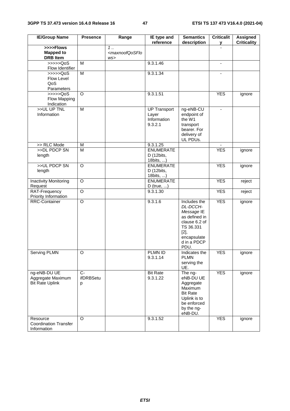| <b>IE/Group Name</b>                                        | <b>Presence</b>                  | Range                                                     | IE type and<br>reference                               | <b>Semantics</b><br>description                                                                                                    | <b>Criticalit</b><br>у   | <b>Assigned</b><br><b>Criticality</b> |
|-------------------------------------------------------------|----------------------------------|-----------------------------------------------------------|--------------------------------------------------------|------------------------------------------------------------------------------------------------------------------------------------|--------------------------|---------------------------------------|
| >>>>Flows<br><b>Mapped to</b><br><b>DRB</b> Item            |                                  | $\overline{1}$<br><maxnoofqosflo<br>WS</maxnoofqosflo<br> |                                                        |                                                                                                                                    |                          |                                       |
| >>>>QoS<br>Flow Identifier                                  | M                                |                                                           | 9.3.1.46                                               |                                                                                                                                    | $\overline{\phantom{a}}$ |                                       |
| $\gg >> >QoS$<br>Flow Level<br>QoS<br>Parameters            | $\overline{M}$                   |                                                           | 9.3.1.34                                               |                                                                                                                                    |                          |                                       |
| $\gg >> >QoS$<br>Flow Mapping<br>Indication                 | $\circ$                          |                                                           | 9.3.1.51                                               |                                                                                                                                    | <b>YES</b>               | ignore                                |
| >>UL UP TNL<br>Information                                  | M                                |                                                           | <b>UP Transport</b><br>Layer<br>Information<br>9.3.2.1 | ng-eNB-CU<br>endpoint of<br>the W1<br>transport<br>bearer. For<br>delivery of<br>UL PDUs.                                          | $\blacksquare$           |                                       |
| >> RLC Mode                                                 | M                                |                                                           | 9.3.1.25                                               |                                                                                                                                    |                          |                                       |
| >>DL PDCP SN<br>length                                      | $\overline{M}$                   |                                                           | <b>ENUMERATE</b><br>D (12bits,<br>18bits, )            |                                                                                                                                    | <b>YES</b>               | ignore                                |
| >>UL PDCP SN<br>length                                      | $\overline{O}$                   |                                                           | <b>ENUMERATE</b><br>D (12bits,<br>18bits, )            |                                                                                                                                    | <b>YES</b>               | ignore                                |
| <b>Inactivity Monitoring</b><br>Request                     | $\overline{O}$                   |                                                           | <b>ENUMERATE</b><br>$D$ (true, )                       |                                                                                                                                    | <b>YES</b>               | reject                                |
| RAT-Frequency<br>Priority Information                       | $\overline{O}$                   |                                                           | 9.3.1.30                                               |                                                                                                                                    | <b>YES</b>               | reject                                |
| <b>RRC-Container</b>                                        | $\overline{O}$                   |                                                           | 9.3.1.6                                                | Includes the<br>DL-DCCH-<br>Message IE<br>as defined in<br>clause 6.2 of<br>TS 36.331<br>[2]<br>encapsulate<br>d in a PDCP<br>PDU. | <b>YES</b>               | ignore                                |
| Serving PLMN                                                | $\overline{O}$                   |                                                           | PLMN ID<br>9.3.1.14                                    | Indicates the<br><b>PLMN</b><br>serving the<br>UE.                                                                                 | <b>YES</b>               | ignore                                |
| ng-eNB-DU UE<br>Aggregate Maximum<br><b>Bit Rate Uplink</b> | $\overline{C}$<br>ifDRBSetu<br>р |                                                           | <b>Bit Rate</b><br>9.3.1.22                            | The ng-<br>eNB-DU UE<br>Aggregate<br>Maximum<br><b>Bit Rate</b><br>Uplink is to<br>be enforced<br>by the ng-<br>eNB-DU.            | <b>YES</b>               | ignore                                |
| Resource<br><b>Coordination Transfer</b><br>Information     | $\Omega$                         |                                                           | 9.3.1.52                                               |                                                                                                                                    | <b>YES</b>               | ignore                                |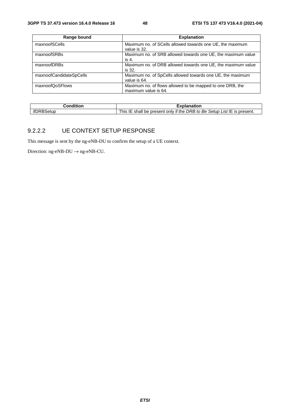| Range bound             | <b>Explanation</b>                                           |
|-------------------------|--------------------------------------------------------------|
| maxnoofSCells           | Maximum no. of SCells allowed towards one UE, the maximum    |
|                         | value is 32.                                                 |
| maxnoofSRBs             | Maximum no. of SRB allowed towards one UE, the maximum value |
|                         | is 4.                                                        |
| maxnoofDRBs             | Maximum no. of DRB allowed towards one UE, the maximum value |
|                         | is 32.                                                       |
| maxnoofCandidateSpCells | Maximum no. of SpCells allowed towards one UE, the maximum   |
|                         | value is 64.                                                 |
| maxnoofQoSFlows         | Maximum no. of flows allowed to be mapped to one DRB, the    |
|                         | maximum value is 64.                                         |

| ∶ondition | $-100$<br>kplanation                                                                               |
|-----------|----------------------------------------------------------------------------------------------------|
| ∗tun      | List IE is present.<br>if the<br>Setup L<br>DRB to<br>Be,<br>This .<br>shall<br>only<br>be present |

#### 9.2.2.2 UE CONTEXT SETUP RESPONSE

This message is sent by the ng-eNB-DU to confirm the setup of a UE context.

Direction:  $ng-eNB-DU \rightarrow ng-eNB-CU$ .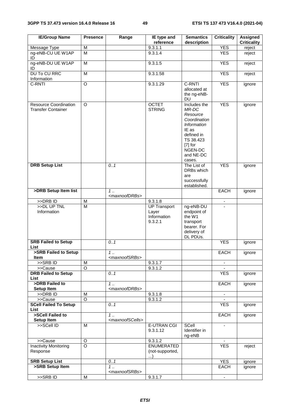| <b>IE/Group Name</b>                                      | <b>Presence</b>         | Range                             | IE type and<br>reference                               | <b>Semantics</b><br>description                                                                                                                            | <b>Criticality</b> | <b>Assigned</b><br><b>Criticality</b> |
|-----------------------------------------------------------|-------------------------|-----------------------------------|--------------------------------------------------------|------------------------------------------------------------------------------------------------------------------------------------------------------------|--------------------|---------------------------------------|
| Message Type                                              | M                       |                                   | 9.3.1.1                                                |                                                                                                                                                            | <b>YES</b>         | reject                                |
| ng-eNB-CU UE W1AP<br>ID                                   | $\overline{\mathsf{M}}$ |                                   | 9.3.1.4                                                |                                                                                                                                                            | <b>YES</b>         | reject                                |
| ng-eNB-DU UE W1AP<br>ID                                   | M                       |                                   | 9.3.1.5                                                |                                                                                                                                                            | <b>YES</b>         | reject                                |
| <b>DU To CU RRC</b><br>Information                        | M                       |                                   | 9.3.1.58                                               |                                                                                                                                                            | <b>YES</b>         | reject                                |
| C-RNTI                                                    | $\circ$                 |                                   | 9.3.1.29                                               | C-RNTI<br>allocated at<br>the ng-eNB-<br><b>DU</b>                                                                                                         | <b>YES</b>         | ignore                                |
| <b>Resource Coordination</b><br><b>Transfer Container</b> | $\circ$                 |                                   | <b>OCTET</b><br><b>STRING</b>                          | Includes the<br>MR-DC<br>Resource<br>Coordination<br><b>Information</b><br>IE as<br>defined in<br>TS 38.423<br>$[7]$ for<br>NGEN-DC<br>and NE-DC<br>cases. | <b>YES</b>         | ignore                                |
| <b>DRB Setup List</b>                                     |                         | 0.1                               |                                                        | The List of<br>DRBs which<br>are<br>successfully<br>established.                                                                                           | <b>YES</b>         | ignore                                |
| >DRB Setup Item list                                      |                         | 1.<br><maxnoofdrbs></maxnoofdrbs> |                                                        |                                                                                                                                                            | <b>EACH</b>        | ignore                                |
| >>DRB ID                                                  | M                       |                                   | 9.3.1.8                                                |                                                                                                                                                            | $\blacksquare$     |                                       |
| >>DL UP TNL<br>Information                                | $\overline{\mathsf{M}}$ |                                   | <b>UP Transport</b><br>Layer<br>Information<br>9.3.2.1 | ng-eNB-DU<br>endpoint of<br>the W1<br>transport<br>bearer. For<br>delivery of<br>DL PDUs.                                                                  |                    |                                       |
| <b>SRB Failed to Setup</b><br>List                        |                         | 0.1                               |                                                        |                                                                                                                                                            | <b>YES</b>         | ignore                                |
| >SRB Failed to Setup<br>Item                              |                         | 1.<br><maxnoofsrbs></maxnoofsrbs> |                                                        |                                                                                                                                                            | <b>EACH</b>        | ignore                                |
| $>$ SRB ID                                                | M                       |                                   | 9.3.1.7                                                |                                                                                                                                                            | $\sim$             |                                       |
| >>Cause                                                   | $\overline{O}$          |                                   | 9.3.1.2                                                |                                                                                                                                                            |                    |                                       |
| <b>DRB Failed to Setup</b><br>List                        |                         | 0.1                               |                                                        |                                                                                                                                                            | <b>YES</b>         | ignore                                |
| >DRB Failed to<br>Setup Item                              |                         | 1.<br><maxnoofdrbs></maxnoofdrbs> |                                                        |                                                                                                                                                            | <b>EACH</b>        | ignore                                |
| >>DRB ID                                                  | M                       |                                   | 9.3.1.8                                                |                                                                                                                                                            | $\blacksquare$     |                                       |
| >>Cause                                                   | $\overline{O}$          |                                   | 9.3.1.2                                                |                                                                                                                                                            |                    |                                       |
| <b>SCell Failed To Setup</b><br>List                      |                         | 0.1                               |                                                        |                                                                                                                                                            | <b>YES</b>         | ignore                                |
| >SCell Failed to                                          |                         | 1.                                |                                                        |                                                                                                                                                            | <b>EACH</b>        | ignore                                |
| Setup Item                                                |                         | <maxnoofscells></maxnoofscells>   |                                                        |                                                                                                                                                            |                    |                                       |
| >>SCell ID                                                | M                       |                                   | <b>E-UTRAN CGI</b><br>9.3.1.12                         | SCell<br>Identifier in<br>ng-eNB                                                                                                                           |                    |                                       |
| >>Cause                                                   | O                       |                                   | 9.3.1.2                                                |                                                                                                                                                            |                    |                                       |
| <b>Inactivity Monitoring</b><br>Response                  | $\overline{\circ}$      |                                   | <b>ENUMERATED</b><br>(not-supported,<br>$\ldots$       |                                                                                                                                                            | <b>YES</b>         | reject                                |
| <b>SRB Setup List</b>                                     |                         | 0.1                               |                                                        |                                                                                                                                                            | <b>YES</b>         | ignore                                |
| >SRB Setup Item                                           |                         | 1.<br><maxnoofsrbs></maxnoofsrbs> |                                                        |                                                                                                                                                            | EACH               | ignore                                |
| >>SRBID                                                   | M                       |                                   | 9.3.1.7                                                |                                                                                                                                                            | $\blacksquare$     |                                       |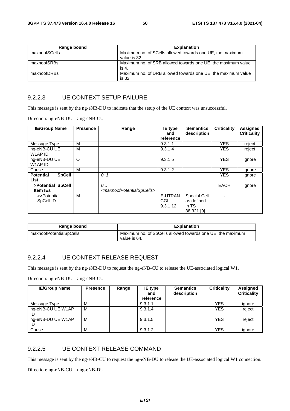| Range bound   | <b>Explanation</b>                                                        |
|---------------|---------------------------------------------------------------------------|
| maxnoofSCells | Maximum no. of SCells allowed towards one UE, the maximum<br>value is 32. |
| maxnoofSRBs   | Maximum no. of SRB allowed towards one UE, the maximum value<br>is 4.     |
| maxnoofDRBs   | Maximum no. of DRB allowed towards one UE, the maximum value<br>is 32.    |

#### 9.2.2.3 UE CONTEXT SETUP FAILURE

This message is sent by the ng-eNB-DU to indicate that the setup of the UE context was unsuccessful.

Direction: ng-eNB-DU → ng-eNB-CU

| <b>IE/Group Name</b>                      | <b>Presence</b> | Range                                                    | IE type<br>and             | <b>Semantics</b><br>description                   | <b>Criticality</b> | <b>Assigned</b><br><b>Criticality</b> |
|-------------------------------------------|-----------------|----------------------------------------------------------|----------------------------|---------------------------------------------------|--------------------|---------------------------------------|
|                                           |                 |                                                          | reference                  |                                                   |                    |                                       |
| Message Type                              | М               |                                                          | 9.3.1.1                    |                                                   | <b>YES</b>         | reject                                |
| ng-eNB-CU UE<br>W1AP ID                   | М               |                                                          | 9.3.1.4                    |                                                   | <b>YES</b>         | reject                                |
| ng-eNB-DU UE<br>W1AP ID                   | O               |                                                          | 9.3.1.5                    |                                                   | <b>YES</b>         | ignore                                |
| Cause                                     | М               |                                                          | 9.3.1.2                    |                                                   | <b>YES</b>         | ignore                                |
| <b>Potential</b><br><b>SpCell</b><br>List |                 | 0.1                                                      |                            |                                                   | <b>YES</b>         | ignore                                |
| >Potential SpCell<br><b>Item IEs</b>      |                 | 0<br><maxnoofpotentialspcells></maxnoofpotentialspcells> |                            |                                                   | <b>EACH</b>        | ignore                                |
| >>Potential<br>SpCell ID                  | м               |                                                          | E-UTRAN<br>CGI<br>9.3.1.12 | Special Cell<br>as defined<br>in TS<br>38.321 [9] |                    |                                       |

| Range bound             | <b>Explanation</b>                                                         |
|-------------------------|----------------------------------------------------------------------------|
| maxnoofPotentialSpCells | Maximum no. of SpCells allowed towards one UE, the maximum<br>value is 64. |

#### 9.2.2.4 UE CONTEXT RELEASE REQUEST

This message is sent by the ng-eNB-DU to request the ng-eNB-CU to release the UE-associated logical W1.

Direction: ng-eNB-DU → ng-eNB-CU

| <b>IE/Group Name</b>    | <b>Presence</b> | Range | <b>IE</b> type<br>and<br>reference | <b>Semantics</b><br>description | <b>Criticality</b> | Assigned<br><b>Criticality</b> |
|-------------------------|-----------------|-------|------------------------------------|---------------------------------|--------------------|--------------------------------|
| Message Type            | м               |       | 9.3.1.1                            |                                 | <b>YES</b>         | ignore                         |
| ng-eNB-CU UE W1AP<br>ID | M               |       | 9.3.1.4                            |                                 | <b>YES</b>         | reject                         |
| ng-eNB-DU UE W1AP<br>ID | M               |       | 9.3.1.5                            |                                 | <b>YES</b>         | reject                         |
| Cause                   | M               |       | 9.3.1.2                            |                                 | <b>YES</b>         | ignore                         |

#### 9.2.2.5 UE CONTEXT RELEASE COMMAND

This message is sent by the ng-eNB-CU to request the ng-eNB-DU to release the UE-associated logical W1 connection.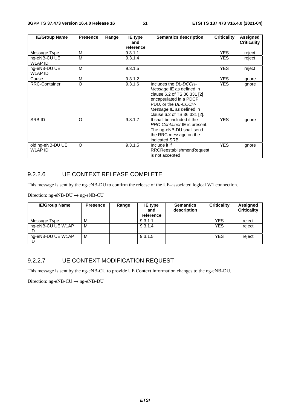| <b>IE/Group Name</b>        | <b>Presence</b> | Range | <b>IE</b> type<br>and | <b>Semantics description</b>                                                                                                                                                                   | <b>Criticality</b> | Assigned<br><b>Criticality</b> |
|-----------------------------|-----------------|-------|-----------------------|------------------------------------------------------------------------------------------------------------------------------------------------------------------------------------------------|--------------------|--------------------------------|
|                             |                 |       | reference             |                                                                                                                                                                                                |                    |                                |
| Message Type                | м               |       | 9.3.1.1               |                                                                                                                                                                                                | <b>YES</b>         | reject                         |
| ng-eNB-CU UE<br>W1AP ID     | м               |       | 9.3.1.4               |                                                                                                                                                                                                | <b>YES</b>         | reject                         |
| ng-eNB-DU UE<br>W1AP ID     | м               |       | 9.3.1.5               |                                                                                                                                                                                                | <b>YES</b>         | reject                         |
| Cause                       | M               |       | 9.3.1.2               |                                                                                                                                                                                                | YES.               | ignore                         |
| <b>RRC-Container</b>        | $\circ$         |       | 9.3.1.6               | Includes the DL-DCCH-<br>Message IE as defined in<br>clause 6.2 of TS 36.331 [2]<br>encapsulated in a PDCP<br>PDU, or the DL-CCCH-<br>Message IE as defined in<br>clause 6.2 of TS 36.331 [2]. | <b>YES</b>         | ignore                         |
| <b>SRBID</b>                | $\circ$         |       | 9.3.1.7               | It shall be included if the<br>RRC-Container IE is present.<br>The ng-eNB-DU shall send<br>the RRC message on the<br>indicated SRB.                                                            | <b>YES</b>         | ignore                         |
| old ng-eNB-DU UE<br>W1AP ID | $\circ$         |       | 9.3.1.5               | Include it if<br><b>RRCReestablishmentRequest</b><br>is not accepted                                                                                                                           | <b>YES</b>         | ignore                         |

#### 9.2.2.6 UE CONTEXT RELEASE COMPLETE

This message is sent by the ng-eNB-DU to confirm the release of the UE-associated logical W1 connection.

Direction: ng-eNB-DU  $\rightarrow$  ng-eNB-CU

| <b>IE/Group Name</b>    | <b>Presence</b> | Range | <b>IE</b> type<br>and<br>reference | <b>Semantics</b><br>description | <b>Criticality</b> | Assigned<br><b>Criticality</b> |
|-------------------------|-----------------|-------|------------------------------------|---------------------------------|--------------------|--------------------------------|
| Message Type            | M               |       | 9.3.1.1                            |                                 | <b>YES</b>         | reject                         |
| ng-eNB-CU UE W1AP<br>ID | M               |       | 9.3.1.4                            |                                 | <b>YES</b>         | reject                         |
| ng-eNB-DU UE W1AP<br>ID | M               |       | 9.3.1.5                            |                                 | <b>YES</b>         | reject                         |

#### 9.2.2.7 UE CONTEXT MODIFICATION REQUEST

This message is sent by the ng-eNB-CU to provide UE Context information changes to the ng-eNB-DU.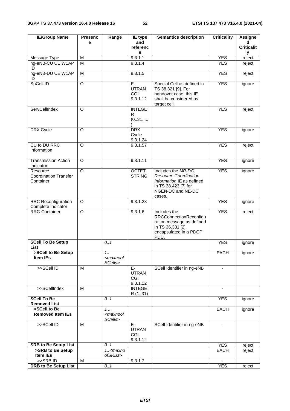| <b>IE/Group Name</b>                                  | <b>Presenc</b>     | Range                                      | IE type                                 | <b>Semantics description</b>                                                                                                           | <b>Criticality</b> | <b>Assigne</b>    |
|-------------------------------------------------------|--------------------|--------------------------------------------|-----------------------------------------|----------------------------------------------------------------------------------------------------------------------------------------|--------------------|-------------------|
|                                                       | e                  |                                            | and                                     |                                                                                                                                        |                    | d                 |
|                                                       |                    |                                            | referenc<br>е                           |                                                                                                                                        |                    | <b>Criticalit</b> |
| Message Type                                          | M                  |                                            | 9.3.1.1                                 |                                                                                                                                        | <b>YES</b>         | у<br>reject       |
| ng-eNB-CU UE W1AP<br>ID                               | M                  |                                            | 9.3.1.4                                 |                                                                                                                                        | <b>YES</b>         | reject            |
| ng-eNB-DU UE W1AP<br>ID                               | M                  |                                            | 9.3.1.5                                 |                                                                                                                                        | <b>YES</b>         | reject            |
| SpCell ID                                             | $\overline{O}$     |                                            | $E-$<br><b>UTRAN</b><br>CGI<br>9.3.1.12 | Special Cell as defined in<br>TS 38.321 [9]. For<br>handover case, this IE<br>shall be considered as<br>target cell.                   | <b>YES</b>         | ignore            |
| ServCellIndex                                         | $\Omega$           |                                            | <b>INTEGE</b><br>R<br>(031,             |                                                                                                                                        | <b>YES</b>         | reject            |
| DRX Cycle                                             | $\Omega$           |                                            | <b>DRX</b><br>Cycle<br>9.3.1.24         |                                                                                                                                        | <b>YES</b>         | ignore            |
| CU to DU RRC<br>Information                           | O                  |                                            | 9.3.1.57                                |                                                                                                                                        | <b>YES</b>         | reject            |
| <b>Transmission Action</b><br>Indicator               | $\Omega$           |                                            | 9.3.1.11                                |                                                                                                                                        | <b>YES</b>         | ignore            |
| Resource<br><b>Coordination Transfer</b><br>Container | $\overline{\circ}$ |                                            | <b>OCTET</b><br><b>STRING</b>           | Includes the MR-DC<br><b>Resource Coordination</b><br>Information IE as defined<br>in TS 38.423 [7] for<br>NGEN-DC and NE-DC<br>cases. | <b>YES</b>         | ignore            |
| <b>RRC Reconfiguration</b><br>Complete Indicator      | O                  |                                            | 9.3.1.28                                |                                                                                                                                        | <b>YES</b>         | ignore            |
| <b>RRC-Container</b>                                  | $\circ$            |                                            | 9.3.1.6                                 | Includes the<br><b>RRCConnectionReconfigu</b><br>ration message as defined<br>in TS 36.331 [2],<br>encapsulated in a PDCP<br>PDU.      | <b>YES</b>         | reject            |
| <b>SCell To Be Setup</b><br>List                      |                    | 0.1                                        |                                         |                                                                                                                                        | <b>YES</b>         | ignore            |
| >SCell to Be Setup<br>Item IEs                        |                    | 1.1<br><maxnoof<br>SCells&gt;</maxnoof<br> |                                         |                                                                                                                                        | <b>EACH</b>        | ignore            |
| >>SCell ID                                            | M                  |                                            | E-<br><b>UTRAN</b><br>CGI<br>9.3.1.12   | SCell Identifier in ng-eNB                                                                                                             | $\blacksquare$     |                   |
| >>SCellIndex                                          | M                  |                                            | <b>INTEGE</b><br>R (131)                |                                                                                                                                        |                    |                   |
| <b>SCell To Be</b><br><b>Removed List</b>             |                    | 0.1                                        |                                         |                                                                                                                                        | <b>YES</b>         | ignore            |
| >SCell to Be<br><b>Removed Item IEs</b>               |                    | 1.<br><maxnoof<br>SCells&gt;</maxnoof<br>  |                                         |                                                                                                                                        | EACH               | ignore            |
| >>SCell ID                                            | M                  |                                            | E-<br><b>UTRAN</b><br>CGI<br>9.3.1.12   | SCell Identifier in ng-eNB                                                                                                             | $\blacksquare$     |                   |
| <b>SRB to Be Setup List</b>                           |                    | 0.1                                        |                                         |                                                                                                                                        | <b>YES</b>         | reject            |
| >SRB to Be Setup<br>Item IEs                          |                    | $1. maxnoofSRBs>$                          |                                         |                                                                                                                                        | <b>EACH</b>        | reject            |
| >>SRBID                                               | M                  |                                            | 9.3.1.7                                 |                                                                                                                                        |                    |                   |
| <b>DRB to Be Setup List</b>                           |                    | 0.1                                        |                                         |                                                                                                                                        | <b>YES</b>         | reject            |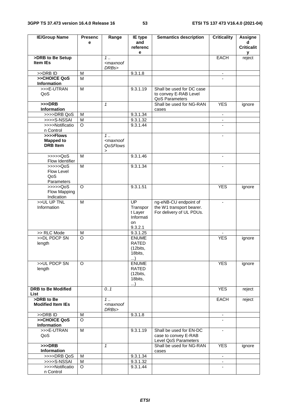| <b>IE/Group Name</b>                             | <b>Presenc</b> | Range                                                                      | IE type                                                              | <b>Semantics description</b>                                                  | <b>Criticality</b>       | <b>Assigne</b>         |
|--------------------------------------------------|----------------|----------------------------------------------------------------------------|----------------------------------------------------------------------|-------------------------------------------------------------------------------|--------------------------|------------------------|
|                                                  | e              |                                                                            | and<br>referenc                                                      |                                                                               |                          | d<br><b>Criticalit</b> |
|                                                  |                |                                                                            | е                                                                    |                                                                               |                          | у                      |
| >DRB to Be Setup                                 |                | $\overline{1}$                                                             |                                                                      |                                                                               | <b>EACH</b>              | reject                 |
| <b>Item IEs</b>                                  |                | <maxnoof<br>DRBs&gt;</maxnoof<br>                                          |                                                                      |                                                                               |                          |                        |
| >>DRB ID                                         | M              |                                                                            | 9.3.1.8                                                              |                                                                               | $\blacksquare$           |                        |
| >>CHOICE QoS<br>Information                      | M              |                                                                            |                                                                      |                                                                               |                          |                        |
| >>>E-UTRAN<br>QoS                                | $\overline{M}$ |                                                                            | 9.3.1.19                                                             | Shall be used for DC case<br>to convey E-RAB Level<br>QoS Parameters          |                          |                        |
| $>>$ DRB<br><b>Information</b>                   |                | $\mathbf{1}$                                                               |                                                                      | Shall be used for NG-RAN<br>cases                                             | <b>YES</b>               | ignore                 |
| >>>>DRB QoS                                      | M              |                                                                            | 9.3.1.34                                                             |                                                                               | Ξ.                       |                        |
| >>>>S-NSSAI                                      | M              |                                                                            | 9.3.1.32                                                             |                                                                               | $\blacksquare$           |                        |
| >>>>Notificatio<br>n Control                     | $\Omega$       |                                                                            | 9.3.1.44                                                             |                                                                               |                          |                        |
| >>>>Flows<br><b>Mapped to</b><br><b>DRB</b> Item |                | 1.<br><maxnoof<br><b>QoSFlows</b><br/><math>\, &gt; \,</math></maxnoof<br> |                                                                      |                                                                               |                          |                        |
| > >> > > QoS<br>Flow Identifier                  | M              |                                                                            | 9.3.1.46                                                             |                                                                               | $\overline{\phantom{a}}$ |                        |
| >>>>QoS<br>Flow Level<br>QoS<br>Parameters       | M              |                                                                            | 9.3.1.34                                                             |                                                                               | $\blacksquare$           |                        |
| >>>>QoS<br>Flow Mapping<br>Indication            | O              |                                                                            | 9.3.1.51                                                             |                                                                               | <b>YES</b>               | ignore                 |
| >>UL UP TNL<br>Information                       | M              |                                                                            | $\overline{UP}$<br>Transpor<br>t Layer<br>Informati<br>on<br>9.3.2.1 | ng-eNB-CU endpoint of<br>the W1 transport bearer.<br>For delivery of UL PDUs. | ÷.                       |                        |
| >> RLC Mode                                      | M              |                                                                            | 9.3.1.25                                                             |                                                                               |                          |                        |
| >>DL PDCP SN<br>length                           | $\overline{O}$ |                                                                            | <b>ENUME</b><br>RATED<br>(12bits,<br>18bits,<br>)                    |                                                                               | <b>YES</b>               | ignore                 |
| >>UL PDCP SN<br>length                           | $\circ$        |                                                                            | <b>ENUME</b><br><b>RATED</b><br>(12bits,<br>18bits,<br>$\ldots$      |                                                                               | <b>YES</b>               | ignore                 |
| <b>DRB to Be Modified</b><br><b>List</b>         |                | 0.1                                                                        |                                                                      |                                                                               | <b>YES</b>               | reject                 |
| >DRB to Be<br><b>Modified Item IEs</b>           |                | 1<br><maxnoof<br>DRBs&gt;</maxnoof<br>                                     |                                                                      |                                                                               | <b>EACH</b>              | reject                 |
| >>DRB ID                                         | M              |                                                                            | 9.3.1.8                                                              |                                                                               | $\blacksquare$           |                        |
| >>CHOICE QoS<br><b>Information</b>               | $\Omega$       |                                                                            |                                                                      |                                                                               |                          |                        |
| >>>E-UTRAN<br>QoS                                | M              |                                                                            | 9.3.1.19                                                             | Shall be used for EN-DC<br>case to convey E-RAB<br>Level QoS Parameters       | $\overline{\phantom{a}}$ |                        |
| $>>$ DRB<br>Information                          |                | $\mathbf{1}$                                                               |                                                                      | Shall be used for NG-RAN<br>cases                                             | <b>YES</b>               | ignore                 |
| >>>>DRB QoS                                      | M              |                                                                            | 9.3.1.34                                                             |                                                                               |                          |                        |
| >>>>S-NSSAI                                      | M              |                                                                            | 9.3.1.32                                                             |                                                                               | $\overline{\phantom{a}}$ |                        |
| >>>>Notificatio                                  | O              |                                                                            | 9.3.1.44                                                             |                                                                               |                          |                        |
| n Control                                        |                |                                                                            |                                                                      |                                                                               |                          |                        |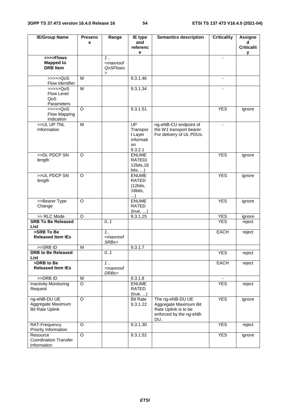| <b>IE/Group Name</b>                             | <b>Presenc</b>      | Range                                                                     | IE type                 | <b>Semantics description</b> | <b>Criticality</b> | <b>Assigne</b>    |
|--------------------------------------------------|---------------------|---------------------------------------------------------------------------|-------------------------|------------------------------|--------------------|-------------------|
|                                                  | e                   |                                                                           | and                     |                              |                    | d                 |
|                                                  |                     |                                                                           | referenc                |                              |                    | <b>Criticalit</b> |
| >>>>Flows                                        |                     | 1.                                                                        | е                       |                              | $\blacksquare$     | у                 |
| <b>Mapped to</b>                                 |                     | <maxnoof< td=""><td></td><td></td><td></td><td></td></maxnoof<>           |                         |                              |                    |                   |
| <b>DRB</b> Item                                  |                     | QoSFlows                                                                  |                         |                              |                    |                   |
|                                                  |                     | $\, > \,$                                                                 |                         |                              |                    |                   |
| $\gg >> >QoS$                                    | M                   |                                                                           | 9.3.1.46                |                              | $\blacksquare$     |                   |
| Flow Identifier                                  |                     |                                                                           |                         |                              |                    |                   |
| $\rightarrow \rightarrow \rightarrow \text{QoS}$ | $\overline{M}$      |                                                                           | 9.3.1.34                |                              |                    |                   |
| Flow Level<br>QoS                                |                     |                                                                           |                         |                              |                    |                   |
| Parameters                                       |                     |                                                                           |                         |                              |                    |                   |
| $\gg >> >QoS$                                    | $\Omega$            |                                                                           | 9.3.1.51                |                              | <b>YES</b>         | ignore            |
| Flow Mapping                                     |                     |                                                                           |                         |                              |                    |                   |
| Indication                                       |                     |                                                                           |                         |                              |                    |                   |
| >>UL UP TNL                                      | M                   |                                                                           | UP                      | ng-eNB-CU endpoint of        |                    |                   |
| Information                                      |                     |                                                                           | Transpor                | the W1 transport bearer.     |                    |                   |
|                                                  |                     |                                                                           | t Layer                 | For delivery of UL PDUs.     |                    |                   |
|                                                  |                     |                                                                           | Informati               |                              |                    |                   |
|                                                  |                     |                                                                           | on<br>9.3.2.1           |                              |                    |                   |
| >>DL PDCP SN                                     | O                   |                                                                           | <b>ENUME</b>            |                              | <b>YES</b>         | ignore            |
| length                                           |                     |                                                                           | RATED(                  |                              |                    |                   |
|                                                  |                     |                                                                           | 12bits, 18              |                              |                    |                   |
|                                                  |                     |                                                                           | bits, $\dots$ )         |                              |                    |                   |
| >>UL PDCP SN                                     | O                   |                                                                           | <b>ENUME</b>            |                              | <b>YES</b>         | ignore            |
| length                                           |                     |                                                                           | <b>RATED</b>            |                              |                    |                   |
|                                                  |                     |                                                                           | (12bits,                |                              |                    |                   |
|                                                  |                     |                                                                           | 18bits,<br>)            |                              |                    |                   |
| >>Bearer Type                                    | O                   |                                                                           | <b>ENUME</b>            |                              | <b>YES</b>         | ignore            |
| Change                                           |                     |                                                                           | RATED                   |                              |                    |                   |
|                                                  |                     |                                                                           | (true, )                |                              |                    |                   |
| >> RLC Mode                                      | $\circ$             |                                                                           | 9.3.1.25                |                              | <b>YES</b>         | ignore            |
| <b>SRB To Be Released</b>                        |                     | 0.1                                                                       |                         |                              | <b>YES</b>         | reject            |
| List<br>>SRB To Be                               |                     | 1.1                                                                       |                         |                              |                    |                   |
| <b>Released Item IEs</b>                         |                     | <maxnoof< td=""><td></td><td></td><td>EACH</td><td>reject</td></maxnoof<> |                         |                              | EACH               | reject            |
|                                                  |                     | SRBs>                                                                     |                         |                              |                    |                   |
| >>SRB ID                                         | M                   |                                                                           | 9.3.1.7                 |                              |                    |                   |
| <b>DRB</b> to Be Released                        |                     | 0.1                                                                       |                         |                              | <b>YES</b>         | reject            |
| <b>List</b>                                      |                     |                                                                           |                         |                              |                    |                   |
| >DRB to Be                                       |                     | 1.                                                                        |                         |                              | EACH               | reject            |
| <b>Released Item IEs</b>                         |                     | <maxnoof< td=""><td></td><td></td><td></td><td></td></maxnoof<>           |                         |                              |                    |                   |
| >>DRB ID                                         |                     | DRBs>                                                                     |                         |                              |                    |                   |
| Inactivity Monitoring                            | M<br>$\overline{O}$ |                                                                           | 9.3.1.8<br><b>ENUME</b> |                              | <b>YES</b>         | reject            |
| Request                                          |                     |                                                                           | RATED                   |                              |                    |                   |
|                                                  |                     |                                                                           | (true, )                |                              |                    |                   |
| ng-eNB-DU UE                                     | $\circ$             |                                                                           | <b>Bit Rate</b>         | The ng-eNB-DU UE             | <b>YES</b>         | ignore            |
| Aggregate Maximum                                |                     |                                                                           | 9.3.1.22                | Aggregate Maximum Bit        |                    |                   |
| <b>Bit Rate Uplink</b>                           |                     |                                                                           |                         | Rate Uplink is to be         |                    |                   |
|                                                  |                     |                                                                           |                         | enforced by the ng-eNB-      |                    |                   |
|                                                  |                     |                                                                           |                         | DU.                          |                    |                   |
| RAT-Frequency<br>Priority Information            | O                   |                                                                           | 9.3.1.30                |                              | <b>YES</b>         | reject            |
| Resource                                         | O                   |                                                                           | 9.3.1.52                |                              | <b>YES</b>         | ignore            |
| <b>Coordination Transfer</b>                     |                     |                                                                           |                         |                              |                    |                   |
| Information                                      |                     |                                                                           |                         |                              |                    |                   |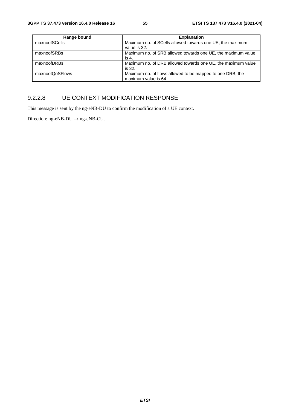| Range bound     | <b>Explanation</b>                                                                |
|-----------------|-----------------------------------------------------------------------------------|
| maxnoofSCells   | Maximum no. of SCells allowed towards one UE, the maximum<br>value is 32.         |
| maxnoofSRBs     | Maximum no. of SRB allowed towards one UE, the maximum value<br>is 4.             |
| maxnoofDRBs     | Maximum no. of DRB allowed towards one UE, the maximum value<br>is 32.            |
| maxnoofQoSFlows | Maximum no. of flows allowed to be mapped to one DRB, the<br>maximum value is 64. |

#### 9.2.2.8 UE CONTEXT MODIFICATION RESPONSE

This message is sent by the ng-eNB-DU to confirm the modification of a UE context.

Direction: ng-eNB-DU  $\rightarrow$  ng-eNB-CU.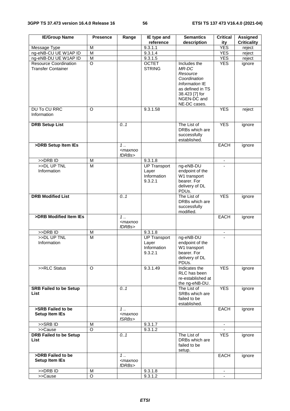| <b>IE/Group Name</b>                                      | <b>Presence</b>         | Range                                          | IE type and                                            | <b>Semantics</b>                                                                                                                         | <b>Critical</b>          | Assigned           |
|-----------------------------------------------------------|-------------------------|------------------------------------------------|--------------------------------------------------------|------------------------------------------------------------------------------------------------------------------------------------------|--------------------------|--------------------|
|                                                           |                         |                                                | reference                                              | description                                                                                                                              | ity                      | <b>Criticality</b> |
| Message Type                                              | M                       |                                                | 9.3.1.1                                                |                                                                                                                                          | <b>YES</b>               | reject             |
| ng-eNB-CU UE W1AP ID                                      | M                       |                                                | 9.3.1.4                                                |                                                                                                                                          | <b>YES</b>               | reject             |
| ng-eNB-DU UE W1AP ID                                      | $\overline{M}$          |                                                | 9.3.1.5                                                |                                                                                                                                          | <b>YES</b>               | reject             |
| <b>Resource Coordination</b><br><b>Transfer Container</b> | O                       |                                                | <b>OCTET</b><br><b>STRING</b>                          | Includes the<br>MR-DC<br>Resource<br>Coordination<br>Information IE<br>as defined in TS<br>38.423 [7] for<br>NGEN-DC and<br>NE-DC cases. | <b>YES</b>               | ignore             |
| <b>DU To CU RRC</b><br>Information                        | $\Omega$                |                                                | 9.3.1.58                                               |                                                                                                                                          | <b>YES</b>               | reject             |
| <b>DRB Setup List</b>                                     |                         | 0.1                                            |                                                        | The List of<br>DRBs which are<br>successfully<br>established.                                                                            | <b>YES</b>               | ignore             |
| >DRB Setup Item IEs                                       |                         | $1$<br><maxnoo<br>fDRBs&gt;</maxnoo<br>        |                                                        |                                                                                                                                          | <b>EACH</b>              | ignore             |
| >DRBID                                                    | M                       |                                                | 9.3.1.8                                                |                                                                                                                                          | $\overline{\phantom{a}}$ |                    |
| >>DL UP TNL                                               | M                       |                                                | <b>UP Transport</b>                                    | ng-eNB-DU                                                                                                                                |                          |                    |
| Information                                               |                         |                                                | Layer<br>Information<br>9.3.2.1                        | endpoint of the<br>W1 transport<br>bearer. For<br>delivery of DL<br>PDUs.                                                                |                          |                    |
| <b>DRB Modified List</b>                                  |                         | 0.1                                            |                                                        | The List of<br>DRBs which are<br>successfully<br>modified.                                                                               | <b>YES</b>               | ignore             |
| >DRB Modified Item IEs                                    |                         | $1$<br><maxnoo<br>fDRBs&gt;</maxnoo<br>        |                                                        |                                                                                                                                          | <b>EACH</b>              | ignore             |
| >>DRB ID                                                  | M                       |                                                | 9.3.1.8                                                |                                                                                                                                          |                          |                    |
| >>DL UP TNL<br>Information                                | $\overline{\mathsf{M}}$ |                                                | <b>UP Transport</b><br>Layer<br>Information<br>9.3.2.1 | ng-eNB-DU<br>endpoint of the<br>W1 transport<br>bearer. For<br>delivery of DL<br>PDUs.                                                   |                          |                    |
| >>RLC Status                                              | O                       |                                                | 9.3.1.49                                               | Indicates the<br>RLC has been<br>re-established at<br>the ng-eNB-DU.                                                                     | <b>YES</b>               | ignore             |
| <b>SRB Failed to be Setup</b><br>List                     |                         | 0.1                                            |                                                        | The List of<br>SRBs which are<br>failed to be<br>established.                                                                            | <b>YES</b>               | ignore             |
| >SRB Failed to be<br><b>Setup Item IEs</b>                |                         | 1.1<br><maxnoo<br>fSRBs&gt;</maxnoo<br>        |                                                        |                                                                                                                                          | EACH                     | ignore             |
| >>SRBID                                                   | M                       |                                                | 9.3.1.7                                                |                                                                                                                                          | ۰.                       |                    |
| >>Cause                                                   | $\circ$                 |                                                | 9.3.1.2                                                |                                                                                                                                          |                          |                    |
| <b>DRB Failed to be Setup</b><br>List                     |                         | 0.1                                            |                                                        | The List of<br>DRBs which are<br>failed to be<br>setup.                                                                                  | <b>YES</b>               | ignore             |
| >DRB Failed to be<br><b>Setup Item IEs</b>                |                         | $1 \ldots$<br><maxnoo<br>fDRBs&gt;</maxnoo<br> |                                                        |                                                                                                                                          | EACH                     | ignore             |
| >>DRB ID                                                  | М                       |                                                | 9.3.1.8                                                |                                                                                                                                          |                          |                    |
| >>Cause                                                   | O                       |                                                | 9.3.1.2                                                |                                                                                                                                          |                          |                    |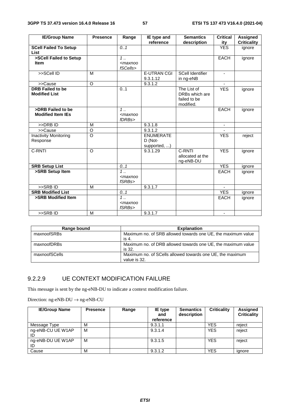| <b>IE/Group Name</b>                            | <b>Presence</b> | Range                                                | IE type and                                 | <b>Semantics</b>                                           | <b>Critical</b>          | <b>Assigned</b>    |
|-------------------------------------------------|-----------------|------------------------------------------------------|---------------------------------------------|------------------------------------------------------------|--------------------------|--------------------|
|                                                 |                 |                                                      | reference                                   | description                                                | ity                      | <b>Criticality</b> |
| <b>SCell Failed To Setup</b><br><b>List</b>     |                 | 0.1                                                  |                                             |                                                            | <b>YES</b>               | ignore             |
| >SCell Failed to Setup<br><b>Item</b>           |                 | $\overline{1}$<br><maxnoo<br>fSCells&gt;</maxnoo<br> |                                             |                                                            | <b>EACH</b>              | ignore             |
| >>SCell ID                                      | M               |                                                      | <b>E-UTRAN CGI</b><br>9.3.1.12              | <b>SCell Identifier</b><br>in ng-eNB                       |                          |                    |
| >>Cause                                         | $\circ$         |                                                      | 9.3.1.2                                     |                                                            |                          |                    |
| <b>DRB Failed to be</b><br><b>Modified List</b> |                 | 0.1                                                  |                                             | The List of<br>DRBs which are<br>failed to be<br>modified. | <b>YES</b>               | ignore             |
| >DRB Failed to be<br><b>Modified Item IEs</b>   |                 | $\overline{1}$<br>$<$ maxnoo<br>fDRBs>               |                                             |                                                            | <b>EACH</b>              | ignore             |
| $>>DRB$ ID                                      | M               |                                                      | 9.3.1.8                                     |                                                            | $\overline{\phantom{a}}$ |                    |
| >>Cause                                         | O               |                                                      | 9.3.1.2                                     |                                                            |                          |                    |
| <b>Inactivity Monitoring</b><br>Response        | O               |                                                      | <b>ENUMERATE</b><br>D (Not-<br>supported, ) |                                                            | <b>YES</b>               | reject             |
| C-RNTI                                          | $\circ$         |                                                      | 9.3.1.29                                    | C-RNTI<br>allocated at the<br>ng-eNB-DU                    | <b>YES</b>               | ignore             |
| <b>SRB Setup List</b>                           |                 | 0.1                                                  |                                             |                                                            | <b>YES</b>               | ignore             |
| >SRB Setup Item                                 |                 | $\overline{1}$<br>$<$ maxnoo<br>fSRBs                |                                             |                                                            | <b>EACH</b>              | ignore             |
| >>SRBID                                         | M               |                                                      | 9.3.1.7                                     |                                                            |                          |                    |
| <b>SRB Modified List</b>                        |                 | 0.1                                                  |                                             |                                                            | <b>YES</b>               | ignore             |
| >SRB Modified Item                              |                 | $1 \ldots$<br>$<$ maxnoo<br>fSRBs>                   |                                             |                                                            | <b>EACH</b>              | ignore             |
| >>SRBID                                         | M               |                                                      | 9.3.1.7                                     |                                                            | $\blacksquare$           |                    |

| Range bound   | <b>Explanation</b>                                                        |
|---------------|---------------------------------------------------------------------------|
| maxnoofSRBs   | Maximum no. of SRB allowed towards one UE, the maximum value<br>is 4.     |
| maxnoofDRBs   | Maximum no. of DRB allowed towards one UE, the maximum value<br>is 32.    |
| maxnoofSCells | Maximum no. of SCells allowed towards one UE, the maximum<br>value is 32. |

#### 9.2.2.9 UE CONTEXT MODIFICATION FAILURE

This message is sent by the ng-eNB-DU to indicate a context modification failure.

Direction: ng-eNB-DU  $\rightarrow$  ng-eNB-CU

| <b>IE/Group Name</b>    | <b>Presence</b> | Range | IE type<br>and<br>reference | <b>Semantics</b><br>description | <b>Criticality</b> | Assigned<br><b>Criticality</b> |
|-------------------------|-----------------|-------|-----------------------------|---------------------------------|--------------------|--------------------------------|
| Message Type            | М               |       | 9.3.1.1                     |                                 | YES                | reject                         |
| ng-eNB-CU UE W1AP       | M               |       | 9.3.1.4                     |                                 | <b>YES</b>         | reject                         |
| ng-eNB-DU UE W1AP<br>ID | м               |       | 9.3.1.5                     |                                 | <b>YES</b>         | reject                         |
| Cause                   | М               |       | 9.3.1.2                     |                                 | <b>YES</b>         | ignore                         |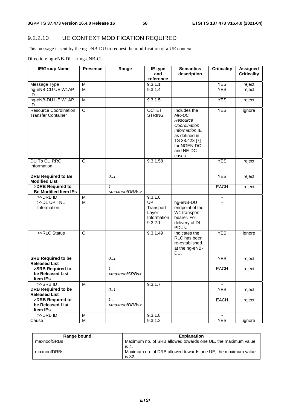## 9.2.2.10 UE CONTEXT MODIFICATION REQUIRED

This message is sent by the ng-eNB-DU to request the modification of a UE context.

Direction:  $ng$ -eNB-DU  $\rightarrow$   $ng$ -eNB-CU.

| <b>IE/Group Name</b>                                      | <b>Presence</b> | Range                              | IE type                                            | <b>Semantics</b>                                                                                                                            | <b>Criticality</b> | <b>Assigned</b>    |
|-----------------------------------------------------------|-----------------|------------------------------------|----------------------------------------------------|---------------------------------------------------------------------------------------------------------------------------------------------|--------------------|--------------------|
|                                                           |                 |                                    | and<br>reference                                   | description                                                                                                                                 |                    | <b>Criticality</b> |
| Message Type                                              | M               |                                    | 9.3.1.1                                            |                                                                                                                                             | <b>YES</b>         | reject             |
| ng-eNB-CU UE W1AP                                         | M               |                                    | 9.3.1.4                                            |                                                                                                                                             | <b>YES</b>         | reject             |
| ID                                                        |                 |                                    |                                                    |                                                                                                                                             |                    |                    |
| ng-eNB-DU UE W1AP<br>ID                                   | M               |                                    | 9.3.1.5                                            |                                                                                                                                             | <b>YES</b>         | reject             |
| <b>Resource Coordination</b><br><b>Transfer Container</b> | $\overline{O}$  |                                    | <b>OCTET</b><br><b>STRING</b>                      | Includes the<br>MR-DC<br>Resource<br>Coordination<br>Information IE<br>as defined in<br>TS 38.423 [7]<br>for NGEN-DC<br>and NE-DC<br>cases. | <b>YES</b>         | ignore             |
| <b>DU To CU RRC</b><br>Information                        | $\Omega$        |                                    | 9.3.1.58                                           |                                                                                                                                             | <b>YES</b>         | reject             |
| <b>DRB Required to Be</b><br><b>Modified List</b>         |                 | 0.1                                |                                                    |                                                                                                                                             | <b>YES</b>         | reject             |
| >DRB Required to                                          |                 | 1.                                 |                                                    |                                                                                                                                             | <b>EACH</b>        | reject             |
| <b>Be Modified Item IEs</b>                               |                 | <maxnoofdrbs></maxnoofdrbs>        |                                                    |                                                                                                                                             |                    |                    |
| >>DRB ID                                                  | M               |                                    | 9.3.1.8                                            |                                                                                                                                             |                    |                    |
| >>DL UP TNL<br>Information                                | $\overline{M}$  |                                    | UP<br>Transport<br>Layer<br>Information<br>9.3.2.1 | ng-eNB-DU<br>endpoint of the<br>W1 transport<br>bearer. For<br>delivery of DL<br>PDUs.                                                      |                    |                    |
| >>RLC Status                                              | $\Omega$        |                                    | 9.3.1.49                                           | Indicates the<br>RLC has been<br>re-established<br>at the ng-eNB-<br>DU.                                                                    | <b>YES</b>         | ignore             |
| <b>SRB Required to be</b><br><b>Released List</b>         |                 | 0.1                                |                                                    |                                                                                                                                             | <b>YES</b>         | reject             |
| >SRB Required to<br>be Released List<br>Item IEs          |                 | $1$<br><maxnoofsrbs></maxnoofsrbs> |                                                    |                                                                                                                                             | <b>EACH</b>        | reject             |
| >>SRB ID                                                  | M               |                                    | 9.3.1.7                                            |                                                                                                                                             |                    |                    |
| <b>DRB Required to be</b>                                 |                 | 0.1                                |                                                    |                                                                                                                                             | <b>YES</b>         | reject             |
| <b>Released List</b>                                      |                 |                                    |                                                    |                                                                                                                                             |                    |                    |
| >DRB Required to                                          |                 | $1$                                |                                                    |                                                                                                                                             | <b>EACH</b>        | reject             |
| be Released List<br>Item IEs                              |                 | <maxnoofdrbs></maxnoofdrbs>        |                                                    |                                                                                                                                             |                    |                    |
| >>DRB ID                                                  | M               |                                    | 9.3.1.8                                            |                                                                                                                                             |                    |                    |
| Cause                                                     | M               |                                    | 9.3.1.2                                            |                                                                                                                                             | <b>YES</b>         | ignore             |

| Range bound | <b>Explanation</b>                                                     |
|-------------|------------------------------------------------------------------------|
| maxnoofSRBs | Maximum no. of SRB allowed towards one UE, the maximum value<br>is 4.  |
| maxnoofDRBs | Maximum no. of DRB allowed towards one UE, the maximum value<br>is 32. |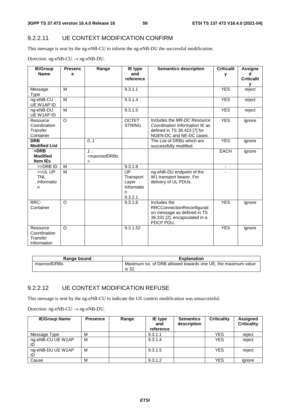#### 9.2.2.11 UE CONTEXT MODIFICATION CONFIRM

This message is sent by the ng-eNB-CU to inform the ng-eNB-DU the successful modification.

Direction:  $ng-eNB-CU \rightarrow ng-eNB-DU$ .

| <b>IE/Group</b>          | <b>Presenc</b> | Range                                                                         | <b>IE</b> type                | <b>Semantics description</b>                             | <b>Criticalit</b>        | Assigne           |
|--------------------------|----------------|-------------------------------------------------------------------------------|-------------------------------|----------------------------------------------------------|--------------------------|-------------------|
| <b>Name</b>              | е              |                                                                               | and                           |                                                          | v                        | d                 |
|                          |                |                                                                               | reference                     |                                                          |                          | <b>Criticalit</b> |
|                          |                |                                                                               |                               |                                                          |                          | v                 |
| Message                  | M              |                                                                               | 9.3.1.1                       |                                                          | <b>YES</b>               | reject            |
| <b>Type</b>              |                |                                                                               |                               |                                                          |                          |                   |
| ng-eNB-CU                | M              |                                                                               | 9.3.1.4                       |                                                          | <b>YES</b>               | reject            |
| UE W1AP ID               |                |                                                                               |                               |                                                          |                          |                   |
| ng-eNB-DU                | M              |                                                                               | 9.3.1.5                       |                                                          | <b>YES</b>               | reject            |
| UE W1AP ID               |                |                                                                               |                               | Includes the MR-DC Resource                              |                          |                   |
| Resource                 | $\circ$        |                                                                               | <b>OCTET</b><br><b>STRING</b> |                                                          | <b>YES</b>               | ignore            |
| Coordination<br>Transfer |                |                                                                               |                               | Coordination Information IE as                           |                          |                   |
| Container                |                |                                                                               |                               | defined in TS 38.423 [7] for<br>NGEN-DC and NE-DC cases. |                          |                   |
| <b>DRB</b>               |                | 0.1                                                                           |                               | The List of DRBs which are                               | <b>YES</b>               | ignore            |
| <b>Modified List</b>     |                |                                                                               |                               | successfully modified.                                   |                          |                   |
| >DRB                     |                | $1$                                                                           |                               |                                                          | <b>EACH</b>              |                   |
| <b>Modified</b>          |                | <maxnoofdrbs< td=""><td></td><td></td><td></td><td>ignore</td></maxnoofdrbs<> |                               |                                                          |                          | ignore            |
| <b>Item IEs</b>          |                | $\geq$                                                                        |                               |                                                          |                          |                   |
| >>DRB ID                 | M              |                                                                               | 9.3.1.8                       |                                                          | $\overline{\phantom{a}}$ |                   |
| >>ULUP                   | M              |                                                                               | $\overline{UP}$               | ng-eNB-DU endpoint of the                                |                          |                   |
| <b>TNL</b>               |                |                                                                               | Transport                     | W1 transport bearer. For                                 |                          |                   |
| Informatio               |                |                                                                               | Layer                         | delivery of UL PDUs.                                     |                          |                   |
| n                        |                |                                                                               | Informatio                    |                                                          |                          |                   |
|                          |                |                                                                               | n                             |                                                          |                          |                   |
|                          |                |                                                                               | 9.3.2.1                       |                                                          |                          |                   |
| RRC-                     | $\circ$        |                                                                               | 9.3.1.6                       | Includes the                                             | <b>YES</b>               | ignore            |
| Container                |                |                                                                               |                               | RRCConnectionReconfigurati                               |                          |                   |
|                          |                |                                                                               |                               | on message as defined in TS                              |                          |                   |
|                          |                |                                                                               |                               | 36.331 [2], encapsulated in a                            |                          |                   |
|                          |                |                                                                               |                               | PDCP PDU.                                                |                          |                   |
| Resource                 | $\circ$        |                                                                               | 9.3.1.52                      |                                                          | <b>YES</b>               | ignore            |
| Coordination             |                |                                                                               |                               |                                                          |                          |                   |
| Transfer                 |                |                                                                               |                               |                                                          |                          |                   |
| Information              |                |                                                                               |                               |                                                          |                          |                   |

| Range bound | <b>Explanation</b>                                                     |
|-------------|------------------------------------------------------------------------|
| maxnoofDRBs | Maximum no. of DRB allowed towards one UE, the maximum value<br>is 32. |

#### 9.2.2.12 UE CONTEXT MODIFICATION REFUSE

This message is sent by the ng-eNB-CU to indicate the UE context modification was unsuccessful.

Direction:  $ng-eNB-CU \rightarrow ng-eNB-DU$ .

| <b>IE/Group Name</b>    | <b>Presence</b> | Range | IE type<br>and<br>reference | <b>Semantics</b><br>description | <b>Criticality</b> | Assigned<br><b>Criticality</b> |
|-------------------------|-----------------|-------|-----------------------------|---------------------------------|--------------------|--------------------------------|
| Message Type            | M               |       | 9.3.1.1                     |                                 | <b>YES</b>         | reject                         |
| ng-eNB-CU UE W1AP       | M               |       | 9.3.1.4                     |                                 | <b>YES</b>         | reject                         |
| ng-eNB-DU UE W1AP<br>ID | M               |       | 9.3.1.5                     |                                 | <b>YES</b>         | reject                         |
| Cause                   | M               |       | 9.3.1.2                     |                                 | <b>YES</b>         | ignore                         |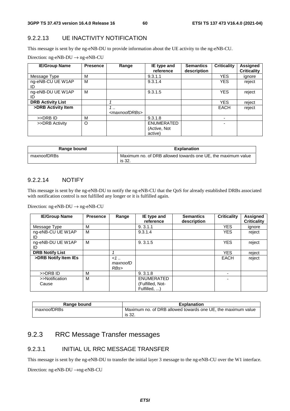#### 9.2.2.13 UE INACTIVITY NOTIFICATION

This message is sent by the ng-eNB-DU to provide information about the UE activity to the ng-eNB-CU.

|  |  | Direction: $ng\text{-eNB-DU} \rightarrow ng\text{-eNB-CU}$ |
|--|--|------------------------------------------------------------|
|--|--|------------------------------------------------------------|

| <b>IE/Group Name</b>     | <b>Presence</b> | Range                                    | IE type and<br>reference              | <b>Semantics</b><br>description | <b>Criticality</b> | <b>Assigned</b><br><b>Criticality</b> |
|--------------------------|-----------------|------------------------------------------|---------------------------------------|---------------------------------|--------------------|---------------------------------------|
| Message Type             | М               |                                          | 9.3.1.1                               |                                 | <b>YES</b>         | ignore                                |
| ng-eNB-CU UE W1AP<br>ID  | M               |                                          | 9.3.1.4                               |                                 | <b>YES</b>         | reject                                |
| ng-eNB-DU UE W1AP<br>ID  | M               |                                          | 9.3.1.5                               |                                 | <b>YES</b>         | reject                                |
| <b>DRB Activity List</b> |                 |                                          |                                       |                                 | <b>YES</b>         | reject                                |
| >DRB Activity Item       |                 | $\cdot$ .<br><maxnoofdrbs></maxnoofdrbs> |                                       |                                 | <b>EACH</b>        | reject                                |
| >>DRB ID                 | M               |                                          | 9.3.1.8                               |                                 |                    |                                       |
| >>DRB Activity           | O               |                                          | ENUMERATED<br>(Active, Not<br>active) |                                 |                    |                                       |

| Range bound | <b>Explanation</b>                                                     |
|-------------|------------------------------------------------------------------------|
| maxnoofDRBs | Maximum no. of DRB allowed towards one UE, the maximum value<br>is 32. |

#### 9.2.2.14 NOTIFY

This message is sent by the ng-eNB-DU to notify the ng-eNB-CU that the QoS for already established DRBs associated with notification control is not fulfilled any longer or it is fulfilled again.

Direction: ng-eNB-DU  $\rightarrow$  ng-eNB-CU

| <b>IE/Group Name</b>    | <b>Presence</b> | Range                    | IE type and<br>reference                       | <b>Semantics</b><br>description | <b>Criticality</b> | <b>Assigned</b><br><b>Criticality</b> |
|-------------------------|-----------------|--------------------------|------------------------------------------------|---------------------------------|--------------------|---------------------------------------|
| Message Type            | M               |                          | 9.3.1.1                                        |                                 | <b>YES</b>         | ignore                                |
| ng-eNB-CU UE W1AP<br>ID | M               |                          | 9.3.1.4                                        |                                 | <b>YES</b>         | reject                                |
| ng-eNB-DU UE W1AP<br>ID | м               |                          | 9.3.1.5                                        |                                 | <b>YES</b>         | reject                                |
| <b>DRB Notify List</b>  |                 | 4                        |                                                |                                 | <b>YES</b>         | reject                                |
| >DRB Notify Item IEs    |                 | $< 1$<br>maxnoofD<br>RBs |                                                |                                 | <b>EACH</b>        | reject                                |
| >>DRB ID                | М               |                          | 9.3.1.8                                        |                                 |                    |                                       |
| >>Notification<br>Cause | M               |                          | ENUMERATED<br>(Fulfilled, Not-<br>Fulfilled. ) |                                 | ۰                  |                                       |

| Range bound | <b>Explanation</b>                                           |
|-------------|--------------------------------------------------------------|
| maxnoofDRBs | Maximum no. of DRB allowed towards one UE, the maximum value |
|             | is 32.                                                       |

## 9.2.3 RRC Message Transfer messages

#### 9.2.3.1 INITIAL UL RRC MESSAGE TRANSFER

This message is sent by the ng-eNB-DU to transfer the initial layer 3 message to the ng-eNB-CU over the W1 interface.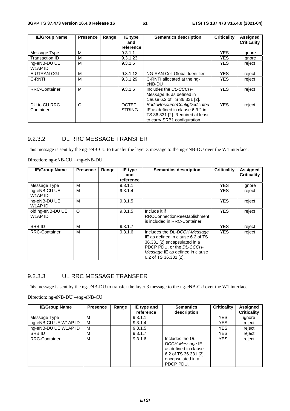| <b>IE/Group Name</b>      | <b>Presence</b> | Range | IE type<br>and                | <b>Criticality</b><br><b>Semantics description</b>                                                                                   |            | <b>Assigned</b><br><b>Criticality</b> |
|---------------------------|-----------------|-------|-------------------------------|--------------------------------------------------------------------------------------------------------------------------------------|------------|---------------------------------------|
|                           |                 |       | reference                     |                                                                                                                                      |            |                                       |
| Message Type              | м               |       | 9.3.1.1                       |                                                                                                                                      | <b>YES</b> | ignore                                |
| <b>Transaction ID</b>     | м               |       | 9.3.1.23                      |                                                                                                                                      | <b>YES</b> | Ignore                                |
| ng-eNB-DU UE<br>W1AP ID   | м               |       | 9.3.1.5                       |                                                                                                                                      | <b>YES</b> | reject                                |
| <b>E-UTRAN CGI</b>        | м               |       | 9.3.1.12                      | NG-RAN Cell Global Identifier                                                                                                        | <b>YES</b> | reject                                |
| C-RNTI                    | м               |       | 9.3.1.29                      | C-RNTI allocated at the ng-<br>eNB-DU                                                                                                | <b>YES</b> | reject                                |
| <b>RRC-Container</b>      | м               |       | 9.3.1.6                       | Includes the UL-CCCH-<br>Message IE as defined in<br>clause 6.2 of TS 36.331 [2].                                                    | <b>YES</b> | reject                                |
| DU to CU RRC<br>Container | O               |       | <b>OCTET</b><br><b>STRING</b> | RadioResourceConfigDedicated<br>IE as defined in clause 6.3.2 in<br>TS 36.331 [2]. Required at least<br>to carry SRB1 configuration. | <b>YES</b> | reject                                |

#### 9.2.3.2 DL RRC MESSAGE TRANSFER

This message is sent by the ng-eNB-CU to transfer the layer 3 message to the ng-eNB-DU over the W1 interface.

Direction: ng-eNB-CU →ng-eNB-DU

| <b>IE/Group Name</b>                            | <b>Presence</b> | Range | IE type          | <b>Semantics description</b>                                                                                                                                                               | <b>Criticality</b> | <b>Assigned</b>    |
|-------------------------------------------------|-----------------|-------|------------------|--------------------------------------------------------------------------------------------------------------------------------------------------------------------------------------------|--------------------|--------------------|
|                                                 |                 |       | and<br>reference |                                                                                                                                                                                            |                    | <b>Criticality</b> |
| Message Type                                    | M               |       | 9.3.1.1          |                                                                                                                                                                                            | <b>YES</b>         | ignore             |
| ng-eNB-CU UE<br>W <sub>1</sub> AP <sub>ID</sub> | М               |       | 9.3.1.4          |                                                                                                                                                                                            | YES.               | reject             |
| ng-eNB-DU UE<br>W1AP ID                         | м               |       | 9.3.1.5          |                                                                                                                                                                                            | <b>YES</b>         | reject             |
| old ng-eNB-DU UE<br>W1AP ID                     | $\circ$         |       | 9.3.1.5          | Include it if<br><b>RRCConnectionReestablishment</b><br>is included in RRC-Container                                                                                                       | <b>YES</b>         | reject             |
| <b>SRB ID</b>                                   | M               |       | 9.3.1.7          |                                                                                                                                                                                            | <b>YES</b>         | reject             |
| <b>RRC-Container</b>                            | М               |       | 9.3.1.6          | Includes the DL-DCCH-Message<br>IE as defined in clause 6.2 of TS<br>36.331 [2] encapsulated in a<br>PDCP PDU, or the DL-CCCH-<br>Message IE as defined in clause<br>6.2 of TS 36.331 [2]. | <b>YES</b>         | reject             |

#### 9.2.3.3 UL RRC MESSAGE TRANSFER

This message is sent by the ng-eNB-DU to transfer the layer 3 message to the ng-eNB-CU over the W1 interface.

| <b>IE/Group Name</b> | <b>Presence</b> | Range | IE type and | <b>Semantics</b>                                                                                                         | <b>Criticality</b> | <b>Assigned</b>    |
|----------------------|-----------------|-------|-------------|--------------------------------------------------------------------------------------------------------------------------|--------------------|--------------------|
|                      |                 |       | reference   | description                                                                                                              |                    | <b>Criticality</b> |
| Message Type         | м               |       | 9.3.1.1     |                                                                                                                          | <b>YES</b>         | ignore             |
| ng-eNB-CU UE W1AP ID | м               |       | 9.3.1.4     |                                                                                                                          | YES                | reject             |
| ng-eNB-DU UE W1AP ID | м               |       | 9.3.1.5     |                                                                                                                          | YES                | reject             |
| SRB ID               | М               |       | 9.3.1.7     |                                                                                                                          | YES                | reject             |
| <b>RRC-Container</b> | М               |       | 9.3.1.6     | Includes the UL-<br>DCCH-Message IE<br>as defined in clause<br>6.2 of TS $36.331$ [2],<br>encapsulated in a<br>PDCP PDU. | <b>YES</b>         | reject             |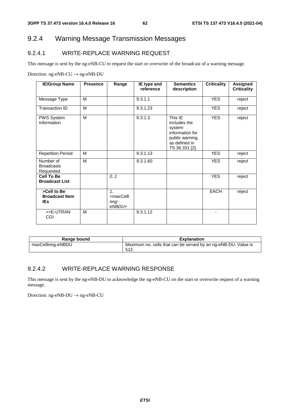## 9.2.4 Warning Message Transmission Messages

#### 9.2.4.1 WRITE-REPLACE WARNING REQUEST

This message is sent by the ng-eNB-CU to request the start or overwrite of the broadcast of a warning message.

Direction: ng-eNB-CU  $\rightarrow$  ng-eNB-DU

| <b>IE/Group Name</b>                               | <b>Presence</b> | Range                                                    | IE type and<br>reference | <b>Semantics</b><br>description                                                                            | <b>Criticality</b> | <b>Assigned</b><br><b>Criticality</b> |
|----------------------------------------------------|-----------------|----------------------------------------------------------|--------------------------|------------------------------------------------------------------------------------------------------------|--------------------|---------------------------------------|
| Message Type                                       | M               |                                                          | 9.3.1.1                  |                                                                                                            | <b>YES</b>         | reject                                |
| Transaction ID                                     | M               |                                                          | 9.3.1.23                 |                                                                                                            | <b>YES</b>         | reject                                |
| PWS System<br>Information                          | M               |                                                          | 9.3.1.3                  | This IE<br>includes the<br>system<br>information for<br>public warning,<br>as defined in<br>TS 36.331 [2]. | <b>YES</b>         | reject                                |
| <b>Repetition Period</b>                           | M               |                                                          | 9.3.1.13                 |                                                                                                            | <b>YES</b>         | reject                                |
| Number of<br><b>Broadcasts</b><br>Requested        | M               |                                                          | $\overline{9.3.1.60}$    |                                                                                                            | <b>YES</b>         | reject                                |
| <b>Cell To Be</b><br><b>Broadcast List</b>         |                 | 0.1                                                      |                          |                                                                                                            | <b>YES</b>         | reject                                |
| >Cell to Be<br><b>Broadcast Item</b><br><b>IEs</b> |                 | $1_{1}$<br><maxcelli<br>nng-<br/>eNBDU&gt;</maxcelli<br> |                          |                                                                                                            | <b>EACH</b>        | reject                                |
| >>E-UTRAN<br>CGI                                   | M               |                                                          | 9.3.1.12                 |                                                                                                            | ٠                  |                                       |

| Range bound       | <b>Explanation</b>                                             |
|-------------------|----------------------------------------------------------------|
| maxCellinng-eNBDU | Maximum no. cells that can be served by an ng-eNB-DU. Value is |
|                   | -512.                                                          |

#### 9.2.4.2 WRITE-REPLACE WARNING RESPONSE

This message is sent by the ng-eNB-DU to acknowledge the ng-eNB-CU on the start or overwrite request of a warning message.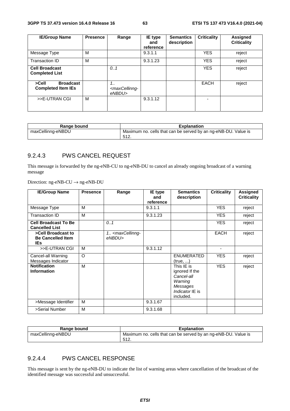| <b>IE/Group Name</b>                                   | <b>Presence</b> | Range                                                   | <b>IE</b> type<br>and<br>reference | <b>Semantics</b><br>description | <b>Criticality</b> | <b>Assigned</b><br><b>Criticality</b> |
|--------------------------------------------------------|-----------------|---------------------------------------------------------|------------------------------------|---------------------------------|--------------------|---------------------------------------|
| Message Type                                           | м               |                                                         | 9.3.1.1                            |                                 | <b>YES</b>         | reject                                |
| Transaction ID                                         | м               |                                                         | 9.3.1.23                           |                                 | <b>YES</b>         | reject                                |
| <b>Cell Broadcast</b><br><b>Completed List</b>         |                 | 0.1                                                     |                                    |                                 | <b>YES</b>         | reject                                |
| <b>Broadcast</b><br>>Cell<br><b>Completed Item IEs</b> |                 | $1_{1}$<br><maxcellinng-<br>eNBDU&gt;</maxcellinng-<br> |                                    |                                 | EACH               | reject                                |
| >>E-UTRAN CGI                                          | м               |                                                         | 9.3.1.12                           |                                 |                    |                                       |

| Range bound       | <b>Explanation</b>                                             |
|-------------------|----------------------------------------------------------------|
| maxCellinng-eNBDU | Maximum no. cells that can be served by an ng-eNB-DU. Value is |
|                   | 512.                                                           |

#### 9.2.4.3 PWS CANCEL REQUEST

This message is forwarded by the ng-eNB-CU to ng-eNB-DU to cancel an already ongoing broadcast of a warning message

Direction: ng-eNB-CU → ng-eNB-DU

| <b>IE/Group Name</b>                                         | <b>Presence</b> | Range                                           | IE type<br>and<br>reference | <b>Semantics</b><br>description                                                                   | <b>Criticality</b> | <b>Assigned</b><br><b>Criticality</b> |
|--------------------------------------------------------------|-----------------|-------------------------------------------------|-----------------------------|---------------------------------------------------------------------------------------------------|--------------------|---------------------------------------|
| Message Type                                                 | M               |                                                 | 9.3.1.1                     |                                                                                                   | <b>YES</b>         | reject                                |
| Transaction ID                                               | M               |                                                 | 9.3.1.23                    |                                                                                                   | <b>YES</b>         | reject                                |
| <b>Cell Broadcast To Be</b><br><b>Cancelled List</b>         |                 | 0.1                                             |                             |                                                                                                   | <b>YES</b>         | reject                                |
| >Cell Broadcast to<br><b>Be Cancelled Item</b><br><b>IEs</b> |                 | 1. <maxcellinng-<br>eNBDU&gt;</maxcellinng-<br> |                             |                                                                                                   | <b>EACH</b>        | reject                                |
| >>E-UTRAN CGI                                                | M               |                                                 | 9.3.1.12                    |                                                                                                   | $\overline{a}$     |                                       |
| Cancel-all Warning<br>Messages Indicator                     | $\circ$         |                                                 |                             | <b>ENUMERATED</b><br>(true, )                                                                     | <b>YES</b>         | reject                                |
| <b>Notification</b><br>Information                           | M               |                                                 |                             | This IE is<br>ignored If the<br>Cancel-all<br>Warning<br>Messages<br>Indicator IE is<br>included. | <b>YES</b>         | reject                                |
| >Message Identifier                                          | M               |                                                 | 9.3.1.67                    |                                                                                                   |                    |                                       |
| >Serial Number                                               | M               |                                                 | 9.3.1.68                    |                                                                                                   |                    |                                       |

| Range bound       | <b>Explanation</b>                                             |
|-------------------|----------------------------------------------------------------|
| maxCellinng-eNBDU | Maximum no. cells that can be served by an ng-eNB-DU. Value is |
|                   | 512.                                                           |

#### 9.2.4.4 PWS CANCEL RESPONSE

This message is sent by the ng-eNB-DU to indicate the list of warning areas where cancellation of the broadcast of the identified message was successful and unsuccessful.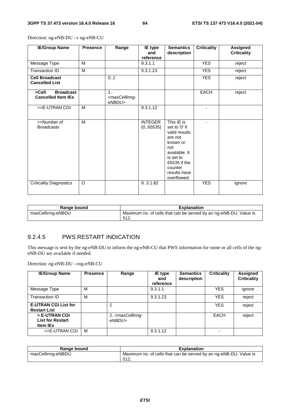| <b>IE/Group Name</b>                                   | <b>Presence</b> | Range                                               | IE type<br>and<br>reference | <b>Semantics</b><br>description                                                                                                                                    | <b>Criticality</b> | <b>Assigned</b><br><b>Criticality</b> |
|--------------------------------------------------------|-----------------|-----------------------------------------------------|-----------------------------|--------------------------------------------------------------------------------------------------------------------------------------------------------------------|--------------------|---------------------------------------|
| Message Type                                           | M               |                                                     | 9.3.1.1                     |                                                                                                                                                                    | <b>YES</b>         | reject                                |
| Transaction ID                                         | M               |                                                     | 9.3.1.23                    |                                                                                                                                                                    | <b>YES</b>         | reject                                |
| <b>Cell Broadcast</b><br><b>Cancelled List</b>         |                 | 0.1                                                 |                             |                                                                                                                                                                    | <b>YES</b>         | reject                                |
| <b>Broadcast</b><br>>Cell<br><b>Cancelled Item IEs</b> |                 | 1.1<br><maxcellinng-<br>eNBDU&gt;</maxcellinng-<br> |                             |                                                                                                                                                                    | <b>EACH</b>        | reject                                |
| >>E-UTRAN CGI                                          | M               |                                                     | 9.3.1.12                    |                                                                                                                                                                    |                    |                                       |
| >>Number of<br><b>Broadcasts</b>                       | M               |                                                     | <b>INTEGER</b><br>(0.65535) | This IE is<br>set to '0' if<br>valid results<br>are not<br>known or<br>not<br>available. It<br>is set to<br>65535 if the<br>counter<br>results have<br>overflowed. | ٠                  |                                       |
| <b>Criticality Diagnostics</b>                         | $\circ$         |                                                     | 9.3.1.82                    |                                                                                                                                                                    | <b>YES</b>         | ignore                                |

Direction: ng-eNB-DU → ng-eNB-CU

| Range bound       | <b>Explanation</b>                                                                 |
|-------------------|------------------------------------------------------------------------------------|
| maxCellinng-eNBDU | Maximum no. of cells that can be served by an ng-eNB-DU. Value is<br>F A<br>، ۱۷ ن |

#### 9.2.4.5 PWS RESTART INDICATION

This message is sent by the ng-eNB-DU to inform the ng-eNB-CU that PWS information for some or all cells of the ngeNB-DU are available if needed.

| <b>IE/Group Name</b>                                        | <b>Presence</b> | Range                                          | <b>IE</b> type<br>and<br>reference | <b>Semantics</b><br>description | <b>Criticality</b> | <b>Assigned</b><br><b>Criticality</b> |
|-------------------------------------------------------------|-----------------|------------------------------------------------|------------------------------------|---------------------------------|--------------------|---------------------------------------|
| Message Type                                                | м               |                                                | 9.3.1.1                            |                                 | <b>YES</b>         | ignore                                |
| Transaction ID                                              | M               |                                                | 9.3.1.23                           |                                 | <b>YES</b>         | reject                                |
| <b>E-UTRAN CGI List for</b><br><b>Restart List</b>          |                 |                                                |                                    |                                 | <b>YES</b>         | reject                                |
| > E-UTRAN CGI<br><b>List for Restart</b><br><b>Item IEs</b> |                 | 1 <maxcellinng-<br>eNBDU&gt;</maxcellinng-<br> |                                    |                                 | EACH               | reject                                |
| >>E-UTRAN CGI                                               | м               |                                                | 9.3.1.12                           |                                 |                    |                                       |

| Range bound       | <b>Explanation</b>                                                |
|-------------------|-------------------------------------------------------------------|
| maxCellinng-eNBDU | Maximum no. of cells that can be served by an ng-eNB-DU. Value is |
|                   | 512.                                                              |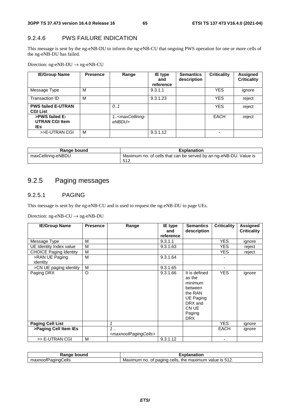#### 9.2.4.6 PWS FAILURE INDICATION

This message is sent by the ng-eNB-DU to inform the ng-eNB-CU that ongoing PWS operation for one or more cells of the ng-eNB-DU has failed.

Direction: ng-eNB-DU → ng-eNB-CU

| <b>IE/Group Name</b>                            | <b>Presence</b> | Range                                          | IE type<br>and<br>reference | <b>Semantics</b><br>description | <b>Criticality</b> | Assigned<br><b>Criticality</b> |
|-------------------------------------------------|-----------------|------------------------------------------------|-----------------------------|---------------------------------|--------------------|--------------------------------|
| Message Type                                    | м               |                                                | 9.3.1.1                     |                                 | <b>YES</b>         | ignore                         |
| Transaction ID                                  | M               |                                                | 9.3.1.23                    |                                 | <b>YES</b>         | reject                         |
| <b>PWS failed E-UTRAN</b><br><b>CGI List</b>    |                 | 0.1                                            |                             |                                 | <b>YES</b>         | reject                         |
| >PWS failed E-<br><b>UTRAN CGI Item</b><br>IEs. |                 | 1 <maxcellinng-<br>eNBDU&gt;</maxcellinng-<br> |                             |                                 | EACH               | reject                         |
| >>E-UTRAN CGI                                   | M               |                                                | 9.3.1.12                    |                                 |                    |                                |

| Range bound       | <b>Explanation</b>                                                        |
|-------------------|---------------------------------------------------------------------------|
| maxCellinng-eNBDU | Maximum no. of cells that can be served by an ng-eNB-DU. Value is<br>512. |

## 9.2.5 Paging messages

#### 9.2.5.1 PAGING

This message is sent by the ng-eNB-CU and is used to request the ng-eNB-DU to page UEs.

| <b>IE/Group Name</b>          | <b>Presence</b> | Range                                          | IE type<br>and | <b>Semantics</b><br>description                                                                                          | <b>Criticality</b> | Assigned<br><b>Criticality</b> |
|-------------------------------|-----------------|------------------------------------------------|----------------|--------------------------------------------------------------------------------------------------------------------------|--------------------|--------------------------------|
|                               |                 |                                                | reference      |                                                                                                                          |                    |                                |
| Message Type                  | м               |                                                | 9.3.1.1        |                                                                                                                          | <b>YES</b>         | ignore                         |
| UE Identity Index value       | М               |                                                | 9.3.1.63       |                                                                                                                          | YES.               | reject                         |
| <b>CHOICE Paging Identity</b> | М               |                                                |                |                                                                                                                          | YES.               | reject                         |
| >RAN UE Paging                | M               |                                                | 9.3.1.64       |                                                                                                                          |                    |                                |
| identity                      |                 |                                                |                |                                                                                                                          |                    |                                |
| >CN UE paging identity        | M               |                                                | 9.3.1.65       |                                                                                                                          | ٠                  |                                |
| Paging DRX                    | O               |                                                | 9.3.1.66       | It is defined<br>as the<br>minimum<br>between<br>the RAN<br><b>UE Paging</b><br>DRX and<br>CN UE<br>Paging<br><b>DRX</b> | <b>YES</b>         | ignore                         |
| <b>Paging Cell List</b>       |                 | 1                                              |                |                                                                                                                          | <b>YES</b>         | ignore                         |
| >Paging Cell Item IEs         |                 | 1<br><maxnoofpagingcells></maxnoofpagingcells> |                |                                                                                                                          | <b>EACH</b>        | ignore                         |
| >> E-UTRAN CGI                | M               |                                                | 9.3.1.12       |                                                                                                                          |                    |                                |

| : bound<br>. iae<br>nai      | ----<br>чаног.                                                                              |
|------------------------------|---------------------------------------------------------------------------------------------|
| `ells<br>'aaına(<br>maxnoofF | 512<br>cells<br>paging<br>maximum<br>the<br>value<br>- IS<br>Οt<br>no<br>Maximun.<br>∶ວ ⊦∠. |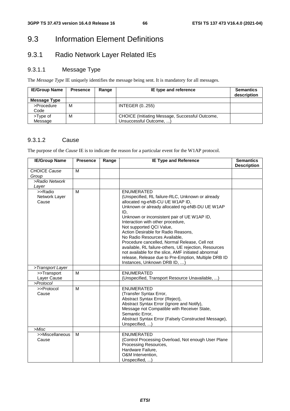## 9.3 Information Element Definitions

## 9.3.1 Radio Network Layer Related IEs

#### 9.3.1.1 Message Type

The *Message Type* IE uniquely identifies the message being sent. It is mandatory for all messages.

| <b>IE/Group Name</b> | <b>Presence</b> | Range | IE type and reference                                                      | <b>Semantics</b><br>description |
|----------------------|-----------------|-------|----------------------------------------------------------------------------|---------------------------------|
| Message Type         |                 |       |                                                                            |                                 |
| >Procedure<br>Code   | м               |       | <b>INTEGER (0255)</b>                                                      |                                 |
| >Type of<br>Message  | м               |       | CHOICE (Initiating Message, Successful Outcome,<br>Unsuccessful Outcome, ) |                                 |

#### 9.3.1.2 Cause

The purpose of the *Cause* IE is to indicate the reason for a particular event for the W1AP protocol.

| <b>IE/Group Name</b>              | <b>Presence</b> | Range | <b>IE Type and Reference</b>                                                                                                                                                                                                                                                                                                                                                                                                                                                                                                                                                       | <b>Semantics</b><br><b>Description</b> |
|-----------------------------------|-----------------|-------|------------------------------------------------------------------------------------------------------------------------------------------------------------------------------------------------------------------------------------------------------------------------------------------------------------------------------------------------------------------------------------------------------------------------------------------------------------------------------------------------------------------------------------------------------------------------------------|----------------------------------------|
| <b>CHOICE Cause</b>               | M               |       |                                                                                                                                                                                                                                                                                                                                                                                                                                                                                                                                                                                    |                                        |
| Group                             |                 |       |                                                                                                                                                                                                                                                                                                                                                                                                                                                                                                                                                                                    |                                        |
| >Radio Network                    |                 |       |                                                                                                                                                                                                                                                                                                                                                                                                                                                                                                                                                                                    |                                        |
| Layer                             |                 |       |                                                                                                                                                                                                                                                                                                                                                                                                                                                                                                                                                                                    |                                        |
| >>Radio<br>Network Layer<br>Cause | M               |       | <b>ENUMERATED</b><br>(Unspecified, RL failure-RLC, Unknown or already<br>allocated ng-eNB-CU UE W1AP ID,<br>Unknown or already allocated ng-eNB-DU UE W1AP<br>ID,<br>Unknown or inconsistent pair of UE W1AP ID,<br>Interaction with other procedure,<br>Not supported QCI Value,<br>Action Desirable for Radio Reasons,<br>No Radio Resources Available,<br>Procedure cancelled, Normal Release, Cell not<br>available, RL failure-others, UE rejection, Resources<br>not available for the slice, AMF initiated abnormal<br>release, Release due to Pre-Emption, Multiple DRB ID |                                        |
| >Transport Layer                  |                 |       | Instances, Unknown DRB ID, )                                                                                                                                                                                                                                                                                                                                                                                                                                                                                                                                                       |                                        |
| >>Transport                       | м               |       | <b>ENUMERATED</b>                                                                                                                                                                                                                                                                                                                                                                                                                                                                                                                                                                  |                                        |
| Layer Cause                       |                 |       | (Unspecified, Transport Resource Unavailable, )                                                                                                                                                                                                                                                                                                                                                                                                                                                                                                                                    |                                        |
| >Protocol                         |                 |       |                                                                                                                                                                                                                                                                                                                                                                                                                                                                                                                                                                                    |                                        |
| >>Protocol<br>Cause               | M               |       | <b>ENUMERATED</b><br>(Transfer Syntax Error,<br>Abstract Syntax Error (Reject),<br>Abstract Syntax Error (Ignore and Notify),<br>Message not Compatible with Receiver State,<br>Semantic Error,<br>Abstract Syntax Error (Falsely Constructed Message),<br>Unspecified, )                                                                                                                                                                                                                                                                                                          |                                        |
| >Misc                             |                 |       |                                                                                                                                                                                                                                                                                                                                                                                                                                                                                                                                                                                    |                                        |
| >>Miscellaneous<br>Cause          | M               |       | <b>ENUMERATED</b><br>(Control Processing Overload, Not enough User Plane<br>Processing Resources,<br>Hardware Failure,<br>O&M Intervention,<br>Unspecified, )                                                                                                                                                                                                                                                                                                                                                                                                                      |                                        |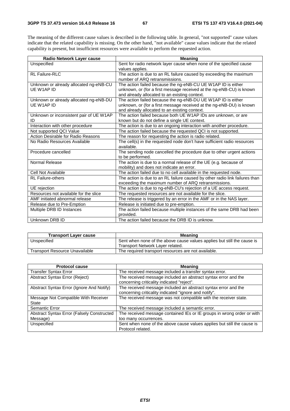The meaning of the different cause values is described in the following table. In general, "not supported" cause values indicate that the related capability is missing. On the other hand, "not available" cause values indicate that the related capability is present, but insufficient resources were available to perform the requested action.

| Radio Network Layer cause               | <b>Meaning</b>                                                              |
|-----------------------------------------|-----------------------------------------------------------------------------|
| Unspecified                             | Sent for radio network layer cause when none of the specified cause         |
|                                         | values applies.                                                             |
| RL Failure-RLC                          | The action is due to an RL failure caused by exceeding the maximum          |
|                                         | number of ARQ retransmissions.                                              |
| Unknown or already allocated ng-eNB-CU  | The action failed because the ng-eNB-CU UE W1AP ID is either                |
| UE W1AP ID                              | unknown, or (for a first message received at the ng-eNB-CU) is known        |
|                                         | and already allocated to an existing context.                               |
| Unknown or already allocated ng-eNB-DU  | The action failed because the ng-eNB-DU UE W1AP ID is either                |
| UE W1AP ID                              | unknown, or (for a first message received at the ng-eNB-DU) is known        |
|                                         | and already allocated to an existing context.                               |
| Unknown or inconsistent pair of UE W1AP | The action failed because both UE W1AP IDs are unknown, or are              |
| ID                                      | known but do not define a single UE context.                                |
| Interaction with other procedure        | The action is due to an ongoing interaction with another procedure.         |
| Not supported QCI Value                 | The action failed because the requested QCI is not supported.               |
| Action Desirable for Radio Reasons      | The reason for requesting the action is radio related.                      |
| No Radio Resources Available            | The cell(s) in the requested node don't have sufficient radio resources     |
|                                         | available.                                                                  |
| Procedure cancelled                     | The sending node cancelled the procedure due to other urgent actions        |
|                                         | to be performed.                                                            |
| Normal Release                          | The action is due to a normal release of the UE (e.g. because of            |
|                                         | mobility) and does not indicate an error.                                   |
| <b>Cell Not Available</b>               | The action failed due to no cell available in the requested node.           |
| <b>RL Failure-others</b>                | The action is due to an RL failure caused by other radio link failures than |
|                                         | exceeding the maximum number of ARQ retransmissions.                        |
| UE rejection                            | The action is due to ng-eNB-CU's rejection of a UE access request.          |
| Resources not available for the slice   | The requested resources are not available for the slice.                    |
| AMF initiated abnormal release          | The release is triggered by an error in the AMF or in the NAS layer.        |
| Release due to Pre-Emption              | Release is initiated due to pre-emption.                                    |
| Multiple DRB ID Instances               | The action failed because multiple instances of the same DRB had been       |
|                                         | provided.                                                                   |
| Unknown DRB ID                          | The action failed because the DRB ID is unknow.                             |

| <b>Transport Layer cause</b>          | <b>Meaning</b>                                                          |
|---------------------------------------|-------------------------------------------------------------------------|
| Unspecified                           | Sent when none of the above cause values applies but still the cause is |
|                                       | Transport Network Layer related.                                        |
| <b>Transport Resource Unavailable</b> | The required transport resources are not available.                     |

| <b>Protocol cause</b>                                          | <b>Meaning</b>                                                                                                          |
|----------------------------------------------------------------|-------------------------------------------------------------------------------------------------------------------------|
| <b>Transfer Syntax Error</b>                                   | The received message included a transfer syntax error.                                                                  |
| Abstract Syntax Error (Reject)                                 | The received message included an abstract syntax error and the<br>concerning criticality indicated "reject".            |
| Abstract Syntax Error (Ignore And Notify)                      | The received message included an abstract syntax error and the<br>concerning criticality indicated "ignore and notify". |
| Message Not Compatible With Receiver<br>State                  | The received message was not compatible with the receiver state.                                                        |
| Semantic Error                                                 | The received message included a semantic error.                                                                         |
| <b>Abstract Syntax Error (Falsely Constructed)</b><br>Message) | The received message contained IEs or IE groups in wrong order or with<br>too many occurrences.                         |
| Unspecified                                                    | Sent when none of the above cause values applies but still the cause is<br>Protocol related.                            |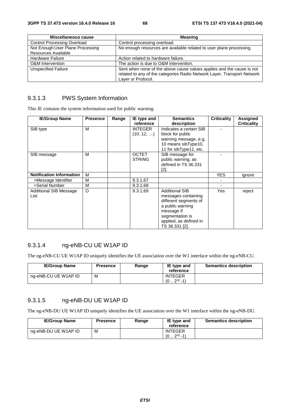| Miscellaneous cause                | <b>Meaning</b>                                                                                                                                                         |
|------------------------------------|------------------------------------------------------------------------------------------------------------------------------------------------------------------------|
| <b>Control Processing Overload</b> | Control processing overload.                                                                                                                                           |
| Not Enough User Plane Processing   | No enough resources are available related to user plane processing.                                                                                                    |
| Resources Available                |                                                                                                                                                                        |
| <b>Hardware Failure</b>            | Action related to hardware failure.                                                                                                                                    |
| O&M Intervention                   | The action is due to O&M intervention.                                                                                                                                 |
| <b>Unspecified Failure</b>         | Sent when none of the above cause values applies and the cause is not<br>related to any of the categories Radio Network Layer, Transport Network<br>Layer or Protocol. |

#### 9.3.1.3 PWS System Information

This IE contains the system information used for public warning.

| <b>IE/Group Name</b>            | <b>Presence</b> | Range | IE type and    | <b>Semantics</b>        | <b>Criticality</b> | <b>Assigned</b>    |
|---------------------------------|-----------------|-------|----------------|-------------------------|--------------------|--------------------|
|                                 |                 |       | reference      | description             |                    | <b>Criticality</b> |
| SIB type                        | м               |       | <b>INTEGER</b> | Indicates a certain SIB |                    |                    |
|                                 |                 |       | (1012, )       | block for public        |                    |                    |
|                                 |                 |       |                | warning message, e.g.   |                    |                    |
|                                 |                 |       |                | 10 means sibType10,     |                    |                    |
|                                 |                 |       |                | 11 for sibType11, etc.  |                    |                    |
| SIB message                     | м               |       | <b>OCTET</b>   | SIB message for         |                    |                    |
|                                 |                 |       | <b>STRING</b>  | public warning, as      |                    |                    |
|                                 |                 |       |                | defined in TS 36.331    |                    |                    |
|                                 |                 |       |                | [2].                    |                    |                    |
| <b>Notification Information</b> | м               |       |                |                         | <b>YES</b>         | ignore             |
| >Message Identifier             | М               |       | 9.3.1.67       |                         |                    |                    |
| >Serial Number                  | M               |       | 9.3.1.68       |                         |                    |                    |
| <b>Additional SIB Message</b>   | $\circ$         |       | 9.3.1.69       | <b>Additional SIB</b>   | Yes                | reject             |
| List                            |                 |       |                | messages containing     |                    |                    |
|                                 |                 |       |                | different segments of   |                    |                    |
|                                 |                 |       |                | a public warning        |                    |                    |
|                                 |                 |       |                | message if              |                    |                    |
|                                 |                 |       |                | segmentation is         |                    |                    |
|                                 |                 |       |                | applied, as defined in  |                    |                    |
|                                 |                 |       |                | TS 36.331 [2].          |                    |                    |

### 9.3.1.4 ng-eNB-CU UE W1AP ID

The ng-eNB-CU UE W1AP ID uniquely identifies the UE association over the W1 interface within the ng-eNB-CU.

| <b>IE/Group Name</b> | <b>Presence</b> | Range | IE type and<br>reference                    | <b>Semantics description</b> |
|----------------------|-----------------|-------|---------------------------------------------|------------------------------|
| ng-eNB-CU UE W1AP ID | M               |       | <b>INTEGER</b><br>$232 - 11$<br>$(0 \ldots$ |                              |

#### 9.3.1.5 ng-eNB-DU UE W1AP ID

The ng-eNB-DU UE W1AP ID uniquely identifies the UE association over the W1 interface within the ng-eNB-DU.

| <b>IE/Group Name</b> | <b>Presence</b> | Range | IE type and<br>reference             | <b>Semantics description</b> |
|----------------------|-----------------|-------|--------------------------------------|------------------------------|
| ng-eNB-DU UE W1AP ID | М               |       | <b>INTEGER</b><br>$232 - 1)$<br>(02) |                              |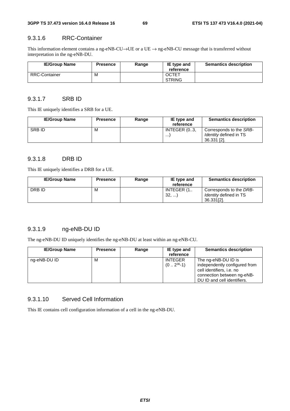#### 9.3.1.6 RRC-Container

This information element contains a ng-eNB-CU→UE or a UE → ng-eNB-CU message that is transferred without interpretation in the ng-eNB-DU.

| <b>IE/Group Name</b> | <b>Presence</b> | Range | IE type and<br>reference      | <b>Semantics description</b> |
|----------------------|-----------------|-------|-------------------------------|------------------------------|
| <b>RRC-Container</b> | М               |       | <b>OCTET</b><br><b>STRING</b> |                              |

#### 9.3.1.7 SRB ID

This IE uniquely identifies a SRB for a UE.

| <b>IE/Group Name</b> | <b>Presence</b> | Range | IE type and<br>reference | <b>Semantics description</b>                                            |
|----------------------|-----------------|-------|--------------------------|-------------------------------------------------------------------------|
| <b>SRBID</b>         | м               |       | INTEGER (03,<br>$\cdots$ | Corresponds to the SRB-<br><i>Identity</i> defined in TS<br>36.331 [2]. |

### 9.3.1.8 DRB ID

This IE uniquely identifies a DRB for a UE.

| <b>IE/Group Name</b> | <b>Presence</b> | Range | IE type and | <b>Semantics description</b>  |
|----------------------|-----------------|-------|-------------|-------------------------------|
|                      |                 |       | reference   |                               |
| DRB ID               | М               |       | INTEGER (1  | Corresponds to the DRB-       |
|                      |                 |       | 32,         | <i>Identity</i> defined in TS |
|                      |                 |       |             | 36.331[2].                    |

#### 9.3.1.9 ng-eNB-DU ID

The ng-eNB-DU ID uniquely identifies the ng-eNB-DU at least within an ng-eNB-CU.

| <b>IE/Group Name</b> | <b>Presence</b> | Range | IE type and<br>reference        | <b>Semantics description</b>                                                                                                                   |
|----------------------|-----------------|-------|---------------------------------|------------------------------------------------------------------------------------------------------------------------------------------------|
| ng-eNB-DU ID         | м               |       | <b>INTEGER</b><br>$(02^{36}-1)$ | The ng-eNB-DU ID is<br>independently configured from<br>cell identifiers, i.e. no<br>connection between ng-eNB-<br>DU ID and cell identifiers. |

#### 9.3.1.10 Served Cell Information

This IE contains cell configuration information of a cell in the ng-eNB-DU.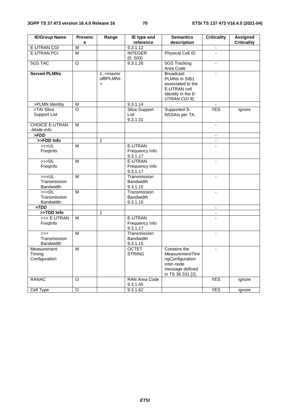| <b>IE/Group Name</b>     | <b>Presenc</b>     | Range           | IE type and<br>reference | <b>Semantics</b>       | <b>Criticality</b>       | <b>Assigned</b>    |
|--------------------------|--------------------|-----------------|--------------------------|------------------------|--------------------------|--------------------|
| <b>E-UTRAN CGI</b>       | е<br>M             |                 | 9.3.1.12                 | description            |                          | <b>Criticality</b> |
| <b>E-UTRAN PCI</b>       | M                  |                 | <b>INTEGER</b>           | Physical Cell ID       | $\overline{a}$           |                    |
|                          |                    |                 | (0.503)                  |                        |                          |                    |
| <b>5GS TAC</b>           | $\overline{O}$     |                 | 9.3.1.26                 | 5GS Tracking           | $\blacksquare$           |                    |
|                          |                    |                 |                          | Area Code              |                          |                    |
| <b>Served PLMNs</b>      |                    | 1.smaxno        |                          | <b>Broadcast</b>       | $\mathbf{r}$             |                    |
|                          |                    | <i>ofBPLMNs</i> |                          | PLMNs in SIB1          |                          |                    |
|                          |                    | $\geq$          |                          | associated to the      |                          |                    |
|                          |                    |                 |                          | E-UTRAN cell           |                          |                    |
|                          |                    |                 |                          | Identity in the E-     |                          |                    |
|                          |                    |                 |                          | UTRAN CGI IE.          |                          |                    |
| >PLMN Identity           | M                  |                 | 9.3.1.14                 |                        |                          |                    |
| >TAI Slice               | $\overline{\circ}$ |                 | <b>Slice Support</b>     | Supported S-           | <b>YES</b>               | ignore             |
| <b>Support List</b>      |                    |                 | List                     | NSSAIs per TA.         |                          |                    |
|                          |                    |                 | 9.3.1.31                 |                        |                          |                    |
| <b>CHOICE E-UTRAN</b>    | M                  |                 |                          |                        | $\blacksquare$           |                    |
| -Mode-Info               |                    |                 |                          |                        |                          |                    |
| > FDD                    |                    |                 |                          |                        |                          |                    |
| >>FDD Info               |                    | $\mathbf{1}$    |                          |                        | $\overline{\phantom{a}}$ |                    |
| >>UL                     | M                  |                 | E-UTRAN                  |                        |                          |                    |
| FregInfo                 |                    |                 | Frequency Info           |                        |                          |                    |
|                          |                    |                 | 9.3.1.17                 |                        |                          |                    |
| >>DL                     | $\overline{M}$     |                 | E-UTRAN                  |                        | $\blacksquare$           |                    |
| FreqInfo                 |                    |                 | Frequency Info           |                        |                          |                    |
|                          |                    |                 | 9.3.1.17                 |                        |                          |                    |
| >>UL                     | M                  |                 | Transmission             |                        |                          |                    |
| Transmission             |                    |                 | <b>Bandwidth</b>         |                        |                          |                    |
| <b>Bandwidth</b><br>>>DL | $\overline{M}$     |                 | 9.3.1.15<br>Transmission |                        |                          |                    |
| Transmission             |                    |                 | <b>Bandwidth</b>         |                        | $\blacksquare$           |                    |
| <b>Bandwidth</b>         |                    |                 | 9.3.1.15                 |                        |                          |                    |
| >TDD                     |                    |                 |                          |                        | $\blacksquare$           |                    |
| >>TDD Info               |                    | $\mathbf{1}$    |                          |                        | $\blacksquare$           |                    |
| >>> E-UTRAN              | M                  |                 | E-UTRAN                  |                        |                          |                    |
| FregInfo                 |                    |                 | Frequency Info           |                        |                          |                    |
|                          |                    |                 | 9.3.1.17                 |                        |                          |                    |
| >>                       | M                  |                 | Transmission             |                        | $\blacksquare$           |                    |
| Transmission             |                    |                 | <b>Bandwidth</b>         |                        |                          |                    |
| <b>Bandwidth</b>         |                    |                 | 9.3.1.15                 |                        |                          |                    |
| Measurement              | M                  |                 | <b>OCTET</b>             | Contains the           | $\blacksquare$           |                    |
| Timing                   |                    |                 | <b>STRING</b>            | <b>MeasurementTimi</b> |                          |                    |
| Configuration            |                    |                 |                          | ngConfiguration        |                          |                    |
|                          |                    |                 |                          | inter-node             |                          |                    |
|                          |                    |                 |                          | message defined        |                          |                    |
|                          |                    |                 |                          | in TS 36.331 [2].      |                          |                    |
| <b>RANAC</b>             | O                  |                 | RAN Area Code            |                        | <b>YES</b>               | ignore             |
|                          |                    |                 | 9.3.1.45                 |                        |                          |                    |
| Cell Type                | $\overline{O}$     |                 | 9.3.1.62                 |                        | <b>YES</b>               | ignore             |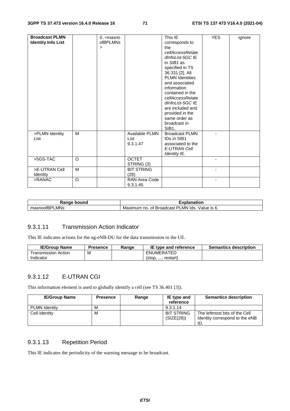| <b>Broadcast PLMN</b><br><b>Identity Info List</b> |         | 0 <maxno<br><i>ofBPLMNs</i><br/><math>\,&gt;\,</math></maxno<br> |                                    | This IE<br>corresponds to<br>the<br>cellAccessRelate<br>dInfoList-5GC IE<br>in $SIB1$ as<br>specified in TS<br>36.331 [2]. All<br><b>PLMN Identities</b><br>and associated<br>information<br>contained in the<br>cellAccessRelate<br>dInfoList-5GC IE<br>are included and<br>provided in the<br>same order as<br>broadcast in<br>SIB <sub>1</sub> . | <b>YES</b>     | ignore |
|----------------------------------------------------|---------|------------------------------------------------------------------|------------------------------------|-----------------------------------------------------------------------------------------------------------------------------------------------------------------------------------------------------------------------------------------------------------------------------------------------------------------------------------------------------|----------------|--------|
| >PLMN Identity<br>List                             | M       |                                                                  | Available PLMN<br>List<br>9.3.1.47 | <b>Broadcast PLMN</b><br><b>IDs in SIB1</b><br>associated to the<br>E-UTRAN Cell<br>Identity IE.                                                                                                                                                                                                                                                    |                |        |
| $>5GS-TAC$                                         | $\circ$ |                                                                  | <b>OCTET</b><br>STRING (3)         |                                                                                                                                                                                                                                                                                                                                                     |                |        |
| >E-UTRAN Cell<br>Identity                          | M       |                                                                  | <b>BIT STRING</b><br>(28)          |                                                                                                                                                                                                                                                                                                                                                     | $\blacksquare$ |        |
| >RANAC                                             | $\circ$ |                                                                  | RAN Area Code<br>9.3.1.45          |                                                                                                                                                                                                                                                                                                                                                     |                |        |

| Ranαe<br>bound<br>٦a           | -<br>anation                                                                          |  |  |
|--------------------------------|---------------------------------------------------------------------------------------|--|--|
| LMNs<br>$\sim$<br>…u∧∩00IBH' " | LMN<br>וס<br>lds<br>Broadcast<br>Maximum<br>$\sim$<br>Value<br>no.<br>Οt<br>O.<br>- ت |  |  |

#### 9.3.1.11 Transmission Action Indicator

This IE indicates actions for the ng-eNB-DU for the data transmission to the UE.

| <b>IE/Group Name</b> | Presence | Range | IE type and reference | <b>Semantics description</b> |
|----------------------|----------|-------|-----------------------|------------------------------|
| ⊺ransmission Action  | M        |       | ENUMERATED            |                              |
| Indicator            |          |       | restart<br>$5$        |                              |

#### 9.3.1.12 E-UTRAN CGI

This information element is used to globally identify a cell (see TS 36.401 [3]).

| <b>IE/Group Name</b> | <b>Presence</b> | Range | IE type and<br>reference        | <b>Semantics description</b>                                           |
|----------------------|-----------------|-------|---------------------------------|------------------------------------------------------------------------|
| <b>PLMN Identity</b> | м               |       | 9.3.1.14                        |                                                                        |
| Cell Identity        | м               |       | <b>BIT STRING</b><br>(SIZE(28)) | The leftmost bits of the Cell<br>Identity correspond to the eNB<br>ID. |

#### 9.3.1.13 Repetition Period

This IE indicates the periodicity of the warning message to be broadcast.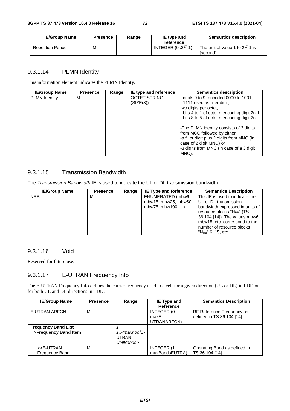| <b>IE/Group Name</b>     | <b>Presence</b> | Range | IE type and<br>reference | <b>Semantics description</b>                       |
|--------------------------|-----------------|-------|--------------------------|----------------------------------------------------|
| <b>Repetition Period</b> | M               |       | INTEGER $(02^{17}-1)$    | The unit of value 1 to $2^{17}$ -1 is<br>[second]. |

## 9.3.1.14 PLMN Identity

This information element indicates the PLMN Identity.

| <b>IE/Group Name</b> | <b>Presence</b> | Range | IE type and reference            | <b>Semantics description</b>                                                                                                                                                                          |
|----------------------|-----------------|-------|----------------------------------|-------------------------------------------------------------------------------------------------------------------------------------------------------------------------------------------------------|
| <b>PLMN Identity</b> | м               |       | <b>OCTET STRING</b><br>(SIZE(3)) | - digits 0 to 9, encoded 0000 to $1001$ ,<br>- 1111 used as filler digit,<br>two digits per octet,<br>- bits 4 to 1 of octet n encoding digit 2n-1<br>- bits 8 to 5 of octet n encoding digit 2n      |
|                      |                 |       |                                  | -The PLMN identity consists of 3 digits<br>from MCC followed by either<br>-a filler digit plus 2 digits from MNC (in<br>case of 2 digit MNC) or<br>-3 digits from MNC (in case of a 3 digit)<br>MNC). |

## 9.3.1.15 Transmission Bandwidth

The *Transmission Bandwidth* IE is used to indicate the UL or DL transmission bandwidth.

| <b>IE/Group Name</b> | <b>Presence</b> | Range | <b>IE Type and Reference</b> | <b>Semantics Description</b>           |
|----------------------|-----------------|-------|------------------------------|----------------------------------------|
| <b>NRB</b>           | м               |       | ENUMERATED (mbw6,            | This IE is used to indicate the        |
|                      |                 |       | mbw15, mbw25, mbw50,         | UL or DL transmission                  |
|                      |                 |       | mbw75, mbw100, )             | bandwidth expressed in units of        |
|                      |                 |       |                              | resource blocks "N <sub>RB</sub> " (TS |
|                      |                 |       |                              | 36.104 [14]). The values mbw6,         |
|                      |                 |       |                              | mbw15, etc. correspond to the          |
|                      |                 |       |                              | number of resource blocks              |
|                      |                 |       |                              | $"N_{RB}"$ 6, 15, etc.                 |

#### 9.3.1.16 Void

Reserved for future use.

## 9.3.1.17 E-UTRAN Frequency Info

The E-UTRAN Frequency Info defines the carrier frequency used in a cell for a given direction (UL or DL) in FDD or for both UL and DL directions in TDD.

| <b>IE/Group Name</b>               | <b>Presence</b> | Range                         | IE Type and<br><b>Reference</b>    | <b>Semantics Description</b>                            |
|------------------------------------|-----------------|-------------------------------|------------------------------------|---------------------------------------------------------|
| <b>E-UTRAN ARFCN</b>               | M               |                               | INTEGER (0<br>maxE-<br>UTRANARFCN) | RF Reference Frequency as<br>defined in TS 36.104 [14]. |
| <b>Frequency Band List</b>         |                 |                               |                                    |                                                         |
| >Frequency Band Item               |                 | $1. maxnoofE-UTRANCellBands>$ |                                    |                                                         |
| >>E-UTRAN<br><b>Frequency Band</b> | м               |                               | INTEGER (1<br>maxBandsEUTRA)       | Operating Band as defined in<br>TS 36.104 [14].         |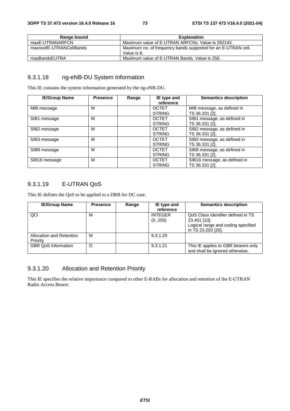| Range bound             | <b>Explanation</b>                                                           |
|-------------------------|------------------------------------------------------------------------------|
| maxE-UTRANARFCN         | Maximum value of E-UTRAN ARFCNs, Value is 262143.                            |
| maxnoofE-UTRANCellBands | Maximum no. of frequency bands supported for an E-UTRAN cell.<br>Value is 8. |
| maxBandsEUTRA           | Maximum value of E-UTRAN Bands, Value is 256.                                |

### 9.3.1.18 ng-eNB-DU System Information

This IE contains the system information generated by the ng-eNB-DU.

| <b>IE/Group Name</b> | <b>Presence</b> | Range | IE type and<br>reference                       | <b>Semantics description</b>                                    |
|----------------------|-----------------|-------|------------------------------------------------|-----------------------------------------------------------------|
| MIB message          | м               |       | <b>OCTET</b>                                   | MIB message, as defined in                                      |
| SIB1 message         | м               |       | <b>STRING</b><br><b>OCTET</b><br><b>STRING</b> | TS 36.331 [2].<br>SIB1 message, as defined in<br>TS 36.331 [2]. |
| SIB2 message         | м               |       | <b>OCTET</b><br><b>STRING</b>                  | SIB2 message, as defined in<br>TS 36.331 [2].                   |
| SIB3 message         | м               |       | <b>OCTET</b><br><b>STRING</b>                  | SIB3 message, as defined in<br>TS 36.331 [2].                   |
| SIB8 message         | м               |       | <b>OCTET</b><br><b>STRING</b>                  | SIB8 message, as defined in<br>TS 36.331 [2].                   |
| SIB16 message        | м               |       | <b>OCTET</b><br><b>STRING</b>                  | SIB16 message, as defined in<br>TS 36.331 [2].                  |

## 9.3.1.19 E-UTRAN QoS

This IE defines the QoS to be applied to a DRB for DC case.

| <b>IE/Group Name</b>       | <b>Presence</b> | Range | IE type and    | <b>Semantics description</b>        |
|----------------------------|-----------------|-------|----------------|-------------------------------------|
|                            |                 |       | reference      |                                     |
| QCI                        | М               |       | <b>INTEGER</b> | QoS Class Identifier defined in TS  |
|                            |                 |       | (0255)         | 23.401 [10].                        |
|                            |                 |       |                | Logical range and coding specified  |
|                            |                 |       |                | in TS 23.203 [20].                  |
| Allocation and Retention   | м               |       | 9.3.1.20       |                                     |
| Priority                   |                 |       |                |                                     |
| <b>GBR QoS Information</b> | O               |       | 9.3.1.21       | This IE applies to GBR bearers only |
|                            |                 |       |                | and shall be ignored otherwise.     |

# 9.3.1.20 Allocation and Retention Priority

This IE specifies the relative importance compared to other E-RABs for allocation and retention of the E-UTRAN Radio Access Bearer.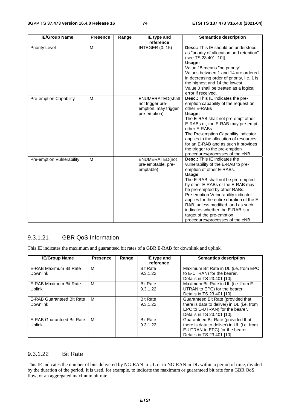| <b>IE/Group Name</b>          | <b>Presence</b> | Range | IE type and<br>reference                                                     | <b>Semantics description</b>                                                                                                                                                                                                                                                                                                                                                                                                                           |
|-------------------------------|-----------------|-------|------------------------------------------------------------------------------|--------------------------------------------------------------------------------------------------------------------------------------------------------------------------------------------------------------------------------------------------------------------------------------------------------------------------------------------------------------------------------------------------------------------------------------------------------|
| <b>Priority Level</b>         | M               |       | <b>INTEGER (015)</b>                                                         | <b>Desc.:</b> This IE should be understood<br>as "priority of allocation and retention"<br>(see TS 23.401 [10]).<br>Usage:<br>Value 15 means "no priority".<br>Values between 1 and 14 are ordered<br>in decreasing order of priority, i.e. 1 is<br>the highest and 14 the lowest.<br>Value 0 shall be treated as a logical<br>error if received.                                                                                                      |
| <b>Pre-emption Capability</b> | M               |       | ENUMERATED(shall<br>not trigger pre-<br>emption, may trigger<br>pre-emption) | <b>Desc.:</b> This IE indicates the pre-<br>emption capability of the request on<br>other E-RABs<br>Usage:<br>The E-RAB shall not pre-empt other<br>E-RABs or, the E-RAB may pre-empt<br>other E-RABs<br>The Pre-emption Capability indicator<br>applies to the allocation of resources<br>for an E-RAB and as such it provides<br>the trigger to the pre-emption<br>procedures/processes of the eNB.                                                  |
| Pre-emption Vulnerability     | M               |       | ENUMERATED(not<br>pre-emptable, pre-<br>emptable)                            | <b>Desc.:</b> This IE indicates the<br>vulnerability of the E-RAB to pre-<br>emption of other E-RABs.<br>Usage:<br>The E-RAB shall not be pre-empted<br>by other E-RABs or the E-RAB may<br>be pre-empted by other RABs.<br>Pre-emption Vulnerability indicator<br>applies for the entire duration of the E-<br>RAB, unless modified, and as such<br>indicates whether the E-RAB is a<br>target of the pre-emption<br>procedures/processes of the eNB. |

## 9.3.1.21 GBR QoS Information

This IE indicates the maximum and guaranteed bit rates of a GBR E-RAB for downlink and uplink.

| <b>IE/Group Name</b>             | <b>Presence</b> | Range | IE type and     | <b>Semantics description</b>               |
|----------------------------------|-----------------|-------|-----------------|--------------------------------------------|
|                                  |                 |       | reference       |                                            |
| E-RAB Maximum Bit Rate           | M               |       | <b>Bit Rate</b> | Maximum Bit Rate in DL (i.e. from EPC      |
| <b>Downlink</b>                  |                 |       | 9.3.1.22        | to E-UTRAN) for the bearer.                |
|                                  |                 |       |                 | Details in TS 23.401 [10].                 |
| E-RAB Maximum Bit Rate           | м               |       | <b>Bit Rate</b> | Maximum Bit Rate in UL (i.e. from E-       |
| <b>Uplink</b>                    |                 |       | 9.3.1.22        | UTRAN to EPC) for the bearer.              |
|                                  |                 |       |                 | Details in TS 23.401 [10].                 |
| <b>E-RAB Guaranteed Bit Rate</b> | M               |       | <b>Bit Rate</b> | Guaranteed Bit Rate (provided that         |
| Downlink                         |                 |       | 9.3.1.22        | there is data to deliver) in DL (i.e. from |
|                                  |                 |       |                 | EPC to E-UTRAN) for the bearer.            |
|                                  |                 |       |                 | Details in TS 23.401 [10].                 |
| <b>E-RAB Guaranteed Bit Rate</b> | M               |       | <b>Bit Rate</b> | Guaranteed Bit Rate (provided that         |
| Uplink                           |                 |       | 9.3.1.22        | there is data to deliver) in UL (i.e. from |
|                                  |                 |       |                 | E-UTRAN to EPC) for the bearer.            |
|                                  |                 |       |                 | Details in TS 23.401 [10].                 |

#### 9.3.1.22 Bit Rate

This IE indicates the number of bits delivered by NG-RAN in UL or to NG-RAN in DL within a period of time, divided by the duration of the period. It is used, for example, to indicate the maximum or guaranteed bit rate for a GBR QoS flow, or an aggregated maximum bit rate.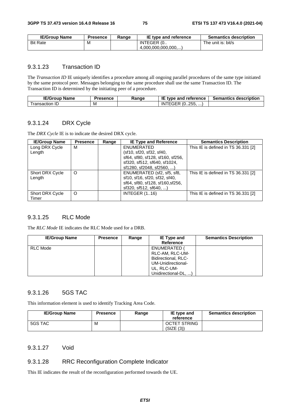| <b>IE/Group Name</b> | Presence | Ranɑe | IE type and reference | <b>Semantics description</b> |
|----------------------|----------|-------|-----------------------|------------------------------|
| <b>Bit Rate</b>      | ΙVΙ      |       | INTEGER (0            | The unit is: bit/s           |
|                      |          |       | (4,000,000,000,000,)  |                              |

#### 9.3.1.23 Transaction ID

The *Transaction ID* IE uniquely identifies a procedure among all ongoing parallel procedures of the same type initiated by the same protocol peer. Messages belonging to the same procedure shall use the same Transaction ID. The Transaction ID is determined by the initiating peer of a procedure.

| <b>IE/Group</b><br><b>Name</b> | <b>Presence</b> | Range | IE<br>$\bar{\ }$ type and reference             | <b>Semantics description</b> |
|--------------------------------|-----------------|-------|-------------------------------------------------|------------------------------|
| fransaction<br>ے ر             | M               |       | $\overline{\phantom{a}}$ (0255, ,<br>IN<br>EGER |                              |

#### 9.3.1.24 DRX Cycle

The *DRX Cycle* IE is to indicate the desired DRX cycle.

| <b>IE/Group Name</b>   | <b>Presence</b> | Range | <b>IE Type and Reference</b>     | <b>Semantics Description</b>        |
|------------------------|-----------------|-------|----------------------------------|-------------------------------------|
| Long DRX Cycle         | M               |       | <b>ENUMERATED</b>                | This IE is defined in TS 36.331 [2] |
| Length                 |                 |       | (sf10, sf20, sf32, sf40,         |                                     |
|                        |                 |       | sf64, sf80, sf128, sf160, sf256, |                                     |
|                        |                 |       | sf320, sf512, sf640, sf1024,     |                                     |
|                        |                 |       | sf1280, sf2048, sf2560, )        |                                     |
| Short DRX Cycle        | O               |       | ENUMERATED (sf2, sf5, sf8,       | This IE is defined in TS 36.331 [2] |
| Length                 |                 |       | sf10, sf16, sf20, sf32, sf40,    |                                     |
|                        |                 |       | sf64, sf80, sf128, sf160, sf256, |                                     |
|                        |                 |       | $sf320, sf512, sf640, \ldots$    |                                     |
| <b>Short DRX Cycle</b> | O               |       | <b>INTEGER (116)</b>             | This IE is defined in TS 36.331 [2] |
| Timer                  |                 |       |                                  |                                     |

## 9.3.1.25 RLC Mode

The *RLC Mode* IE indicates the RLC Mode used for a DRB.

| <b>IE/Group Name</b> | <b>Presence</b> | Range | IE Type and<br>Reference                                                                                          | <b>Semantics Description</b> |
|----------------------|-----------------|-------|-------------------------------------------------------------------------------------------------------------------|------------------------------|
| RLC Mode             |                 |       | ENUMERATED (<br>RLC-AM, RLC-UM-<br>Bidirectional, RLC-<br>UM-Unidirectional-<br>UL, RLC-UM-<br>Unidirectional-DL, |                              |

#### 9.3.1.26 5GS TAC

This information element is used to identify Tracking Area Code.

| <b>IE/Group Name</b> | <b>Presence</b> | Range | IE type and<br>reference | <b>Semantics description</b> |
|----------------------|-----------------|-------|--------------------------|------------------------------|
| 5GS TAC              | М               |       | <b>OCTET STRING</b>      |                              |
|                      |                 |       | (SIZE (3))               |                              |

#### 9.3.1.27 Void

#### 9.3.1.28 RRC Reconfiguration Complete Indicator

This IE indicates the result of the reconfiguration performed towards the UE.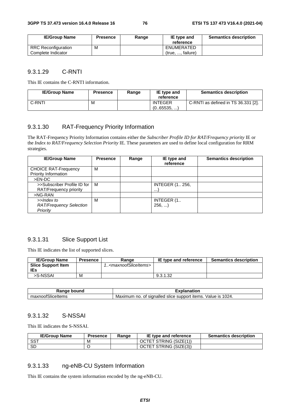| <b>IE/Group Name</b>       | <b>Presence</b> | Range | IE type and<br>reference | <b>Semantics description</b> |
|----------------------------|-----------------|-------|--------------------------|------------------------------|
| <b>RRC Reconfiguration</b> | м               |       | ENUMERATED               |                              |
| Complete Indicator         |                 |       | (true, , failure)        |                              |

#### 9.3.1.29 C-RNTI

This IE contains the C-RNTI information.

| <b>IE/Group Name</b> | <b>Presence</b> | Range | IE type and<br>reference     | <b>Semantics description</b>        |
|----------------------|-----------------|-------|------------------------------|-------------------------------------|
| C-RNTI               | M               |       | <b>INTEGER</b><br>(065535, ) | C-RNTI as defined in TS 36.331 [2]. |

## 9.3.1.30 RAT-Frequency Priority Information

The RAT-Frequency Priority Information contains either the *Subscriber Profile ID for RAT/Frequency priority* IE or the *Index to RAT/Frequency Selection Priority* IE. These parameters are used to define local configuration for RRM strategies.

| <b>IE/Group Name</b>           | <b>Presence</b> | Range | IE type and<br>reference | <b>Semantics description</b> |
|--------------------------------|-----------------|-------|--------------------------|------------------------------|
| <b>CHOICE RAT-Frequency</b>    | М               |       |                          |                              |
| Priority Information           |                 |       |                          |                              |
| >EN-DC                         |                 |       |                          |                              |
| >>Subscriber Profile ID for    | м               |       | <b>INTEGER (1 256,</b>   |                              |
| RAT/Frequency priority         |                 |       | $\cdots$                 |                              |
| >NG-RAN                        |                 |       |                          |                              |
| >>Index to                     | М               |       | INTEGER (1.              |                              |
| <b>RAT/Frequency Selection</b> |                 |       | 256,                     |                              |
| Priority                       |                 |       |                          |                              |

#### 9.3.1.31 Slice Support List

This IE indicates the list of supported slices.

| <b>IE/Group Name</b>      | <b>Presence</b> | Range                                     | IE type and reference | <b>Semantics description</b> |
|---------------------------|-----------------|-------------------------------------------|-----------------------|------------------------------|
| <b>Slice Support Item</b> |                 | 1 <maxnoofsliceitems></maxnoofsliceitems> |                       |                              |
| <b>IEs</b>                |                 |                                           |                       |                              |
| >S-NSSAI                  | м               |                                           | 9.3.1.32              |                              |

| bound                       | anation                                                                                |
|-----------------------------|----------------------------------------------------------------------------------------|
| nkann a                     | ou                                                                                     |
| $\sim$<br>maxnoofSliceItems | 1024.<br>signalled<br>Value<br>support<br>items.<br>Maximum<br>slice<br>IS<br>no<br>0t |

#### 9.3.1.32 S-NSSAI

This IE indicates the S-NSSAI.

| <b>IE/Group Name</b> | <b>Presence</b> | Range | IE type and reference  | <b>Semantics description</b> |
|----------------------|-----------------|-------|------------------------|------------------------------|
| SS⊤                  | M               |       | OCTET STRING (SIZE(1)) |                              |
| -SD                  |                 |       | OCTET STRING (SIZE(3)) |                              |

#### 9.3.1.33 ng-eNB-CU System Information

This IE contains the system information encoded by the ng-eNB-CU.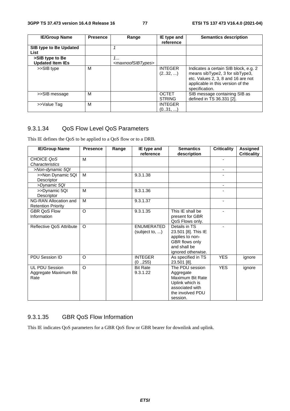| <b>IE/Group Name</b>           | <b>Presence</b> | Range                               | IE type and                   | <b>Semantics description</b>                                                                                                                                          |
|--------------------------------|-----------------|-------------------------------------|-------------------------------|-----------------------------------------------------------------------------------------------------------------------------------------------------------------------|
|                                |                 |                                     | reference                     |                                                                                                                                                                       |
| SIB type to Be Updated<br>List |                 |                                     |                               |                                                                                                                                                                       |
| >SIB type to Be                |                 | 1                                   |                               |                                                                                                                                                                       |
| <b>Updated Item IEs</b>        |                 | <maxnoofsibtypes></maxnoofsibtypes> |                               |                                                                                                                                                                       |
| >>SIB type                     | м               |                                     | <b>INTEGER</b><br>(232, )     | Indicates a certain SIB block, e.g. 2<br>means sibType2, 3 for sibType3,<br>etc. Values 2, 3, 8 and 16 are not<br>applicable in this version of the<br>specification. |
| >>SIB message                  | M               |                                     | <b>OCTET</b><br><b>STRING</b> | SIB message containing SIB as<br>defined in TS 36.331 [2].                                                                                                            |
| >>Value Tag                    | м               |                                     | <b>INTEGER</b><br>(031, )     |                                                                                                                                                                       |

#### 9.3.1.34 QoS Flow Level QoS Parameters

This IE defines the QoS to be applied to a QoS flow or to a DRB.

| <b>IE/Group Name</b>      | <b>Presence</b> | Range | IE type and       | <b>Semantics</b>    | <b>Criticality</b>       | <b>Assigned</b>    |
|---------------------------|-----------------|-------|-------------------|---------------------|--------------------------|--------------------|
|                           |                 |       | reference         | description         |                          | <b>Criticality</b> |
| CHOICE QoS                | M               |       |                   |                     | ٠                        |                    |
| Characteristics           |                 |       |                   |                     |                          |                    |
| >Non-dynamic 5QI          |                 |       |                   |                     | $\overline{\phantom{a}}$ |                    |
| >>Non Dynamic 5QI         | M               |       | 9.3.1.38          |                     |                          |                    |
| Descriptor                |                 |       |                   |                     |                          |                    |
| >Dynamic 5QI              |                 |       |                   |                     | ۰                        |                    |
| >>Dynamic 5QI             | M               |       | 9.3.1.36          |                     |                          |                    |
| Descriptor                |                 |       |                   |                     |                          |                    |
| NG-RAN Allocation and     | M               |       | 9.3.1.37          |                     | ٠                        |                    |
| <b>Retention Priority</b> |                 |       |                   |                     |                          |                    |
| <b>GBR QoS Flow</b>       | $\Omega$        |       | 9.3.1.35          | This IE shall be    |                          |                    |
| Information               |                 |       |                   | present for GBR     |                          |                    |
|                           |                 |       |                   | QoS Flows only.     |                          |                    |
| Reflective QoS Attribute  | $\Omega$        |       | <b>ENUMERATED</b> | Details in TS       |                          |                    |
|                           |                 |       | (subject to, )    | 23.501 [8]. This IE |                          |                    |
|                           |                 |       |                   | applies to non-     |                          |                    |
|                           |                 |       |                   | GBR flows only      |                          |                    |
|                           |                 |       |                   | and shall be        |                          |                    |
|                           |                 |       |                   | ignored otherwise.  |                          |                    |
| PDU Session ID            | O               |       | <b>INTEGER</b>    | As specified in TS  | <b>YES</b>               | ignore             |
|                           |                 |       | (0255)            | 23.501 [8].         |                          |                    |
| <b>UL PDU Session</b>     | $\Omega$        |       | <b>Bit Rate</b>   | The PDU session     | <b>YES</b>               | ignore             |
| Aggregate Maximum Bit     |                 |       | 9.3.1.22          | Aggregate           |                          |                    |
| Rate                      |                 |       |                   | Maximum Bit Rate    |                          |                    |
|                           |                 |       |                   | Uplink which is     |                          |                    |
|                           |                 |       |                   | associated with     |                          |                    |
|                           |                 |       |                   | the involved PDU    |                          |                    |
|                           |                 |       |                   | session.            |                          |                    |

#### 9.3.1.35 GBR QoS Flow Information

This IE indicates QoS parameters for a GBR QoS flow or GBR bearer for downlink and uplink.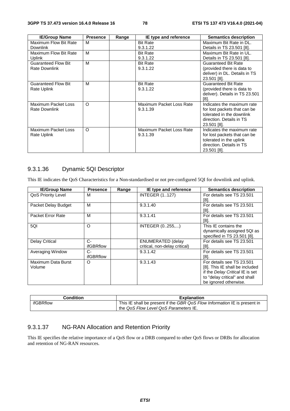| <b>IE/Group Name</b>       | <b>Presence</b> | Range | IE type and reference    | <b>Semantics description</b>   |
|----------------------------|-----------------|-------|--------------------------|--------------------------------|
| Maximum Flow Bit Rate      | м               |       | <b>Bit Rate</b>          | Maximum Bit Rate in DL.        |
| <b>Downlink</b>            |                 |       | 9.3.1.22                 | Details in TS 23.501 [8].      |
| Maximum Flow Bit Rate      | M               |       | <b>Bit Rate</b>          | Maximum Bit Rate in UL.        |
| <b>Uplink</b>              |                 |       | 9.3.1.22                 | Details in TS 23.501 [8].      |
| <b>Guaranteed Flow Bit</b> | M               |       | <b>Bit Rate</b>          | Guaranteed Bit Rate            |
| Rate Downlink              |                 |       | 9.3.1.22                 | (provided there is data to     |
|                            |                 |       |                          | deliver) in DL. Details in TS  |
|                            |                 |       |                          | 23.501 [8].                    |
| <b>Guaranteed Flow Bit</b> | м               |       | <b>Bit Rate</b>          | Guaranteed Bit Rate            |
| Rate Uplink                |                 |       | 9.3.1.22                 | (provided there is data to     |
|                            |                 |       |                          | deliver). Details in TS 23.501 |
|                            |                 |       |                          | [8].                           |
| Maximum Packet Loss        | O               |       | Maximum Packet Loss Rate | Indicates the maximum rate     |
| Rate Downlink              |                 |       | 9.3.1.39                 | for lost packets that can be   |
|                            |                 |       |                          | tolerated in the downlink      |
|                            |                 |       |                          | direction. Details in TS       |
|                            |                 |       |                          | 23.501 [8].                    |
| Maximum Packet Loss        | O               |       | Maximum Packet Loss Rate | Indicates the maximum rate     |
| Rate Uplink                |                 |       | 9.3.1.39                 | for lost packets that can be   |
|                            |                 |       |                          | tolerated in the uplink        |
|                            |                 |       |                          | direction. Details in TS       |
|                            |                 |       |                          | 23.501 [8].                    |

## 9.3.1.36 Dynamic 5QI Descriptor

This IE indicates the QoS Characteristics for a Non-standardised or not pre-configured 5QI for downlink and uplink.

| <b>IE/Group Name</b>      | <b>Presence</b> | Range | IE type and reference         | <b>Semantics description</b>    |
|---------------------------|-----------------|-------|-------------------------------|---------------------------------|
| <b>QoS Priority Level</b> | м               |       | <b>INTEGER (1127)</b>         | For details see TS 23.501       |
|                           |                 |       |                               | [8].                            |
| Packet Delay Budget       | м               |       | 9.3.1.40                      | For details see TS 23.501       |
|                           |                 |       |                               | $[8]$ .                         |
| Packet Error Rate         | M               |       | 9.3.1.41                      | For details see TS 23.501       |
|                           |                 |       |                               | [8].                            |
| 5QI                       | $\circ$         |       | INTEGER (0255,)               | This IE contains the            |
|                           |                 |       |                               | dynamically assigned 5QI as     |
|                           |                 |       |                               | specified in TS 23.501 [8].     |
| <b>Delay Critical</b>     | $C -$           |       | <b>ENUMERATED (delay</b>      | For details see TS 23.501       |
|                           | ifGBRflow       |       | critical, non-delay critical) | [8].                            |
| Averaging Window          | C-              |       | 9.3.1.42                      | For details see TS 23.501       |
|                           | ifGBRflow       |       |                               | [8].                            |
| Maximum Data Burst        | O               |       | 9.3.1.43                      | For details see TS 23.501       |
| Volume                    |                 |       |                               | [8]. This IE shall be included  |
|                           |                 |       |                               | if the Delay Critical IE is set |
|                           |                 |       |                               | to "delay critical" and shall   |
|                           |                 |       |                               | be ignored otherwise.           |

| <b>Condition</b> | <b>Explanation</b>                                                        |
|------------------|---------------------------------------------------------------------------|
| ifGBRflow        | This IE shall be present if the GBR QoS Flow Information IE is present in |
|                  | the QoS Flow Level QoS Parameters IE.                                     |

## 9.3.1.37 NG-RAN Allocation and Retention Priority

This IE specifies the relative importance of a QoS flow or a DRB compared to other QoS flows or DRBs for allocation and retention of NG-RAN resources.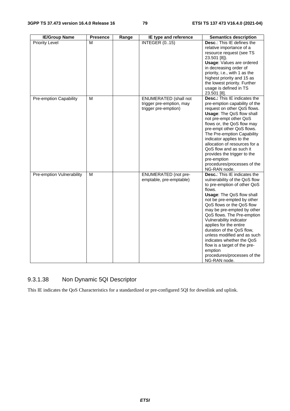| <b>IE/Group Name</b>      | <b>Presence</b> | Range | IE type and reference                                                            | <b>Semantics description</b>                                                                                                                                                                                                                                                                                                                                                                                                                                                                                     |
|---------------------------|-----------------|-------|----------------------------------------------------------------------------------|------------------------------------------------------------------------------------------------------------------------------------------------------------------------------------------------------------------------------------------------------------------------------------------------------------------------------------------------------------------------------------------------------------------------------------------------------------------------------------------------------------------|
| <b>Priority Level</b>     | М               |       | <b>INTEGER (015)</b>                                                             | Desc.: This IE defines the<br>relative importance of a<br>resource request (see TS<br>23.501 [8]).<br><b>Usage: Values are ordered</b><br>in decreasing order of<br>priority, i.e., with 1 as the<br>highest priority and 15 as<br>the lowest priority. Further<br>usage is defined in TS<br>23.501 [8].                                                                                                                                                                                                         |
| Pre-emption Capability    | M               |       | <b>ENUMERATED</b> (shall not<br>trigger pre-emption, may<br>trigger pre-emption) | <b>Desc.:</b> This IE indicates the<br>pre-emption capability of the<br>request on other QoS flows.<br><b>Usage: The QoS flow shall</b><br>not pre-empt other QoS<br>flows or, the QoS flow may<br>pre-empt other QoS flows.<br>The Pre-emption Capability<br>indicator applies to the<br>allocation of resources for a<br>QoS flow and as such it<br>provides the trigger to the<br>pre-emption<br>procedures/processes of the<br>NG-RAN node.                                                                  |
| Pre-emption Vulnerability | М               |       | <b>ENUMERATED</b> (not pre-<br>emptable, pre-emptable)                           | <b>Desc.:</b> This IE indicates the<br>vulnerability of the QoS flow<br>to pre-emption of other QoS<br>flows.<br><b>Usage: The QoS flow shall</b><br>not be pre-empted by other<br>QoS flows or the QoS flow<br>may be pre-empted by other<br>QoS flows. The Pre-emption<br>Vulnerability indicator<br>applies for the entire<br>duration of the QoS flow,<br>unless modified and as such<br>indicates whether the QoS<br>flow is a target of the pre-<br>emption<br>procedures/processes of the<br>NG-RAN node. |

# 9.3.1.38 Non Dynamic 5QI Descriptor

This IE indicates the QoS Characteristics for a standardized or pre-configured 5QI for downlink and uplink.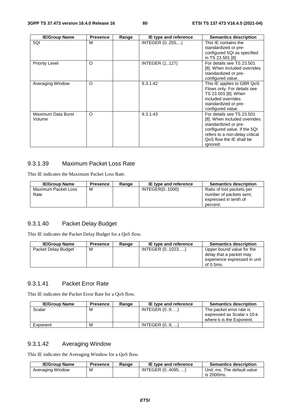| <b>IE/Group Name</b>         | <b>Presence</b> | Range | IE type and reference | <b>Semantics description</b>                                                                                                                                                                |
|------------------------------|-----------------|-------|-----------------------|---------------------------------------------------------------------------------------------------------------------------------------------------------------------------------------------|
| 5QI                          | M               |       | INTEGER (0255,)       | This IE contains the<br>standardized or pre-<br>configured 5QI as specified<br>in TS 23.501 [8]                                                                                             |
| <b>Priority Level</b>        | O               |       | <b>INTEGER (1127)</b> | For details see TS 23.501<br>[8]. When included overrides<br>standardized or pre-<br>configured value.                                                                                      |
| Averaging Window             | $\circ$         |       | 9.3.1.42              | This IE applies to GBR QoS<br>Flows only. For details see<br>TS 23.501 [8]. When<br>included overrides<br>standardized or pre-<br>configured value.                                         |
| Maximum Data Burst<br>Volume | O               |       | 9.3.1.43              | For details see TS 23.501<br>[8]. When included overrides<br>standardized or pre-<br>configured value. If the 5QI<br>refers to a non-delay critical<br>QoS flow the IE shall be<br>ignored. |

## 9.3.1.39 Maximum Packet Loss Rate

This IE indicates the Maximum Packet Loss Rate.

| <b>IE/Group Name</b>        | <b>Presence</b> | Range | IE type and reference | <b>Semantics description</b>                                                              |
|-----------------------------|-----------------|-------|-----------------------|-------------------------------------------------------------------------------------------|
| Maximum Packet Loss<br>Rate | м               |       | INTEGER(01000)        | Ratio of lost packets per<br>number of packets sent.<br>expressed in tenth of<br>percent. |

## 9.3.1.40 Packet Delay Budget

This IE indicates the Packet Delay Budget for a QoS flow.

| <b>IE/Group Name</b> | <b>Presence</b> | Range | IE type and reference | <b>Semantics description</b>                                                                      |
|----------------------|-----------------|-------|-----------------------|---------------------------------------------------------------------------------------------------|
| Packet Delay Budget  | м               |       | INTEGER (01023, )     | Upper bound value for the<br>delay that a packet may<br>experience expressed in unit<br>of 0.5ms. |

#### 9.3.1.41 Packet Error Rate

This IE indicates the Packet Error Rate for a QoS flow.

| <b>IE/Group Name</b> | <b>Presence</b> | Range | IE type and reference | <b>Semantics description</b>                                                       |
|----------------------|-----------------|-------|-----------------------|------------------------------------------------------------------------------------|
| Scalar               | м               |       | INTEGR (09, )         | The packet error rate is<br>expressed as Scalar x 10-k<br>where k is the Exponent. |
| Exponent             | м               |       | INTEGR(09, )          |                                                                                    |

## 9.3.1.42 Averaging Window

This IE indicates the Averaging Window for a QoS flow.

| <b>IE/Group Name</b> | Presence | Range | IE type and reference | <b>Semantics description</b> |
|----------------------|----------|-------|-----------------------|------------------------------|
| Averaging Window     | М        |       | INTEGER (04095. )     | Unit: ms. The default value  |
|                      |          |       |                       | is 2000ms.                   |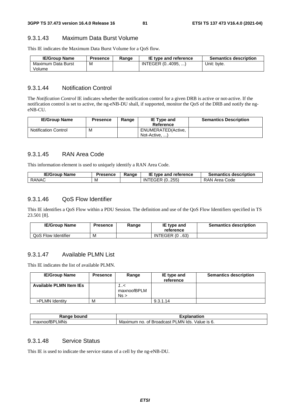#### 9.3.1.43 Maximum Data Burst Volume

This IE indicates the Maximum Data Burst Volume for a QoS flow.

| <b>IE/Group Name</b> | <b>Presence</b> | Range | IE type and reference | <b>Semantics description</b> |
|----------------------|-----------------|-------|-----------------------|------------------------------|
| Maximum Data Burst   | M               |       | INTEGER (04095, )     | Unit: byte.                  |
| Volume               |                 |       |                       |                              |

#### 9.3.1.44 Notification Control

The *Notification Control* IE indicates whether the notification control for a given DRB is active or not-active. If the notification control is set to active, the ng-eNB-DU shall, if supported, monitor the QoS of the DRB and notify the ngeNB-CU.

| <b>IE/Group Name</b>        | Presence | Range | <b>IE Type and</b><br>Reference     | <b>Semantics Description</b> |
|-----------------------------|----------|-------|-------------------------------------|------------------------------|
| <b>Notification Control</b> | M        |       | ENUMERATED(Active,<br>Not-Active, ) |                              |

#### 9.3.1.45 RAN Area Code

This information element is used to uniquely identify a RAN Area Code.

| <b>IE/Group Name</b> | <b>Presence</b> | Ranɑe | IE type and reference | <b>Semantics description</b> |
|----------------------|-----------------|-------|-----------------------|------------------------------|
| RANAC                | M               |       | ITEGER (0255)<br>ΙN   | RAN Area Code                |

#### 9.3.1.46 QoS Flow Identifier

This IE identifies a QoS Flow within a PDU Session. The definition and use of the QoS Flow Identifiers specified in TS 23.501 [8].

| <b>IE/Group Name</b> | Presence | Range | IE type and<br>reference | <b>Semantics description</b> |
|----------------------|----------|-------|--------------------------|------------------------------|
| QoS Flow Identifier  | M        |       | <b>INTEGER (0.63)</b>    |                              |

# 9.3.1.47 Available PLMN List

This IE indicates the list of available PLMN.

| <b>IE/Group Name</b>           | <b>Presence</b> | Range                   | IE type and<br>reference | <b>Semantics description</b> |
|--------------------------------|-----------------|-------------------------|--------------------------|------------------------------|
| <b>Available PLMN Item IEs</b> |                 | >/<br>maxnoofBPLM<br>Ns |                          |                              |
| >PLMN Identity                 | M               |                         | 9.3.1.14                 |                              |

| ⊀anqe<br>bound                | <b>TAP 80</b><br>าnation<br>ла<br>.А                                         |
|-------------------------------|------------------------------------------------------------------------------|
| LMNs<br>וחס<br>maxnoofL<br>n- | lds.<br>Value is 6.<br>_MN.<br><b>Broadcast</b><br>Maximum<br>◡<br>no.<br>Οt |

## 9.3.1.48 Service Status

This IE is used to indicate the service status of a cell by the ng-eNB-DU.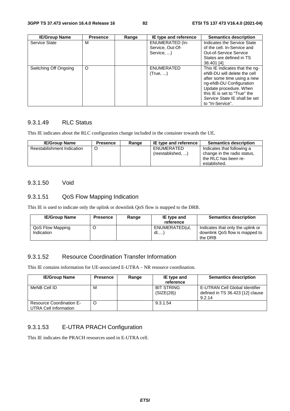| <b>IE/Group Name</b>  | <b>Presence</b> | Range | IE type and reference                                    | <b>Semantics description</b>                                                                                                                                                                                                           |
|-----------------------|-----------------|-------|----------------------------------------------------------|----------------------------------------------------------------------------------------------------------------------------------------------------------------------------------------------------------------------------------------|
| Service State         | м               |       | <b>ENUMERATED (In-</b><br>Service, Out-Of-<br>Service, ) | Indicates the Service State<br>of the cell. In-Service and<br><b>Out-of-Service Service</b><br>States are defined in TS<br>38.401 [4].                                                                                                 |
| Switching Off Ongoing | $\circ$         |       | <b>ENUMERATED</b><br>(True, )                            | This IE indicates that the ng-<br>eNB-DU will delete the cell<br>after some time using a new<br>ng-eNB-DU Configuration<br>Update procedure. When<br>this IE is set to "True" the<br>Service State IE shall be set<br>to "In-Service". |

## 9.3.1.49 RLC Status

This IE indicates about the RLC configuration change included in the container towards the UE.

| <b>IE/Group Name</b>       | <b>Presence</b> | Range | IE type and reference            | <b>Semantics description</b>                                                                      |
|----------------------------|-----------------|-------|----------------------------------|---------------------------------------------------------------------------------------------------|
| Reestablishment Indication |                 |       | ENUMERATED<br>(reestabilished, ) | Indicates that following a<br>change in the radio status,<br>the RLC has been re-<br>established. |

#### 9.3.1.50 Void

#### 9.3.1.51 QoS Flow Mapping Indication

This IE is used to indicate only the uplink or downlink QoS flow is mapped to the DRB.

| <b>IE/Group Name</b>           | <b>Presence</b> | Range | IE type and<br>reference | <b>Semantics description</b>                                                   |
|--------------------------------|-----------------|-------|--------------------------|--------------------------------------------------------------------------------|
| QoS Flow Mapping<br>Indication |                 |       | ENUMERATED(ul.<br>dl     | Indicates that only the uplink or<br>downlink QoS flow is mapped to<br>the DRB |

#### 9.3.1.52 Resource Coordination Transfer Information

This IE contains information for UE-associated E-UTRA – NR resource coordination.

| <b>IE/Group Name</b>                                     | <b>Presence</b> | Range | IE type and<br>reference        | <b>Semantics description</b>                                                 |
|----------------------------------------------------------|-----------------|-------|---------------------------------|------------------------------------------------------------------------------|
| MeNB Cell ID                                             | M               |       | <b>BIT STRING</b><br>(SIZE(28)) | E-UTRAN Cell Global Identifier<br>defined in TS 36.423 [12] clause<br>9.2.14 |
| <b>Resource Coordination E-</b><br>UTRA Cell Information | C               |       | 9.3.1.54                        |                                                                              |

## 9.3.1.53 E-UTRA PRACH Configuration

This IE indicates the PRACH resources used in E-UTRA cell.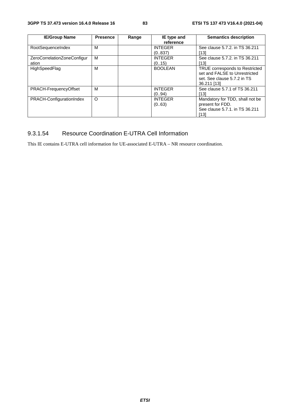| <b>IE/Group Name</b>        | <b>Presence</b> | Range | IE type and    | <b>Semantics description</b>    |
|-----------------------------|-----------------|-------|----------------|---------------------------------|
|                             |                 |       | reference      |                                 |
| RootSequenceIndex           | м               |       | <b>INTEGER</b> | See clause 5.7.2. in TS 36.211  |
|                             |                 |       | (0.837)        | [13]                            |
| ZeroCorrelationZoneConfigur | M               |       | <b>INTEGER</b> | See clause 5.7.2. in TS 36.211  |
| ation                       |                 |       | (0.15)         | [13]                            |
| HighSpeedFlag               | M               |       | <b>BOOLEAN</b> | TRUE corresponds to Restricted  |
|                             |                 |       |                | set and FALSE to Unrestricted   |
|                             |                 |       |                | set. See clause 5.7.2 in TS     |
|                             |                 |       |                | 36.211 [13]                     |
| PRACH-FrequencyOffset       | м               |       | <b>INTEGER</b> | See clause 5.7.1 of TS 36.211   |
|                             |                 |       | (0.94)         | [13]                            |
| PRACH-ConfigurationIndex    | O               |       | <b>INTEGER</b> | Mandatory for TDD, shall not be |
|                             |                 |       | (0.63)         | present for FDD.                |
|                             |                 |       |                | See clause 5.7.1, in TS 36.211  |
|                             |                 |       |                | [13]                            |

# 9.3.1.54 Resource Coordination E-UTRA Cell Information

This IE contains E-UTRA cell information for UE-associated E-UTRA – NR resource coordination.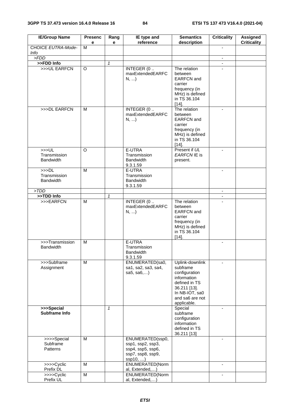| <b>IE/Group Name</b>                                 | <b>Presenc</b><br>е | Rang<br>e    | IE type and<br>reference                                                                  | <b>Semantics</b><br>description                                                                                                                  | <b>Criticality</b>       | <b>Assigned</b><br><b>Criticality</b> |
|------------------------------------------------------|---------------------|--------------|-------------------------------------------------------------------------------------------|--------------------------------------------------------------------------------------------------------------------------------------------------|--------------------------|---------------------------------------|
| CHOICE EUTRA-Mode-<br><b>Info</b>                    | M                   |              |                                                                                           |                                                                                                                                                  | $\blacksquare$           |                                       |
| > FDD                                                |                     |              |                                                                                           |                                                                                                                                                  | $\omega$ .               |                                       |
| >>FDD Info                                           |                     | $\mathbf{1}$ |                                                                                           |                                                                                                                                                  | $\blacksquare$           |                                       |
| >>>UL EARFCN                                         | O                   |              | INTEGER (0<br>maxExtendedEARFC<br>N,                                                      | The relation<br>between<br><b>EARFCN</b> and<br>carrier<br>frequency (in<br>MHz) is defined<br>in TS 36.104<br>$[14]$ .                          |                          |                                       |
| >>>DL EARFCN                                         | M                   |              | INTEGER (0.<br>maxExtendedEARFC<br>$N, $ )                                                | The relation<br>between<br><b>EARFCN</b> and<br>carrier<br>frequency (in<br>MHz) is defined<br>in TS 36.104<br>$[14]$ .                          | $\blacksquare$           |                                       |
| >>UL<br>Transmission<br><b>Bandwidth</b>             | $\Omega$            |              | E-UTRA<br>Transmission<br><b>Bandwidth</b><br>9.3.1.59                                    | Present if UL<br>EARFCN IE is<br>present.                                                                                                        |                          |                                       |
| >>D <sub>L</sub><br>Transmission<br><b>Bandwidth</b> | M                   |              | E-UTRA<br>Transmission<br><b>Bandwidth</b><br>9.3.1.59                                    |                                                                                                                                                  |                          |                                       |
| > TDD                                                |                     |              |                                                                                           |                                                                                                                                                  | $\blacksquare$           |                                       |
| >>TDD Info                                           |                     | $\mathbf{1}$ |                                                                                           |                                                                                                                                                  |                          |                                       |
| >>>EARFCN                                            | M                   |              | INTEGER (0<br>maxExtendedEARFC<br>$N, $ )                                                 | The relation<br>between<br><b>EARFCN</b> and<br>carrier<br>frequency (in<br>MHz) is defined<br>in TS 36.104<br>$[14]$ .                          | $\mathbf{r}$             |                                       |
| >>>Transmission<br><b>Bandwidth</b>                  | M                   |              | E-UTRA<br>Transmission<br>Bandwidth<br>9.3.1.59                                           |                                                                                                                                                  | $\overline{\phantom{a}}$ |                                       |
| >>>Subframe<br>Assignment                            | M                   |              | ENUMERATED(sa0,<br>sa1, sa2, sa3, sa4,<br>sa $5,$ sa $6,$                                 | Uplink-downlink<br>subframe<br>configuration<br>information<br>defined in TS<br>36.211 [13].<br>In NB-IOT, sa0<br>and sa6 are not<br>applicable. | $\blacksquare$           |                                       |
| >>>Special<br>Subframe Info                          |                     | $\mathbf{1}$ |                                                                                           | Special<br>subframe<br>configuration<br>information<br>defined in TS<br>36.211 [13]                                                              | $\blacksquare$           |                                       |
| $\overline{\gg}$ >>Special<br>Subframe<br>Patterns   | M                   |              | ENUMERATED(ssp0,<br>ssp1, ssp2, ssp3,<br>ssp4, ssp5, ssp6,<br>ssp7, ssp8, ssp9,<br>ssp10, |                                                                                                                                                  | $\overline{a}$           |                                       |
| >>>>Cyclic<br>Prefix DL                              | M                   |              | ENUMERATED(Norm<br>al, Extended,)                                                         |                                                                                                                                                  | $\blacksquare$           |                                       |
| >>>>Cyclic<br>Prefix UL                              | M                   |              | ENUMERATED(Norm<br>al, Extended,)                                                         |                                                                                                                                                  |                          |                                       |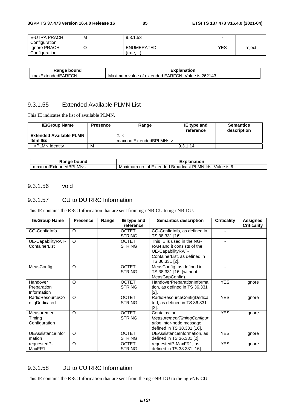| E-UTRA PRACH  | М | 9.3.1.53          |            |        |
|---------------|---|-------------------|------------|--------|
| Configuration |   |                   |            |        |
| Ignore PRACH  |   | <b>ENUMERATED</b> | <b>YES</b> | reject |
| Configuration |   | (true,            |            |        |

| bound<br>Range          | Explanation                                                                      |
|-------------------------|----------------------------------------------------------------------------------|
| ExtendedEARFCN<br>maxE, | 262143.<br>TCN.<br><b>EARFO</b><br>Value is<br>⊧of extended.<br>Maximum<br>value |

## 9.3.1.55 Extended Available PLMN List

This IE indicates the list of available PLMN.

| <b>IE/Group Name</b>           | <b>Presence</b> | Range                   | IE type and<br>reference | <b>Semantics</b><br>description |
|--------------------------------|-----------------|-------------------------|--------------------------|---------------------------------|
| <b>Extended Available PLMN</b> |                 | >/                      |                          |                                 |
| <b>Item IEs</b>                |                 | maxnoofExtendedBPLMNs > |                          |                                 |
| >PLMN Identity                 | M               |                         | 9.3.1.14                 |                                 |

| วนทc<br>nae.<br>וונזו<br>٦a                                                    | ----<br>nation                                                                                       |
|--------------------------------------------------------------------------------|------------------------------------------------------------------------------------------------------|
| ∟MNs<br>$\overline{\phantom{a}}$<br>∟xter<br>under:<br>axnoor<br>115 F<br>l lo | יכ<br>_MN<br>alue/<br>lds.<br>Broadcast<br>IS.<br><b>Extended</b><br>Maxir<br>nc<br>0t<br>num<br>. ب |

#### 9.3.1.56 void

#### 9.3.1.57 CU to DU RRC Information

This IE contains the RRC Information that are sent from ng-eNB-CU to ng-eNB-DU.

| <b>IE/Group Name</b>                    | <b>Presence</b> | Range | IE type and<br>reference      | <b>Semantics description</b>                                                                                                    | <b>Criticality</b> | Assigned<br><b>Criticality</b> |
|-----------------------------------------|-----------------|-------|-------------------------------|---------------------------------------------------------------------------------------------------------------------------------|--------------------|--------------------------------|
| CG-Configlnfo                           | $\circ$         |       | <b>OCTET</b><br><b>STRING</b> | CG-ConfigInfo, as defined in<br>TS 38.331 [16].                                                                                 |                    |                                |
| UE-CapabilityRAT-<br>ContainerList      | $\circ$         |       | <b>OCTET</b><br><b>STRING</b> | This IE is used in the NG-<br>RAN and it consists of the<br>UE-CapabilityRAT-<br>ContainerList, as defined in<br>TS 36.331 [2]. |                    |                                |
| MeasConfig                              | $\circ$         |       | <b>OCTET</b><br><b>STRING</b> | MeasConfig, as defined in<br>TS 38.331 [16] (without<br>MeasGapConfig).                                                         |                    |                                |
| Handover<br>Preparation<br>Information  | $\circ$         |       | <b>OCTET</b><br><b>STRING</b> | HandoverPreparationInforma<br>tion, as defined in TS 36.331<br>[2].                                                             | <b>YES</b>         | ignore                         |
| <b>RadioResourceCo</b><br>nfigDedicated | $\Omega$        |       | <b>OCTET</b><br><b>STRING</b> | RadioResourceConfigDedica<br>ted, as defined in TS 36.331<br>[2]                                                                | <b>YES</b>         | ignore                         |
| Measurement<br>Timing<br>Configuration  | $\Omega$        |       | <b>OCTET</b><br><b>STRING</b> | Contains the<br>MeasurementTimingConfigur<br>ation inter-node message<br>defined in TS 38.331 [16].                             | <b>YES</b>         | ignore                         |
| UEAssistanceInfor<br>mation             | $\Omega$        |       | <b>OCTET</b><br><b>STRING</b> | UEAssistanceInformation, as<br>defined in TS 36.331 [2].                                                                        | <b>YES</b>         | ignore                         |
| requestedP-<br>MaxFR1                   | $\circ$         |       | <b>OCTET</b><br><b>STRING</b> | requestedP-MaxFR1, as<br>defined in TS 38.331 [16].                                                                             | <b>YES</b>         | ignore                         |

## 9.3.1.58 DU to CU RRC Information

This IE contains the RRC Information that are sent from the ng-eNB-DU to the ng-eNB-CU.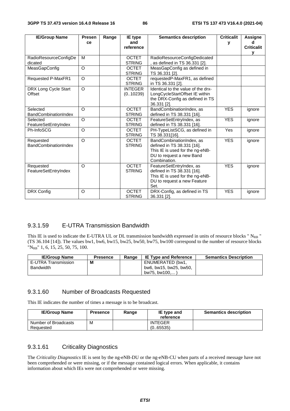| <b>IE/Group Name</b>        | <b>Presen</b> | Range | IE type        | <b>Semantics description</b>       | <b>Criticalit</b> | <b>Assigne</b>    |
|-----------------------------|---------------|-------|----------------|------------------------------------|-------------------|-------------------|
|                             | ce            |       | and            |                                    | у                 |                   |
|                             |               |       | reference      |                                    |                   | <b>Criticalit</b> |
|                             |               |       |                |                                    |                   | v                 |
| RadioResourceConfigDe       | M             |       | <b>OCTET</b>   | RadioResourceConfigDedicated       |                   |                   |
| dicated                     |               |       | <b>STRING</b>  | , as defined in TS 36.331 [2].     |                   |                   |
| MeasGapConfig               | O             |       | <b>OCTET</b>   | MeasGapConfig as defined in        |                   |                   |
|                             |               |       | <b>STRING</b>  | TS 36.331 [2].                     |                   |                   |
| <b>Requested P-MaxFR1</b>   | O             |       | <b>OCTET</b>   | requestedP-MaxFR1, as defined      |                   |                   |
|                             |               |       | <b>STRING</b>  | in TS 36.331 [2].                  |                   |                   |
| DRX Long Cycle Start        | O             |       | <b>INTEGER</b> | Identical to the value of the drx- |                   |                   |
| Offset                      |               |       | (0.10239)      | LongCycleStartOffset IE within     |                   |                   |
|                             |               |       |                | the DRX-Config as defined in TS    |                   |                   |
|                             |               |       |                | 36.331 [2].                        |                   |                   |
| Selected                    | O             |       | <b>OCTET</b>   | BandCombinationIndex, as           | <b>YES</b>        | ignore            |
| <b>BandCombinationIndex</b> |               |       | <b>STRING</b>  | defined in TS 38.331 [16].         |                   |                   |
| Selected                    | O             |       | <b>OCTET</b>   | FeatureSetEntryIndex, as           | <b>YES</b>        | ignore            |
| FeatureSetEntryIndex        |               |       | <b>STRING</b>  | defined in TS 38.331 [16].         |                   |                   |
| Ph-InfoSCG                  | $\Omega$      |       | <b>OCTET</b>   | PH-TypeListSCG, as defined in      | Yes               | ignore            |
|                             |               |       | <b>STRING</b>  | TS 38.331[16].                     |                   |                   |
| Requested                   | O             |       | <b>OCTET</b>   | BandCombinationIndex, as           | <b>YES</b>        | ignore            |
| BandCombinationIndex        |               |       | <b>STRING</b>  | defined in TS 38.331 [16].         |                   |                   |
|                             |               |       |                | This IE is used for the ng-eNB-    |                   |                   |
|                             |               |       |                | DU to request a new Band           |                   |                   |
|                             |               |       |                | Combination.                       |                   |                   |
| Requested                   | $\circ$       |       | <b>OCTET</b>   | FeatureSetEntryIndex, as           | <b>YES</b>        | ignore            |
| FeatureSetEntryIndex        |               |       | <b>STRING</b>  | defined in TS 38.331 [16].         |                   |                   |
|                             |               |       |                | This IE is used for the ng-eNB-    |                   |                   |
|                             |               |       |                | DU to request a new Feature        |                   |                   |
|                             |               |       |                | Set.                               |                   |                   |
| DRX Config                  | O             |       | <b>OCTET</b>   | DRX-Config, as defined in TS       | <b>YES</b>        | ignore            |
|                             |               |       | <b>STRING</b>  | 36.331 [2].                        |                   |                   |

#### 9.3.1.59 E-UTRA Transmission Bandwidth

This IE is used to indicate the E-UTRA UL or DL transmission bandwidth expressed in units of resource blocks " N<sub>RB</sub> " (TS 36.104 [14]). The values bw1, bw6, bw15, bw25, bw50, bw75, bw100 correspond to the number of resource blocks "NRB" 1, 6, 15, 25, 50, 75, 100.

| <b>IE/Group Name</b> | <b>Presence</b> | Range | <b>IE Type and Reference</b> | <b>Semantics Description</b> |
|----------------------|-----------------|-------|------------------------------|------------------------------|
| E-UTRA Transmission  | M               |       | ENUMERATED (bw1,             |                              |
| Bandwidth            |                 |       | bw6, bw15, bw25, bw50,       |                              |
|                      |                 |       | bw75, bw100,                 |                              |

#### 9.3.1.60 Number of Broadcasts Requested

This IE indicates the number of times a message is to be broadcast.

| <b>IE/Group Name</b>              | <b>Presence</b> | Range | IE type and<br>reference    | <b>Semantics description</b> |
|-----------------------------------|-----------------|-------|-----------------------------|------------------------------|
| Number of Broadcasts<br>Reauested | M               |       | <b>INTEGER</b><br>(0.65535) |                              |

#### 9.3.1.61 Criticality Diagnostics

The *Criticality Diagnostics* IE is sent by the ng-eNB-DU or the ng-eNB-CU when parts of a received message have not been comprehended or were missing, or if the message contained logical errors. When applicable, it contains information about which IEs were not comprehended or were missing.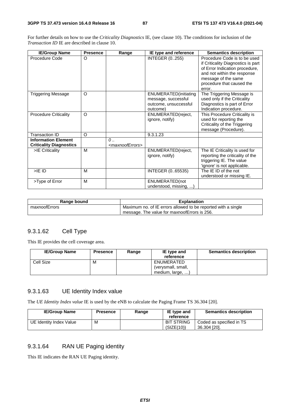For further details on how to use the *Criticality Diagnostics* IE, (see clause 10). The conditions for inclusion of the *Transaction ID* IE are described in clause 10.

| <b>IE/Group Name</b>                                         | <b>Presence</b> | Range                                       | IE type and reference                                                             | <b>Semantics description</b>                                                                                                                                                                      |
|--------------------------------------------------------------|-----------------|---------------------------------------------|-----------------------------------------------------------------------------------|---------------------------------------------------------------------------------------------------------------------------------------------------------------------------------------------------|
| Procedure Code                                               | O               |                                             | <b>INTEGER (0255)</b>                                                             | Procedure Code is to be used<br>if Criticality Diagnostics is part<br>of Error Indication procedure,<br>and not within the response<br>message of the same<br>procedure that caused the<br>error. |
| <b>Triggering Message</b>                                    | $\circ$         |                                             | ENUMERATED(initiating<br>message, successful<br>outcome, unsuccessful<br>outcome) | The Triggering Message is<br>used only if the Criticality<br>Diagnostics is part of Error<br>Indication procedure.                                                                                |
| <b>Procedure Criticality</b>                                 | $\circ$         |                                             | ENUMERATED(reject,<br>ignore, notify)                                             | This Procedure Criticality is<br>used for reporting the<br>Criticality of the Triggering<br>message (Procedure).                                                                                  |
| <b>Transaction ID</b>                                        | O               |                                             | 9.3.1.23                                                                          |                                                                                                                                                                                                   |
| <b>Information Element</b><br><b>Criticality Diagnostics</b> |                 | $\theta$<br><maxnooferrors></maxnooferrors> |                                                                                   |                                                                                                                                                                                                   |
| >IE Criticality                                              | M               |                                             | ENUMERATED(reject,<br>ignore, notify)                                             | The IE Criticality is used for<br>reporting the criticality of the<br>triggering IE. The value<br>'ignore' is not applicable.                                                                     |
| $>$ IE ID                                                    | M               |                                             | INTEGER (065535)                                                                  | The IE ID of the not<br>understood or missing IE.                                                                                                                                                 |
| >Type of Error                                               | M               |                                             | ENUMERATED(not<br>understood, missing,                                            |                                                                                                                                                                                                   |

| Range bound   | <b>Explanation</b>                                            |  |
|---------------|---------------------------------------------------------------|--|
| maxnoofErrors | Maximum no. of IE errors allowed to be reported with a single |  |
|               | message. The value for maxnoofErrors is 256.                  |  |

#### 9.3.1.62 Cell Type

This IE provides the cell coverage area.

| <b>IE/Group Name</b> | <b>Presence</b> | Range | IE type and<br>reference                             | <b>Semantics description</b> |
|----------------------|-----------------|-------|------------------------------------------------------|------------------------------|
| Cell Size            | M               |       | ENUMERATED<br>(verysmall, small,<br>medium, large, ) |                              |

## 9.3.1.63 UE Identity Index value

The *UE Identity Index value* IE is used by the eNB to calculate the Paging Frame TS 36.304 [20].

| <b>IE/Group Name</b>    | <b>Presence</b> | Range | IE type and<br>reference        | <b>Semantics description</b>             |
|-------------------------|-----------------|-------|---------------------------------|------------------------------------------|
| UE Identity Index Value | м               |       | <b>BIT STRING</b><br>(SIZE(10)) | Coded as specified in TS<br>36.304 [20]. |

## 9.3.1.64 RAN UE Paging identity

This IE indicates the RAN UE Paging identity.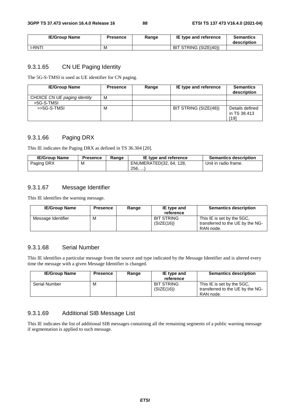| <b>IE/Group Name</b> | <b>Presence</b> | Range | IE type and reference | <b>Semantics</b><br>description |
|----------------------|-----------------|-------|-----------------------|---------------------------------|
| I-RNTI               | M               |       | BIT STRING (SIZE(40)) |                                 |

#### 9.3.1.65 CN UE Paging Identity

The 5G-S-TMSI is used as UE identifier for CN paging.

| <b>IE/Group Name</b>         | <b>Presence</b> | Range | IE type and reference | <b>Semantics</b><br>description         |
|------------------------------|-----------------|-------|-----------------------|-----------------------------------------|
| CHOICE CN UE paging identity | M               |       |                       |                                         |
| >5G-S-TMSL                   |                 |       |                       |                                         |
| >>5G-S-TMSL                  | M               |       | BIT STRING (SIZE(48)) | Details defined<br>in TS 38.413<br>[19] |

## 9.3.1.66 Paging DRX

This IE indicates the Paging DRX as defined in TS 36.304 [20].

| <b>IE/Group Name</b> | <b>Presence</b> | Range | IE type and reference   | <b>Semantics description</b> |
|----------------------|-----------------|-------|-------------------------|------------------------------|
| Paging DRX           | м               |       | ENUMERATED(32, 64, 128, | Unit in radio frame.         |
|                      |                 |       | 256,                    |                              |

#### 9.3.1.67 Message Identifier

This IE identifies the warning message.

| <b>IE/Group Name</b> | <b>Presence</b> | Range | IE type and<br>reference        | <b>Semantics description</b>                                                |
|----------------------|-----------------|-------|---------------------------------|-----------------------------------------------------------------------------|
| Message Identifier   | м               |       | <b>BIT STRING</b><br>(SIZE(16)) | This IE is set by the 5GC.<br>transferred to the UE by the NG-<br>RAN node. |

#### 9.3.1.68 Serial Number

This IE identifies a particular message from the source and type indicated by the Message Identifier and is altered every time the message with a given Message Identifier is changed.

| <b>IE/Group Name</b> | <b>Presence</b> | Range | IE type and<br>reference        | <b>Semantics description</b>                                                |
|----------------------|-----------------|-------|---------------------------------|-----------------------------------------------------------------------------|
| Serial Number        | M               |       | <b>BIT STRING</b><br>(SIZE(16)) | This IE is set by the 5GC.<br>transferred to the UE by the NG-<br>RAN node. |

### 9.3.1.69 Additional SIB Message List

This IE indicates the list of additional SIB messages containing all the remaining segments of a public warning message if segmentation is applied to such message.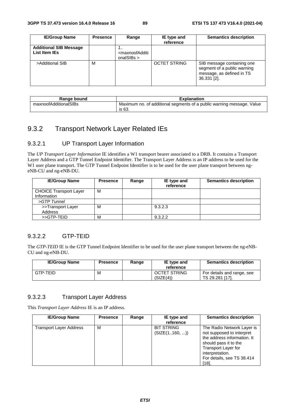| <b>IE/Group Name</b>                           | <b>Presence</b> | Range                                                               | IE type and<br>reference | <b>Semantics description</b>                                                                          |
|------------------------------------------------|-----------------|---------------------------------------------------------------------|--------------------------|-------------------------------------------------------------------------------------------------------|
| <b>Additional SIB Message</b><br>List Item IEs |                 | <br><maxnoofadditi<br>onalSIBs <math>&gt;</math></maxnoofadditi<br> |                          |                                                                                                       |
| >Additional SIB                                | М               |                                                                     | <b>OCTET STRING</b>      | SIB message containing one<br>segment of a public warning<br>message, as defined in TS<br>36.331 [2]. |

| Range bound           | <b>Explanation</b>                                                              |
|-----------------------|---------------------------------------------------------------------------------|
| maxnoofAdditionalSIBs | Maximum no. of additional segments of a public warning message. Value<br>is 63. |

# 9.3.2 Transport Network Layer Related IEs

## 9.3.2.1 UP Transport Layer Information

The *UP Transport Layer Information* IE identifies a W1 transport bearer associated to a DRB. It contains a Transport Layer Address and a GTP Tunnel Endpoint Identifier. The Transport Layer Address is an IP address to be used for the W1 user plane transport. The GTP Tunnel Endpoint Identifier is to be used for the user plane transport between ngeNB-CU and ng-eNB-DU.

| <b>IE/Group Name</b>                         | <b>Presence</b> | Range | IE type and<br>reference | <b>Semantics description</b> |
|----------------------------------------------|-----------------|-------|--------------------------|------------------------------|
| <b>CHOICE Transport Layer</b><br>Information | м               |       |                          |                              |
| >GTP Tunnel                                  |                 |       |                          |                              |
| >>Transport Layer<br>Address                 | M               |       | 9.3.2.3                  |                              |
| >>GTP-TEID                                   | M               |       | 9.3.2.2                  |                              |

## 9.3.2.2 GTP-TEID

The *GTP-TEID* IE is the GTP Tunnel Endpoint Identifier to be used for the user plane transport between the ng-eNB-CU and ng-eNB-DU.

| <b>IE/Group Name</b> | <b>Presence</b> | Range | IE type and<br>reference         | <b>Semantics description</b>                 |
|----------------------|-----------------|-------|----------------------------------|----------------------------------------------|
| GTP-TEID             | M               |       | <b>OCTET STRING</b><br>(SIZE(4)) | For details and range, see<br>TS 29.281 [17] |

#### 9.3.2.3 Transport Layer Address

This *Transport Layer Address* IE is an IP address.

| <b>IE/Group Name</b>    | <b>Presence</b> | Range | IE type and<br>reference           | <b>Semantics description</b>                                                                                                                                                                           |
|-------------------------|-----------------|-------|------------------------------------|--------------------------------------------------------------------------------------------------------------------------------------------------------------------------------------------------------|
| Transport Layer Address | M               |       | <b>BIT STRING</b><br>(SIZE(1160, ) | The Radio Network Layer is<br>not supposed to interpret<br>the address information. It<br>should pass it to the<br><b>Transport Layer for</b><br>interpretation.<br>For details, see TS 38.414<br>[18] |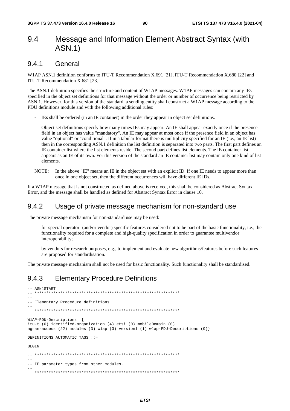# 9.4 Message and Information Element Abstract Syntax (with ASN.1)

## 9.4.1 General

W1AP ASN.1 definition conforms to ITU-T Recommendation X.691 [21], ITU-T Recommendation X.680 [22] and ITU-T Recommendation X.681 [23].

The ASN.1 definition specifies the structure and content of W1AP messages. W1AP messages can contain any IEs specified in the object set definitions for that message without the order or number of occurrence being restricted by ASN.1. However, for this version of the standard, a sending entity shall construct a W1AP message according to the PDU definitions module and with the following additional rules:

- IEs shall be ordered (in an IE container) in the order they appear in object set definitions.
- Object set definitions specify how many times IEs may appear. An IE shall appear exactly once if the presence field in an object has value "mandatory". An IE may appear at most once if the presence field in an object has value "optional" or "conditional". If in a tabular format there is multiplicity specified for an IE (i.e., an IE list) then in the corresponding ASN.1 definition the list definition is separated into two parts. The first part defines an IE container list where the list elements reside. The second part defines list elements. The IE container list appears as an IE of its own. For this version of the standard an IE container list may contain only one kind of list elements.
- NOTE: In the above "IE" means an IE in the object set with an explicit ID. If one IE needs to appear more than once in one object set, then the different occurrences will have different IE IDs.

If a W1AP message that is not constructed as defined above is received, this shall be considered as Abstract Syntax Error, and the message shall be handled as defined for Abstract Syntax Error in clause 10.

## 9.4.2 Usage of private message mechanism for non-standard use

The private message mechanism for non-standard use may be used:

- for special operator- (and/or vendor) specific features considered not to be part of the basic functionality, i.e., the functionality required for a complete and high-quality specification in order to guarantee multivendor interoperability;
- by vendors for research purposes, e.g., to implement and evaluate new algorithms/features before such features are proposed for standardisation.

The private message mechanism shall not be used for basic functionality. Such functionality shall be standardised.

# 9.4.3 Elementary Procedure Definitions

```
-- ASN1START<br>******************************
                                    -- ************************************************************** 
-- 
-- Elementary Procedure definitions 
-- 
-- ************************************************************** 
W1AP-PDU-Descriptions { 
itu-t (0) identified-organization (4) etsi (0) mobileDomain (0) 
ngran-access (22) modules (3) w1ap (3) version1 (1) w1ap-PDU-Descriptions (0)} 
DEFINITIONS AUTOMATIC TAGS ::= 
BEGIN
  -- ************************************************************** 
-- 
-- IE parameter types from other modules. 
-- 
-- **************************************************************
```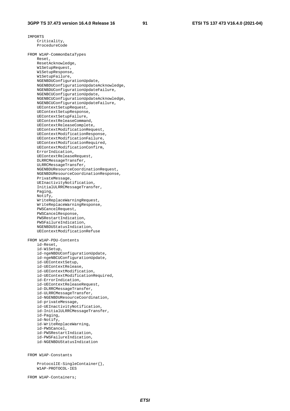IMPORTS

 Criticality, ProcedureCode FROM W1AP-CommonDataTypes Reset, ResetAcknowledge, W1SetupRequest, W1SetupResponse, W1SetupFailure, NGENBDUConfigurationUpdate, NGENBDUConfigurationUpdateAcknowledge, NGENBDUConfigurationUpdateFailure, NGENBCUConfigurationUpdate, NGENBCUConfigurationUpdateAcknowledge, NGENBCUConfigurationUpdateFailure, UEContextSetupRequest, UEContextSetupResponse, UEContextSetupFailure, UEContextReleaseCommand, UEContextReleaseComplete, UEContextModificationRequest, UEContextModificationResponse, UEContextModificationFailure, UEContextModificationRequired, UEContextModificationConfirm, ErrorIndication, UEContextReleaseRequest, DLRRCMessageTransfer, ULRRCMessageTransfer, NGENBDUResourceCoordinationRequest, NGENBDUResourceCoordinationResponse, PrivateMessage, UEInactivityNotification, InitialULRRCMessageTransfer, Paging, Notify, WriteReplaceWarningRequest, WriteReplaceWarningResponse, PWSCancelRequest, PWSCancelResponse, PWSRestartIndication, PWSFailureIndication, NGENBDUStatusIndication, UEContextModificationRefuse FROM W1AP-PDU-Contents id-Reset, id-W1Setup, id-ngeNBDUConfigurationUpdate, id-ngeNBCUConfigurationUpdate, id-UEContextSetup, id-UEContextRelease, id-UEContextModification, id-UEContextModificationRequired, id-ErrorIndication, id-UEContextReleaseRequest, id-DLRRCMessageTransfer, id-ULRRCMessageTransfer, id-NGENBDUResourceCoordination, id-privateMessage, id-UEInactivityNotification, id-InitialULRRCMessageTransfer, id-Paging, id-Notify, id-WriteReplaceWarning, id-PWSCancel, id-PWSRestartIndication, id-PWSFailureIndication, id-NGENBDUStatusIndication

FROM W1AP-Constants

 ProtocolIE-SingleContainer{}, W1AP-PROTOCOL-IES

FROM W1AP-Containers;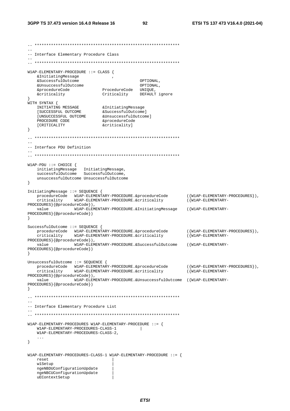```
\sim \sim-- Interface Elementary Procedure Class
W1AP-ELEMENTARY-PROCEDURE :: CLASS {
   & Initiating Message
   &SuccessfulOutcome
                                           OPTIONAL,
   &Successialoutcome<br>
&UnsuccessfulOutcome<br>
&procedureCode ProcedureCode UNIQUE,<br>
Criticality DEFAULT ignore
WITH SYNTAX {
   A SINTARING MESSAGE 6 AInitiating Message<br>
INITIATING MESSAGE 6 & Successful Outcome ]<br>
[UNSUCCESSFUL OUTCOME & Unsuccessful Outcome ]<br>
PROCEDURE CODE & procedureCode
   PROCEDURE CODE
                            --<br>&criticality]
   [CRITICALITY
\}\equiv-- Interface PDU Definition
W1AP-PDI ::= CHOICE {
   unsuccessfulOutcome UnsuccessfulOutcome
\lambdaInitiatingMessage ::= SEQUENCE {
   procedureCode WIAP-ELEMENTARY-PROCEDURE.&procedureCode<br>criticality WIAP-ELEMENTARY-PROCEDURE.&criticality
                                                               ({W1AP - ELEMENTARY - PROCEDURES}),
                                                               (\n\{\nW1AP-ELEMENTARY-
PROCEDURES}{@procedureCode}),
   value
                 W1AP-ELEMENTARY-PROCEDURE.&InitiatingMessage
                                                               ({W1AP-ELEMENTARY-
PROCEDURES } { @procedureCode } )
\rightarrowSuccessfulOutcome ::= SEQUENCE {
  ({W1AP-ELEMENTARY-PROCEDURES}),
   criticality
                  W1AP-ELEMENTARY-PROCEDURE.&criticality
                                                               (\{W1AP - ELEMENTARY -PROCEDURES } { @procedureCode } ) ,
   value
                  W1AP-ELEMENTARY-PROCEDURE.&SuccessfulOutcome
                                                               ({W1AP-ELEMENTARY-
PROCEDURES } {@procedureCode})
\}UnsuccessfulOutcome ::= SEQUENCE {
  procedureCode WIAP-ELEMENTARY-PROCEDURE.&procedureCode<br>criticality WIAP-ELEMENTARY-PROCEDURE.&criticality
                                                               ({W1AP-ELEMENTARY-PROCEDURES}),
                                                               (\{W1AP - ELEMENTARY -PROCEDURES}{@procedureCode}),
   value
                 W1AP-ELEMENTARY-PROCEDURE.&UnsuccessfulOutcome ({W1AP-ELEMENTARY-
PROCEDURES } { @procedureCode } )
\}=--- Interface Elementary Procedure List
W1AP-ELEMENTARY-PROCEDURES W1AP-ELEMENTRY-PROCEDURE ::= {
   W1AP-ELEMENTARY-PROCEDURES-CLASS-1
                                      and the state
   W1AP-ELEMENTARY-PROCEDURES-CLASS-2,
   \ddots\}<code>W1AP-ELEMENTARY-PROCEDURES-CLASS-1 W1AP-ELEMENTARY-PROCEDURE ::= {</code>
   reset
   wlSetup
   ngeNBDUConfigurationUpdate
   ngeNBCUConfigurationUpdate
   uEContextSetup
```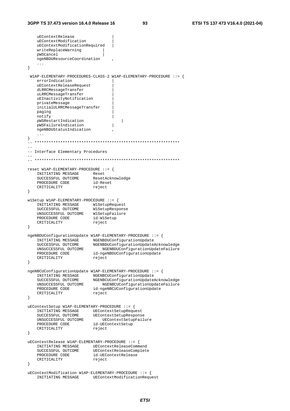```
uEContextRelease
     uEContextModification
    uEContextModificationRequired
     writeReplaceWarning
    pWSCancel
    ngeNBDUResourceCoordination
     \sim \sim \sim\lambdaW1AP-ELEMENTARY-PROCEDURES-CLASS-2 W1AP-ELEMENTARY-PROCEDURE ::= {
    errorIndication
     uEContextReleaseRequest
    dLRRCMessageTransfer
    uLRRCMessageTransfer
     uEInactivityNotification
    privateMessage
     initialULRRCMessageTransfer
    paging
    notify
    pWSRestartIndication
                                                  \overline{\phantom{a}}pWSFailureIndication
                                             \overline{\phantom{a}}ngeNBDUStatusIndication
     \sim . .
\}\equiv-- Interface Elementary Procedures
reset W1AP-ELEMENTARY-PROCEDURE ::= {
    INITIATING MESSAGE Reset
     SUCCESSFUL OUTCOME
                                  ResetAcknowledge
    PROCEDURE CODE
                                 id-Reset
    CRITICALITY
                                 reject
\}wlSetup W1AP-ELEMENTARY-PROCEDURE ::= {
    INITIATING MESSAGE WISetupRequest<br>SUCCESSFUL OUTCOME WISetupResponse<br>UNSUCCESSFUL OUTCOME WISetupFailure<br>PROCEDURE CODE id-WISetup
     PROCEDURE CODE
     CRITICALITY
                                 reject
\rightarrowngeNBDUConfigurationUpdate W1AP-ELEMENTARY-PROCEDURE ::= {
    NBDUCONITY<br>
INITIATING MESSAGE MGENBDUCOnfigurationUpdate<br>
SUCCESSFUL OUTCOME NGENBDUCOnfigurationUpdateAcknowledge<br>
UNSUCCESSFUL OUTCOME NGENBDUCOnfigurationUpdateFailure<br>
PROCEDURE CODE id-ngeNBDUConfigurationUpdate<br>
CRI
\}ngeNBCUConfigurationUpdate W1AP-ELEMENTARY-PROCEDURE ::= {
    NOTICIAL MESSAGE NGENBCUCONfiguration<br>Update<br>SUCCESSFUL OUTCOME NGENBCUCOnfiguration<br>UpdateAcknowledge<br>SUCCESSFUL OUTCOME NGENBCUCOnfiguration<br>UpdateFailure<br>PROCEDURE CODE id-ngeNBCUCOnfiguration<br>Update<br>CRITICALITY reject
     CRITICALITY
                                  reject
\}uEContextSetup W1AP-ELEMENTARY-PROCEDURE ::= {
    UEContextSetupResponse
    UNSUCCESSFUL OUTCOME
                                  UEContextSetupFailure
     PROCEDURE CODE
                                id-UEContextSetup
     CRITICALITY
                                  reject
\rightarrowuEContextRelease W1AP-ELEMENTARY-PROCEDURE ::= {
     INITIATING MESSAGE UEContextReleaseCommand
    INITIATING FIEDDING<br>SUCCESSFUL OUTCOME UEContextReleaseComp<br>PROCEDURE CODE id-UEContextRelease<br>reject reduct
                                  UEContextReleaseComplete
\left\{ \right\}uEContextModification W1AP-ELEMENTARY-PROCEDURE ::= {
    INITIATING MESSAGE UEContextModificationRequest
```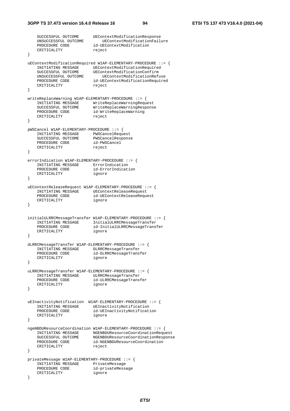```
 SUCCESSFUL OUTCOME UEContextModificationResponse 
     UNSUCCESSFUL OUTCOME UEContextModificationFailure 
                          id-UEContextModification<br>reject
    CRITICALITY
} 
uEContextModificationRequired W1AP-ELEMENTARY-PROCEDURE ::= { 
   INITIATING MESSAGE UEContextModificationRequired<br>SUCCESSFUL OUTCOME UEContextModificationConfirm
 SUCCESSFUL OUTCOME UEContextModificationConfirm 
 UNSUCCESSFUL OUTCOME UEContextModificationRefuse 
 PROCEDURE CODE id-UEContextModificationRequired 
CRITICALITY reject
} 
writeReplaceWarning W1AP-ELEMENTARY-PROCEDURE ::= { 
   INITIATING MESSAGE WriteReplaceWarningRequest<br>SUCCESSFUL OUTCOME WriteReplaceWarningRespons
 SUCCESSFUL OUTCOME WriteReplaceWarningResponse 
 PROCEDURE CODE id-WriteReplaceWarning 
CRITICALITY reject
} 
pWSCancel W1AP-ELEMENTARY-PROCEDURE ::= { 
 INITIATING MESSAGE PWSCancelRequest 
 SUCCESSFUL OUTCOME PWSCancelResponse 
 PROCEDURE CODE id-PWSCancel 
CRITICALITY reject
} 
errorIndication W1AP-ELEMENTARY-PROCEDURE ::= { 
    INITIATING MESSAGE ErrorIndication<br>
PROCEDURE CODE id-ErrorIndication
PROCEDURE CODE id-ErrorIndication
 CRITICALITY ignore 
} 
uEContextReleaseRequest W1AP-ELEMENTARY-PROCEDURE ::= { 
    INITIATING MESSAGE UEContextReleaseRequest
    PROCEDURE CODE id-UEContextReleaseRequest<br>CRITICALITY ignore
   INITIALITY ...
} 
initialULRRCMessageTransfer W1AP-ELEMENTARY-PROCEDURE ::= { 
    INITIATING MESSAGE InitialULRRCMessageTransfer<br>PROCEDURE CODE id-InitialULRRCMessageTrans
                           id-InitialULRRCMessageTransfer
     CRITICALITY ignore 
} 
dLRRCMessageTransfer W1AP-ELEMENTARY-PROCEDURE ::= { 
 INITIATING MESSAGE DLRRCMessageTransfer 
 PROCEDURE CODE id-DLRRCMessageTransfer 
    CRITICALITY ignore 
} 
uLRRCMessageTransfer W1AP-ELEMENTARY-PROCEDURE ::= { 
     INITIATING MESSAGE ULRRCMessageTransfer 
    PROCEDURE CODE
     CRITICALITY ignore 
} 
uEInactivityNotification W1AP-ELEMENTARY-PROCEDURE ::= { 
    INITIATING MESSAGE UEInactivityNotification<br>PROCEDURE CODE id-UEInactivityNotificat
                           id-UEInactivityNotification<br>ignore
    CRITICALITY
} 
ngeNBDUResourceCoordination W1AP-ELEMENTARY-PROCEDURE ::= { 
     INITIATING MESSAGE NGENBDUResourceCoordinationRequest 
 SUCCESSFUL OUTCOME NGENBDUResourceCoordinationResponse 
 PROCEDURE CODE id-NGENBDUResourceCoordination 
CRITICALITY reject
} 
privateMessage W1AP-ELEMENTARY-PROCEDURE ::= { 
     INITIATING MESSAGE PrivateMessage 
 PROCEDURE CODE id-privateMessage 
 CRITICALITY ignore 
}
```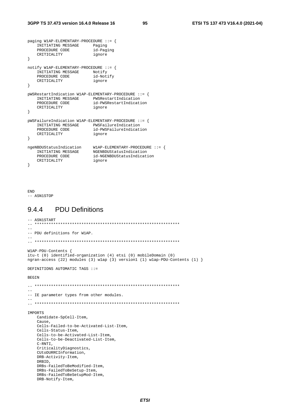```
paging W1AP-ELEMENTARY-PROCEDURE ::= {
    INITIATING MESSAGE Paging
     PROCEDURE CODE
                                  id-Paging
     CRITICALITY
                                   ignore
\left\{ \right\}notify W1AP-ELEMENTARY-PROCEDURE ::= {
     INITIATING MESSAGE Notify
     PROCEDURE CODE
                                  id-Notify
     CRITICALITY
                                  ignore
\}pWSRestartIndication W1AP-ELEMENTARY-PROCEDURE ::= {
     INITIATING MESSAGE PWSRestartIndication
    PROCEDURE CODE
                                  id-PWSRestartIndication
    CRITICALITY
                                 ignore
\}pWSFailureIndication W1AP-ELEMENTARY-PROCEDURE ::= {
    NATURE IN THE PWSFailureIndication<br>IN THE MANUSCRIPS ON THE PWSFailureIndication
     PROCEDURE CODE
                                 id-PWSFailureIndication
    CRITICALITY
                                  ignore
\left\{ \right\}ngeNBDUStatusIndication W1AP-ELEMENTARY-PROCEDURE ::= {<br>INITIATING MESSAGE NGENBDUStatusIndication<br>PROCEDURE CODE id-NGENBDUStatusIndication<br>CRITICALITY ignore
    CRITICALITY
                                 ignore
\left\{ \right\}
```

```
\mathop{\rm END}-- ASN1STOP
```
#### **PDU Definitions** 9.4.4

```
-- ASN1START
-- PDU definitions for W1AP.
\Delta \DeltaW1AP-PDU-Contents {
itu-t (0) identified-organization (4) etsi (0) mobileDomain (0)
ngran-access (22) modules (3) wlap (3) version1 (1) wlap-PDU-Contents (1) }
DEFINITIONS AUTOMATIC TAGS : :=
BEGIN
\equiv \equiv-- IE parameter types from other modules.
IMPORTS
  Candidate-SpCell-Item,
  Cause,
  Cells-Failed-to-be-Activated-List-Item,
  Cells-Status-Ttem.
  Cells-to-be-Activated-List-Item,
   Cells-to-be-Deactivated-List-Item,
  C- RNTI,CriticalityDiagnostics,
  CULODURRCInformation
  DRB-Activity-Item,
  DRBID,
  DRBs-FailedToBeModified-Item,
  DRBs-FailedToBeSetup-Item,
  DRBs-FailedToBeSetupMod-Item,
  DRB-Notify-Item,
```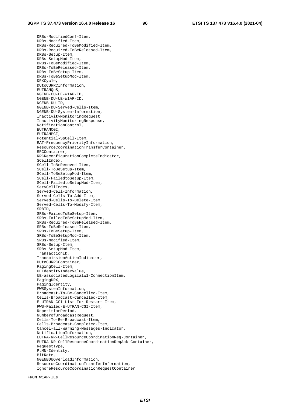DRBs-ModifiedConf-Item, DRBs-Modified-Item, DRBs-Required-ToBeModified-Item, DRBs-Required-ToBeReleased-Item, DRBs-Setup-Item, DRBs-SetupMod-Item, DRBs-ToBeModified-Item, DRBs-ToBeReleased-Item, DRBs-ToBeSetup-Item, DRBs-ToBeSetupMod-Item, DRXCycle, DUtoCURRCInformation, EUTRANQoS, NGENB-CU-UE-W1AP-ID, NGENB-DU-UE-W1AP-ID, NGENB-DU-ID, NGENB-DU-Served-Cells-Item, NGENB-DU-System-Information, InactivityMonitoringRequest, InactivityMonitoringResponse, NotificationControl, EUTRANCGI, EUTRANPCI, Potential-SpCell-Item, RAT-FrequencyPriorityInformation, ResourceCoordinationTransferContainer, RRCContainer, RRCReconfigurationCompleteIndicator, SCellIndex, SCell-ToBeRemoved-Item, SCell-ToBeSetup-Item, SCell-ToBeSetupMod-Item, SCell-FailedtoSetup-Item, SCell-FailedtoSetupMod-Item, ServCellIndex, Served-Cell-Information, Served-Cells-To-Add-Item, Served-Cells-To-Delete-Item, Served-Cells-To-Modify-Item, SRBID, SRBs-FailedToBeSetup-Item, SRBs-FailedToBeSetupMod-Item, SRBs-Required-ToBeReleased-Item, SRBs-ToBeReleased-Item, SRBs-ToBeSetup-Item, SRBs-ToBeSetupMod-Item, SRBs-Modified-Item, SRBs-Setup-Item, SRBs-SetupMod-Item, TransactionID, TransmissionActionIndicator, DUtoCURRCContainer, PagingCell-Item, UEIdentityIndexValue, UE-associatedLogicalW1-ConnectionItem, PagingDRX, PagingIdentity, PWSSystemInformation, Broadcast-To-Be-Cancelled-Item, Cells-Broadcast-Cancelled-Item, E-UTRAN-CGI-List-For-Restart-Item, PWS-Failed-E-UTRAN-CGI-Item, RepetitionPeriod, NumberofBroadcastRequest, Cells-To-Be-Broadcast-Item, Cells-Broadcast-Completed-Item, Cancel-all-Warning-Messages-Indicator, NotificationInformation, EUTRA-NR-CellResourceCoordinationReq-Container, EUTRA-NR-CellResourceCoordinationReqAck-Container, RequestType, PLMN-Identity, BitRate, NGENBDUOverloadInformation, ResourceCoordinationTransferInformation, IgnoreResourceCoordinationRequestContainer

FROM W1AP-IEs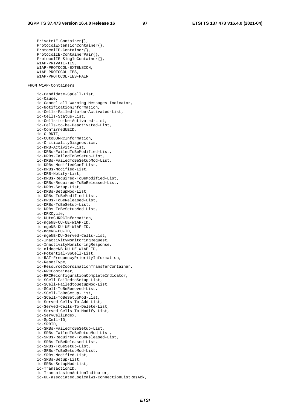PrivateIE-Container{}, ProtocolExtensionContainer{}, ProtocolIE-Container{}, ProtocolIE-ContainerPair{}, ProtocolIE-SingleContainer{}, W1AP-PRIVATE-IES, W1AP-PROTOCOL-EXTENSION, W1AP-PROTOCOL-IES, W1AP-PROTOCOL-IES-PAIR FROM W1AP-Containers id-Candidate-SpCell-List, id-Cause, id-Cancel-all-Warning-Messages-Indicator, id-NotificationInformation, id-Cells-Failed-to-be-Activated-List, id-Cells-Status-List, id-Cells-to-be-Activated-List, id-Cells-to-be-Deactivated-List, id-ConfirmedUEID, id-C-RNTI, id-CUtoDURRCInformation, id-CriticalityDiagnostics, id-DRB-Activity-List, id-DRBs-FailedToBeModified-List, id-DRBs-FailedToBeSetup-List, id-DRBs-FailedToBeSetupMod-List, id-DRBs-ModifiedConf-List, id-DRBs-Modified-List, id-DRB-Notify-List, id-DRBs-Required-ToBeModified-List, id-DRBs-Required-ToBeReleased-List, id-DRBs-Setup-List, id-DRBs-SetupMod-List, id-DRBs-ToBeModified-List, id-DRBs-ToBeReleased-List, id-DRBs-ToBeSetup-List, id-DRBs-ToBeSetupMod-List, id-DRXCycle, id-DUtoCURRCInformation, id-ngeNB-CU-UE-W1AP-ID, id-ngeNB-DU-UE-W1AP-ID, id-ngeNB-DU-ID, id-ngeNB-DU-Served-Cells-List, id-InactivityMonitoringRequest, id-InactivityMonitoringResponse, id-oldngeNB-DU-UE-W1AP-ID, id-Potential-SpCell-List, id-RAT-FrequencyPriorityInformation, id-ResetType, id-ResourceCoordinationTransferContainer, id-RRCContainer, id-RRCReconfigurationCompleteIndicator, id-SCell-FailedtoSetup-List, id-SCell-FailedtoSetupMod-List, id-SCell-ToBeRemoved-List, id-SCell-ToBeSetup-List, id-SCell-ToBeSetupMod-List, id-Served-Cells-To-Add-List, id-Served-Cells-To-Delete-List, id-Served-Cells-To-Modify-List, id-ServCellIndex, id-SpCell-ID, id-SRBID, id-SRBs-FailedToBeSetup-List, id-SRBs-FailedToBeSetupMod-List, id-SRBs-Required-ToBeReleased-List, id-SRBs-ToBeReleased-List, id-SRBs-ToBeSetup-List, id-SRBs-ToBeSetupMod-List, id-SRBs-Modified-List, id-SRBs-Setup-List, id-SRBs-SetupMod-List, id-TransactionID, id-TransmissionActionIndicator, id-UE-associatedLogicalW1-ConnectionListResAck,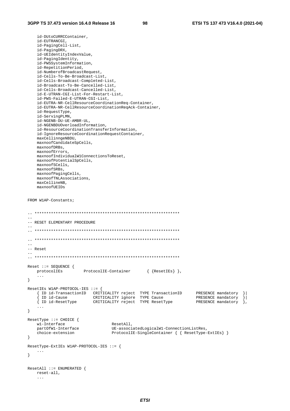id-DUtoCURRCContainer, id-EUTRANCGI, id-PagingCell-List, id-PagingDRX, id-UEIdentityIndexValue, id-PagingIdentity, id-PWSSystemInformation, id-RepetitionPeriod, id-NumberofBroadcastRequest, id-Cells-To-Be-Broadcast-List, id-Cells-Broadcast-Completed-List, id-Broadcast-To-Be-Cancelled-List, id-Cells-Broadcast-Cancelled-List, id-E-UTRAN-CGI-List-For-Restart-List, id-PWS-Failed-E-UTRAN-CGI-List, id-EUTRA-NR-CellResourceCoordinationReq-Container, id-EUTRA-NR-CellResourceCoordinationReqAck-Container, id-RequestType, id-ServingPLMN, id-NGENB-DU-UE-AMBR-UL, id-NGENBDUOverloadInformation, id-ResourceCoordinationTransferInformation, id-IgnoreResourceCoordinationRequestContainer, maxCellinngeNBDU, maxnoofCandidateSpCells, maxnoofDRBs, maxnoofErrors, maxnoofIndividualW1ConnectionsToReset, maxnoofPotentialSpCells, maxnoofSCells, maxnoofSRBs, maxnoofPagingCells, maxnoofTNLAssociations, maxCellineNB, maxnoofUEIDs FROM W1AP-Constants; -- \*\*\*\*\*\*\*\*\*\*\*\*\*\*\*\*\*\*\*\*\*\*\*\*\*\*\*\*\*\*\*\*\*\*\*\*\*\*\*\*\*\*\*\*\*\*\*\*\*\*\*\*\*\*\*\*\*\*\*\*\*\* -- -- RESET ELEMENTARY PROCEDURE -- -- \*\*\*\*\*\*\*\*\*\*\*\*\*\*\*\*\*\*\*\*\*\*\*\*\*\*\*\*\*\*\*\*\*\*\*\*\*\*\*\*\*\*\*\*\*\*\*\*\*\*\*\*\*\*\*\*\*\*\*\*\*\*  $\hspace{1.3cm} - \hspace{1.3cm} - \hspace{1.3cm} - \hspace{1.3cm}$  $-$ -- Reset -- -- \*\*\*\*\*\*\*\*\*\*\*\*\*\*\*\*\*\*\*\*\*\*\*\*\*\*\*\*\*\*\*\*\*\*\*\*\*\*\*\*\*\*\*\*\*\*\*\*\*\*\*\*\*\*\*\*\*\*\*\*\*\* Reset ::= SEQUENCE { protocolIEs ProtocolIE-Container { {ResetIEs} }, ... } ResetIEs W1AP-PROTOCOL-IES ::= { { ID id-TransactionID CRITICALITY reject TYPE TransactionID PRESENCE mandatory }| { ID id-Cause CRITICALITY ignore TYPE Cause PRESENCE mandatory }| { ID id-ResetType CRITICALITY reject TYPE ResetType PRESENCE mandatory }, ... } ResetType ::= CHOICE { w1-Interface ResetAll,<br>
partOfW1-Interface TE-associ partOfW1-Interface  $UE\text{-}associatedLogicalW1\text{-}ConnectionListRes, choice\text{-}extension$  $ProtocolIE-SingleContainer {\{ { ResetType-ExtIES} \}}$ } ResetType-ExtIEs W1AP-PROTOCOL-IES ::= { ... } ResetAll ::= ENUMERATED { reset-all, ...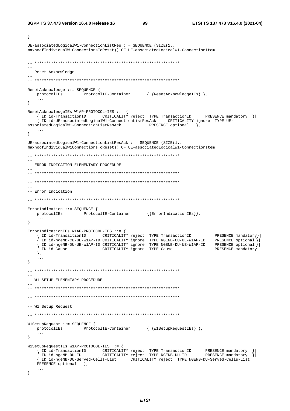$\left\{ \right.$ 

99

```
UE\text{-}associatedLogicalW1\text{-}ConnectionListRes ::= SEOUENCE (SIZE(1..maxnoofIndividualW1ConnectionsToReset)) OF UE-associatedLogicalW1-ConnectionItem
\frac{1}{2}-- Reset Acknowledge
ResetAcknowledge ::= SEQUENCE {
  protocolIEs ProtocolIE-Container { {ResetAcknowledgeIEs} },
   \ddots\}ResetAcknowledgeIEs W1AP-PROTOCOL-IES ::= {
   { ID id-TransactionID CRITICALITY reject TYPE TransactionID PRESENCE mandatory }|
   { ID id-UE-associatedLogicalW1-ConnectionListResAck CRITICALITY ignore TYPE UE-
                                   PRESENCE optional \overline{\ },
associatedLogicalW1-ConnectionListResAck
   \sim \sim \sim\}UE-associatedLogical W1-ConnectionListResack :: = SEQUENCE (SIZE(1..maxnoofIndividualW1ConnectionsToReset)) OF UE-associatedLogicalW1-ConnectionItem
\frac{1}{2}-- ERROR INDICATION ELEMENTARY PROCEDURE
L.
\sim \sim-- Error Indication
ErrorIndication ::= SEQUENCE {
  protocolIEs ProtocolIE-Container {{ErrorIndicationIEs}},
   \sim \sim\mathcal{V}ErrorIndicationIEs W1AP-PROTOCOL-IES ::= {
  VIA THE TRANSPORTED THE TRANSPORTED TO PRESENCE mandatory<br>
{ID id-TransactionID CRITICALITY reject TYPE TransactionID PRESENCE mandatory<br>
{ID id-ngeNB-CU-UE-WIAP-ID CRITICALITY ignore TYPE NGENB-CU-UE-WIAP-ID PRESENCE opti
                                                                PRESENCE mandatory } |
   \},
   \sim \sim \sim\}-- W1 SETUP ELEMENTARY PROCEDURE
=--- W1 Setup Request
W1SetupRequest ::= SEQUENCE {
  protocolIEs ProtocolIE-Container { {W1SetupRequestIEs} },
   \mathbf{1}\left\{ \right.W1SetupRequestIEs W1AP-PROTOCOL-IES ::= {
  { ID id-TransactionID CRITICALITY reject TYPE TransactionID PRESENCE mandatory<br>{ ID id-ngeNB-DU-ID CRITICALITY reject TYPE NGENB-DU-ID PRESENCE mandatory
                                                                              \vert{ ID id-ngeNB-DU-Served-Cells-List CRITICALITY reject TYPE NGENB-DU-Served-Cells-List
   PRESENCE optional },
   \ddotsc\left\{ \right.
```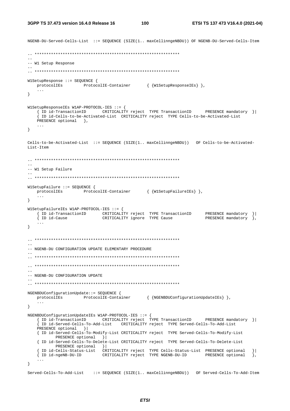```
NGENB-DU-Served-Cells-List ::= SEQUENCE (SIZE(1.. maxCellinnqeNBDU)) OF NGENB-DU-Served-Cells-Item
-- W1 Setup Response
W1SetupResponse ::= SEQUENCE {
   \texttt{protocolIES} \qquad \qquad \texttt{ProtocolIE-Container} \qquad \qquad \left\{ \text{ \texttt{W1SetupResponseIES}} \right\} \; \},\sim \sim \sim\left\{ \right\}W1SetupResponseIEs W1AP-PROTOCOL-IES ::= {
   { ID id-TransactionID CRITICALITY reject TYPE TransactionID PRESENCE mandatory }|
    ID id-Cells-to-be-Activated-List CRITICALITY reject TYPE Cells-to-be-Activated-List
   PRESENCE optional },
   \sim 100\}Cells-to-be-Activated-List ::= SEQUENCE (SIZE(1.. maxCellinngeNBDU)) OF Cells-to-be-Activated-
List-Item
\sim-- W1 Setup Failure
WlSetupFailure ::= SEQUENCE {
  protocolIEs ProtocolIE-Container { {W1SetupFailureIEs} },
   \sim \sim \sim\}W1SetupFailureIEs W1AP-PROTOCOL-IES ::= {
   extra the contract of the contract of the contract of the district of the contraction of the contract of the contract of the contract of the contract of the contract of the contract of the contract of the cause \{ ID id-
   \overline{\left\{ 1D\right.}} id-Cause
   \ldots\left\{ \right.\frac{1}{2}-- NGENB-DU CONFIGURATION UPDATE ELEMENTARY PROCEDURE
-- NGENB-DU CONFIGURATION UPDATE
NGENBDUConfigurationUpdate::= SEQUENCE {
  protocolIEs ProtocolIE-Container { {NGENBDUConfigurationUpdateIEs} },
   \ldots\left\{ \right\}ID id-Served-Cells-To-Add-List CRITICALITY reject TYPE Served-Cells-To-Add-List
   PRESENCE optional }
   { ID id-Served-Cells-To-Modify-List CRITICALITY reject TYPE Served-Cells-To-Modify-List
          PRESENCE optional }
   { ID id-Served-Cells-To-Delete-List CRITICALITY reject TYPE Served-Cells-To-Delete-List
         PRESENCE optional } |
   { ID id-Cells-Status-List cRITICALITY reject TYPE Cells-Status-List PRESENCE optional<br>{ ID id-ngeNB-DU-ID CRITICALITY reject TYPE NGENB-DU-ID PRESENCE optional
                                                                                   \vert{ ID id-ngeNB-DU-ID
                                                                                   \},
   \sim . \sim\}Served-Cells-To-Add-List ::= SEQUENCE (SIZE(1.. maxCellinngeNBDU)) OF Served-Cells-To-Add-Item
```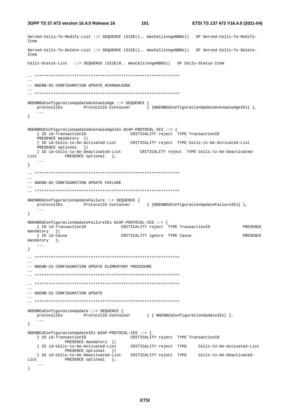**3GPP TS 37.473 version 16.4.0 Release 16 101 ETSI TS 137 473 V16.4.0 (2021-04)**

```
Served-Cells-To-Modify-List ::= SEQUENCE (SIZE(1.. maxCellinngeNBDU)) OF Served-Cells-To-Modify-
Item 
Served-Cells-To-Delete-List ::= SEQUENCE (SIZE(1.. maxCellinngeNBDU)) OF Served-Cells-To-Delete-
Item 
Cells-Status-List ::= SEQUENCE (SIZE(0.. maxCellinngeNBDU)) OF Cells-Status-Item 
-- ************************************************************** 
-- 
-- NGENB-DU CONFIGURATION UPDATE ACKNOWLEDGE
-- 
-- ************************************************************** 
NGENBDUConfigurationUpdateAcknowledge ::= SEQUENCE { 
    protocolIEs ProtocolIE-Container { {NGENBDUConfigurationUpdateAcknowledgeIEs} }, 
     ... 
} 
NGENBDUConfigurationUpdateAcknowledgeIEs W1AP-PROTOCOL-IES ::= { 
                           CRITICALITY reject TYPE TransactionID
    PRESENCE mandatory }| 
    { ID id-Cells-to-be-Activated-List CRITICALITY reject TYPE Cells-to-be-Activated-List 
   PRESENCE optional } |
    { ID id-Cells-to-be-Deactivated-List CRITICALITY reject TYPE Cells-to-be-Deactivated-
List PRESENCE optional },
 ... 
} 
-- ************************************************************** 
-- 
-- NGENB-DU CONFIGURATION UPDATE FAILURE 
-- 
-- ************************************************************** 
NGENBDUConfigurationUpdateFailure ::= SEQUENCE { 
    protocolIEs ProtocolIE-Container { {NGENBDUConfigurationUpdateFailureIEs} }, 
    ... 
} 
NGENBDUConfigurationUpdateFailureIEs W1AP-PROTOCOL-IES ::= { 
 { ID id-TransactionID CRITICALITY reject TYPE TransactionID PRESENCE 
mandatory } |<br>{ ID id-Cause
                                     CRITICALITY ignore TYPE Cause PRESENCE
mandatory },
    ... 
} 
-- ************************************************************** 
-- 
-- NGENB-CU CONFIGURATION UPDATE ELEMENTARY PROCEDURE 
-- 
-- ************************************************************** 
-- ************************************************************** 
-- 
-- NGENB-CU CONFIGURATION UPDATE 
-- 
-- ************************************************************** 
NGENBCUConfigurationUpdate ::= SEQUENCE { 
   protocolIEs ProtocolIE-Container { { NGENBCUConfigurationUpdateIEs} },
     ... 
} 
NGENBCUConfigurationUpdateIEs W1AP-PROTOCOL-IES ::= { 
                                         CRITICALITY reject TYPE TransactionID
                PRESENCE mandatory }| 
    { ID id-Cells-to-be-Activated-List CRITICALITY reject TYPE Cells-to-be-Activated-List
               PRESENCE optional } |
    { ID id-Cells-to-be-Deactivated-List CRITICALITY reject TYPE Cells-to-be-Deactivated-
List PRESENCE optional },
     ... 
}
```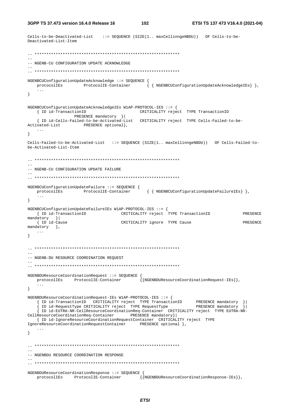**3GPP TS 37.473 version 16.4.0 Release 16 102 ETSI TS 137 473 V16.4.0 (2021-04)**

```
Cells-to-be-Deactivated-List ::= SEQUENCE (SIZE(1.. maxCellinngeNBDU)) OF Cells-to-be-
Deactivated-List-Item 
-- ************************************************************** 
-- 
-- NGENB-CU CONFIGURATION UPDATE ACKNOWLEDGE 
-- 
-- ************************************************************** 
NGENBCUConfigurationUpdateAcknowledge ::= SEQUENCE { 
   protocolIEs ProtocolIE-Container { { NGENBCUConfigurationUpdateAcknowledgeIEs} },
    ... 
} 
NGENBCUConfigurationUpdateAcknowledgeIEs W1AP-PROTOCOL-IES ::= { 
 { ID id-TransactionID CRITICALITY reject TYPE TransactionID 
PRESENCE mandatory }
    { ID id-Cells-Failed-to-be-Activated-List CRITICALITY reject TYPE Cells-Failed-to-be-
Activated-List PRESENCE optional},
    ... 
} 
Cells-Failed-to-be-Activated-List ::= SEQUENCE (SIZE(1.. maxCellinngeNBDU)) OF Cells-Failed-to-
be-Activated-List-Item 
-- ************************************************************** 
-- 
-- NGENB-CU CONFIGURATION UPDATE FAILURE
-- 
-- ************************************************************** 
NGENBCUConfigurationUpdateFailure ::= SEQUENCE { 
    protocolIEs ProtocolIE-Container { { NGENBCUConfigurationUpdateFailureIEs} }, 
    ... 
} 
NGENBCUConfigurationUpdateFailureIEs W1AP-PROTOCOL-IES ::= { 
    { ID id-TransactionID CRITICALITY reject TYPE TransactionID PRESENCE 
mandatory } |<br>{ ID id-Cause
                                     { ID id-Cause CRITICALITY ignore TYPE Cause PRESENCE 
mandatory },
   ... 
} 
-- ************************************************************** 
-- 
-- NGENB-DU RESOURCE COORDINATION REQUEST
-- 
-- ************************************************************** 
NGENBDUResourceCoordinationRequest ::= SEQUENCE { 
   protocolIEs ProtocolIE-Container \{{NGENBDUResourceCoordinationRequest-IEs}},
     ... 
} 
NGENBDUResourceCoordinationRequest-IEs W1AP-PROTOCOL-IES ::= { 
 { ID id-TransactionID CRITICALITY reject TYPE TransactionID PRESENCE mandatory }| 
 { ID id-RequestType CRITICALITY reject TYPE RequestType PRESENCE mandatory }| 
     { ID id-EUTRA-NR-CellResourceCoordinationReq-Container CRITICALITY reject TYPE EUTRA-NR-
CellResourceCoordinationReq-Container PRESENCE mandatory}| 
    { ID id-IgnoreResourceCoordinationRequestContainer CRITICALITY reject TYPE 
IgnoreResourceCoordinationRequestContainer PRESENCE optional }, 
    ... 
} 
-- ************************************************************** 
-- 
-- NGENBDU RESOURCE COORDINATION RESPONSE 
-- 
-- ************************************************************** 
NGENBDUResourceCoordinationResponse ::= SEQUENCE { 
   protocolIEs ProtocolIE-Container {{NGENBDUResourceCoordinationResponse-IEs}},
```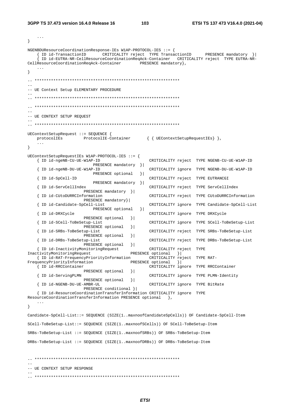$\sim$  . .

103

```
\mathcal{E}NGENBDUResourceCoordinationResponse-IEs W1AP-PROTOCOL-IES ::= {
   { ID id-TransactionID
                           CRITICALITY reject TYPE TransactionID
                                                                 PRESENCE mandatory }
    \int ID id-EUTRA-NR-CellResourceCoordinationReqAck-Container CRITICALITY reject TYPE EUTRA-NR-
CellResourceCoordinationRegAck-Container
                                          PRESENCE mandatory },
\rightarrow- --- UE Context Setup ELEMENTARY PROCEDURE
-- UE CONTEXT SETUP REQUEST
UEContextSetupRequest ::= SEQUENCE {
   protocolIEs
                    ProtocolIE-Container { { UEContextSetupRequestIEs } },
   \ddotsc\left\{ \right\}UEContextSetupRequestIEs W1AP-PROTOCOL-IES ::= {
   { ID id-ngeNB-CU-UE-W1AP-ID
                                              CRITICALITY reject TYPE NGENB-CU-UE-W1AP-ID
                        PRESENCE mandatory } |
                                              CRITICALITY ignore TYPE NGENB-DU-UE-W1AP-ID
   { ID id-ngeNB-DU-UE-W1AP-ID
                        PRESENCE optional
                                         \vert } |
   { ID id-SpCell-ID
                                              CRITICALITY reject TYPE EUTRANCGI
                        PRESENCE mandatory } |
   { ID id-ServCellIndex
                                              CRITICALITY reject TYPE ServCellIndex
                     PRESENCE mandatory } |
   { ID id-CUtoDURRCInformation
                                              CRITICALITY reject TYPE CUtoDURRCInformation
                     PRESENCE mandatory } |
                                              CRITICALITY ignore TYPE Candidate-SpCell-List
   { ID id-Candidate-SpCell-List
                        PRESENCE optional
                                        \vert \vert{ ID id-DRXCycle
                                              CRITICALITY ignore TYPE DRXCycle
                     PRESENCE optional
                                      \vert{ ID id-SCell-ToBeSetup-List
                                              CRITICALITY ignore TYPE SCell-ToBeSetup-List
                     PRESENCE optional
                                       \vert{ ID id-SRBs-ToBeSetup-List
                                              CRITICALITY reject TYPE SRBs-ToBeSetup-List
                    PRESENCE optional
                                       | \cdot |CRITICALITY reject TYPE DRBs-ToBeSetup-List
   { ID id-DRBs-ToBeSetup-List
                     PRESENCE optional
                                       \vert{ ID id-InactivityMonitoringRequest
                                              CRITICALITY reject TYPE
InactivityMonitoringRequest
                                       PRESENCE optional } |
   { ID id-RAT-FrequencyPriorityInformation
                                             CRITICALITY reject TYPE RAT-
FrequencyPriorityInformation
                                      PRESENCE optional
                                                        \vert{ ID id-RRCContainer
                                              CRITICALITY ignore TYPE RRCContainer
                     PRESENCE optional
                                      \vert{ ID id-ServingPLMN
                                             CRITICALITY ignore TYPE PLMN-Identity
                    PRESENCE optional
                                      \vert{ ID id-NGENB-DU-UE-AMBR-UL
                                             CRITICALITY ignore TYPE BitRate
                    PRESENCE conditional }|
   { ID id-ResourceCoordinationTransferInformation CRITICALITY ignore TYPE
ResourceCoordinationTransferInformation PRESENCE optional },
\left\{ \right.Candidate-SpCell-List::= SEOUENCE (SIZE(1..maxnoofCandidateSpCells)) OF Candidate-SpCell-Item
SCell-ToBeSetup-List::= SEQUENCE (SIZE(1..maxnoofSCells)) OF SCell-ToBeSetup-Item
SRBs-ToBeSetup-List ::= SEQUENCE (SIZE(1..maxnoofSRBs)) OF SRBs-ToBeSetup-Item
DRBs-ToBeSetup-List ::= SEQUENCE (SIZE(1..maxnoofDRBs)) OF DRBs-ToBeSetup-Item
-- UE CONTEXT SETUP RESPONSE
```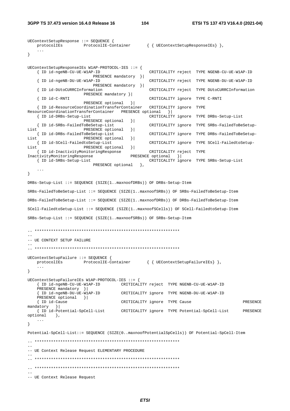```
UEContextSetupResponse ::= SEQUENCE { 
    protocolIEs ProtocolIE-Container { { UEContextSetupResponseIEs} }, 
 ... 
} 
UEContextSetupResponseIEs W1AP-PROTOCOL-IES ::= { 
                                                    { ID id-ngeNB-CU-UE-W1AP-ID CRITICALITY reject TYPE NGENB-CU-UE-W1AP-ID 
                            PRESENCE mandatory }| 
     { ID id-ngeNB-DU-UE-W1AP-ID CRITICALITY reject TYPE NGENB-DU-UE-W1AP-ID 
                            PRESENCE mandatory }| 
     { ID id-DUtoCURRCInformation CRITICALITY reject TYPE DUtoCURRCInformation 
    PRESENCE mandatory } | <br>| ID id-C-RNTI
                                                   CRITICALITY ignore TYPE C-RNTI
                       PRESENCE optional }| 
     { ID id-ResourceCoordinationTransferContainer CRITICALITY ignore TYPE 
ResourceCoordinationTransferContainer PRESENCE optional }| 
                                                   CRITICALITY ignore TYPE DRBs-Setup-List
    PRESENCE optional } |<br>{ ID id-SRBs-FailedToBeSetup-List
                                                    { ID id-SRBs-FailedToBeSetup-List CRITICALITY ignore TYPE SRBs-FailedToBeSetup-
List PRESENCE optional || { ID id-DRBs-FailedToBeSetup-List CRITICALITY ignore TYPE DRBs-FailedToBeSetup-
List PRESENCE optional }<br> { ID id-SCell-FailedtoSetup-List }<br> |
                                                    { ID id-SCell-FailedtoSetup-List CRITICALITY ignore TYPE SCell-FailedtoSetup-
List PRESENCE optional } |
     { ID id-InactivityMonitoringResponse CRITICALITY reject TYPE 
InactivityMonitoringResponse PRESENCE optional }| 
                                                   CRITICALITY ignore TYPE SRBs-Setup-List
                           PRESENCE optional },
 ... 
} 
DRBs-Setup-List ::= SEQUENCE (SIZE(1..maxnoofDRBs)) OF DRBs-Setup-Item 
SRBs-FailedToBeSetup-List ::= SEQUENCE (SIZE(1..maxnoofSRBs)) OF SRBs-FailedToBeSetup-Item 
DRBs-FailedToBeSetup-List ::= SEQUENCE (SIZE(1..maxnoofDRBs)) OF DRBs-FailedToBeSetup-Item 
SCell-FailedtoSetup-List ::= SEQUENCE (SIZE(1..maxnoofSCells)) OF SCell-FailedtoSetup-Item 
SRBs-Setup-List ::= SEQUENCE (SIZE(1..maxnoofSRBs)) OF SRBs-Setup-Item 
-- ************************************************************** 
-- 
-- UE CONTEXT SETUP FAILURE
-- 
-- ************************************************************** 
UEContextSetupFailure ::= SEQUENCE { 
   protocolIEs ProtocolIE-Container { { UEContextSetupFailureIEs} },
     ... 
} 
UEContextSetupFailureIEs W1AP-PROTOCOL-IES ::= { 
     { ID id-ngeNB-CU-UE-W1AP-ID CRITICALITY reject TYPE NGENB-CU-UE-W1AP-ID 
    PRESENCE mandatory } |
     { ID id-ngeNB-DU-UE-W1AP-ID CRITICALITY ignore TYPE NGENB-DU-UE-W1AP-ID 
   PRESENCE optional } |
     { ID id-Cause CRITICALITY ignore TYPE Cause PRESENCE 
mandatory } |<br>{ ID id-Potential-SpCell-List
                                     CRITICALITY ignore TYPE Potential-SpCell-List PRESENCE
optional }, 
 ... 
} 
Potential-SpCell-List::= SEQUENCE (SIZE(0..maxnoofPotentialSpCells)) OF Potential-SpCell-Item 
-- ************************************************************** 
-- 
-- UE Context Release Request ELEMENTARY PROCEDURE 
-- 
-- ************************************************************** 
-- ************************************************************** 
-- 
-- UE Context Release Request
```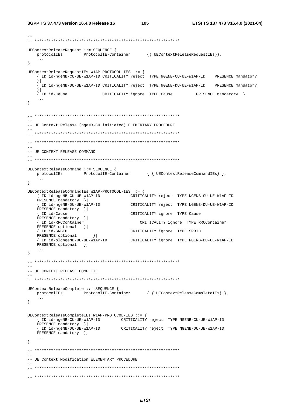```
UEContextReleaseRequest ::= SEQUENCE {
  \verb|protocolIES| = \verb|ProtocolIE-Container| { UEContextReleaseRequestIES} |,\ddotsc\mathcal{E}UEContextReleaseRequestIEs W1AP-PROTOCOL-IES ::= {
   { ID id-ngeNB-CU-UE-W1AP-ID CRITICALITY reject TYPE NGENB-CU-UE-W1AP-ID PRESENCE mandatory
   \vertID id-ngeNB-DU-UE-W1AP-ID CRITICALITY reject TYPE NGENB-DU-UE-W1AP-ID PRESENCE mandatory
   { ID id-Cause
                      CRITICALITY ignore TYPE Cause
                                                    PRESENCE mandatory },
   \sim 100\}-- IIE Context Release (ngeNB-CII initiated) ELEMENTARY PROCEDURE
\equiv-- UE CONTEXT RELEASE COMMAND
UEContextReleaseCommand ::= SEQUENCE {
  protocolIEs ProtocolIE-Container { { UEContextReleaseCommandIEs} },
   \sim \sim\left\{ \right.UEContextReleaseCommandIEs W1AP-PROTOCOL-IES ::= {
  PRESENCE mandatory } |
  The identical manual of \frac{1}{2}<br>
The identical structure of the contract of the NGENB-DU-UE-WIAP-ID<br>
The interval of the structure of the structure of the structure of the structure of the structure of the structure of t
  PRESENCE mandatory } |
   { ID id-Cause
                               CRITICALITY ignore TYPE Cause
                         CRITICALITY ignore TYPE RRCContainer
  PRESENCE mandatory }|
  { ID id-RRCContainer
  PRESENCE optional } |
   { ID id-SRBID
                               CRITICALITY ignore TYPE SRBID
  { iD iQ-SRBID<br>PRESENCE optional }|
   { ID id-oldngeNB-DU-UE-W1AP-ID
                               CRITICALITY ignore TYPE NGENB-DU-UE-W1AP-ID
  PRESENCE optional },
   \ddots .
\}\sim \sim-- UE CONTEXT RELEASE COMPLETE
UEContextReleaseComplete ::= SEQUENCE {
  protocolIEs ProtocolIE-Container { { UEContextReleaseCompleteIEs} },
   \sim 10 .
\}UEContextReleaseCompleteIEs W1AP-PROTOCOL-IES ::= {
  { ID id-ngeNB-CU-UE-W1AP-ID<br>
CRITICALITY reject TYPE NGENB-CU-UE-W1AP-ID
  PRESENCE mandatory } |
   {ID id-ngeNB-DU-UE-W1AP-ID CRITICALITY reject TYPE NGENB-DU-UE-W1AP-ID
  PRESENCE mandatory },
   \ddotsc\}- --- UE Context Modification ELEMENTARY PROCEDURE
```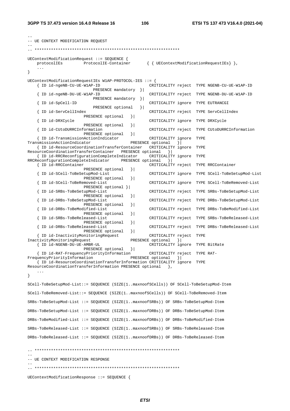--

| -- UE CONTEXT MODIFICATION REQUEST                                                    |                                                                                       |                                                        |                                 |                                                      |  |
|---------------------------------------------------------------------------------------|---------------------------------------------------------------------------------------|--------------------------------------------------------|---------------------------------|------------------------------------------------------|--|
|                                                                                       |                                                                                       |                                                        |                                 |                                                      |  |
| protocolIEs                                                                           | $UEContextModificationRequest :: = SEQUENCE$ {<br>ProtocolIE-Container                |                                                        |                                 | $\{ \{ \text{UEContextModificationRequestIES} \},\}$ |  |
| $\cdots$<br>}                                                                         |                                                                                       |                                                        |                                 |                                                      |  |
|                                                                                       | UEContextModificationRequestIEs W1AP-PROTOCOL-IES ::= {                               |                                                        |                                 |                                                      |  |
| { ID id-ngeNB-CU-UE-W1AP-ID                                                           |                                                                                       |                                                        |                                 | CRITICALITY reject TYPE NGENB-CU-UE-W1AP-ID          |  |
| ID id-ngeNB-DU-UE-W1AP-ID                                                             | PRESENCE mandatory                                                                    | $\vert$ } ]<br>CRITICALITY reject                      |                                 | TYPE NGENB-DU-UE-W1AP-ID                             |  |
| ID id-SpCell-ID                                                                       | PRESENCE mandatory                                                                    | $\vert$<br>CRITICALITY ignore                          |                                 | TYPE EUTRANCGI                                       |  |
|                                                                                       | PRESENCE optional                                                                     | $\vert$                                                |                                 |                                                      |  |
| ID id-ServCellIndex                                                                   | PRESENCE optional                                                                     | CRITICALITY reject<br>$\vert$                          |                                 | TYPE ServCellIndex                                   |  |
| ID id-DRXCycle                                                                        | PRESENCE optional                                                                     | CRITICALITY ignore<br>$\vert$                          |                                 | TYPE DRXCycle                                        |  |
| ID id-CUtoDURRCInformation                                                            |                                                                                       | CRITICALITY reject                                     |                                 | TYPE CUtoDURRCInformation                            |  |
|                                                                                       | PRESENCE optional<br>{ ID id-TransmissionActionIndicator                              | $\vert$<br>CRITICALITY ignore                          | TYPE                            |                                                      |  |
| TransmissionActionIndicator                                                           | { ID id-ResourceCoordinationTransferContainer                                         | PRESENCE optional<br>CRITICALITY ignore                | $\vert$<br>TYPE                 |                                                      |  |
| ResourceCoordinationTransferContainer                                                 |                                                                                       | PRESENCE optional<br>$\vert$ } $\vert$                 |                                 |                                                      |  |
| RRCReconfigurationCompleteIndicator                                                   | { ID id-RRCReconfigurationCompleteIndicator                                           | CRITICALITY ignore<br>PRESENCE optional<br>$\vert$ } ] | TYPE                            |                                                      |  |
| { ID id-RRCContainer                                                                  | PRESENCE optional                                                                     | CRITICALITY reject<br>$\vert$                          |                                 | TYPE RRCContainer                                    |  |
|                                                                                       | ID id-SCell-ToBeSetupMod-List<br>PRESENCE optional                                    | $\vert$                                                |                                 | CRITICALITY ignore TYPE SCell-ToBeSetupMod-List      |  |
|                                                                                       | ID id-SCell-ToBeRemoved-List                                                          | CRITICALITY ignore                                     |                                 | TYPE SCell-ToBeRemoved-List                          |  |
|                                                                                       | PRESENCE optional }<br>ID id-SRBs-ToBeSetupMod-List                                   | CRITICALITY reject                                     |                                 | TYPE SRBs-ToBeSetupMod-List                          |  |
|                                                                                       | PRESENCE optional<br>ID id-DRBs-ToBeSetupMod-List                                     | $\vert$<br>CRITICALITY reject                          |                                 | TYPE DRBs-ToBeSetupMod-List                          |  |
|                                                                                       | PRESENCE optional<br>ID id-DRBs-ToBeModified-List                                     | $\vert$<br>CRITICALITY reject                          |                                 | TYPE DRBs-ToBeModified-List                          |  |
|                                                                                       | PRESENCE optional                                                                     | $\vert$                                                |                                 |                                                      |  |
|                                                                                       | ID id-SRBs-ToBeReleased-List<br>PRESENCE optional                                     | CRITICALITY reject<br>$\vert$                          |                                 | TYPE SRBs-ToBeReleased-List                          |  |
|                                                                                       | ID id-DRBs-ToBeReleased-List<br>PRESENCE optional                                     | $\vert$                                                |                                 | CRITICALITY reject TYPE DRBs-ToBeReleased-List       |  |
| InactivityMonitoringRequest                                                           | { ID id-InactivityMonitoringRequest                                                   | CRITICALITY reject TYPE<br>PRESENCE optional           | $\vert$                         |                                                      |  |
| { ID id-NGENB-DU-UE-AMBR-UL                                                           |                                                                                       |                                                        | CRITICALITY ignore TYPE BitRate |                                                      |  |
|                                                                                       | PRESENCE optional<br>[ ID id-RAT-FrequencyPriorityInformation                         | $\vert$                                                | CRITICALITY reject TYPE RAT-    |                                                      |  |
| FrequencyPriorityInformation                                                          | { ID id-ResourceCoordinationTransferInformation CRITICALITY ignore TYPE               | PRESENCE optional }                                    |                                 |                                                      |  |
|                                                                                       | ResourceCoordinationTransferInformation PRESENCE optional                             | $\rightarrow$                                          |                                 |                                                      |  |
| .<br>$\}$                                                                             |                                                                                       |                                                        |                                 |                                                      |  |
|                                                                                       | SCell-ToBeSetupMod-List::= SEQUENCE (SIZE(1maxnoofSCells)) OF SCell-ToBeSetupMod-Item |                                                        |                                 |                                                      |  |
|                                                                                       | SCell-ToBeRemoved-List::= SEQUENCE (SIZE(1maxnoofSCells)) OF SCell-ToBeRemoved-Item   |                                                        |                                 |                                                      |  |
|                                                                                       | SRBs-ToBeSetupMod-List ::= SEQUENCE (SIZE(1maxnoofSRBs)) OF SRBs-ToBeSetupMod-Item    |                                                        |                                 |                                                      |  |
|                                                                                       |                                                                                       |                                                        |                                 |                                                      |  |
|                                                                                       | DRBs-ToBeSetupMod-List ::= SEQUENCE (SIZE(1maxnoofDRBs)) OF DRBs-ToBeSetupMod-Item    |                                                        |                                 |                                                      |  |
|                                                                                       | DRBs-ToBeModified-List ::= SEQUENCE (SIZE(1maxnoofDRBs)) OF DRBs-ToBeModified-Item    |                                                        |                                 |                                                      |  |
| $SRBs-ToBeReleased-List :: = SEQUENCE (SIZE(1maxnoofSRBs)) OF SRBs-ToBeReleased-Item$ |                                                                                       |                                                        |                                 |                                                      |  |
|                                                                                       | DRBs-ToBeReleased-List ::= SEQUENCE (SIZE(1maxnoofDRBs)) OF DRBs-ToBeReleased-Item    |                                                        |                                 |                                                      |  |
|                                                                                       |                                                                                       |                                                        |                                 |                                                      |  |
| -- UE CONTEXT MODIFICATION RESPONSE                                                   |                                                                                       |                                                        |                                 |                                                      |  |
|                                                                                       |                                                                                       |                                                        |                                 |                                                      |  |
|                                                                                       | UEContextModificationResponse ::= SEQUENCE {                                          |                                                        |                                 |                                                      |  |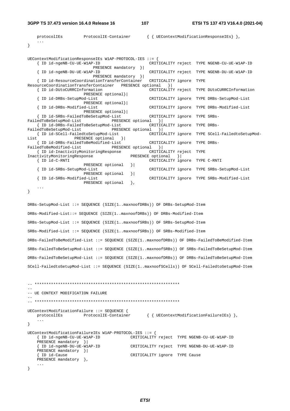**3GPP TS 37.473 version 16.4.0 Release 16 107 ETSI TS 137 473 V16.4.0 (2021-04)**

```
protocolIEs ProtocolIE-Container { { UEContextModificationResponseIEs} },
     ... 
} 
UEContextModificationResponseIEs W1AP-PROTOCOL-IES ::= { 
                                                  CRITICALITY reject TYPE NGENB-CU-UE-W1AP-ID
   PRESENCE mandatory }|<br>| ID id-ngeNB-DU-UE-W1AP-ID
                                                  CRITICALITY reject TYPE NGENB-DU-UE-W1AP-ID
                           PRESENCE mandatory }| 
   { ID id-ResourceCoordinationTransferContainer
ResourceCoordinationTransferContainer PRESENCE optional }| 
    { ID id-DUtoCURRCInformation CRITICALITY reject TYPE DUtoCURRCInformation 
   PRESENCE optional} |<br>{ ID id-DRBs-SetupMod-List
                                                  CRITICALITY ignore TYPE DRBs-SetupMod-List
                       PRESENCE optional}| 
    { ID id-DRBs-Modified-List CRITICALITY ignore TYPE DRBs-Modified-List 
                        PRESENCE optional}| 
     { ID id-SRBs-FailedToBeSetupMod-List CRITICALITY ignore TYPE SRBs-
FailedToBeSetupMod-List PRESENCE optional }<br>{ID id-DRBs-FailedToBeSetupMod-List CRITICALITY ignore TYPE DRBs-
   { ID id-DRBs-FailedToBeSetupMod-List
FailedToBeSetupMod-List PRESENCE optional } |
    { ID id-SCell-FailedtoSetupMod-List CRITICALITY ignore TYPE SCell-FailedtoSetupMod-
List PRESENCE optional } |
     { ID id-DRBs-FailedToBeModified-List CRITICALITY ignore TYPE DRBs-
FailedToBeModified-List PRESENCE optional } |
     { ID id-InactivityMonitoringResponse CRITICALITY reject TYPE 
InactivityMonitoringResponse PRESENCE optional }| 
                                                  CRITICALITY ignore TYPE C-RNTI
                       PRESENCE optional } |
     { ID id-SRBs-SetupMod-List CRITICALITY ignore TYPE SRBs-SetupMod-List 
    \]<br>\] PRESENCE optional \]<br>$\] ID id-SRBs-Modified-List
                                                   { ID id-SRBs-Modified-List CRITICALITY ignore TYPE SRBs-Modified-List 
                       PRESENCE optional },
     ... 
} 
DRBs-SetupMod-List ::= SEQUENCE (SIZE(1..maxnoofDRBs)) OF DRBs-SetupMod-Item 
DRBs-Modified-List::= SEQUENCE (SIZE(1..maxnoofDRBs)) OF DRBs-Modified-Item 
SRBs-SetupMod-List ::= SEQUENCE (SIZE(1..maxnoofSRBs)) OF SRBs-SetupMod-Item 
SRBs-Modified-List ::= SEQUENCE (SIZE(1..maxnoofSRBs)) OF SRBs-Modified-Item 
DRBs-FailedToBeModified-List ::= SEQUENCE (SIZE(1..maxnoofDRBs)) OF DRBs-FailedToBeModified-Item 
SRBs-FailedToBeSetupMod-List ::= SEQUENCE (SIZE(1..maxnoofSRBs)) OF SRBs-FailedToBeSetupMod-Item 
DRBs-FailedToBeSetupMod-List ::= SEQUENCE (SIZE(1..maxnoofDRBs)) OF DRBs-FailedToBeSetupMod-Item 
SCell-FailedtoSetupMod-List ::= SEQUENCE (SIZE(1..maxnoofSCells)) OF SCell-FailedtoSetupMod-Item 
-- ************************************************************** 
-- 
-- UE CONTEXT MODIFICATION FAILURE 
-- 
-- ************************************************************** 
UEContextModificationFailure ::= SEQUENCE { 
   protocolIEs ProtocolIE-Container { { UEContextModificationFailureIEs } },
     ... 
} 
UEContextModificationFailureIEs W1AP-PROTOCOL-IES ::= { 
                                          { ID id-ngeNB-CU-UE-W1AP-ID CRITICALITY reject TYPE NGENB-CU-UE-W1AP-ID 
    PRESENCE mandatory }| 
     { ID id-ngeNB-DU-UE-W1AP-ID CRITICALITY reject TYPE NGENB-DU-UE-W1AP-ID 
    PRESENCE mandatory }| 
     { ID id-Cause CRITICALITY ignore TYPE Cause 
   PRESENCE mandatory },
     ... 
}
```
*ETSI*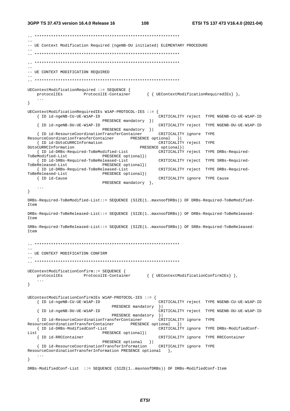```
-- UE Context Modification Required (ngeNB-DU initiated) ELEMENTARY PROCEDURE
\sim \sim-- UE CONTEXT MODIFICATION REQUIRED
UEContextModificationRequired ::= SEQUENCE {
                   ProtocolIE-Container
                                         { { UEContextModificationRequiredIEs} },
   protocolIEs
   \ddots\left\{ \right\}UEContextModificationRequiredIEs W1AP-PROTOCOL-IES ::= {
   { ID id-ngeNB-CU-UE-W1AP-ID
                                                  CRITICALITY reject TYPE NGENB-CU-UE-W1AP-ID
                            PRESENCE mandatory } |
                                                  CRITICALITY reject TYPE NGENB-DU-UE-W1AP-ID
   { ID id-ngeNB-DII-UE-W1AP-ID
                            PRESENCE mandatory } |
   { ID id-ResourceCoordinationTransferContainer
                                                  CRITICALITY ignore TYPE
                                     PRESENCE optional } |
ResourceCoordinationTransferContainer
   { ID id-DUtoCURRCInformation
                                                  CRITICALITY reject TYPE
DUtoCURRCInformation
                                          PRESENCE optional}
   { ID id-DRBs-Required-ToBeModified-List
                                                  CRITICALITY reject TYPE DRBs-Required-
ToBeModified-List
                            PRESENCE optional}|
   { ID id-SRBs-Required-ToBeReleased-List
                                                  CRITICALITY reject TYPE SRBs-Required-
ToBeReleased-List
                            PRESENCE optional}|
                                                  CRITICALITY reject TYPE DRBs-Required-
   { ID id-DRBs-Required-ToBeReleased-List
ToBeReleased-List
                           PRESENCE optional}|
  { ID id-Cause
                                                  CRITICALITY ignore TYPE Cause
                           PRESENCE mandatory },
   \sim \sim \sim\}DRBs-Required-ToBeModified-List::= SEQUENCE (SIZE(1..maxnoofDRBs)) OF DRBs-Required-ToBeModified-
Item
DRBs-Required-ToBeReleased-List::= SEQUENCE (SIZE(1..maxnoofDRBs)) OF DRBs-Required-ToBeReleased-
T \uparrow \rho mSRBs-Required-ToBeReleased-List::= SEQUENCE (SIZE(1..maxnoofSRBs)) OF SRBs-Required-ToBeReleased-
T \uparrow \uparrow \uparrow-- UE CONTEXT MODIFICATION CONFIRM
UEContextModificationConfirm::= SEQUENCE {
  protocolIEs ProtocolIE-Container { { UEContextModificationConfirmIEs} },
   \sim 10 .
\left\{ \right\}\texttt{UEContextModificationConfirmIES}\ \texttt{Wlap-PROTOCOL-IES}\ \texttt{::=}\ \{\texttt{}CRITICALITY reject TYPE NGENB-CU-UE-W1AP-ID
   { ID id-ngeNB-CU-UE-W1AP-ID
                                PRESENCE mandatory
                                                  \vert{ ID id-ngeNB-DU-UE-W1AP-ID
                                                  CRITICALITY reject TYPE NGENB-DU-UE-W1AP-ID
                               PRESENCE mandatory
                                                  \rightarrow{ ID id-ResourceCoordinationTransferContainer
                                                  CRITICALITY ignore TYPE
ResourceCoordinationTransferContainer
                                     PRESENCE optional
                                                         \vert \cdot \vert{ ID id-DRBs-ModifiedConf-List
                                                  CRITICALITY ignore TYPE DRBs-ModifiedConf-
                           PRESENCE optional}
   { ID id-RRCContainer
                                                  CRITICALITY ignore TYPE RRCContainer
                            PRESENCE optional }|
   { ID id-ResourceCoordinationTransferInformation
                                                 CRITICALITY ignore TYPE
ResourceCoordinationTransferInformation PRESENCE optional },
   \sim .
\}DRBs-ModifiedConf-List ::= SEQUENCE (SIZE(1..maxnoofDRBs)) OF DRBs-ModifiedConf-Item
```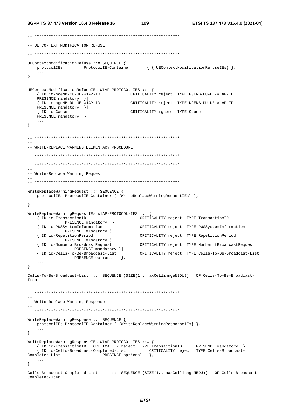```
-- UE CONTEXT MODIFICATION REFUSE
UEContextModificationRefuse ::= SEQUENCE {
  protocolIEs ProtocolIE-Container { { UEContextModificationRefuseIEs} },
   \sim .
\}UEContextModificationRefuseIEs W1AP-PROTOCOL-IES ::= {
   { ID id-ngeNB-CU-UE-W1AP-ID
                                   CRITICALITY reject TYPE NGENB-CU-UE-W1AP-ID
   PRESENCE mandatory } |
   { ID id-ngeNB-DU-UE-WIAP-ID
                                   CRITICALITY reject TYPE NGENB-DU-UE-W1AP-ID
   PRESENCE mandatory } |
                                 CRITICALITY ignore TYPE Cause
   { ID id-Cause
  PRESENCE mandatory },
   \ldots\left\{ \right.\overline{a}-- WRITE-REPLACE WARNING ELEMENTARY PROCEDURE
-- Write-Replace Warning Request
WriteReplaceWarningRequest ::= SEQUENCE {
  protocolIEs ProtocolIE-Container { {WriteReplaceWarningRequestIEs} },
   \ldots\left\{ \right.WriteReplaceWarningRequestIEs W1AP-PROTOCOL-IES ::= {
   { ID id-TransactionID
                                       CRITICALITY reject TYPE TransactionID
             PRESENCE mandatory } |
   { ID id-PWSSystemInformation
                                       CRITICALITY reject TYPE PWSSystemInformation
            PRESENCE mandatory } |
   { ID id-RepetitionPeriod
                                       CRITICALITY reject TYPE RepetitionPeriod
            PRESENCE mandatory } |
   { ID id-NumberofBroadcastRequest
                fBroadcastkeyue...<br>PRESENCE mandatory }|
                                       CRITICALITY reject TYPE NumberofBroadcastRequest
                                       CRITICALITY reject TYPE Cells-To-Be-Broadcast-List
   { ID id-Cells-To-Be-Broadcast-List
                PRESENCE optional },
   \sim . \sim\}Cells-To-Be-Broadcast-List ::= SEQUENCE (SIZE(1.. maxCellinngeNBDU)) OF Cells-To-Be-Broadcast-
T \uparrow \uparrow \uparrow-- Write-Replace Warning Response
WriteReplaceWarningResponse ::= SEQUENCE {
  protocolIEs ProtocolIE-Container { {WriteReplaceWarningResponseIEs} },
   \ldots\left\{ \right.WriteReplaceWarningResponseIEs W1AP-PROTOCOL-IES ::= {
   %</r/>
>
{ID<br/>id-TransactionID CRITICALITY reject TYPE TransactionID PRESENCE mandatory }</r/>|<br>
{ID<br/>id-Cells-Broadcast-Completed-List CRITICALITY reject TYPE Cells-Broadcast-Pleted-List PRESENCE optional },
Completed-List
  \sim 10 .
\left\{ \right\}Cells-Broadcast-Completed-List ::= SEQUENCE (SIZE(1.. maxCellinngeNBDU)) OF Cells-Broadcast-
Completed-Item
```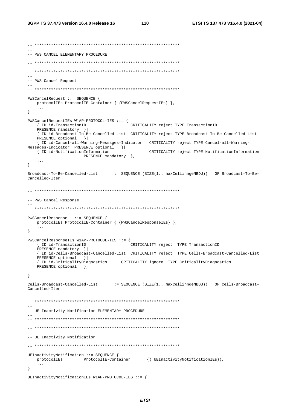```
-- ************************************************************** 
-- 
-- PWS CANCEL ELEMENTARY PROCEDURE 
-- 
-- ************************************************************** 
-- ************************************************************** 
-- 
-- PWS Cancel Request 
-- 
-- ************************************************************** 
PWSCancelRequest ::= SEQUENCE { 
    protocolIEs ProtocolIE-Container { {PWSCancelRequestIEs} }, 
 ... 
} 
PWSCancelRequestIEs W1AP-PROTOCOL-IES ::= { 
    { ID id-TransactionID CRITICALITY reject TYPE TransactionID 
    PRESENCE mandatory }| 
     { ID id-Broadcast-To-Be-Cancelled-List CRITICALITY reject TYPE Broadcast-To-Be-Cancelled-List
   PRESENCE optional } |
     { ID id-Cancel-all-Warning-Messages-Indicator CRITICALITY reject TYPE Cancel-all-Warning-
Messages-Indicator PRESENCE optional } |<br>{ ID id-NotificationInformation
                                                   CRITICALITY reject TYPE NotificationInformation
                       PRESENCE mandatory },
     ... 
} 
Broadcast-To-Be-Cancelled-List ::= SEQUENCE (SIZE(1.. maxCellinngeNBDU)) OF Broadcast-To-Be-
Cancelled-Item 
-- ************************************************************** 
-- 
-- PWS Cancel Response 
-- 
-- ************************************************************** 
PWSCancelResponse ::= SEQUENCE { 
    protocolIEs ProtocolIE-Container { {PWSCancelResponseIEs} }, 
 ... 
} 
PWSCancelResponseIEs W1AP-PROTOCOL-IES ::= { 
     { ID id-TransactionID CRITICALITY reject TYPE TransactionID 
    PRESENCE mandatory } |
     { ID id-Cells-Broadcast-Cancelled-List CRITICALITY reject TYPE Cells-Broadcast-Cancelled-List
    PRESENCE optional }| 
     { ID id-CriticalityDiagnostics CRITICALITY ignore TYPE CriticalityDiagnostics 
   PRESENCE optional },
     ... 
} 
Cells-Broadcast-Cancelled-List ::= SEQUENCE (SIZE(1.. maxCellinngeNBDU)) OF Cells-Broadcast-
Cancelled-Item 
-- ************************************************************** 
-- 
-- UE Inactivity Notification ELEMENTARY PROCEDURE 
-- 
-- ************************************************************** 
-- ************************************************************** 
-- 
-- UE Inactivity Notification 
-- 
-- ************************************************************** 
UEInactivityNotification ::= SEQUENCE { 
    protocolIEs ProtocolIE-Container {{ UEInactivityNotificationIEs}}, 
     ... 
} 
UEInactivityNotificationIEs W1AP-PROTOCOL-IES ::= {
```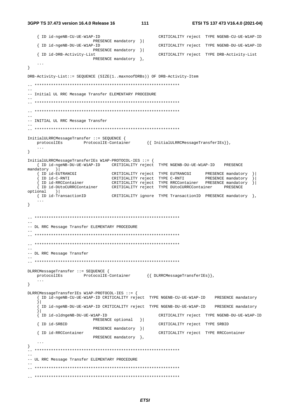```
3GPP TS 37.473 version 16.4.0 Release 16
```

```
{ ID id-ngeNB-CU-UE-W1AP-ID
                                             CRITICALITY reject TYPE NGENB-CU-UE-W1AP-ID
                      PRESENCE mandatory }|
   { ID id-ngeNB-DU-UE-W1AP-ID
                                             CRITICALITY reject TYPE NGENB-DU-UE-W1AP-ID
                      PRESENCE mandatory }|
   { ID id-DRB-Activity-List
                                             CRITICALITY reject TYPE DRB-Activity-List
                      PRESENCE mandatory },
   \sim \sim\mathcal{V}DRB-Activity-List::= SEQUENCE (SIZE(1..maxnoofDRBs)) OF DRB-Activity-Item
\sim \sim-- Initial UL RRC Message Transfer ELEMENTARY PROCEDURE
\rightarrow-- INITIAL UL RRC Message Transfer
\sim \simInitialULRRCMessageTransfer ::= SEQUENCE {
  \verb|protocolIES| \hspace{2.5cm} \verb|ProtocolIE-Container| \hspace{1.5cm} \{ \hspace{2.5cm} \verb|InitialULARCMessageTransferIES| \} \hspace{1.5cm},\left\{ \right\}InitialULRRCMessageTransferIEs W1AP-PROTOCOL-IES ::= {
   { ID id-ngeNB-DU-UE-W1AP-ID CRITICALITY reject TYPE NGENB-DU-UE-W1AP-ID PRESENCE
mandatory }
                          CRITICALITY reject TYPE EUTRANCGI PRESENCE mandatory \{\}\overline{\phantom{a}} ID id -EUTRANCGI
   (Figure 11 CRITICALITY reject TYPE C-RNTI PRESENCE mandatory )<br>
{ID id-C-RNTI CRITICALITY reject TYPE C-RNTI PRESENCE mandatory }<br>
{ID id-DUtoCURRCContainer CRITICALITY reject TYPE RRCContainer PRESENCE mandatory }
optional }
  { ID id-TransactionID
                            CRITICALITY ignore TYPE TransactionID PRESENCE mandatory \},
   \sim \sim \sim\left\{ \right.\sim \sim-- DL RRC Message Transfer ELEMENTARY PROCEDURE
-- DL RRC Message Transfer
DLRRCMessageTransfer ::= SEOUENCE {
  protocolIEs ProtocolIE-Container {{DLRRCMessageTransferIEs}},
   \sim 100\rightarrowDLRRCMessageTransferIEs W1AP-PROTOCOL-IES ::= {
   { ID id-ngeNB-CU-UE-W1AP-ID CRITICALITY reject TYPE NGENB-CU-UE-W1AP-ID PRESENCE mandatory
   \vert.<br>ID id-ngeNB-DU-UE-W1AP-ID CRITICALITY reject TYPE NGENB-DU-UE-W1AP-ID PRESENCE mandatory
   \vert[ ID id-oldngeNB-DU-UE-W1AP-ID
                                             CRITICALITY reject TYPE NGENB-DU-UE-W1AP-ID
                      PRESENCE optional }
   { ID id-SRBID
                                            CRITICALITY reject TYPE SRBID
                      PRESENCE mandatory }|
   { ID id-RRCContainer
                                            CRITICALITY reject TYPE RRCContainer
                     PRESENCE mandatory },
   \ldots\}- --- UL RRC Message Transfer ELEMENTARY PROCEDURE
```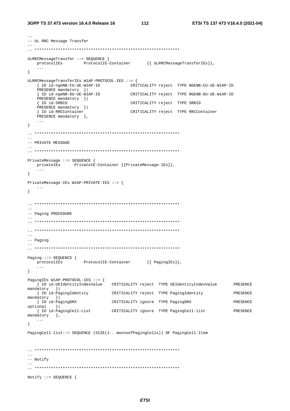```
-- UL RRC Message Transfer
\sim \simULRRCMessageTransfer ::= SEQUENCE {
  protocolIEs ProtocolIE-Container {{ ULRRCMessageTransferIEs}},
   \mathbf{1}\}ULRRCMessageTransferIEs W1AP-PROTOCOL-IES ::= {
   { ID id-ngeNB-CU-UE-W1AP-ID
                                     CRITICALITY reject TYPE NGENB-CU-UE-W1AP-ID
   PRESENCE mandatory } |
   The interventional contract of the property of the set of the set of the set of the set of the property of the property of the property of the property of the property of the property of the property of the property of the
   PRESENCE mandatory }|
   { ID id-SRBID
                                      CRITICALITY reject TYPE SRBID
   PRESENCE mandatory }|
                                  CRITICALITY reject TYPE RRCContainer
   { ID id-RRCContainer
   PRESENCE mandatory },
   \ldots\}-- PRIVATE MESSAGE
\equivPrivateMessage ::= SEOUENCE {
   privatelEs PrivatelE-Container {{PrivateMessage-IEs}},
\left\{ \right.PrivateMessage-IEs W1AP-PRIVATE-IES ::= {
   \sim \sim \sim\}=--- Paging PROCEDURE
-- Paging
\frac{1}{2}\begin{aligned} \mathtt{Paging} &\texttt{::= SEQUENCE} \begin{cases} \\ \texttt{protocolIES} \end{cases} \mathtt{ProtocolIE-Container} \end{aligned} \qquad \left\{ \begin{matrix} \mathtt{PagingIES} \end{matrix} \right\}, \end{aligned}\sim \sim \sim\lambda\begin{tabular}{lllll} \texttt{PagingIES Wlap-PROTOCOL-IES}:&=&\{ & \\ & \{ ID id-UEIdentityIndexValue && CRITICALITY reject & TYPE UEIdentityIndexValue & \\ \end{tabular}PRESENCE
mandatory }
   { ID id-PagingIdentity CRITICALITY reject TYPE PagingIdentity
                                                                               PRESENCE
mandatory }
  { ID id-PagingDRX
                               CRITICALITY ignore TYPE PagingDRX
                                                                               PRESENCE
optional }
   { ID id-PagingCell-List
                              CRITICALITY ignore TYPE PagingCell-list
                                                                               PRESENCE
mandatory },
   \sim . .
\left\{ \right.PagingCell-list::= SEQUENCE (SIZE(1.. maxnoofPagingCells)) OF PagingCell-Item
- --- Notify
Notify ::= SEQUENCE {
```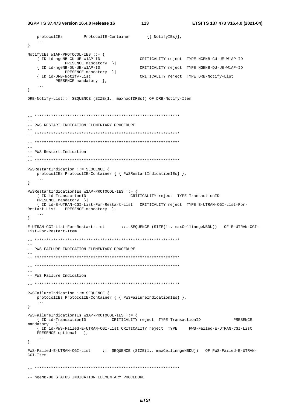```
3GPP TS 37.473 version 16.4.0 Release 16
```
 $\overline{113}$ 

```
protocolIEs ProtocolIE-Container
                                    \{ \} NotifyIEs\},
  \sim . \sim\mathcal{F}NotifyIEs W1AP-PROTOCOL-IES ::= {
  { ID id-ngeNB-CU-UE-W1AP-ID
                                  CRITICALITY reject TYPE NGENB-CU-UE-W1AP-ID
           PRESENCE mandatory } |
  { ID id-ngeNB-DU-UE-W1AP-ID
                                  CRITICALITY reject TYPE NGENB-DU-UE-W1AP-ID
           PRESENCE mandatory } |
  { ID id-DRB-Notify-List
                                  CRITICALITY reject TYPE DRB-Notify-List
       PRESENCE mandatory },
\}DRB-Notify-List::= SEQUENCE (SIZE(1.. maxnoofDRBs)) OF DRB-Notify-Item
-- PWS RESTART INDICATION ELEMENTARY PROCEDURE
\equiv-- PWS Restart Indication
PWSRestartIndication ::= SEOUENCE {
 protocolIEs ProtocolIE-Container { { PWSRestartIndicationIEs} },
  \mathbf{1}\mathcal{F}PWSRestartIndicationIEs W1AP-PROTOCOL-IES ::= {
  { ID id-TransactionID
                              CRITICALITY reject TYPE TransactionID
  PRESENCE mandatory } |
  { ID id-E-UTRAN-CGI-List-For-Restart-List CRITICALITY reject TYPE E-UTRAN-CGI-List-For-
Restart-List PRESENCE mandatory },
  \cdots\left\{ \right.E-UTRAN-CGI-List-For-Restart-List ::= SEQUENCE (SIZE(1.. maxCellinngeNBDU)) OF E-UTRAN-CGI-
List-For-Restart-Item
\frac{1}{2}-- PWS FAILURE INDICATION ELEMENTARY PROCEDURE
-- PWS Failure Indication
\sim .
PWSFailureIndication ::= SEQUENCE {
  protocolIEs ProtocolIE-Container { { PWSFailureIndicationIEs} },
\left\{ \right\}PWSFailureIndicationIEs W1AP-PROTOCOL-IES ::= {
  { ID id-TransactionID CRITICALITY reject TYPE TransactionID
                                                                PRESENCE
mandatory }
  { ID id-PWS-Failed-E-UTRAN-CGI-List CRITICALITY reject TYPE
                                                 PWS-Failed-E-UTRAN-CGI-List
  PRESENCE optional \},
\}PWS-Failed-E-UTRAN-CGI-List := SEQUENCE (SIZE(1.. maxCellinngeNBDU)) OF PWS-Failed-E-UTRAN-
CGI-Item-- ngeNB-DU STATUS INDICATION ELEMENTARY PROCEDURE
```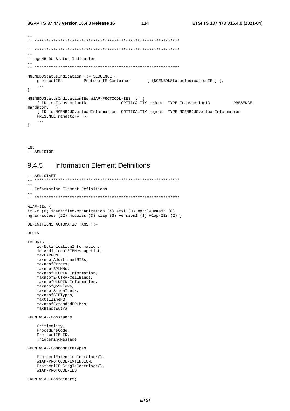```
-- ngeNB-DU Status Indication
NGENBDUStatusIndication ::= SEQUENCE {
 protocolIEs ProtocolIE-Container { {NGENBDUStatusIndicationIEs} },
  \sim \sim \sim\}NGENBDUStatusIndicationIEs W1AP-PROTOCOL-IES ::= {
 { ID id-TransactionID CRITICALITY reject TYPE TransactionID
                                                         PRESENCE
mandatory }
  { ID id-NGENBDUOverloadInformation CRITICALITY reject TYPE NGENBDUOverloadInformation
  PRESENCE mandatory },
  \ldots\left\{ \right.
```
**END** -- ASN1STOP

#### 945 **Information Flement Definitions**

```
-- ASN1START
\equiv-- Information Element Definitions
W1AP-IES {
itu-t (0) identified-organization (4) etsi (0) mobileDomain (0)
ngran-access (22) modules (3) wlap (3) version1 (1) wlap-IEs (2) \}DEFINITIONS AUTOMATIC TAGS : :=
BEGIN
TMPORTS
   id-NotificationInformation,
   id-AdditionalSIBMessageList,
   maxEARFCN
   maxnoofAdditionalSIBs,
   maxnoofErrors,
   maxnoofBPLMNs,
   maxnoofDLUPTNLInformation,
   maxnoofE-UTRANCellBands,
   maxnoofULUPTNLInformation,
   maxnoofOoSFlows,
   maxnoofSliceItems,
   maxnoofSIBTypes,
   maxCellineNB,
   maxnoofExtendedBPLMNs,
   maxBandsEutra
FROM W1AP-Constants
   Criticality,
   ProcedureCode.
   ProtocolIE-ID,
   TriggeringMessage
FROM W1AP-CommonDataTypes
   ProtocolExtensionContainer{},
   W1AP-PROTOCOL-EXTENSION,
   ProtocolIE-SingleContainer{},
   W1AP-PROTOCOL-IES
FROM W1AP-Containers;
```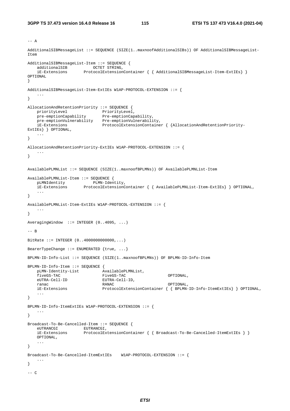```
--- AAdditionalSIBMessageList ::= SEQUENCE (SIZE(1..maxnoofAdditionalSIBs)) OF AdditionalSIBMessageList-
Item 
AdditionalSIBMessageList-Item ::= SEQUENCE {<br>additionalSIB 0CTET STRING.
 additionalSIB OCTET STRING, 
 iE-Extensions ProtocolExtensionContainer { { AdditionalSIBMessageList-Item-ExtIEs} } 
OPTIONAL 
} 
AdditionalSIBMessageList-Item-ExtIEs W1AP-PROTOCOL-EXTENSION ::= { 
    ... 
} 
AllocationAndRetentionPriority ::= SEQUENCE { 
priorityLevel PriorityLevel,
 pre-emptionCapability Pre-emptionCapability, 
 pre-emptionVulnerability Pre-emptionVulnerability, 
 iE-Extensions ProtocolExtensionContainer { {AllocationAndRetentionPriority-
ExtIEs} } OPTIONAL, 
    ... 
} 
AllocationAndRetentionPriority-ExtIEs W1AP-PROTOCOL-EXTENSION ::= { 
    ... 
} 
AvailablePLMNList ::= SEQUENCE (SIZE(1..maxnoofBPLMNs)) OF AvailablePLMNList-Item 
AvailablePLMNList-Item ::= SEQUENCE { 
 pLMNIdentity PLMN-Identity, 
 iE-Extensions ProtocolExtensionContainer { { AvailablePLMNList-Item-ExtIEs} } OPTIONAL, 
 ... 
} 
AvailablePLMNList-Item-ExtIEs W1AP-PROTOCOL-EXTENSION ::= { 
    ... 
} 
AveragingWindow ::= INTEGER (0..4095, ...) 
-- B 
BitRate ::= INTEGER (0..4000000000000,...) 
BearerTypeChange ::= ENUMERATED \{true, ... \}BPLMN-ID-Info-List ::= SEQUENCE (SIZE(1..maxnoofBPLMNs)) OF BPLMN-ID-Info-Item 
BPLMN-ID-Info-Item ::= SEQUENCE { 
   pLMN-Identity-List AvailablePLMNList,<br>fiveGS-TAC FiveGS-TAC
   fiveGS-TAC FiveGS-TAC PERSONAL,<br>
F_{\text{H}} FiveGS-TAC Cell-TD.
                              EUTRA-Cell-ID,<br>RANAC
    ranac RANAC OPTIONAL, 
    iE-Extensions ProtocolExtensionContainer { { BPLMN-ID-Info-ItemExtIEs} } OPTIONAL, 
     ... 
} 
BPLMN-ID-Info-ItemExtIEs W1AP-PROTOCOL-EXTENSION ::= { 
    ... 
} 
Broadcast-To-Be-Cancelled-Item ::= SEQUENCE { 
    eUTRANCGI EUTRANCGI,<br>iE-Extensions ProtocolEx
                      ProtocolExtensionContainer { Broadcast-To-Be-Cancelled-ItemExtIES } }
    OPTIONAL, 
     ... 
} 
Broadcast-To-Be-Cancelled-ItemExtIEs W1AP-PROTOCOL-EXTENSION ::= { 
    ... 
} 
-- C
```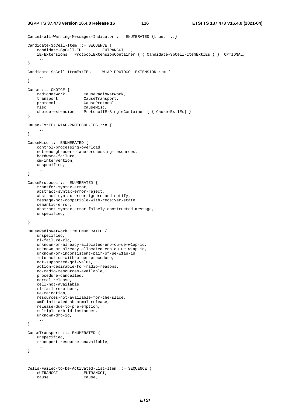**3GPP TS 37.473 version 16.4.0 Release 16 116 ETSI TS 137 473 V16.4.0 (2021-04)**

```
Cancel-all-Warning-Messages-Indicator ::= ENUMERATED {true, ...}
Candidate-SpCell-Item ::= SEQUENCE { 
    candidate-SpCell-ID EUTRANCGI
     iE-Extensions ProtocolExtensionContainer { { Candidate-SpCell-ItemExtIEs } } OPTIONAL, 
     ... 
} 
Candidate-SpCell-ItemExtIEs W1AP-PROTOCOL-EXTENSION ::= { 
     ... 
} 
Cause ::= CHOICE { 
   radioNetwork CauseRadioNetwork,<br>transport CauseTransport,
                        CauseTransport,
    protocol CauseProtocol, 
    misc CauseMisc, 
     choice-extension ProtocolIE-SingleContainer { { Cause-ExtIEs} } 
} 
Cause-ExtIEs W1AP-PROTOCOL-IES ::= { 
     ... 
} 
CauseMisc ::= ENUMERATED { 
    control-processing-overload, 
     not-enough-user-plane-processing-resources, 
    hardware-failure, 
    om-intervention, 
    unspecified, 
 ... 
} 
CauseProtocol ::= ENUMERATED { 
     transfer-syntax-error, 
     abstract-syntax-error-reject, 
    abstract-syntax-error-ignore-and-notify, 
    message-not-compatible-with-receiver-state, 
     semantic-error, 
     abstract-syntax-error-falsely-constructed-message, 
     unspecified, 
     ... 
} 
CauseRadioNetwork ::= ENUMERATED { 
     unspecified, 
     rl-failure-rlc, 
     unknown-or-already-allocated-enb-cu-ue-w1ap-id, 
     unknown-or-already-allocated-enb-du-ue-w1ap-id, 
    unknown-or-inconsistent-pair-of-ue-w1ap-id, 
     interaction-with-other-procedure, 
    not-supported-qci-Value, 
     action-desirable-for-radio-reasons, 
     no-radio-resources-available, 
    procedure-cancelled, 
    normal-release, 
     cell-not-available, 
    rl-failure-others, 
     ue-rejection, 
    resources-not-available-for-the-slice, 
     amf-initiated-abnormal-release, 
     release-due-to-pre-emption, 
    multiple-drb-id-instances, 
     unknown-drb-id, 
     ... 
} 
CauseTransport ::= ENUMERATED { 
    unspecified, 
     transport-resource-unavailable, 
     ... 
} 
Cells-Failed-to-be-Activated-List-Item ::= SEQUENCE { 
    eUTRANCGI EUTRANCGI, 
     cause Cause,
```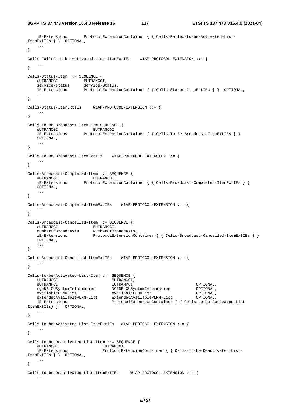```
 iE-Extensions ProtocolExtensionContainer { { Cells-Failed-to-be-Activated-List-
ItemExtIEs } } OPTIONAL, 
    ... 
} 
Cells-Failed-to-be-Activated-List-ItemExtIEs W1AP-PROTOCOL-EXTENSION ::= { 
 ... 
} 
Cells-Status-Item ::= SEQUENCE { 
eUTRANCGI EUTRANCGI,
 service-status Service-Status, 
 iE-Extensions ProtocolExtensionContainer { { Cells-Status-ItemExtIEs } } OPTIONAL, 
 ... 
} 
Cells-Status-ItemExtIEs W1AP-PROTOCOL-EXTENSION ::= { 
   ... 
} 
Cells-To-Be-Broadcast-Item ::= SEQUENCE { 
eUTRANCGI EUTRANCGI,
 iE-Extensions ProtocolExtensionContainer { { Cells-To-Be-Broadcast-ItemExtIEs } }
    OPTIONAL, 
    ... 
} 
Cells-To-Be-Broadcast-ItemExtIEs W1AP-PROTOCOL-EXTENSION ::= { 
 ... 
} 
Cells-Broadcast-Completed-Item ::= SEQUENCE { 
eUTRANCGI EUTRANCGI,
 iE-Extensions ProtocolExtensionContainer { { Cells-Broadcast-Completed-ItemExtIEs } }
    OPTIONAL, 
    ... 
} 
Cells-Broadcast-Completed-ItemExtIEs W1AP-PROTOCOL-EXTENSION ::= { 
   ... 
} 
Cells-Broadcast-Cancelled-Item ::= SEQUENCE { 
eUTRANCGI EUTRANCGI,
 numberOfBroadcasts NumberOfBroadcasts, 
    iE-Extensions ProtocolExtensionContainer { { Cells-Broadcast-Cancelled-ItemExtIEs } }
    OPTIONAL, 
    ... 
} 
Cells-Broadcast-Cancelled-ItemExtIEs W1AP-PROTOCOL-EXTENSION ::= { 
 ... 
} 
Cells-to-be-Activated-List-Item ::= SEQUENCE { 
   eUTRANCGI EUTRANCGI,
 eUTRANPCI EUTRANPCI OPTIONAL, 
 ngeNB-CUSystemInformation NGENB-CUSystemInformation OPTIONAL, 
 availablePLMNList AvailablePLMNList OPTIONAL, 
 extendedAvailablePLMN-List ExtendedAvailablePLMN-List OPTIONAL, 
 iE-Extensions ProtocolExtensionContainer { { Cells-to-be-Activated-List-
ItemExtIEs} } OPTIONAL, 
    ... 
} 
Cells-to-be-Activated-List-ItemExtIEs W1AP-PROTOCOL-EXTENSION ::= { 
    ... 
} 
Cells-to-be-Deactivated-List-Item ::= SEQUENCE { 
   eUTRANCGI EUTRANCGI EUTRANCGI,<br>
iE-Extensions ProtocolEx<br>
mExtIEs l compositions
                            ProtocolExtensionContainer { { Cells-to-be-Deactivated-List-
ItemExtIEs } } OPTIONAL, 
    ... 
} 
Cells-to-be-Deactivated-List-ItemExtIEs W1AP-PROTOCOL-EXTENSION ::= { 
    ...
```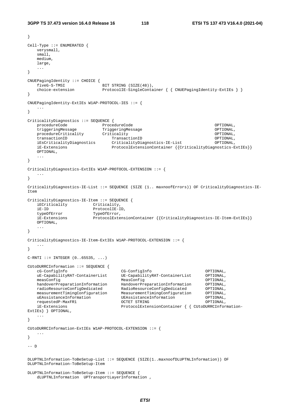```
} 
Cell-Type ::= ENUMERATED { 
    verysmall, 
    small, 
    medium, 
   large.
    ... 
} 
CNUEPagingIdentity ::= CHOICE { 
   fiveG-S-TMSI BIT STRING (SIZE(48)),
   choice-extension ProtocolIE-SingleContainer { { CNUEPagingIdentity-ExtIEs } }
} 
CNUEPagingIdentity-ExtIEs W1AP-PROTOCOL-IES ::= { 
 ... 
} 
CriticalityDiagnostics ::= SEQUENCE { 
 procedureCode ProcedureCode OPTIONAL, 
 triggeringMessage TriggeringMessage OPTIONAL, 
   procedureCriticality Criticality OPTIONAL,
    transactionID TransactionID OPTIONAL, 
                               CriticalityDiagnostics-IE-List OPTIONAL,
    iE-Extensions ProtocolExtensionContainer {{CriticalityDiagnostics-ExtIEs}} 
    OPTIONAL, 
    ... 
} 
CriticalityDiagnostics-ExtIEs W1AP-PROTOCOL-EXTENSION ::= { 
    ... 
} 
CriticalityDiagnostics-IE-List ::= SEQUENCE (SIZE (1.. maxnoofErrors)) OF CriticalityDiagnostics-IE-
Item 
CriticalityDiagnostics-IE-Item ::= SEQUENCE { 
    iECriticality Criticality, 
    iE-ID ProtocolIE-ID, 
   typeOfError TypeOfError,<br>iE-Extensions ProtocolExte
                        ProtocolExtensionContainer {{CriticalityDiagnostics-IE-Item-ExtIEs}}
    OPTIONAL, 
 ... 
} 
CriticalityDiagnostics-IE-Item-ExtIEs W1AP-PROTOCOL-EXTENSION ::= { 
 ... 
} 
C-RTI ::= INTEGR (0..65535, ...)CUtoDURRCInformation ::= SEQUENCE {<br>cG-ConfigInfo
    cG-ConfigInfo CG-ConfigInfo OPTIONAL, 
                                   UE-CapabilityRAT-ContainerList
 measConfig MeasConfig OPTIONAL, 
handoverPreparationInformation HandoverPreparationInformation OPTIONAL,
 radioResourceConfigDedicated RadioResourceConfigDedicated OPTIONAL, 
 measurementTimingConfiguration MeasurementTimingConfiguration OPTIONAL, 
 uEAssistanceInformation UEAssistanceInformation OPTIONAL, 
   requestedP-MaxFR1 on the Measurement<br>
measurementTimingConfiguration MeasurementTimingConfiguration UEAssistanceInformation OPTIONAL,<br>
requestedP-MaxFR1 OCTET STRING OPTIONAL,
    iE-Extensions ProtocolExtensionContainer { { CUtoDURRCInformation-
ExtIEs} } OPTIONAL, 
    ... 
} 
CUtoDURRCInformation-ExtIEs W1AP-PROTOCOL-EXTENSION ::= { 
    ... 
} 
-- D 
DLUPTNLInformation-ToBeSetup-List ::= SEQUENCE (SIZE(1..maxnoofDLUPTNLInformation)) OF 
DLUPTNLInformation-ToBeSetup-Item 
DLUPTNLInformation-ToBeSetup-Item ::= SEQUENCE { 
    dLUPTNLInformation UPTransportLayerInformation ,
```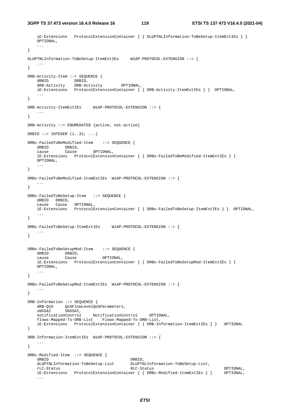**3GPP TS 37.473 version 16.4.0 Release 16 119 ETSI TS 137 473 V16.4.0 (2021-04)**

```
 iE-Extensions ProtocolExtensionContainer { { DLUPTNLInformation-ToBeSetup-ItemExtIEs } }
    OPTIONAL, 
    ... 
} 
DLUPTNLInformation-ToBeSetup-ItemExtIEs W1AP-PROTOCOL-EXTENSION ::= { 
 ... 
} 
DRB-Activity-Item ::= SEQUENCE { 
dRBID DRBID,
 dRB-Activity DRB-Activity OPTIONAL, 
 iE-Extensions ProtocolExtensionContainer { { DRB-Activity-ItemExtIEs } } OPTIONAL, 
    ... 
} 
DRB-Activity-ItemExtIEs W1AP-PROTOCOL-EXTENSION ::= { 
 ... 
} 
DRB-Activity ::= ENUMERATED {active, not-active} 
DRBID ::= INTEGER (1..32, ...)DRBs-FailedToBeModified-Item ::= SEQUENCE { 
 dRBID DRBID, 
 cause Cause OPTIONAL, 
    iE-Extensions ProtocolExtensionContainer { { DRBs-FailedToBeModified-ItemExtIEs } }
    OPTIONAL, 
    ... 
} 
DRBs-FailedToBeModified-ItemExtIEs W1AP-PROTOCOL-EXTENSION ::= { 
 ... 
} 
DRBs-FailedToBeSetup-Item ::= SEQUENCE { 
 dRBID DRBID, 
 cause Cause OPTIONAL, 
    iE-Extensions ProtocolExtensionContainer { { DRBs-FailedToBeSetup-ItemExtIEs } } OPTIONAL, 
 ... 
} 
DRBs-FailedToBeSetup-ItemExtIEs W1AP-PROTOCOL-EXTENSION ::= { 
   ... 
} 
DRBs-FailedToBeSetupMod-Item ::= SEQUENCE { 
   dRBID DRBID, 
    cause Cause OPTIONAL, 
    iE-Extensions ProtocolExtensionContainer { { DRBs-FailedToBeSetupMod-ItemExtIEs } }
    OPTIONAL, 
    ... 
} 
DRBs-FailedToBeSetupMod-ItemExtIEs W1AP-PROTOCOL-EXTENSION ::= { 
 ... 
} 
DRB-Information ::= SEQUENCE { 
dRB-QoS  QoSFlowLevelQoSParameters,
 sNSSAI SNSSAI, 
    notificationControl NotificationControl OPTIONAL, 
    flows-Mapped-To-DRB-List Flows-Mapped-To-DRB-List, 
    iE-Extensions ProtocolExtensionContainer { { DRB-Information-ItemExtIEs } } OPTIONAL 
} 
DRB-Information-ItemExtIEs W1AP-PROTOCOL-EXTENSION ::= { 
    ... 
} 
DRBs-Modified-Item ::= SEQUENCE { 
dRBID DRBID,
    dLUPTNLInformation-ToBeSetup-List DLUPTNLInformation-ToBeSetup-List, 
   rLC-Status 0PTIONAL,<br>iE-Extensions ProtocolExtensionContainer { { DRBs-Modified-ItemExtIEs } } 0PTIONAL,
   iE-Extensions ProtocolExtensionContainer { { DRBs-Modified-ItemExtIEs } }
     ...
```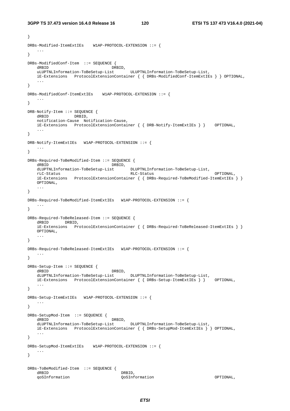}

```
DRBs-Modified-ItemExtIEs W1AP-PROTOCOL-EXTENSION ::= { 
 ... 
} 
DRBs-ModifiedConf-Item ::= SEQUENCE { 
                                  --<br>- DRBID,<br>ist       ULUPTNLInformation-ToBeSetup-List,
    uLUPTNLInformation-ToBeSetup-List ULUPTNLInformation-ToBeSetup-List, 
    iE-Extensions ProtocolExtensionContainer { { DRBs-ModifiedConf-ItemExtIEs } } OPTIONAL, 
 ... 
} 
DRBs-ModifiedConf-ItemExtIEs W1AP-PROTOCOL-EXTENSION ::= { 
    ... 
} 
DRB-Notify-Item ::= SEQUENCE { 
    dRBID DRBID, 
    notification-Cause Notification-Cause, 
    iE-Extensions ProtocolExtensionContainer { { DRB-Notify-ItemExtIEs } } OPTIONAL, 
     ... 
} 
DRB-Notify-ItemExtIEs W1AP-PROTOCOL-EXTENSION ::= { 
 ... 
} 
DRBs-Required-ToBeModified-Item ::= SEQUENCE { 
dRBID DRBID,
 dLUPTNLInformation-ToBeSetup-List DLUPTNLInformation-ToBeSetup-List, 
 rLC-Status RLC-Status OPTIONAL, 
 iE-Extensions ProtocolExtensionContainer { { DRBs-Required-ToBeModified-ItemExtIEs } }
    OPTIONAL, 
    ... 
} 
DRBs-Required-ToBeModified-ItemExtIEs W1AP-PROTOCOL-EXTENSION ::= { 
 ... 
} 
DRBs-Required-ToBeReleased-Item ::= SEQUENCE { 
    dRBID DRBID, 
    iE-Extensions ProtocolExtensionContainer { { DRBs-Required-ToBeReleased-ItemExtIEs } }
    OPTIONAL, 
     ... 
} 
DRBs-Required-ToBeReleased-ItemExtIEs W1AP-PROTOCOL-EXTENSION ::= { 
   ... 
} 
DRBs-Setup-Item ::= SEQUENCE { 
   dRBID DRBID,
   dLUPTNLInformation-ToBeSetup-List DLUPTNLInformation-ToBeSetup-List,<br>iE-Extensions ProtocolExtensionContainer { { DRBs-Setup-ItemExtIEs } } OPTIONAL.
   iE-Extensions ProtocolExtensionContainer { { DRBs-Setup-ItemExtIEs } }
 ... 
} 
DRBs-Setup-ItemExtIEs W1AP-PROTOCOL-EXTENSION ::= { 
    ... 
} 
DRBs-SetupMod-Item ::= SEQUENCE { 
   dRBID<br>dLUPTNLInformation-ToBeSetup-List DLUPTNLInformation-ToBeSetup-List,
    dLUPTNLInformation-ToBeSetup-List DLUPTNLInformation-ToBeSetup-List, 
     iE-Extensions ProtocolExtensionContainer { { DRBs-SetupMod-ItemExtIEs } } OPTIONAL, 
     ... 
} 
DRBs-SetupMod-ItemExtIEs W1AP-PROTOCOL-EXTENSION ::= { 
    ... 
} 
DRBs-ToBeModified-Item ::= SEQUENCE { 
   dRBID DRBID,
    qoSInformation QoSInformation OPTIONAL,
```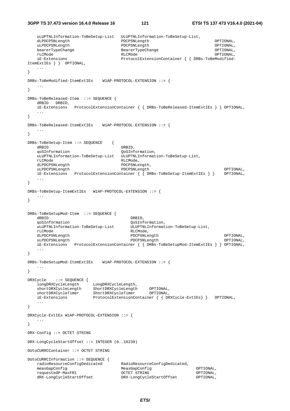**3GPP TS 37.473 version 16.4.0 Release 16 121 ETSI TS 137 473 V16.4.0 (2021-04)**

 uLUPTNLInformation-ToBeSetup-List ULUPTNLInformation-ToBeSetup-List, dLPDCPSNLength PDCPSNLength OPTIONAL, uLPDCPSNLength PDCPSNLength OPTIONAL, bearerTypeChange BearerTypeChange OPTIONAL, rLCMode RLCMode OPTIONAL, iE-Extensions ProtocolExtensionContainer { { DRBs-ToBeModified-ItemExtIEs } } OPTIONAL, ... } DRBs-ToBeModified-ItemExtIEs W1AP-PROTOCOL-EXTENSION ::= { ... } DRBs-ToBeReleased-Item ::= SEQUENCE { dRBID DRBID, iE-Extensions ProtocolExtensionContainer { { DRBs-ToBeReleased-ItemExtIEs } } OPTIONAL, ... } DRBs-ToBeReleased-ItemExtIEs W1AP-PROTOCOL-EXTENSION ::= { ... } DRBs-ToBeSetup-Item ::= SEQUENCE { dRBID DRBID, qoSInformation QoSInformation, uLUPTNLInformation-ToBeSetup-List ULUPTNLInformation-ToBeSetup-List, rLCMode RLCMode, dLPDCPSNLength PDCPSNLength, uLPDCPSNLength PDCPSNLength PDCPSNLength OPTIONAL, iE-Extensions ProtocolExtensionContainer { { DRBs-ToBeSetup-ItemExtIEs } } OPTIONAL, ... } DRBs-ToBeSetup-ItemExtIEs W1AP-PROTOCOL-EXTENSION ::= { ... } DRBs-ToBeSetupMod-Item ::= SEQUENCE { dRBID DRBID, qoSInformation QoSInformation, uLUPTNLInformation-ToBeSetup-List ULUPTNLInformation-ToBeSetup-List, rLCMode RLCMode, dLPDCPSNLength PDCPSNLength OPTIONAL, uLPDCPSNLength PDCPSNLength OPTIONAL, iE-Extensions ProtocolExtensionContainer { { DRBs-ToBeSetupMod-ItemExtIEs } } OPTIONAL, ... } DRBs-ToBeSetupMod-ItemExtIEs W1AP-PROTOCOL-EXTENSION ::= { ... } DRXCycle ::= SEQUENCE { longDRXCycleLength LongDRXCycleLength, shortDRXCycleLength ShortDRXCycleLength OPTIONAL, shortDRXCycleTimer ShortDRXCycleTimer OPTIONAL, iE-Extensions ProtocolExtensionContainer { { DRXCycle-ExtIEs} } OPTIONAL, ... } DRXCycle-ExtIEs W1AP-PROTOCOL-EXTENSION ::= { ... } DRX-Config ::= OCTET STRING DRX-LongCycleStartOffset ::= INTEGER (0..10239) DUtoCURRCContainer ::= OCTET STRING DUtoCURRCInformation ::= SEQUENCE { radioResourceConfigDedicated RadioResourceConfigDedicated, measGapConfig MeasGapConfig OPTIONAL, requestedP-MaxFR1<br>dRX-LongCycleStartOffset dRX-LongCycleStartOffset DRX-LongCycleStartOffset OPTIONAL,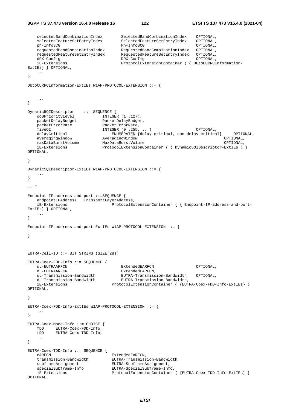```
3GPP TS 37.473 version 16.4.0 Release 16 122 ETSI TS 137 473 V16.4.0 (2021-04)
```

```
 selectedBandCombinationIndex SelectedBandCombinationIndex OPTIONAL, 
    selectedFeatureSetEntryIndex SelectedFeatureSetEntryIndex OPTIONAL, 
 ph-InfoSCG Ph-InfoSCG OPTIONAL, 
 requestedBandCombinationIndex RequestedBandCombinationIndex OPTIONAL, 
 requestedFeatureSetEntryIndex RequestedFeatureSetEntryIndex OPTIONAL, 
 dRX-Config DRX-Config OPTIONAL, 
 iE-Extensions ProtocolExtensionContainer { { DUtoCURRCInformation-
ExtIEs} } OPTIONAL, 
 ... 
} 
DUtoCURRCInformation-ExtIEs W1AP-PROTOCOL-EXTENSION ::= { 
    ... 
} 
Dynamic5QIDescriptor ::= SEQUENCE {<br>qoSPriorityLevel INTEGE
qoSPriorityLevel INTEGER (1..127),
 packetDelayBudget PacketDelayBudget, 
packetErrorRate PacketErrorRate,
   packetErrorRate PacketErrorRate,<br>
fiveQI                        INTEGER (0..255, ...)                         OPTIONAL,
   delayCritical ENUMERATED {delay-critical, non-delay-critical} OPTIONAL,<br>averagingWindow AveragingWindow OPTIONAL,
 averagingWindow AveragingWindow OPTIONAL, 
 maxDataBurstVolume MaxDataBurstVolume OPTIONAL, 
    iE-Extensions ProtocolExtensionContainer { { Dynamic5QIDescriptor-ExtIEs } } 
OPTIONAL, 
    ... 
} 
Dynamic5QIDescriptor-ExtIEs W1AP-PROTOCOL-EXTENSION ::= { 
    ... 
} 
-- E 
Endpoint-IP-address-and-port ::=SEQUENCE { 
   endpointIPAddress TransportLayerAddress,
    iE-Extensions ProtocolExtensionContainer { { Endpoint-IP-address-and-port-
ExtIEs} } OPTIONAL, 
    ... 
} 
Endpoint-IP-address-and-port-ExtIEs W1AP-PROTOCOL-EXTENSION ::= {
    ... 
} 
EUTRA-Cell-ID ::= BIT STRING (SIZE(28)) 
EUTRA-Coex-FDD-Info ::= SEQUENCE { 
    uL-EUTRAARFCN ExtendedEARFCN OPTIONAL, 
dL-EUTRAARFCN ExtendedEARFCN,
 uL-Transmission-Bandwidth EUTRA-Transmission-Bandwidth OPTIONAL, 
 dL-Transmission-Bandwidth EUTRA-Transmission-Bandwidth, 
    iE-Extensions ProtocolExtensionContainer { {EUTRA-Coex-FDD-Info-ExtIEs} } 
OPTIONAL, 
    ... 
} 
EUTRA-Coex-FDD-Info-ExtIEs W1AP-PROTOCOL-EXTENSION ::= { 
    ... 
} 
EUTRA-Coex-Mode-Info ::= CHOICE { 
   fDD EUTRA-Coex-FDD-Info,<br>fDD EUTRA-Coex-TDD-Info,
          EUTRA-Coex-TDD-Info,
    ... 
} 
EUTRA-Coex-TDD-Info ::= SEQUENCE { 
   eARFCN ExtendedEARFCN,
 transmission-Bandwidth EUTRA-Transmission-Bandwidth, 
 subframeAssignment EUTRA-SubframeAssignment, 
   subframeAssignment<br>specialSubframe-Info EUTRA-SpecialSubframe-Info,<br>iE-Extensions ProtocolExtensionContainer
                               ProtocolExtensionContainer { {EUTRA-Coex-TDD-Info-ExtIEs} }
OPTIONAL,
```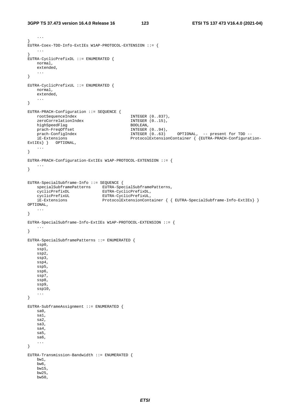...

```
} 
EUTRA-Coex-TDD-Info-ExtIEs W1AP-PROTOCOL-EXTENSION ::= { 
      ... 
} 
EUTRA-CyclicPrefixDL ::= ENUMERATED { 
     normal, 
     extended, 
      ... 
} 
EUTRA-CyclicPrefixUL ::= ENUMERATED { 
     normal, 
     extended, 
      ... 
} 
EUTRA-PRACH-Configuration ::= SEQUENCE { 
   \begin{minipage}{.4\textwidth} \centering \begin{tabular}{l} \textbf{root} \end{tabular} \end{minipage} \begin{minipage}{.4\textwidth} \centering \begin{tabular}{l} \textbf{1} \end{tabular} \end{minipage} \begin{minipage}{.4\textwidth} \centering \begin{tabular}{l} \textbf{1} \end{tabular} \end{minipage} \begin{minipage}{.4\textwidth} \centering \begin{tabular}{l} \textbf{2} \end{tabular} \end{minipage} \end{minipage} \begin{minipage}{.4\textwidth} \centering \begin{tabular}{l} \textbf{2} \end{tabular} \end{minipage zeroCorrelationIndex INTEGER (0..15), 
    highSpeedFlag
    prach-FreqOffset 1NTEGER (0..94),
      prach-ConfigIndex INTEGER (0..63) OPTIONAL, -- present for TDD -- 
      iE-Extensions ProtocolExtensionContainer { {EUTRA-PRACH-Configuration-
ExtIEs } } OPTIONAL,
      ... 
} 
EUTRA-PRACH-Configuration-ExtIEs W1AP-PROTOCOL-EXTENSION ::= { 
      ... 
} 
EUTRA-SpecialSubframe-Info ::= SEQUENCE { 
 specialSubframePatterns EUTRA-SpecialSubframePatterns, 
 cyclicPrefixDL EUTRA-CyclicPrefixDL, 
 cyclicPrefixUL EUTRA-CyclicPrefixUL, 
      iE-Extensions ProtocolExtensionContainer { { EUTRA-SpecialSubframe-Info-ExtIEs} } 
OPTIONAL, 
     ... 
} 
EUTRA-SpecialSubframe-Info-ExtIEs W1AP-PROTOCOL-EXTENSION ::= { 
      ... 
} 
EUTRA-SpecialSubframePatterns ::= ENUMERATED { 
      ssp0, 
      ssp1, 
     ssp2, 
      ssp3, 
      ssp4, 
      ssp5, 
      ssp6, 
     ssp7, 
      ssp8, 
      ssp9, 
      ssp10, 
      ... 
} 
EUTRA-SubframeAssignment ::= ENUMERATED { 
    sa0, 
      sa1, 
     sa2, 
     sa3, 
      sa4, 
      sa5, 
      sa6, 
      ... 
} 
EUTRA-Transmission-Bandwidth ::= ENUMERATED { 
      bw1, 
      bw6, 
      bw15, 
      bw25, 
      bw50,
```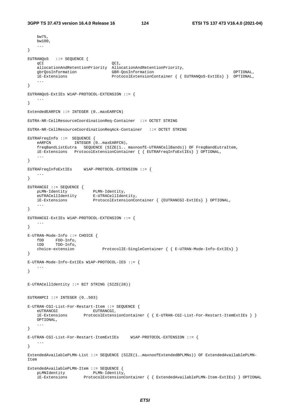```
 bw75, 
    bw100, 
    ... 
} 
EUTRANQoS ::= SEQUENCE { 
qCI QCI,
 allocationAndRetentionPriority AllocationAndRetentionPriority, 
    gbrQosInformation GBR-QosInformation OPTIONAL, 
    iE-Extensions ProtocolExtensionContainer { { EUTRANQoS-ExtIEs} } OPTIONAL, 
    ... 
} 
EUTRANQoS-ExtIEs W1AP-PROTOCOL-EXTENSION ::= { 
    ... 
} 
ExtendedEARFCN ::= INTEGER (0..maxEARFCN) 
EUTRA-NR-CellResourceCoordinationReq-Container ::= OCTET STRING 
EUTRA-NR-CellResourceCoordinationReqAck-Container ::= OCTET STRING 
EUTRAFreqInfo ::= SEQUENCE { 
   eARFCN INTEGER (0..maxEARFCN),
    freqBandListEutra SEQUENCE (SIZE(1.. maxnoofE-UTRANCellBands)) OF FreqBandEutraItem, 
    iE-Extensions ProtocolExtensionContainer { { EUTRAFreqInfoExtIEs} } OPTIONAL, 
    ... 
} 
EUTRAFreqInfoExtIEs W1AP-PROTOCOL-EXTENSION ::= { 
    ... 
} 
EUTRANCGI ::= SEQUENCE { 
 pLMN-Identity PLMN-Identity, 
 eUTRACellIdentity E-UTRACellIdentity, 
 iE-Extensions ProtocolExtensionContainer { {EUTRANCGI-ExtIEs} } OPTIONAL, 
 ... 
} 
EUTRANCGI-ExtIEs W1AP-PROTOCOL-EXTENSION ::= { 
 ... 
} 
E-UTRAN-Mode-Info ::= CHOICE { 
 fDD FDD-Info, 
 tDD TDD-Info, 
    choice-extension ProtocolIE-SingleContainer { { E-UTRAN-Mode-Info-ExtIEs} } 
} 
E-UTRAN-Mode-Info-ExtIEs W1AP-PROTOCOL-IES ::= { 
   ... 
} 
E-UTRACellIdentity ::= BIT STRING (SIZE(28)) 
EUTRANPCI ::= INTEGER (0, .503)E-UTRAN-CGI-List-For-Restart-Item ::= SEQUENCE { 
eUTRANCGI EUTRANCGI,
 iE-Extensions ProtocolExtensionContainer { { E-UTRAN-CGI-List-For-Restart-ItemExtIEs } }
    OPTIONAL, 
    ... 
} 
E-UTRAN-CGI-List-For-Restart-ItemExtIEs W1AP-PROTOCOL-EXTENSION ::= { 
    ... 
} 
ExtendedAvailablePLMN-List ::= SEQUENCE (SIZE(1..maxnoofExtendedBPLMNs)) OF ExtendedAvailablePLMN-
Item 
ExtendedAvailablePLMN-Item ::= SEQUENCE {<br>pLMNIdentity PLMN-Identity,
   pLMNIdentity
    iE-Extensions ProtocolExtensionContainer { { ExtendedAvailablePLMN-Item-ExtIEs} } OPTIONAL
```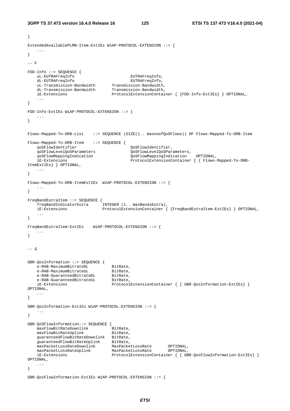```
} 
ExtendedAvailablePLMN-Item-ExtIEs W1AP-PROTOCOL-EXTENSION ::= { 
 ... 
} 
--- F
FDD-Info ::= SEQUENCE { 
    uL-EUTRAFreqInfo EUTRAFreqInfo, 
 dL-EUTRAFreqInfo EUTRAFreqInfo, 
 uL-Transmission-Bandwidth Transmission-Bandwidth, 
 dL-Transmission-Bandwidth Transmission-Bandwidth, 
    iE-Extensions ProtocolExtensionContainer { {FDD-Info-ExtIEs} } OPTIONAL, 
    ... 
} 
FDD-Info-ExtIEs W1AP-PROTOCOL-EXTENSION ::= { 
    ... 
} 
Flows-Mapped-To-DRB-List ::= SEQUENCE (SIZE(1.. maxnoofQoSFlows)) OF Flows-Mapped-To-DRB-Item 
Flows-Mapped-To-DRB-Item ::= SEQUENCE { 
    qoSFlowIdentifier QoSFlowIdentifier, 
    qoSFlowLevelQoSParameters QoSFlowLevelQoSParameters, 
    qoSFlowMappingIndication QoSFlowMappingIndication OPTIONAL, 
    iE-Extensions ProtocolExtensionContainer { { Flows-Mapped-To-DRB-
ItemExtIEs} } OPTIONAL, 
    ... 
} 
Flows-Mapped-To-DRB-ItemExtIEs W1AP-PROTOCOL-EXTENSION ::= { 
    ... 
} 
FreqBandEutraItem ::= SEQUENCE { 
 freqBandIndicatorEutra INTEGER (1.. maxBandsEutra), 
 iE-Extensions ProtocolExtensionContainer { {FreqBandEutraItem-ExtIEs} } OPTIONAL, 
 ... 
} 
FreqBandEutraItem-ExtIEs W1AP-PROTOCOL-EXTENSION ::= { 
   ... 
} 
-- G 
GBR-QosInformation ::= SEQUENCE { 
    e-RAB-MaximumBitrateDL BitRate, 
e-RAB-MaximumBitrateUL BitRate,
 e-RAB-GuaranteedBitrateDL BitRate, 
e-RAB-GuaranteedBitrateUL BitRate,
 iE-Extensions ProtocolExtensionContainer { { GBR-QosInformation-ExtIEs} } 
OPTIONAL, 
 ... 
} 
GBR-QosInformation-ExtIEs W1AP-PROTOCOL-EXTENSION ::= { 
    ... 
} 
GBR-QoSFlowInformation::= SEQUENCE { 
maxFlowBitRateDownlink BitRate,
maxFlowBitRateUplink BitRate,
   man rowse cases.<br>guaranteedFlowBitRateDownlink BitRate,
 guaranteedFlowBitRateUplink BitRate, 
 maxPacketLossRateDownlink MaxPacketLossRate OPTIONAL, 
 maxPacketLossRateUplink MaxPacketLossRate OPTIONAL, 
 iE-Extensions ProtocolExtensionContainer { { GBR-QosFlowInformation-ExtIEs} } 
OPTIONAL, 
    ... 
}
```
GBR-QosFlowInformation-ExtIEs W1AP-PROTOCOL-EXTENSION ::= {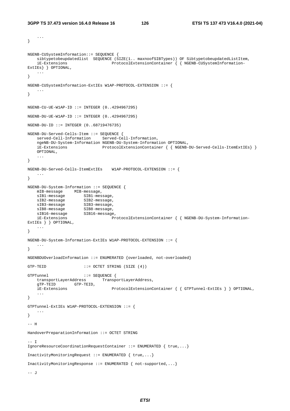```
 ... 
} 
NGENB-CUSystemInformation::= SEQUENCE { 
   sibtypetobeupdatedlist SEQUENCE (SIZE(1.. maxnoofSIBTypes)) OF SibtypetobeupdatedListItem,<br>iE-Extensions ProtocolExtensionContainer { { NGENB-CUSystemInformation-
                                ProtocolExtensionContainer { { NGENB-CUSystemInformation-
ExtIEs} } OPTIONAL, 
 ... 
} 
NGENB-CUSystemInformation-ExtIEs W1AP-PROTOCOL-EXTENSION ::= { 
 ... 
} 
NGENB-CU-UE-W1AP-ID ::= INTEGER (0.14294967295)NGENB-DU-UE-W1AP-ID ::= INTEGR (0.14294967295)NGENB-DU-ID ::= INTEGER (0..68719476735) 
NGENB-DU-Served-Cells-Item ::= SEQUENCE { 
    served-Cell-Information Served-Cell-Information, 
    ngeNB-DU-System-Information NGENB-DU-System-Information OPTIONAL, 
    iE-Extensions ProtocolExtensionContainer { { NGENB-DU-Served-Cells-ItemExtIEs} }
    OPTIONAL, 
    ... 
} 
NGENB-DU-Served-Cells-ItemExtIEs W1AP-PROTOCOL-EXTENSION ::= { 
    ... 
} 
NGENB-DU-System-Information ::= SEQUENCE { 
   mIB-message MIB-message,<br>sIB1-message SIB1-message,
sIB1-message SIB1-message,
sIB2-message SIB2-message,
sIB3-message SIB3-message,
sIB8-message SIB8-message,
 sIB16-message SIB16-message, 
    iE-Extensions ProtocolExtensionContainer { { NGENB-DU-System-Information-
ExtIEs } } OPTIONAL, 
     ... 
} 
NGENB-DU-System-Information-ExtIEs W1AP-PROTOCOL-EXTENSION ::= { 
 ... 
} 
NGENBDUOverloadInformation ::= ENUMERATED {overloaded, not-overloaded} 
GTP-TEID ::= OCTET STRING (SIZE (4))
GTPTunnel ::= SEQUENCE { 
    transportLayerAddress TransportLayerAddress, 
    gTP-TEID GTP-TEID, 
    iE-Extensions ProtocolExtensionContainer { { GTPTunnel-ExtIEs } } OPTIONAL, 
     ... 
} 
GTPTunnel-ExtIEs W1AP-PROTOCOL-EXTENSION ::= { 
    ... 
} 
-- H 
HandoverPreparationInformation ::= OCTET STRING 
-- I 
IgnoreResourceCoordinationRequestContainer ::= ENUMERATED { true,...} 
InactivityMonitoringRequest ::= ENUMERATED { true,...} 
InactivityMonitoringResponse ::= ENUMERATED { not-supported,...} 
-- J
```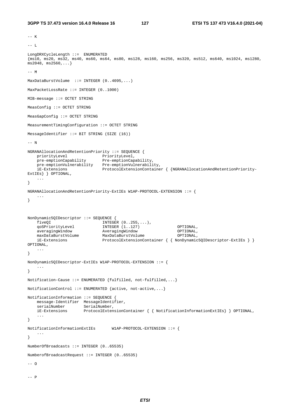```
3GPP TS 37.473 version 16.4.0 Release 16 127 ETSI TS 137 473 V16.4.0 (2021-04)
```

```
-- K 
--- L
LongDRXCycleLength ::= ENUMERATED 
{ms10, ms20, ms32, ms40, ms60, ms64, ms80, ms128, ms160, ms256, ms320, ms512, ms640, ms1024, ms1280, 
ms2048, ms2560, ...-- M 
MaxDataBurstVolume ::= INTEGER (0..4095,...) 
MaxPacketLossRate ::= INTEGER (0..1000) 
MIB-message ::= OCTET STRING 
MeasConfig ::= OCTET STRING 
MeasGapConfig ::= OCTET STRING 
MeasurementTimingConfiguration ::= OCTET STRING 
MessageIdentifier ::= BIT STRING (SIZE (16)) 
-- N 
NGRANAllocationAndRetentionPriority ::= SEQUENCE { 
priorityLevel PriorityLevel,
 pre-emptionCapability Pre-emptionCapability, 
 pre-emptionVulnerability Pre-emptionVulnerability, 
 iE-Extensions ProtocolExtensionContainer { {NGRANAllocationAndRetentionPriority-
ExtIEs} } OPTIONAL, 
    ... 
} 
NGRANAllocationAndRetentionPriority-ExtIEs W1AP-PROTOCOL-EXTENSION ::= { 
    ... 
} 
NonDynamic5QIDescriptor ::= SEQUENCE { 
 fiveQI INTEGER (0..255,...), 
 qoSPriorityLevel INTEGER (1..127) OPTIONAL, 
    averagingWindow AveragingWindow OPTIONAL, 
    maxDataBurstVolume MaxDataBurstVolume OPTIONAL, 
    iE-Extensions ProtocolExtensionContainer { { NonDynamic5QIDescriptor-ExtIEs } } 
OPTIONAL, 
    ... 
} 
NonDynamic5QIDescriptor-ExtIEs W1AP-PROTOCOL-EXTENSION ::= { 
 ... 
} 
Notification-Cause ::= ENUMERATED {fulfilled, not-fulfilled,...} 
NotificationControl ::= ENUMERATED {active, not-active,...} 
NotificationInformation ::= SEQUENCE { 
   message-Identifier MessageIdentifier,<br>serialNumber SerialNumber,
    serialNumber SerialNumber,
    iE-Extensions ProtocolExtensionContainer { { NotificationInformationExtIEs} } OPTIONAL, 
     ... 
} 
NotificationInformationExtIEs W1AP-PROTOCOL-EXTENSION ::= { 
     ... 
} 
NumberOfBroadcasts ::= INTEGER (0..65535) 
NumberofBroadcastRequest ::= INTEGER (0..65535) 
--- 0--- P
```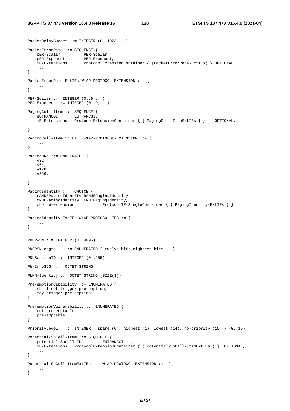PacketDelayBudget ::= INTEGER (0..1023,...)

```
PacketErrorRate ::= SEQUENCE { 
    pER-Scalar PER-Scalar, 
   pER-Exponent PER-Exponent,<br>iE-Extensions ProtocolExter
                       ProtocolExtensionContainer { {PacketErrorRate-ExtIEs} } OPTIONAL,
     ... 
} 
PacketErrorRate-ExtIEs W1AP-PROTOCOL-EXTENSION ::= { 
 ... 
} 
PER-Scalar ::= INTEGER (0..9,...) 
PER-Exponent ::= INTEGER (0..9,...) 
PagingCell-Item ::= SEQUENCE { 
 eUTRANCGI EUTRANCGI, 
 iE-Extensions ProtocolExtensionContainer { { PagingCell-ItemExtIEs } } OPTIONAL, 
     ... 
} 
PagingCell-ItemExtIEs W1AP-PROTOCOL-EXTENSION ::= { 
     ... 
} 
PagingDRX ::= ENUMERATED { 
     v32, 
    v64 v128, 
     v256, 
     ... 
} 
PagingIdentity ::= CHOICE {
    rANUEPagingIdentity RANUEPagingIdentity, 
     cNUEPagingIdentity CNUEPagingIdentity, 
    choice-extension ProtocolIE-SingleContainer { { PagingIdentity-ExtIEs } }
} 
PagingIdentity-ExtIEs W1AP-PROTOCOL-IES::= { 
    ... 
} 
PDCP-SN :: = INTER (0..4095)PDCPSNLength ::= ENUMERATED { twelve-bits, eighteen-bits, ... }
PDUSessionID ::= INTEGER (0..255) 
Ph-InfoSCG ::= OCTET STRING 
PLMN-Identity ::= OCTET STRING (SIZE(3)) 
Pre-emptionCapability ::= ENUMERATED { 
    shall-not-trigger-pre-emption, 
    may-trigger-pre-emption 
} 
Pre-emptionVulnerability ::= ENUMERATED { 
    not-pre-emptable, 
    pre-emptable 
} 
PriorityLevel ::= INTEGER { spare (0), highest (1), lowest (14), no-priority (15) } (0..15) 
Potential-SpCell-Item ::= SEQUENCE { 
    potential-SpCell-ID EUTRANCGI , 
     iE-Extensions ProtocolExtensionContainer { { Potential-SpCell-ItemExtIEs } } OPTIONAL, 
     ... 
} 
Potential-SpCell-ItemExtIEs W1AP-PROTOCOL-EXTENSION ::= { 
    ... 
}
```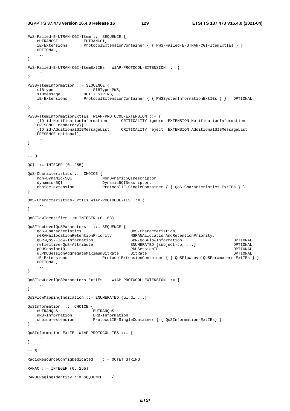**3GPP TS 37.473 version 16.4.0 Release 16 129 ETSI TS 137 473 V16.4.0 (2021-04)**

```
PWS-Failed-E-UTRAN-CGI-Item ::= SEQUENCE { 
 eUTRANCGI EUTRANCGI, 
 iE-Extensions ProtocolExtensionContainer { { PWS-Failed-E-UTRAN-CGI-ItemExtIEs } }
    OPTIONAL, 
    ... 
} 
PWS-Failed-E-UTRAN-CGI-ItemExtIEs W1AP-PROTOCOL-EXTENSION ::= { 
 ... 
} 
PWSSystemInformation ::= SEQUENCE { 
sIBtype SIBType-PWS,
sIBmessage OCTET STRING,
                   ProtocolExtensionContainer { PWSSystemInformationExtIES } \r OPTIONAL,
    ... 
} 
PWSSystemInformationExtIEs W1AP-PROTOCOL-EXTENSION ::= { 
    {ID id-NotificationInformation CRITICALITY ignore EXTENSION NotificationInformation 
    PRESENCE mandatory}| 
    {ID id-AdditionalSIBMessageList CRITICALITY reject EXTENSION AdditionalSIBMessageList 
   PRESENCE optional},
    ... 
} 
-- Q 
OCI ::= INTEGER (0.1255)QoS-Characteristics ::= CHOICE { 
   non-Dynamic-5QI
    dynamic-5QI Dynamic5QIDescriptor, 
   choice-extension ProtocolIE-SingleContainer { { QoS-Characteristics-ExtIEs } }
} 
QoS-Characteristics-ExtIEs W1AP-PROTOCOL-IES ::= { 
 ... 
} 
QoSFlowIdentifier ::= INTEGER (0..63) 
QoSFlowLevelQoSParameters ::= SEQUENCE { 
    qoS-Characteristics QoS-Characteristics, 
    nGRANallocationRetentionPriority NGRANAllocationAndRetentionPriority, 
    gBR-QoS-Flow-Information GBR-QoSFlowInformation OPTIONAL, 
    reflective-QoS-Attribute ENUMERATED {subject-to, ...} OPTIONAL, 
    pDUSessionID PDUSessionID OPTIONAL, 
    uLPDUSessionAggregateMaximumBitRate BitRate OPTIONAL, 
    iE-Extensions ProtocolExtensionContainer { { QoSFlowLevelQoSParameters-ExtIEs } }
    OPTIONAL, 
    ... 
} 
QoSFlowLevelQoSParameters-ExtIEs W1AP-PROTOCOL-EXTENSION ::= { 
    ... 
} 
QoSFlowMappingIndication ::= ENUMERATED {ul,dl,...} 
QoSInformation ::= CHOICE { 
   eUTRANQoS EUTRANQoS, 
    dRB-Information DRB-Information, 
   choice-extension ProtocolIE-SingleContainer { { QoSInformation-ExtIEs } }
} 
QoSInformation-ExtIEs W1AP-PROTOCOL-IES ::= { 
 ... 
} 
-- R 
RadioResourceConfigDedicated ::= OCTET STRING 
RANAC ::= INTEGER (0..255)RANUEPagingIdentity ::= SEQUENCE {
```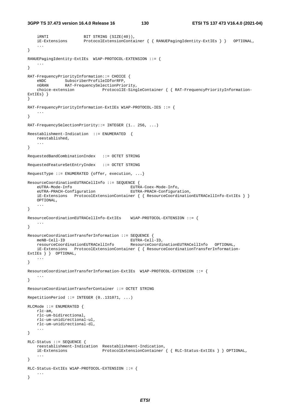```
iRNTI BIT STRING (SIZE(40)),
    iE-Extensions ProtocolExtensionContainer { { RANUEPagingIdentity-ExtIEs } } OPTIONAL, 
     ... 
} 
RANUEPagingIdentity-ExtIEs W1AP-PROTOCOL-EXTENSION ::= { 
 ... 
} 
RAT-FrequencyPriorityInformation::= CHOICE { 
 eNDC SubscriberProfileIDforRFP, 
 nGRAN RAT-FrequencySelectionPriority, 
    choice-extension ProtocolIE-SingleContainer { { RAT-FrequencyPriorityInformation-
ExtIEs} } 
} 
RAT-FrequencyPriorityInformation-ExtIEs W1AP-PROTOCOL-IES ::= { 
 ... 
} 
RAT-FrequencySelectionPriority::= INTEGER (1.. 256, ...) 
Reestablishment-Indication ::= ENUMERATED { 
    reestablished, 
    ... 
} 
RequestedBandCombinationIndex ::= OCTET STRING 
RequestedFeatureSetEntryIndex ::= OCTET STRING 
RequestType ::= ENUMERATED {offer, execution, \ldots}
ResourceCoordinationEUTRACellInfo ::= SEQUENCE { 
    eUTRA-Mode-Info EUTRA-Coex-Mode-Info, 
    eUTRA-PRACH-Configuration EUTRA-PRACH-Configuration, 
    iE-Extensions ProtocolExtensionContainer { { ResourceCoordinationEUTRACellInfo-ExtIEs } }
    OPTIONAL, 
 ... 
} 
ResourceCoordinationEUTRACellInfo-ExtIEs W1AP-PROTOCOL-EXTENSION ::= { 
 ... 
} 
ResourceCoordinationTransferInformation ::= SEQUENCE { 
 meNB-Cell-ID EUTRA-Cell-ID, 
 resourceCoordinationEUTRACellInfo ResourceCoordinationEUTRACellInfo OPTIONAL, 
    iE-Extensions ProtocolExtensionContainer { { ResourceCoordinationTransferInformation-
ExtIEs } } OPTIONAL, 
    ... 
} 
ResourceCoordinationTransferInformation-ExtIEs W1AP-PROTOCOL-EXTENSION ::= { 
    ... 
} 
ResourceCoordinationTransferContainer ::= OCTET STRING 
RepetitionPeriod ::= INTEGER (0..131071, ...) 
RLCMode ::= ENUMERATED { 
   rlc-am, 
    rlc-um-bidirectional, 
    rlc-um-unidirectional-ul, 
    rlc-um-unidirectional-dl, 
    ... 
} 
RLC-Status ::= SEQUENCE { 
    reestablishment-Indication Reestablishment-Indication, 
    iE-Extensions ProtocolExtensionContainer { { RLC-Status-ExtIEs } } OPTIONAL, 
 ... 
} 
RLC-Status-ExtIEs W1AP-PROTOCOL-EXTENSION ::= { 
    ... 
}
```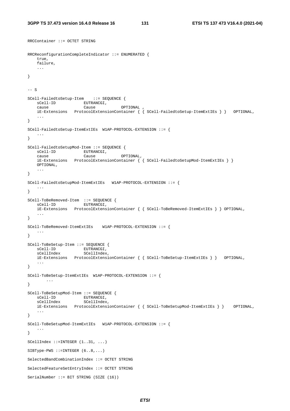RRCContainer ::= OCTET STRING

```
RRCReconfigurationCompleteIndicator ::= ENUMERATED { 
   true, 
    failure, 
    ... 
} 
--- SSCell-FailedtoSetup-Item ::= SEQUENCE { 
  sCell-ID EUTRANCGI,<br>cause Cause Cause
 cause Cause OPTIONAL , 
 iE-Extensions ProtocolExtensionContainer { { SCell-FailedtoSetup-ItemExtIEs } } OPTIONAL, 
    ... 
} 
SCell-FailedtoSetup-ItemExtIEs W1AP-PROTOCOL-EXTENSION ::= { 
    ... 
} 
SCell-FailedtoSetupMod-Item ::= SEQUENCE { 
sCell-ID EUTRANCGI,
 cause Cause OPTIONAL, 
    iE-Extensions ProtocolExtensionContainer { { SCell-FailedtoSetupMod-ItemExtIEs } }
    OPTIONAL, 
 ... 
} 
SCell-FailedtoSetupMod-ItemExtIEs W1AP-PROTOCOL-EXTENSION ::= { 
    ... 
} 
SCell-ToBeRemoved-Item ::= SEQUENCE { 
   sCell-ID EUTRANCGI.
    iE-Extensions ProtocolExtensionContainer { { SCell-ToBeRemoved-ItemExtIEs } } OPTIONAL, 
    ... 
} 
SCell-ToBeRemoved-ItemExtIEs W1AP-PROTOCOL-EXTENSION ::= { 
   ... 
} 
SCell-ToBeSetup-Item ::= SEQUENCE { 
sCell-ID EUTRANCGI,
 sCellIndex SCellIndex, 
    iE-Extensions ProtocolExtensionContainer { { SCell-ToBeSetup-ItemExtIEs } } OPTIONAL, 
 ... 
} 
SCell-ToBeSetup-ItemExtIEs W1AP-PROTOCOL-EXTENSION ::= { 
        ... 
} 
SCell-ToBeSetupMod-Item ::= SEQUENCE { 
sCell-ID EUTRANCGI,
 sCellIndex SCellIndex, 
    iE-Extensions ProtocolExtensionContainer { { SCell-ToBeSetupMod-ItemExtIEs } } OPTIONAL, 
    ... 
} 
SCell-ToBeSetupMod-ItemExtIEs W1AP-PROTOCOL-EXTENSION ::= { 
   ... 
} 
SCellIndex ::=INTEGER (1..31, ...) 
SIBType-PWS ::=INTER (6..8,...)SelectedBandCombinationIndex ::= OCTET STRING 
SelectedFeatureSetEntryIndex ::= OCTET STRING 
SerialNumber ::= BIT STRING (SIZE (16))
```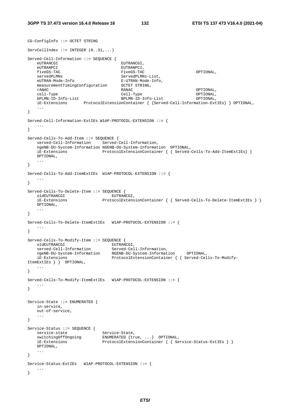```
CG-ConfigInfo ::= OCTET STRING 
ServeCellIndex ::= INTERGER (0..31,..).Served-Cell-Information ::= SEQUENCE { 
                                    EUTRANCGI,
   eUTRANPCI eUTRANPCI
    fiveGS-TAC FiveGS-TAC OPTIONAL, 
   servedPLMNs ServedPLMNs-List,
   eUTRAN-Mode-Info E-UTRAN-Mode-Info,
    measurementTimingConfiguration OCTET STRING, 
 rANAC RANAC OPTIONAL, 
   cell-Type Cell-Type Cell-Type OPTIONAL,<br>bPLMN-ID-Info-List BPLMN-ID-Info-List OPTIONAL,
                                   BPLMN-ID-Info-List iE-Extensions ProtocolExtensionContainer { {Served-Cell-Information-ExtIEs} } OPTIONAL, 
 ... 
} 
Served-Cell-Information-ExtIEs W1AP-PROTOCOL-EXTENSION ::= { 
 ... 
} 
Served-Cells-To-Add-Item ::= SEQUENCE { 
 served-Cell-Information Served-Cell-Information, 
    ngeNB-DU-System-Information NGENB-DU-System-Information OPTIONAL, 
    iE-Extensions ProtocolExtensionContainer { { Served-Cells-To-Add-ItemExtIEs} }
    OPTIONAL, 
    ... 
} 
Served-Cells-To-Add-ItemExtIEs W1AP-PROTOCOL-EXTENSION ::= { 
    ... 
} 
Served-Cells-To-Delete-Item ::= SEQUENCE { 
  ved correct to Server Herman Herman EUTRANCGI,<br>
DentocolExtens
    iE-Extensions ProtocolExtensionContainer { { Served-Cells-To-Delete-ItemExtIEs } }
    OPTIONAL, 
    ... 
} 
Served-Cells-To-Delete-ItemExtIEs W1AP-PROTOCOL-EXTENSION ::= { 
 ... 
} 
Served-Cells-To-Modify-Item ::= SEQUENCE { 
oldEUTRANCGI EUTRANCGI,
 served-Cell-Information Served-Cell-Information, 
 ngeNB-DU-System-Information NGENB-DU-System-Information OPTIONAL, 
 iE-Extensions ProtocolExtensionContainer { { Served-Cells-To-Modify-
ItemExtIEs } } OPTIONAL, 
    ... 
} 
Served-Cells-To-Modify-ItemExtIEs W1AP-PROTOCOL-EXTENSION ::= { 
 ... 
} 
Service-State ::= ENUMERATED { 
    in-service, 
    out-of-service, 
    ... 
} 
Service-Status ::= SEQUENCE {<br>service-state
service-state Service-State,
 switchingOffOngoing ENUMERATED {true, ...} OPTIONAL, 
iE-Extensions ProtocolExtensionContainer { { Service-Status-ExtIEs } }
    OPTIONAL, 
    ... 
} 
Service-Status-ExtIEs W1AP-PROTOCOL-EXTENSION ::= { 
   ... 
}
```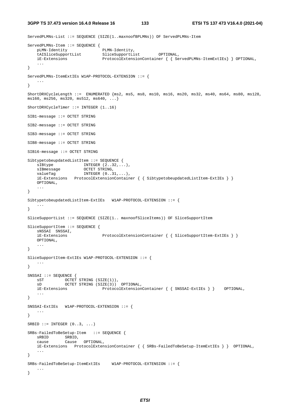**3GPP TS 37.473 version 16.4.0 Release 16 133 ETSI TS 137 473 V16.4.0 (2021-04)**

```
ServedPLMNs-List ::= SEQUENCE (SIZE(1..maxnoofBPLMNs)) OF ServedPLMNs-Item 
ServedPLMNs-Item ::= SEQUENCE { 
    pLMN-Identity PLMN-Identity, 
    tAISliceSupportList SliceSupportList OPTIONAL, 
    iE-Extensions ProtocolExtensionContainer { { ServedPLMNs-ItemExtIEs} } OPTIONAL, 
    ... 
} 
ServedPLMNs-ItemExtIEs W1AP-PROTOCOL-EXTENSION ::= { 
 ... 
} 
ShortDRXCycleLength ::= ENUMERATED {ms2, ms5, ms8, ms10, ms16, ms20, ms32, ms40, ms64, ms80, ms128, 
ms160, ms256, ms320, ms512, ms640, ...ShortDRXCycleTimer ::= INTEGER (1..16)
SIB1-message ::= OCTET STRING 
SIB2-message ::= OCTET STRING 
SIB3-message ::= OCTET STRING 
SIB8-message ::= OCTET STRING 
SIB16-message ::= OCTET STRING 
SibtypetobeupdatedListItem ::= SEQUENCE { 
   siBtype INTEGER (2..32,...),
    sIBmessage OCTET STRING, 
                      INTEGER (0..31,...), iE-Extensions ProtocolExtensionContainer { { SibtypetobeupdatedListItem-ExtIEs } }
    OPTIONAL, 
    ... 
} 
SibtypetobeupdatedListItem-ExtIEs W1AP-PROTOCOL-EXTENSION ::= { 
    ... 
} 
SliceSupportList ::= SEQUENCE (SIZE(1.. maxnoofSliceItems)) OF SliceSupportItem
SliceSupportItem ::= SEQUENCE { 
    sNSSAI SNSSAI, 
    iE-Extensions ProtocolExtensionContainer { { SliceSupportItem-ExtIEs } }
    OPTIONAL, 
    ... 
} 
SliceSupportItem-ExtIEs W1AP-PROTOCOL-EXTENSION ::= { 
 ... 
} 
SNSSAI ::= SEQUENCE { 
   sST OCTET STRING (SIZE(1)),
   sD OCTET STRING (SIZE(3)) OPTIONAL,
    iE-Extensions ProtocolExtensionContainer { { SNSSAI-ExtIEs } } OPTIONAL, 
    ... 
} 
SNSSAI-ExtIEs W1AP-PROTOCOL-EXTENSION ::= { 
    ... 
} 
SRBID ::= INTEGER (0..3, ...)SRBs-FailedToBeSetup-Item ::= SEQUENCE { 
    sRBID SRBID, 
    cause Cause OPTIONAL, 
    iE-Extensions ProtocolExtensionContainer { { SRBs-FailedToBeSetup-ItemExtIEs } } OPTIONAL, 
    ... 
} 
SRBs-FailedToBeSetup-ItemExtIEs W1AP-PROTOCOL-EXTENSION ::= { 
    ... 
}
```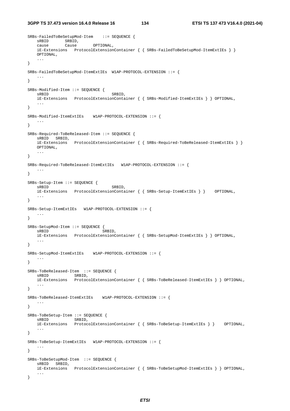**3GPP TS 37.473 version 16.4.0 Release 16 134 ETSI TS 137 473 V16.4.0 (2021-04)**

```
SRBs-FailedToBeSetupMod-Item ::= SEQUENCE { 
 sRBID SRBID, 
 cause Cause OPTIONAL, 
    iE-Extensions ProtocolExtensionContainer { { SRBs-FailedToBeSetupMod-ItemExtIEs } }
    OPTIONAL, 
    ... 
} 
SRBs-FailedToBeSetupMod-ItemExtIEs W1AP-PROTOCOL-EXTENSION ::= { 
    ... 
} 
SRBs-Modified-Item ::= SEQUENCE { 
   sRBID SRBID,
    iE-Extensions ProtocolExtensionContainer { { SRBs-Modified-ItemExtIEs } } OPTIONAL, 
    ... 
} 
SRBs-Modified-ItemExtIEs W1AP-PROTOCOL-EXTENSION ::= { 
    ... 
} 
SRBs-Required-ToBeReleased-Item ::= SEQUENCE { 
    sRBID SRBID, 
    iE-Extensions ProtocolExtensionContainer { { SRBs-Required-ToBeReleased-ItemExtIEs } }
    OPTIONAL, 
    ... 
} 
SRBs-Required-ToBeReleased-ItemExtIEs W1AP-PROTOCOL-EXTENSION ::= { 
 ... 
} 
SRBs-Setup-Item ::= SEQUENCE { 
   sRBID SRBID,
    iE-Extensions ProtocolExtensionContainer { { SRBs-Setup-ItemExtIEs } } OPTIONAL, 
    ... 
} 
SRBs-Setup-ItemExtIEs W1AP-PROTOCOL-EXTENSION ::= { 
    ... 
} 
SRBs-SetupMod-Item ::= SEQUENCE { 
                               SRBID,
    iE-Extensions ProtocolExtensionContainer { { SRBs-SetupMod-ItemExtIEs } } OPTIONAL, 
 ... 
} 
SRBs-SetupMod-ItemExtIEs W1AP-PROTOCOL-EXTENSION ::= { 
    ... 
} 
SRBs-ToBeReleased-Item ::= SEQUENCE { 
          SRBID,
    iE-Extensions ProtocolExtensionContainer { { SRBs-ToBeReleased-ItemExtIEs } } OPTIONAL, 
 ... 
} 
SRBs-ToBeReleased-ItemExtIEs W1AP-PROTOCOL-EXTENSION ::= { 
 ... 
} 
SRBs-ToBeSetup-Item ::= SEQUENCE { 
   sRBID SRBID,
    iE-Extensions ProtocolExtensionContainer { { SRBs-ToBeSetup-ItemExtIEs } } OPTIONAL, 
    ... 
} 
SRBs-ToBeSetup-ItemExtIEs W1AP-PROTOCOL-EXTENSION ::= { 
    ... 
} 
SRBs-ToBeSetupMod-Item ::= SEQUENCE { 
    sRBID SRBID, 
    iE-Extensions ProtocolExtensionContainer { { SRBs-ToBeSetupMod-ItemExtIEs } } OPTIONAL, 
    ... 
}
```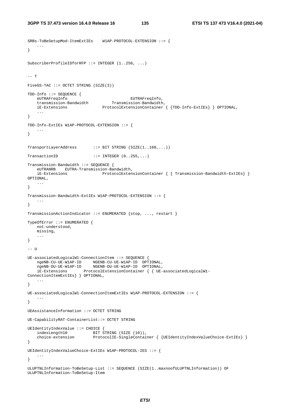SRBs-ToBeSetupMod-ItemExtIEs W1AP-PROTOCOL-EXTENSION ::= {

```
 ... 
} 
SubscriberProfileIDforRFP ::= INTEGER (1..256, ...) 
-- T 
FiveGS-TAC ::= OCTET STRING (SIZE(3)) 
TDD-Info ::= SEQUENCE {<br>eUTRAFreqInfo
 eUTRAFreqInfo EUTRAFreqInfo, 
 transmission-Bandwidth Transmission-Bandwidth, 
 iE-Extensions ProtocolExtensionContainer { {TDD-Info-ExtIEs} } OPTIONAL, 
 ... 
} 
TDD-Info-ExtIEs W1AP-PROTOCOL-EXTENSION ::= { 
    ... 
} 
TransportLayerAddress ::= BIT STRING (SIZE(1..160,...))
TransactionID ::= INTEGER (0..255,...)Transmission-Bandwidth ::= SEQUENCE { 
    eUTRANRB EUTRA-Transmission-Bandwidth, 
                             ProtocolExtensionContainer { { Transmission-Bandwidth-ExtIEs} }
OPTIONAL, 
     ... 
} 
Transmission-Bandwidth-ExtIEs W1AP-PROTOCOL-EXTENSION ::= { 
 ... 
} 
TransmissionActionIndicator ::= ENUMERATED {stop, ..., restart } 
TypeOfError ::= ENUMERATED { 
    not-understood, 
    missing, 
    ... 
} 
-- U 
UE-associatedLogicalW1-ConnectionItem ::= SEQUENCE { 
 ngeNB-CU-UE-W1AP-ID NGENB-CU-UE-W1AP-ID OPTIONAL, 
 ngeNB-DU-UE-W1AP-ID NGENB-DU-UE-W1AP-ID OPTIONAL, 
    iE-Extensions ProtocolExtensionContainer { { UE-associatedLogicalW1-
ConnectionItemExtIEs} } OPTIONAL, 
    ... 
} 
UE-associatedLogicalW1-ConnectionItemExtIEs W1AP-PROTOCOL-EXTENSION ::= { 
 ... 
} 
UEAssistanceInformation ::= OCTET STRING 
UE-CapabilityRAT-ContainerList::= OCTET STRING 
UEIdentityIndexValue ::= CHOICE { 
                        BIT STRING (SIZE (10)),
    choice-extension ProtocolIE-SingleContainer { {UEIdentityIndexValueChoice-ExtIEs} } 
} 
UEIdentityIndexValueChoice-ExtIEs W1AP-PROTOCOL-IES ::= { 
     ... 
} 
ULUPTNLInformation-ToBeSetup-List ::= SEQUENCE (SIZE(1..maxnoofULUPTNLInformation)) OF 
ULUPTNLInformation-ToBeSetup-Item
```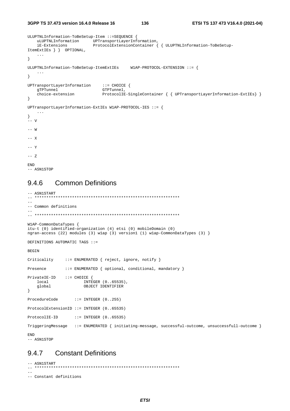3GPP TS 37.473 version 16.4.0 Release 16

136

```
ULUPTNLInformation-ToBeSetup-Item ::=SEQUENCE {
    uLUPTNLInformation
                               UPTransportLayerInformation,
                               ProtocolExtensionContainer { { ULUPTNLInformation-ToBeSetup-
    iE-Extensions
\verb|ItemExtIES | { } \verb| OPTIONAL|,\ddots\left\{ \right\}ULUPTNLInformation-ToBeSetup-ItemExtIEs W1AP-PROTOCOL-EXTENSION :: =\sim .
\}UPTransportLayerInformation ::= CHOICE {
    gTPTunnel
    giriunnel<br>choice-extension
                                   GTPTunnel,
                                  ProtocolIE-SingleContainer { { UPTransportLayerInformation-ExtIEs} }
\left\{ \right.UPTransportLayerInformation-ExtIEs W1AP-PROTOCOL-IES ::= {
   \sim 100 km ^{-1}\mathcal{E}.<br>-- v
--\, W
--- X- - V--- ZEND
```

```
-- ASN1STOP
```
### **Common Definitions** 9.4.6

```
-- ASN1START
\sim-- Common definitions
WlAP-CommonDataTypes {
itu-t (0) identified-organization (4) etsi (0) mobileDomain (0)
ngran-access (22) modules (3) wlap (3) version1 (1) wlap-CommonDataTypes (3) }
DEFINITIONS AUTOMATIC TAGS ::=
BEGIN
            ::= ENUMERATED { reject, ignore, notify }
Criticality
Presence
            ::= ENUMERATED { optional, conditional, mandatory }
PrivateIE-ID ::= CHOICE {\n}local
                    INTEGER (0..65535),
                    OBJECT IDENTIFIER
   global
\mathcal{E}ProcedureCode \qquad :: = \text{INTER } (0..255)ProtocolExtensionID ::= INTEGER (0..65535)ProtocolIE-ID
               ::= INTEGER (0..65535)TriggeringMessage ::= ENUMERATED { initiating-message, successful-outcome, unsuccessfull-outcome }
END
-- ASN1STOP
```
### **Constant Definitions** 9.4.7

```
-- ASN1START
 \frac{1}{2}-- Constant definitions
```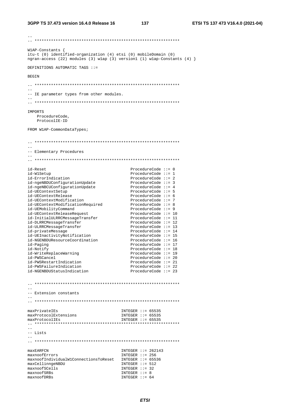WlAP-Constants { itu-t (0) identified-organization (4) etsi (0) mobileDomain (0) ngran-access (22) modules (3) wlap (3) version1 (1) wlap-Constants (4)  $\}$ DEFINITIONS AUTOMATIC TAGS  $::=$ **BEGIN**  $\sim$   $\sim$ -- IE parameter types from other modules. **TMPORTS** ProcedureCode, ProtocolIE-ID FROM W1AP-CommonDataTypes;  $=$ -- Elementary Procedures id-Reset ProcedureCode  $:= 0$ id-W1Setup ProcedureCode  $::= 1$ id-ErrorIndication ProcedureCode  $::= 2$ id-ErrorIndication<br>
id-ngeNBDUConfigurationUpdate<br>
id-ngeNBCUConfigurationUpdate<br>
id-UEContextSetup<br>
id-UEContextRelease<br>
ProcedureCode ::= 5<br>
id-UEContextRelease<br>
ProcedureCode ::= 6<br>
ProcedureCode ::= 6 1d-UEContextModification<br>
id-UEContextModificationRequired<br>
id-UEContextModificationRequired<br>
ProcedureCode ::= 8<br>
id-UEContextReleaseRequest<br>
id-UEContextReleaseRequest 1d-UEMobilityCommand<br>
id-UEMobilityCommand<br>
id-DEContextReleaseRequest<br>
id-DIRRCMessageTransfer<br>
id-DIRRCMessageTransfer<br>
ProcedureCode ::= 12<br>
ProcedureCode ::= 13<br>
ProcedureCode ::= 13<br>
ProcedureCode ::= 13<br>
ProcedureCod id-privateMessage ProcedureCode ::= 14 id-UEInactivityNotification ProcedureCode  $:= 15$ ProcedureCode ::= 16<br>ProcedureCode ::= 17<br>ProcedureCode ::= 17<br>ProcedureCode ::= 18<br>ProcedureCode ::= 18 1d-UEINACLIVICYNOLILICACION<br>id-NGENBDUResourceCoordination id-Paging id-Notify ProcedureCode ::= 19 id-WriteReplaceWarning ProcedureCode ::= 20<br>ProcedureCode ::= 21 id-PWSCancel id-PWSRestartIndication ProcedureCode ::= 22 id-PWSFailureIndication id-NGENBDUStatusIndication ProcedureCode  $::= 23$ -- Extension constants maxPrivateIEs INTEGER  $::= 65535$ maxProtocolExtensions INTEGER  $::= 65535$  $INTEGER :: = 65535$ maxProtocolIEs  $\frac{1}{2}$ -- Lists  $=$  $-$ maxEARFCN INTEGER  $::= 262143$  $INTER :: = 256$ maxnoofErrors maxnoofIndividualW1ConnectionsToReset INTEGER ::= 65536 maxCellinngeNBDU INTEGER  $::= 512$ maxnoofSCells  $INTER :: = 32$ maxnoofSRBs INTEGER  $::= 8$ INTEGER  $::= 64$ maxnoofDRBs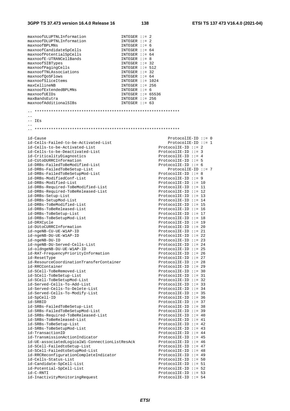| maxnoofULUPTNLInformation                      | INTEGER $::= 2$         |
|------------------------------------------------|-------------------------|
| maxnoofDLUPTNLInformation                      | INTEGER $::= 2$         |
| maxnoofBPLMNs                                  | INTEGER $::= 6$         |
| maxnoofCandidateSpCells                        | INTEGER $::= 64$        |
| maxnoofPotentialSpCells                        | INTEGER $::= 64$        |
| maxnoofE-UTRANCellBands                        | INTEGER $::= 8$         |
| maxnoofSIBTypes                                | INTEGER $::=$ 32        |
| maxnoofPagingCells                             | INTEGER $::= 512$       |
| maxnoofTNLAssociations                         | INTEGER $::=$ 32        |
|                                                |                         |
| maxnoofQoSFlows                                | INTEGER $::= 64$        |
| maxnoofSliceItems                              | INTEGER $::= 1024$      |
| maxCellineNB                                   | INTEGER $::= 256$       |
| maxnoofExtendedBPLMNs                          | INTEGER $::= 6$         |
| maxnoofUEIDs                                   | INTEGER $::= 65536$     |
| maxBandsEutra                                  | INTEGER $::= 256$       |
| maxnoofAdditionalSIBs                          | INTEGER $::= 63$        |
|                                                |                         |
|                                                |                         |
| $- -$                                          |                         |
| $--$ IEs                                       |                         |
|                                                |                         |
|                                                |                         |
|                                                |                         |
| id-Cause                                       | $ProtocolIE-ID :: = 0$  |
| id-Cells-Failed-to-be-Activated-List           | ProtocolIE-ID ::= 1     |
| id-Cells-to-be-Activated-List                  | ProtocolIE-ID $::= 2$   |
| id-Cells-to-be-Deactivated-List                | $ProtocolIE-ID :: = 3$  |
| id-CriticalityDiagnostics                      | ProtocolIE-ID ::= 4     |
| id-CUtoDURRCInformation                        | $ProtocolIE-ID :: = 5$  |
|                                                |                         |
| id-DRBs-FailedToBeModified-List                | ProtocolIE-ID ::= $6$   |
| id-DRBs-FailedToBeSetup-List                   | ProtocolIE-ID ::= 7     |
| id-DRBs-FailedToBeSetupMod-List                | ProtocolIE-ID ::= 8     |
| id-DRBs-ModifiedConf-List                      | $ProtocolIE-ID ::= 9$   |
| id-DRBs-Modified-List                          | $ProtocolIE-ID :: = 10$ |
| id-DRBs-Required-ToBeModified-List             | $ProtocolIE-ID :: = 11$ |
| id-DRBs-Required-ToBeReleased-List             | $ProtocolIE-ID ::= 12$  |
| id-DRBs-Setup-List                             | ProtocolIE-ID ::= 13    |
| id-DRBs-SetupMod-List                          | ProtocolIE-ID ::= 14    |
| id-DRBs-ToBeModified-List                      | $ProtocolIE-ID :: = 15$ |
| id-DRBs-ToBeReleased-List                      | ProtocolIE-ID ::= 16    |
| id-DRBs-ToBeSetup-List                         | ProtocolIE-ID ::= 17    |
| id-DRBs-ToBeSetupMod-List                      | ProtocolIE-ID ::= 18    |
|                                                |                         |
| id-DRXCycle                                    | $ProtocolIE-ID ::= 19$  |
| id-DUtoCURRCInformation                        | $ProtocolIE-ID ::= 20$  |
| id-ngeNB-CU-UE-W1AP-ID                         | ProtocolIE-ID ::= 21    |
| id-ngeNB-DU-UE-W1AP-ID                         | $ProtocolIE-ID ::= 22$  |
| id-ngeNB-DU-ID                                 | ProtocolIE-ID ::= 23    |
| id-ngeNB-DU-Served-Cells-List                  | ProtocolIE-ID ::= 24    |
| id-oldngeNB-DU-UE-W1AP-ID                      | $ProtocolIE-ID :: = 25$ |
| id-RAT-FrequencyPriorityInformation            | ProtocolIE-ID ::= 26    |
| id-ResetType                                   | ProtocolIE-ID ::= 27    |
| id-ResourceCoordinationTransferContainer       | ProtocolIE-ID $::= 28$  |
| id-RRCContainer                                | $ProtocolIE-ID :: = 29$ |
| id-SCell-ToBeRemoved-List                      | ProtocolIE-ID $::= 30$  |
| id-SCell-ToBeSetup-List                        | ProtocolIE-ID $::= 31$  |
| id-SCell-ToBeSetupMod-List                     | $ProtocolIE-ID :: = 32$ |
|                                                |                         |
| id-Served-Cells-To-Add-List                    | $ProtocolIE-ID :: = 33$ |
| id-Served-Cells-To-Delete-List                 | ProtocolIE-ID $::= 34$  |
| id-Served-Cells-To-Modify-List                 | $ProtocolIE-ID :: = 35$ |
| id-SpCell-ID                                   | ProtocolIE-ID ::= 36    |
| id-SRBID                                       | ProtocolIE-ID $::= 37$  |
| id-SRBs-FailedToBeSetup-List                   | $ProtocolIE-ID :: = 38$ |
| id-SRBs-FailedToBeSetupMod-List                | $ProtocolIE-ID ::= 39$  |
| id-SRBs-Required-ToBeReleased-List             | ProtocolIE-ID ::= $40$  |
| id-SRBs-ToBeReleased-List                      | ProtocolIE-ID ::= $41$  |
| id-SRBs-ToBeSetup-List                         | ProtocolIE-ID ::= $42$  |
| id-SRBs-ToBeSetupMod-List                      | $ProtocolIE-ID ::= 43$  |
| id-TransactionID                               | ProtocolIE-ID ::= $44$  |
| id-TransmissionActionIndicator                 | ProtocolIE-ID ::= $45$  |
|                                                |                         |
| id-UE-associatedLogicalW1-ConnectionListResAck | ProtocolIE-ID ::= $46$  |
| id-SCell-FailedtoSetup-List                    | ProtocolIE-ID ::= $47$  |
| id-SCell-FailedtoSetupMod-List                 | ProtocolIE-ID $::= 48$  |
| id-RRCReconfigurationCompleteIndicator         | ProtocolIE-ID ::= $49$  |
| id-Cells-Status-List                           | ProtocolIE-ID $::= 50$  |
| id-Candidate-SpCell-List                       | ProtocolIE-ID $::= 51$  |
| id-Potential-SpCell-List                       | ProtocolIE-ID $::= 52$  |
| id-C-RNTI                                      | ProtocolIE-ID $::= 53$  |
| id-InactivityMonitoringRequest                 | ProtocolIE-ID ::= $54$  |
|                                                |                         |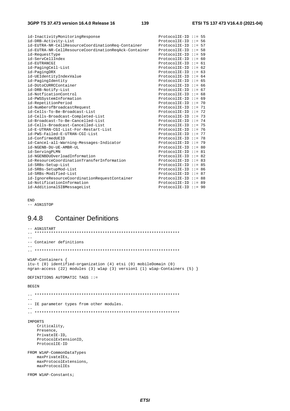| id-InactivityMonitoringResponse<br>id-DRB-Activity-List<br>id-EUTRA-NR-CellResourceCoordinationReq-Container<br>id-EUTRA-NR-CellResourceCoordinationRegAck-Container<br>id-RequestType | $ProtocolIE-ID :: = 55$<br>ProtocolIE-ID $:= 56$<br>ProtocolIE-ID ::= 57<br>ProtocolIE-ID ::= 58<br>$ProtocolIE-ID :: = 59$ |  |
|----------------------------------------------------------------------------------------------------------------------------------------------------------------------------------------|-----------------------------------------------------------------------------------------------------------------------------|--|
| id-ServCellIndex                                                                                                                                                                       | ProtocolIE-ID ::= $60$                                                                                                      |  |
| id-EUTRANCGI                                                                                                                                                                           | $ProtocolIE-ID :: = 61$                                                                                                     |  |
| id-PagingCell-List                                                                                                                                                                     | ProtocolIE-ID ::= $62$                                                                                                      |  |
| id-PagingDRX                                                                                                                                                                           | ProtocolIE-ID ::= $63$                                                                                                      |  |
| id-UEIdentityIndexValue                                                                                                                                                                | ProtocolIE-ID ::= $64$                                                                                                      |  |
| id-PagingIdentity                                                                                                                                                                      | ProtocolIE-ID ::= $65$                                                                                                      |  |
| id-DUtoCURRCContainer                                                                                                                                                                  | ProtocolIE-ID ::= $66$                                                                                                      |  |
| id-DRB-Notify-List                                                                                                                                                                     | ProtocolIE-ID ::= $67$                                                                                                      |  |
| id-NotficationControl                                                                                                                                                                  | ProtocolIE-ID ::= $68$                                                                                                      |  |
| id-PWSSystemInformation                                                                                                                                                                | ProtocolIE-ID ::= $69$                                                                                                      |  |
| id-RepetitionPeriod                                                                                                                                                                    | $ProtocolIE-ID :: = 70$                                                                                                     |  |
| id-NumberofBroadcastRequest                                                                                                                                                            | ProtocolIE-ID ::= $71$                                                                                                      |  |
| id-Cells-To-Be-Broadcast-List                                                                                                                                                          | $ProtocolIE-ID :: = 72$                                                                                                     |  |
| id-Cells-Broadcast-Completed-List                                                                                                                                                      | $ProtocolIE-ID :: = 73$                                                                                                     |  |
| id-Broadcast-To-Be-Cancelled-List                                                                                                                                                      | ProtocolIE-ID ::= $74$                                                                                                      |  |
| id-Cells-Broadcast-Cancelled-List                                                                                                                                                      | ProtocolIE-ID ::= 75                                                                                                        |  |
| id-E-UTRAN-CGI-List-For-Restart-List                                                                                                                                                   | ProtocolIE-ID ::= 76                                                                                                        |  |
| id-PWS-Failed-E-UTRAN-CGI-List                                                                                                                                                         | ProtocolIE-ID ::= $77$                                                                                                      |  |
| id-ConfirmedUEID                                                                                                                                                                       | ProtocolIE-ID ::= 78                                                                                                        |  |
| id-Cancel-all-Warning-Messages-Indicator                                                                                                                                               | $ProtocolIE-ID :: = 79$                                                                                                     |  |
| id-NGENB-DU-UE-AMBR-UL                                                                                                                                                                 | $ProtocolIE-ID :: = 80$                                                                                                     |  |
| id-ServingPLMN                                                                                                                                                                         | $ProtocolIE-ID :: = 81$                                                                                                     |  |
| id-NGENBDUOverloadInformation                                                                                                                                                          | $ProtocolIE-ID :: = 82$                                                                                                     |  |
| id-ResourceCoordinationTransferInformation                                                                                                                                             | $ProtocolIE-ID :: = 83$                                                                                                     |  |
| id-SRBs-Setup-List                                                                                                                                                                     | $ProtocolIE-ID :: = 85$                                                                                                     |  |
| id-SRBs-SetupMod-List                                                                                                                                                                  | $ProtocolIF-ID :: = 86$                                                                                                     |  |
| id-SRBs-Modified-List                                                                                                                                                                  | $ProtocolIE-ID :: = 87$                                                                                                     |  |
| id-IgnoreResourceCoordinationRequestContainer                                                                                                                                          | $ProtocolIE-ID :: = 88$                                                                                                     |  |
| id-NotificationInformation                                                                                                                                                             | $ProtocolIE-ID :: = 89$                                                                                                     |  |
| id-AdditionalSIBMessageList                                                                                                                                                            | $ProtocolIE-ID ::= 90$                                                                                                      |  |

END

## -- ASN1STOP

## 9.4.8 Container Definitions

```
-- ASN1START 
-- ************************************************************** 
-- 
-- Container definitions 
-- 
-- ************************************************************** 
W1AP-Containers { 
itu-t (0) identified-organization (4) etsi (0) mobileDomain (0) 
ngran-access (22) modules (3) w1ap (3) version1 (1) w1ap-Containers (5) } 
DEFINITIONS AUTOMATIC TAGS ::= 
BEGIN 
-- ************************************************************** 
--- IE parameter types from other modules.
-- 
-- ************************************************************** 
IMPORTS 
    Criticality, 
    Presence, 
    PrivateIE-ID, 
    ProtocolExtensionID, 
    ProtocolIE-ID 
FROM W1AP-CommonDataTypes 
     maxPrivateIEs, 
     maxProtocolExtensions, 
    maxProtocolIEs 
FROM W1AP-Constants;
```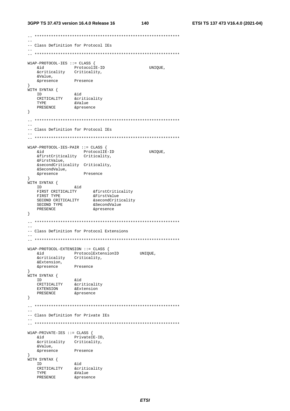-- Class Definition for Protocol IEs  $\frac{1}{2}$ W1AP-PROTOCOL-IES ::= CLASS { &id ProtocolIE-ID<br>
&criticality Criticality, UNIOUE. hia &Value, &presence Presence -3 WITH SYNTAX { I DINTAN (<br>CRITICALITY &criticality<br>TYPE &Value<br>PRESENCE &presence ID **PRESENCE**  $\}$  $\frac{1}{2}$ -- Class Definition for Protocol IEs W1AP-PROTOCOL-IES-PAIR ::= CLASS { **&id** ProtocolIE-ID UNIQUE, &firstCriticality Criticality, &FirstValue, &secondCriticality Criticality, &SecondValue, &presence Presence  $\mathcal{L}$ *j*<br>WITH SYNTAX { H SYNTAX {<br>
ID &id<br>
FIRST CRITICALITY &firstCriticality<br>
FIRST TYPE &FirstValue<br>
SECOND CRITICALITY &SecondCriticality<br>
TIGNIN TYPE &SecondValue<br>
TIGNIN TYPE &SecondValue<br>
TIGNIN TYPE ~TASARICE ID &presence  $\left\{ \right\}$  $\sim$ -- Class Definition for Protocol Extensions W1AP-PROTOCOL-EXTENSION ::= CLASS { ProtocolExtensionID UNIQUE, &id &criticality Criticality, &Extension, Presence &presence ,<br>WITH SYNTAX {  $TD$  $\}$ -- Class Definition for Private IEs W1AP-PRIVATE-IES ::= CLASS { & CHAD CHAD (<br>
& Representing the PrivateIE-ID,<br>
& Criticality Criticality, hia &Value, Presence &presence  $\rightarrow$ ,<br>WITH SYNTAX { ID aid<br>CRITICALITY &criticality<br>CRITICALITY &criticality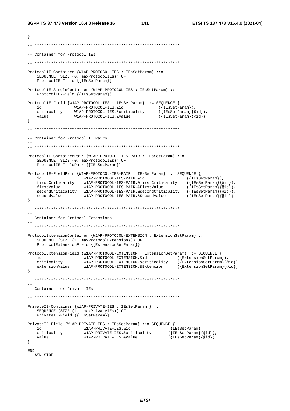```
\left\{ \right.\sim-- Container for Protocol IEs
ProtocolIE-Container {W1AP-PROTOCOL-IES : IEsSetParam} ::=
    SEQUENCE (SIZE (0..maxProtocolIEs)) OF
   ProtocolIE-Field { {IESSetParam}}
ProtocolIE-SingleContainer {W1AP-PROTOCOL-IES : IEsSetParam} ::=
    ProtocolIE-Field { { IESSetParam}}
ProtocolIE-Field {W1AP-PROTOCOL-IES : IEsSetParam} ::= SEQUENCE {
                WIAP-PROTOCOL-IES.&id<br>WIAP-PROTOCOL-IES.&criticality
                                                  ({[IEsSetParam]}),h i
                                                        ({\texttt{IEsSetParam}}\{@id\}),
    criticality
                                                       ({\texttt{IEsSetParam}}\hat{a})W1AP-PROTOCOL-IES.&Value
    value
\left\{ \right\}-- Container for Protocol IE Pairs
ProtocolIE-ContainerPair {WIAP-PROTOCOL-IES-PAIR : IESSetParam} ::=
   SEQUENCE (SIZE (0..maxProtocolIEs)) OF
   ProtocolIE-FieldPair {{IEsSetParam}}
   id<br>
WIAP-PROTOCOL-IES-PAIR : IESSetParam} ::= 8<br>
id<br>
firstCriticality<br>
WIAP-PROTOCOL-IES-PAIR.&firstCriticality<br>
firstValue<br>
WIAP-PROTOCOL-IES-PAIR.&firstCriticality<br>
SecondOL:
ProtocolIE-FieldPair {W1AP-PROTOCOL-IES-PAIR : IESSetParam} ::= SEQUENCE {
                                                                    ({IEsSetParam}),
                                                                    (\{IEsSetParam\}\{qid\}),
                                                                    ({[IEsSetParam]} @id),
    secondCriticality W1AP-PROTOCOL-IES-PAIR.&secondCriticality<br>secondValue W1AP-PROTOCOL-IES-PAIR.&SecondValue
                                                                    ({[\texttt{IEsSetParam}]\{ \texttt{oid}\}),
   secondValue
                                                                    (\{IESSetParam\} \{ @id\})\}-- Container for Protocol Extensions
ProtocolExtensionContainer {W1AP-PROTOCOL-EXTENSION : ExtensionSetParam} ::=
   SEQUENCE (SIZE (1..maxProtocolExtensions)) OF
    ProtocolExtensionField {{ExtensionSetParam}}
ProtocolExtensionField {W1AP-PROTOCOL-EXTENSION : ExtensionSetParam} ::= SEQUENCE {
                                                           (\{\texttt{ExtensionSetParam}\}),
   variations and the contract of the contract of the contract of the contract of the contract of the main of the<br>id WIAP-PROTOCOL-EXTENSION.&criticality ({ExtensionSetParam}},<br>extensionValue WIAP-PROTOCOL-EXTENSION.&Extensio
                                                                ({x, t, ensionsetParam}{aid}).\rightarrowL.
-- Container for Private IEs
PrivateIE-Container {W1AP-PRIVATE-IES : IEsSetParam } ::=
    SEQUENCE (SIZE (1.. maxPrivateIEs)) OF
   PrivateIE-Field { {IESSetParam}}
PrivateIE-Field {W1AP-PRIVATE-IES : IEsSetParam} ::= SEQUENCE {
   id WIAP-PRIVATE-IES.&id ({IESSetParam}),<br>criticality WIAP-PRIVATE-IES.&id ({IESSetParam}},<br>value WIAP-PRIVATE-IES.&criticality ({IESSetParam}{@id})<br>value ({IESSetParam}{@id})
                                                            (\{IESSetParam\} \{ @id\}),
\}END
```
-- ASN1STOP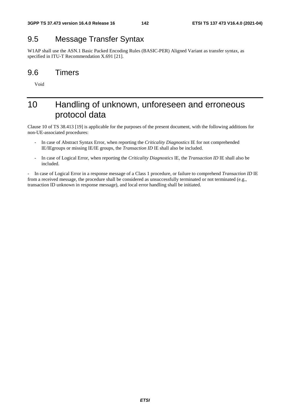## 9.5 Message Transfer Syntax

W1AP shall use the ASN.1 Basic Packed Encoding Rules (BASIC-PER) Aligned Variant as transfer syntax, as specified in ITU-T Recommendation X.691 [21].

## 9.6 Timers

Void

# 10 Handling of unknown, unforeseen and erroneous protocol data

Clause 10 of TS 38.413 [19] is applicable for the purposes of the present document, with the following additions for non-UE-associated procedures:

- In case of Abstract Syntax Error, when reporting the *Criticality Diagnostics* IE for not comprehended IE/IEgroups or missing IE/IE groups, the *Transaction ID* IE shall also be included.
- In case of Logical Error, when reporting the *Criticality Diagnostics* IE, the *Transaction ID* IE shall also be included.

- In case of Logical Error in a response message of a Class 1 procedure, or failure to comprehend *Transaction ID* IE from a received message, the procedure shall be considered as unsuccessfully terminated or not terminated (e.g., transaction ID unknown in response message), and local error handling shall be initiated.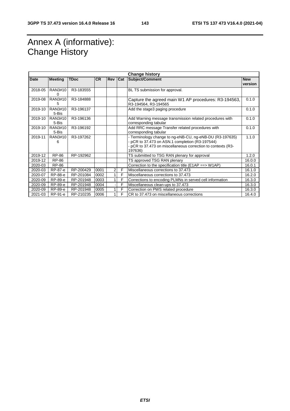# Annex A (informative): Change History

| <b>Change history</b> |                  |             |           |                |     |                                                                                                                                                                                        |                       |
|-----------------------|------------------|-------------|-----------|----------------|-----|----------------------------------------------------------------------------------------------------------------------------------------------------------------------------------------|-----------------------|
| Date                  | <b>Meeting</b>   | <b>TDoc</b> | <b>CR</b> | <b>Rev</b>     | Cat | Subject/Comment                                                                                                                                                                        | <b>New</b><br>version |
| 2018-05               | RAN3#10<br>∩     | R3-183555   |           |                |     | BL TS submission for approval.                                                                                                                                                         |                       |
| 2019-08               | RAN3#10<br>5     | R3-184888   |           |                |     | Capture the agreed main W1 AP procedures: R3-194563,<br>R3-194564, R3-194565                                                                                                           | 0.1.0                 |
| 2019-10               | RAN3#10<br>5-Bis | R3-196137   |           |                |     | Add the stage3 paging procedure                                                                                                                                                        | 0.1.0                 |
| 2019-10               | RAN3#10<br>5-Bis | R3-196136   |           |                |     | Add Warning message transmission related procedures with<br>corresponding tabular                                                                                                      | 0.1.0                 |
| 2019-10               | RAN3#10<br>5-Bis | R3-196192   |           |                |     | Add RRC message Transfer related procedures with<br>corresponding tabular                                                                                                              | 0.1.0                 |
| 2019-11               | RAN3#10<br>6     | R3-197262   |           |                |     | - Terminology change to ng-eNB-CU, ng-eNB-DU (R3-197635)<br>- pCR to 37.473 on ASN.1 completion (R3-197544)<br>- pCR to 37.473 on miscellaneous correction to contexts (R3-<br>197636) | 1.1.0                 |
| 2019-12               | RP-86            | RP-192962   |           |                |     | TS submitted to TSG RAN plenary for approval                                                                                                                                           | 1.2.0                 |
| 2019-12               | RP-86            |             |           |                |     | TS approved TSG RAN plenary                                                                                                                                                            | 16.0.0                |
| 2020-03               | RP-86            |             |           |                |     | Correction to the specification title ( $E1AP == > W1AP$ )                                                                                                                             | 16.0.1                |
| 2020-03               | RP-87-e          | RP-200429   | 0001      | 2              | F   | Miscellaneous corrections to 37.473                                                                                                                                                    | 16.1.0                |
| 2020-07               | RP-88-e          | RP-201084   | 0002      |                | F   | Miscellaneous corrections to 37.473                                                                                                                                                    | 16.2.0                |
| 2020-09               | RP-89-e          | RP-201948   | 0003      |                | F   | Corrections to encoding PLMNs in served cell information                                                                                                                               | 16.3.0                |
| 2020-09               | RP-89-e          | RP-201948   | 0004      |                | F   | Miscellaneous clean-ups to 37.473                                                                                                                                                      | 16.3.0                |
| 2020-09               | RP-89-e          | RP-201948   | 0005      |                | F   | Correction on PWS related procedure                                                                                                                                                    | 16.3.0                |
| 2021-03               | RP-91-e          | RP-210235   | 0006      | 1 <sup>1</sup> | F   | CR to 37.473 on miscellaneous corrections                                                                                                                                              | 16.4.0                |